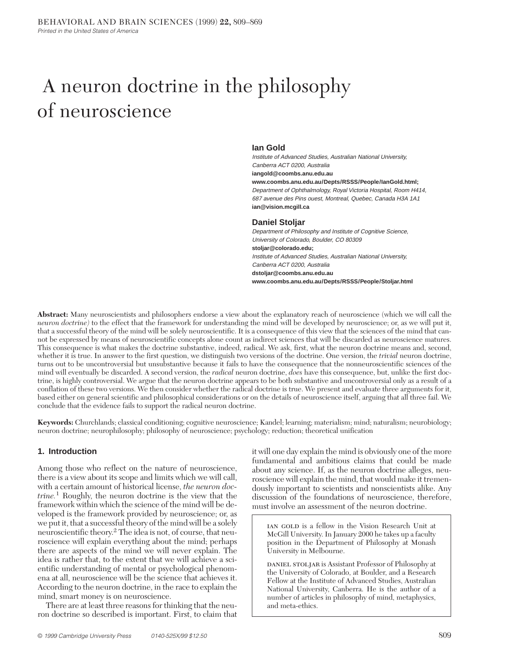# A neuron doctrine in the philosophy of neuroscience

### **Ian Gold**

Institute of Advanced Studies, Australian National University, Canberra ACT 0200, Australia **iangold@coombs.anu.edu.au www.coombs.anu.edu.au/Depts/RSSS/People/IanGold.html;** Department of Ophthalmology, Royal Victoria Hospital, Room H414,

687 avenue des Pins ouest, Montreal, Quebec, Canada H3A 1A1 **ian@vision.mcgill.ca**

## **Daniel Stoljar**

Department of Philosophy and Institute of Cognitive Science, University of Colorado, Boulder, CO 80309 **stoljar@colorado.edu;** Institute of Advanced Studies, Australian National University, Canberra ACT 0200, Australia **dstoljar@coombs.anu.edu.au www.coombs.anu.edu.au/Depts/RSSS/People/Stoljar.html**

**Abstract:** Many neuroscientists and philosophers endorse a view about the explanatory reach of neuroscience (which we will call the *neuron doctrine)* to the effect that the framework for understanding the mind will be developed by neuroscience; or, as we will put it, that a successful theory of the mind will be solely neuroscientific. It is a consequence of this view that the sciences of the mind that cannot be expressed by means of neuroscientific concepts alone count as indirect sciences that will be discarded as neuroscience matures. This consequence is what makes the doctrine substantive, indeed, radical. We ask, first, what the neuron doctrine means and, second, whether it is true. In answer to the first question, we distinguish two versions of the doctrine. One version, the *trivial* neuron doctrine, turns out to be uncontroversial but unsubstantive because it fails to have the consequence that the nonneuroscientific sciences of the mind will eventually be discarded. A second version, the *radical* neuron doctrine, *does* have this consequence, but, unlike the first doctrine, is highly controversial. We argue that the neuron doctrine appears to be both substantive and uncontroversial only as a result of a conflation of these two versions. We then consider whether the radical doctrine is true. We present and evaluate three arguments for it, based either on general scientific and philosophical considerations or on the details of neuroscience itself, arguing that all three fail. We conclude that the evidence fails to support the radical neuron doctrine.

**Keywords:** Churchlands; classical conditioning; cognitive neuroscience; Kandel; learning; materialism; mind; naturalism; neurobiology; neuron doctrine; neurophilosophy; philosophy of neuroscience; psychology; reduction; theoretical unification

## **1. Introduction**

Among those who reflect on the nature of neuroscience, there is a view about its scope and limits which we will call, with a certain amount of historical license, *the neuron doctrine.*<sup>1</sup> Roughly, the neuron doctrine is the view that the framework within which the science of the mind will be developed is the framework provided by neuroscience; or, as we put it, that a successful theory of the mind will be a solely neuroscientific theory.2 The idea is not, of course, that neuroscience will explain everything about the mind; perhaps there are aspects of the mind we will never explain. The idea is rather that, to the extent that we will achieve a scientific understanding of mental or psychological phenomena at all, neuroscience will be the science that achieves it. According to the neuron doctrine, in the race to explain the mind, smart money is on neuroscience.

There are at least three reasons for thinking that the neuron doctrine so described is important. First, to claim that it will one day explain the mind is obviously one of the more fundamental and ambitious claims that could be made about any science. If, as the neuron doctrine alleges, neuroscience will explain the mind, that would make it tremendously important to scientists and nonscientists alike. Any discussion of the foundations of neuroscience, therefore, must involve an assessment of the neuron doctrine.

IAN GOLD is a fellow in the Vision Research Unit at McGill University. In January 2000 he takes up a faculty position in the Department of Philosophy at Monash University in Melbourne.

DANIEL STOLJAR is Assistant Professor of Philosophy at the University of Colorado, at Boulder, and a Research Fellow at the Institute of Advanced Studies, Australian National University, Canberra. He is the author of a number of articles in philosophy of mind, metaphysics, and meta-ethics.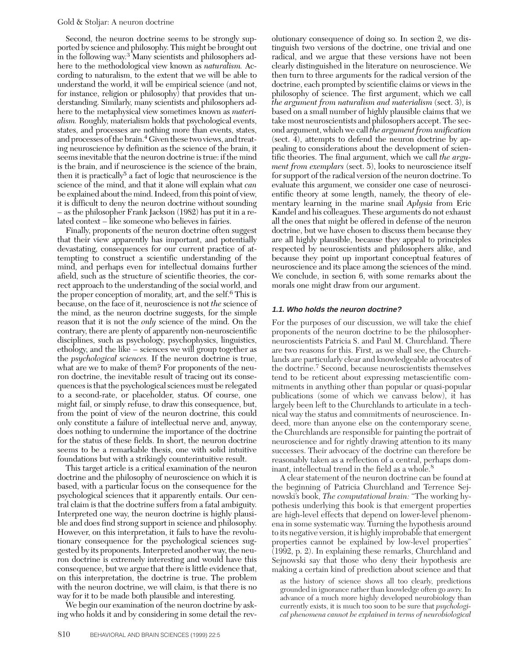#### Gold & Stoljar: A neuron doctrine

Second, the neuron doctrine seems to be strongly supported by science and philosophy. This might be brought out in the following way.3 Many scientists and philosophers adhere to the methodological view known as *naturalism.* According to naturalism, to the extent that we will be able to understand the world, it will be empirical science (and not, for instance, religion or philosophy) that provides that understanding. Similarly, many scientists and philosophers adhere to the metaphysical view sometimes known as *materialism.* Roughly, materialism holds that psychological events, states, and processes are nothing more than events, states, and processes of the brain.<sup>4</sup> Given these two views, and treating neuroscience by definition as the science of the brain, it seems inevitable that the neuron doctrine is true: if the mind is the brain, and if neuroscience is the science of the brain, then it is practically5 a fact of logic that neuroscience is the science of the mind, and that it alone will explain what *can* be explained about the mind. Indeed, from this point of view, it is difficult to deny the neuron doctrine without sounding – as the philosopher Frank Jackson (1982) has put it in a related context – like someone who believes in fairies.

Finally, proponents of the neuron doctrine often suggest that their view apparently has important, and potentially devastating, consequences for our current practice of attempting to construct a scientific understanding of the mind, and perhaps even for intellectual domains further afield, such as the structure of scientific theories, the correct approach to the understanding of the social world, and the proper conception of morality, art, and the self.6 This is because, on the face of it, neuroscience is not *the* science of the mind, as the neuron doctrine suggests, for the simple reason that it is not the *only* science of the mind. On the contrary, there are plenty of apparently non-neuroscientific disciplines, such as psychology, psychophysics, linguistics, ethology, and the like – sciences we will group together as the *psychological sciences.* If the neuron doctrine is true, what are we to make of them? For proponents of the neuron doctrine, the inevitable result of tracing out its consequences is that the psychological sciences must be relegated to a second-rate, or placeholder, status. Of course, one might fail, or simply refuse, to draw this consequence, but, from the point of view of the neuron doctrine, this could only constitute a failure of intellectual nerve and, anyway, does nothing to undermine the importance of the doctrine for the status of these fields. In short, the neuron doctrine seems to be a remarkable thesis, one with solid intuitive foundations but with a strikingly counterintuitive result.

This target article is a critical examination of the neuron doctrine and the philosophy of neuroscience on which it is based, with a particular focus on the consequence for the psychological sciences that it apparently entails. Our central claim is that the doctrine suffers from a fatal ambiguity. Interpreted one way, the neuron doctrine is highly plausible and does find strong support in science and philosophy. However, on this interpretation, it fails to have the revolutionary consequence for the psychological sciences suggested by its proponents. Interpreted another way, the neuron doctrine is extremely interesting and would have this consequence, but we argue that there is little evidence that, on this interpretation, the doctrine is true. The problem with the neuron doctrine, we will claim, is that there is no way for it to be made both plausible and interesting.

We begin our examination of the neuron doctrine by asking who holds it and by considering in some detail the revolutionary consequence of doing so. In section 2, we distinguish two versions of the doctrine, one trivial and one radical, and we argue that these versions have not been clearly distinguished in the literature on neuroscience. We then turn to three arguments for the radical version of the doctrine, each prompted by scientific claims or views in the philosophy of science. The first argument, which we call *the argument from naturalism and materialism* (sect. 3), is based on a small number of highly plausible claims that we take most neuroscientists and philosophers accept. The second argument, which we call *the argument from unification* (sect. 4), attempts to defend the neuron doctrine by appealing to considerations about the development of scientific theories. The final argument, which we call *the argument from exemplars* (sect. 5), looks to neuroscience itself for support of the radical version of the neuron doctrine. To evaluate this argument, we consider one case of neuroscientific theory at some length, namely, the theory of elementary learning in the marine snail *Aplysia* from Eric Kandel and his colleagues. These arguments do not exhaust all the ones that might be offered in defense of the neuron doctrine, but we have chosen to discuss them because they are all highly plausible, because they appeal to principles respected by neuroscientists and philosophers alike, and because they point up important conceptual features of neuroscience and its place among the sciences of the mind. We conclude, in section 6, with some remarks about the morals one might draw from our argument.

#### **1.1. Who holds the neuron doctrine?**

For the purposes of our discussion, we will take the chief proponents of the neuron doctrine to be the philosopherneuroscientists Patricia S. and Paul M. Churchland. There are two reasons for this. First, as we shall see, the Churchlands are particularly clear and knowledgeable advocates of the doctrine.7 Second, because neuroscientists themselves tend to be reticent about expressing metascientific commitments in anything other than popular or quasi-popular publications (some of which we canvass below), it has largely been left to the Churchlands to articulate in a technical way the status and commitments of neuroscience. Indeed, more than anyone else on the contemporary scene, the Churchlands are responsible for painting the portrait of neuroscience and for rightly drawing attention to its many successes. Their advocacy of the doctrine can therefore be reasonably taken as a reflection of a central, perhaps dominant, intellectual trend in the field as a whole.<sup>8</sup>

A clear statement of the neuron doctrine can be found at the beginning of Patricia Churchland and Terrence Sejnowski's book, *The computational brain:* "The working hypothesis underlying this book is that emergent properties are high-level effects that depend on lower-level phenomena in some systematic way. Turning the hypothesis around to its negative version, it is highly improbable that emergent properties cannot be explained by low-level properties" (1992, p. 2). In explaining these remarks, Churchland and Sejnowski say that those who deny their hypothesis are making a certain kind of prediction about science and that

as the history of science shows all too clearly, predictions grounded in ignorance rather than knowledge often go awry. In advance of a much more highly developed neurobiology than currently exists, it is much too soon to be sure that *psychological phenomena cannot be explained in terms of neurobiological*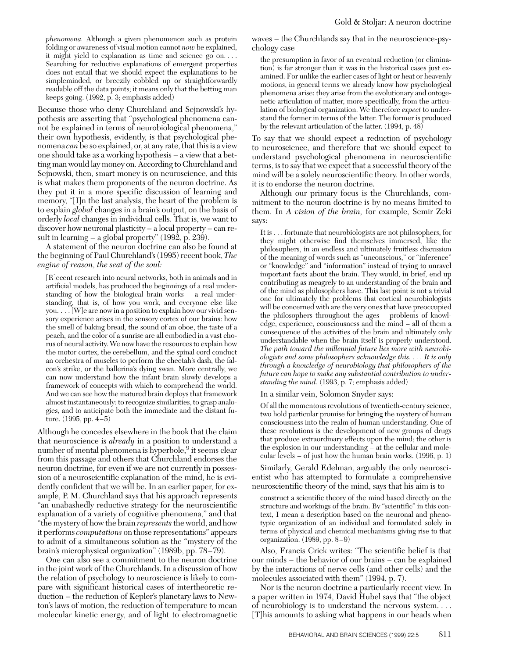Because those who deny Churchland and Sejnowski's hypothesis are asserting that "psychological phenomena cannot be explained in terms of neurobiological phenomena," their own hypothesis, evidently, is that psychological phenomena *can* be so explained, or, at any rate, that this is a view one should take as a working hypothesis – a view that a betting man would lay money on. According to Churchland and Sejnowski, then, smart money is on neuroscience, and this is what makes them proponents of the neuron doctrine. As they put it in a more specific discussion of learning and memory, "[I]n the last analysis, the heart of the problem is to explain *global* changes in a brain's output, on the basis of orderly *local* changes in individual cells. That is, we want to discover how neuronal plasticity – a local property – can result in learning – a global property" (1992, p. 239).

A statement of the neuron doctrine can also be found at the beginning of Paul Churchland's (1995) recent book, *The engine of reason, the seat of the soul:*

[R]ecent research into neural networks, both in animals and in artificial models, has produced the beginnings of a real understanding of how the biological brain works – a real understanding, that is, of how you work, and everyone else like you. . . . [W]e are now in a position to explain how our vivid sensory experience arises in the sensory cortex of our brains: how the smell of baking bread, the sound of an oboe, the taste of a peach, and the color of a sunrise are all embodied in a vast chorus of neural activity. We now have the resources to explain how the motor cortex, the cerebellum, and the spinal cord conduct an orchestra of muscles to perform the cheetah's dash, the falcon's strike, or the ballerina's dying swan. More centrally, we can now understand how the infant brain slowly develops a framework of concepts with which to comprehend the world. And we can see how the matured brain deploys that framework almost instantaneously: to recognize similarities, to grasp analogies, and to anticipate both the immediate and the distant future. (1995, pp. 4–5)

Although he concedes elsewhere in the book that the claim that neuroscience is *already* in a position to understand a number of mental phenomena is hyperbole,<sup>9</sup> it seems clear from this passage and others that Churchland endorses the neuron doctrine, for even if we are not currently in possession of a neuroscientific explanation of the mind, he is evidently confident that we will be. In an earlier paper, for example, P. M. Churchland says that his approach represents "an unabashedly reductive strategy for the neuroscientific explanation of a variety of cognitive phenomena," and that "the mystery of how the brain *represents* the world, and how it performs *computations* on those representations" appears to admit of a simultaneous solution as the "mystery of the brain's microphysical organization" (1989b, pp. 78–79).

One can also see a commitment to the neuron doctrine in the joint work of the Churchlands. In a discussion of how the relation of psychology to neuroscience is likely to compare with significant historical cases of intertheoretic reduction – the reduction of Kepler's planetary laws to Newton's laws of motion, the reduction of temperature to mean molecular kinetic energy, and of light to electromagnetic waves – the Churchlands say that in the neuroscience-psychology case

the presumption in favor of an eventual reduction (or elimination) is far stronger than it was in the historical cases just examined. For unlike the earlier cases of light or heat or heavenly motions, in general terms we already know how psychological phenomena arise: they arise from the evolutionary and ontogenetic articulation of matter, more specifically, from the articulation of biological organization. We therefore *expect* to understand the former in terms of the latter. The former is produced by the relevant articulation of the latter. (1994, p. 48)

To say that we should expect a reduction of psychology to neuroscience, and therefore that we should expect to understand psychological phenomena in neuroscientific terms, is to say that we expect that a successful theory of the mind will be a solely neuroscientific theory. In other words, it is to endorse the neuron doctrine.

Although our primary focus is the Churchlands, commitment to the neuron doctrine is by no means limited to them. In *A vision of the brain,* for example, Semir Zeki says:

It is . . . fortunate that neurobiologists are not philosophers, for they might otherwise find themselves immersed, like the philosophers, in an endless and ultimately fruitless discussion of the meaning of words such as "unconscious," or "inference" or "knowledge" and "information" instead of trying to unravel important facts about the brain. They would, in brief, end up contributing as meagrely to an understanding of the brain and of the mind as philosophers have. This last point is not a trivial one for ultimately the problems that cortical neurobiologists will be concerned with are the very ones that have preoccupied the philosophers throughout the ages – problems of knowledge, experience, consciousness and the mind – all of them a consequence of the activities of the brain and ultimately only understandable when the brain itself is properly understood. *The path toward the millennial future lies more with neurobiologists and some philosophers acknowledge this. . . . It is only through a knowledge of neurobiology that philosophers of the future can hope to make any substantial contribution to understanding the mind.* (1993, p. 7; emphasis added)

#### In a similar vein, Solomon Snyder says:

Of all the momentous revolutions of twentieth-century science, two hold particular promise for bringing the mystery of human consciousness into the realm of human understanding. One of these revolutions is the development of new groups of drugs that produce extraordinary effects upon the mind; the other is the explosion in our understanding – at the cellular and molecular levels – of just how the human brain works. (1996, p. 1)

Similarly, Gerald Edelman, arguably the only neuroscientist who has attempted to formulate a comprehensive neuroscientific theory of the mind, says that his aim is to

construct a scientific theory of the mind based directly on the structure and workings of the brain. By "scientific" in this context, I mean a description based on the neuronal and phenotypic organization of an individual and formulated solely in terms of physical and chemical mechanisms giving rise to that organization. (1989, pp. 8–9)

Also, Francis Crick writes: "The scientific belief is that our minds – the behavior of our brains – can be explained by the interactions of nerve cells (and other cells) and the molecules associated with them" (1994, p. 7).

Nor is the neuron doctrine a particularly recent view. In a paper written in 1974, David Hubel says that "the object of neurobiology is to understand the nervous system. . . . [T]his amounts to asking what happens in our heads when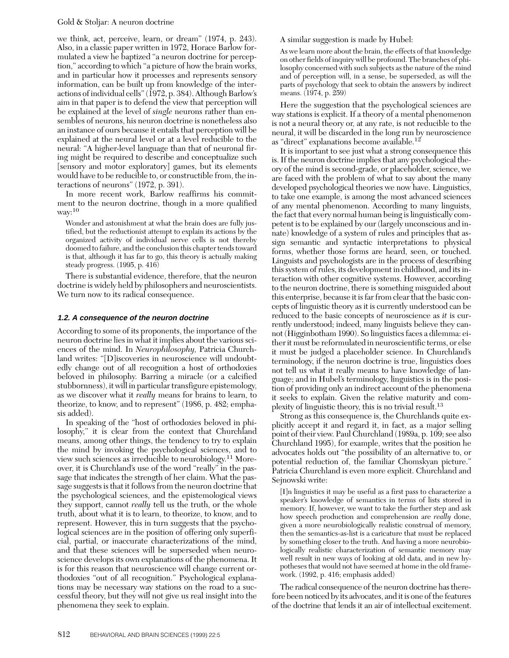#### Gold & Stoljar: A neuron doctrine

we think, act, perceive, learn, or dream" (1974, p. 243). Also, in a classic paper written in 1972, Horace Barlow formulated a view he baptized "a neuron doctrine for perception," according to which "a picture of how the brain works, and in particular how it processes and represents sensory information, can be built up from knowledge of the interactions of individual cells" (1972, p. 384). Although Barlow's aim in that paper is to defend the view that perception will be explained at the level of *single* neurons rather than ensembles of neurons, his neuron doctrine is nonetheless also an instance of ours because it entails that perception will be explained at the neural level or at a level reducible to the neural: "A higher-level language than that of neuronal firing might be required to describe and conceptualize such [sensory and motor exploratory] games, but its elements would have to be reducible to, or constructible from, the interactions of neurons" (1972, p. 391).

In more recent work, Barlow reaffirms his commitment to the neuron doctrine, though in a more qualified way:<sup>10</sup>

Wonder and astonishment at what the brain does are fully justified, but the reductionist attempt to explain its actions by the organized activity of individual nerve cells is not thereby doomed to failure, and the conclusion this chapter tends toward is that, although it has far to go, this theory is actually making steady progress. (1995, p. 416)

There is substantial evidence, therefore, that the neuron doctrine is widely held by philosophers and neuroscientists. We turn now to its radical consequence.

## **1.2. A consequence of the neuron doctrine**

According to some of its proponents, the importance of the neuron doctrine lies in what it implies about the various sciences of the mind. In *Neurophilosophy,* Patricia Churchland writes: "[D]iscoveries in neuroscience will undoubtedly change out of all recognition a host of orthodoxies beloved in philosophy. Barring a miracle (or a calcified stubbornness), it will in particular transfigure epistemology, as we discover what it *really* means for brains to learn, to theorize, to know, and to represent" (1986, p. 482; emphasis added).

In speaking of the "host of orthodoxies beloved in philosophy," it is clear from the context that Churchland means, among other things, the tendency to try to explain the mind by invoking the psychological sciences, and to view such sciences as irreducible to neurobiology.11 Moreover, it is Churchland's use of the word "really" in the passage that indicates the strength of her claim. What the passage suggests is that it follows from the neuron doctrine that the psychological sciences, and the epistemological views they support, cannot *really* tell us the truth, or the whole truth, about what it is to learn, to theorize, to know, and to represent. However, this in turn suggests that the psychological sciences are in the position of offering only superficial, partial, or inaccurate characterizations of the mind, and that these sciences will be superseded when neuroscience develops its own explanations of the phenomena. It is for this reason that neuroscience will change current orthodoxies "out of all recognition." Psychological explanations may be necessary way stations on the road to a successful theory, but they will not give us real insight into the phenomena they seek to explain.

A similar suggestion is made by Hubel:

As we learn more about the brain, the effects of that knowledge on other fields of inquiry will be profound. The branches of philosophy concerned with such subjects as the nature of the mind and of perception will, in a sense, be superseded, as will the parts of psychology that seek to obtain the answers by indirect means. (1974, p. 259)

Here the suggestion that the psychological sciences are way stations is explicit. If a theory of a mental phenomenon is not a neural theory or, at any rate, is not reducible to the neural, it will be discarded in the long run by neuroscience as "direct" explanations become available.12

It is important to see just what a strong consequence this is. If the neuron doctrine implies that any psychological theory of the mind is second-grade, or placeholder, science, we are faced with the problem of what to say about the many developed psychological theories we now have. Linguistics, to take one example, is among the most advanced sciences of any mental phenomenon. According to many linguists, the fact that every normal human being is linguistically competent is to be explained by our (largely unconscious and innate) knowledge of a system of rules and principles that assign semantic and syntactic interpretations to physical forms, whether those forms are heard, seen, or touched. Linguists and psychologists are in the process of describing this system of rules, its development in childhood, and its interaction with other cognitive systems. However, according to the neuron doctrine, there is something misguided about this enterprise, because it is far from clear that the basic concepts of linguistic theory as it is currently understood can be reduced to the basic concepts of neuroscience as *it* is currently understood; indeed, many linguists believe they cannot (Higginbotham 1990). So linguistics faces a dilemma: either it must be reformulated in neuroscientific terms, or else it must be judged a placeholder science. In Churchland's terminology, if the neuron doctrine is true, linguistics does not tell us what it really means to have knowledge of language; and in Hubel's terminology, linguistics is in the position of providing only an indirect account of the phenomena it seeks to explain. Given the relative maturity and complexity of linguistic theory, this is no trivial result.13

Strong as this consequence is, the Churchlands quite explicitly accept it and regard it, in fact, as a major selling point of their view. Paul Churchland (1989a, p. 109; see also Churchland 1995), for example, writes that the position he advocates holds out "the possibility of an alternative to, or potential reduction of, the familiar Chomskyan picture." Patricia Churchland is even more explicit. Churchland and Sejnowski write:

[I]n linguistics it may be useful as a first pass to characterize a speaker's knowledge of semantics in terms of lists stored in memory. If, however, we want to take the further step and ask how speech production and comprehension are *really* done, given a more neurobiologically realistic construal of memory, then the semantics-as-list is a caricature that must be replaced by something closer to the truth. And having a more neurobiologically realistic characterization of semantic memory may well result in new ways of looking at old data, and in new hypotheses that would not have seemed at home in the old framework. (1992, p. 416; emphasis added)

The radical consequence of the neuron doctrine has therefore been noticed by its advocates, and it is one of the features of the doctrine that lends it an air of intellectual excitement.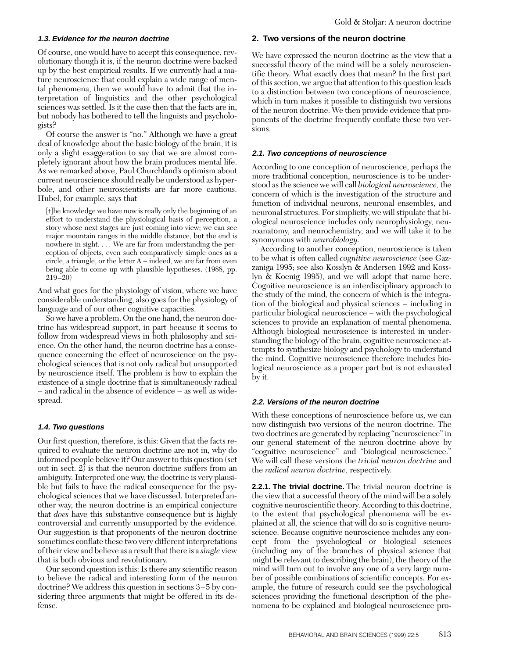## **1.3. Evidence for the neuron doctrine**

Of course, one would have to accept this consequence, revolutionary though it is, if the neuron doctrine were backed up by the best empirical results. If we currently had a mature neuroscience that could explain a wide range of mental phenomena, then we would have to admit that the interpretation of linguistics and the other psychological sciences was settled. Is it the case then that the facts are in, but nobody has bothered to tell the linguists and psychologists?

Of course the answer is "no." Although we have a great deal of knowledge about the basic biology of the brain, it is only a slight exaggeration to say that we are almost completely ignorant about how the brain produces mental life. As we remarked above, Paul Churchland's optimism about current neuroscience should really be understood as hyperbole, and other neuroscientists are far more cautious. Hubel, for example, says that

[t]he knowledge we have now is really only the beginning of an effort to understand the physiological basis of perception, a story whose next stages are just coming into view; we can see major mountain ranges in the middle distance, but the end is nowhere in sight. . . . We are far from understanding the perception of objects, even such comparatively simple ones as a circle, a triangle, or the letter A – indeed, we are far from even being able to come up with plausible hypotheses. (1988, pp. 219–20)

And what goes for the physiology of vision, where we have considerable understanding, also goes for the physiology of language and of our other cognitive capacities.

So we have a problem. On the one hand, the neuron doctrine has widespread support, in part because it seems to follow from widespread views in both philosophy and science. On the other hand, the neuron doctrine has a consequence concerning the effect of neuroscience on the psychological sciences that is not only radical but unsupported by neuroscience itself. The problem is how to explain the existence of a single doctrine that is simultaneously radical – and radical in the absence of evidence – as well as widespread.

#### **1.4. Two questions**

Our first question, therefore, is this: Given that the facts required to evaluate the neuron doctrine are not in, why do informed people believe it? Our answer to this question (set out in sect. 2) is that the neuron doctrine suffers from an ambiguity. Interpreted one way, the doctrine is very plausible but fails to have the radical consequence for the psychological sciences that we have discussed. Interpreted another way, the neuron doctrine is an empirical conjecture that *does* have this substantive consequence but is highly controversial and currently unsupported by the evidence. Our suggestion is that proponents of the neuron doctrine sometimes conflate these two very different interpretations of their view and believe as a result that there is a *single* view that is both obvious and revolutionary.

Our second question is this: Is there any scientific reason to believe the radical and interesting form of the neuron doctrine? We address this question in sections 3–5 by considering three arguments that might be offered in its defense.

## **2. Two versions of the neuron doctrine**

We have expressed the neuron doctrine as the view that a successful theory of the mind will be a solely neuroscientific theory. What exactly does that mean? In the first part of this section, we argue that attention to this question leads to a distinction between two conceptions of neuroscience, which in turn makes it possible to distinguish two versions of the neuron doctrine. We then provide evidence that proponents of the doctrine frequently conflate these two versions.

#### **2.1. Two conceptions of neuroscience**

According to one conception of neuroscience, perhaps the more traditional conception, neuroscience is to be understood as the science we will call *biological neuroscience,* the concern of which is the investigation of the structure and function of individual neurons, neuronal ensembles, and neuronal structures. For simplicity, we will stipulate that biological neuroscience includes only neurophysiology, neuroanatomy, and neurochemistry, and we will take it to be synonymous with *neurobiology.*

According to another conception, neuroscience is taken to be what is often called *cognitive neuroscience* (see Gazzaniga 1995; see also Kosslyn & Andersen 1992 and Kosslyn & Koenig 1995), and we will adopt that name here. Cognitive neuroscience is an interdisciplinary approach to the study of the mind, the concern of which is the integration of the biological and physical sciences – including in particular biological neuroscience – with the psychological sciences to provide an explanation of mental phenomena. Although biological neuroscience is interested in understanding the biology of the brain, cognitive neuroscience attempts to synthesize biology and psychology to understand the mind. Cognitive neuroscience therefore includes biological neuroscience as a proper part but is not exhausted by it.

#### **2.2. Versions of the neuron doctrine**

With these conceptions of neuroscience before us, we can now distinguish two versions of the neuron doctrine. The two doctrines are generated by replacing "neuroscience" in our general statement of the neuron doctrine above by "cognitive neuroscience" and "biological neuroscience." We will call these versions the *trivial neuron doctrine* and the *radical neuron doctrine,* respectively.

**2.2.1. The trivial doctrine.** The trivial neuron doctrine is the view that a successful theory of the mind will be a solely cognitive neuroscientific theory. According to this doctrine, to the extent that psychological phenomena will be explained at all, the science that will do so is cognitive neuroscience. Because cognitive neuroscience includes any concept from the psychological or biological sciences (including any of the branches of physical science that might be relevant to describing the brain), the theory of the mind will turn out to involve any one of a very large number of possible combinations of scientific concepts. For example, the future of research could see the psychological sciences providing the functional description of the phenomena to be explained and biological neuroscience pro-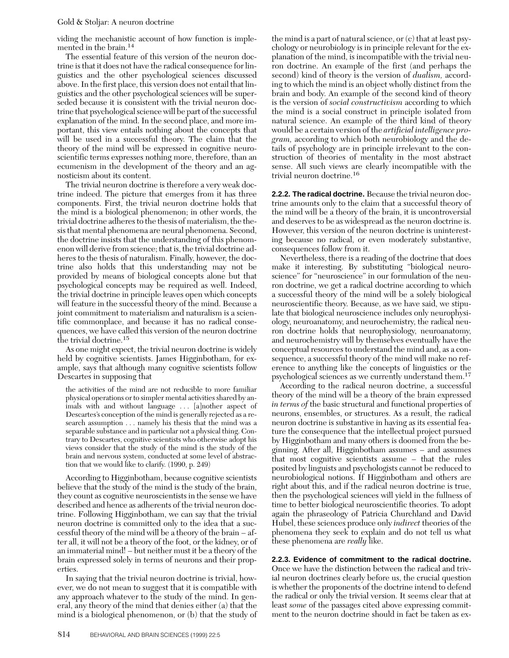#### Gold & Stoljar: A neuron doctrine

viding the mechanistic account of how function is implemented in the brain.  $^{\rm 14}$ 

The essential feature of this version of the neuron doctrine is that it does not have the radical consequence for linguistics and the other psychological sciences discussed above. In the first place, this version does not entail that linguistics and the other psychological sciences will be superseded because it is consistent with the trivial neuron doctrine that psychological science will be part of the successful explanation of the mind. In the second place, and more important, this view entails nothing about the concepts that will be used in a successful theory. The claim that the theory of the mind will be expressed in cognitive neuroscientific terms expresses nothing more, therefore, than an ecumenism in the development of the theory and an agnosticism about its content.

The trivial neuron doctrine is therefore a very weak doctrine indeed. The picture that emerges from it has three components. First, the trivial neuron doctrine holds that the mind is a biological phenomenon; in other words, the trivial doctrine adheres to the thesis of materialism, the thesis that mental phenomena are neural phenomena. Second, the doctrine insists that the understanding of this phenomenon will derive from science; that is, the trivial doctrine adheres to the thesis of naturalism. Finally, however, the doctrine also holds that this understanding may not be provided by means of biological concepts alone but that psychological concepts may be required as well. Indeed, the trivial doctrine in principle leaves open which concepts will feature in the successful theory of the mind. Because a joint commitment to materialism and naturalism is a scientific commonplace, and because it has no radical consequences, we have called this version of the neuron doctrine the trivial doctrine.15

As one might expect, the trivial neuron doctrine is widely held by cognitive scientists. James Higginbotham, for example, says that although many cognitive scientists follow Descartes in supposing that

the activities of the mind are not reducible to more familiar physical operations or to simpler mental activities shared by animals with and without language . . . [a]nother aspect of Descartes's conception of the mind is generally rejected as a research assumption . . . namely his thesis that the mind was a separable substance and in particular not a physical thing. Contrary to Descartes, cognitive scientists who otherwise adopt his views consider that the study of the mind is the study of the brain and nervous system, conducted at some level of abstraction that we would like to clarify. (1990, p. 249)

According to Higginbotham, because cognitive scientists believe that the study of the mind is the study of the brain, they count as cognitive neuroscientists in the sense we have described and hence as adherents of the trivial neuron doctrine. Following Higginbotham, we can say that the trivial neuron doctrine is committed only to the idea that a successful theory of the mind will be a theory of the brain – after all, it will not be a theory of the foot, or the kidney, or of an immaterial mind! – but neither must it be a theory of the brain expressed solely in terms of neurons and their properties.

In saying that the trivial neuron doctrine is trivial, however, we do not mean to suggest that it is compatible with any approach whatever to the study of the mind. In general, any theory of the mind that denies either (a) that the mind is a biological phenomenon, or (b) that the study of the mind is a part of natural science, or (c) that at least psychology or neurobiology is in principle relevant for the explanation of the mind, is incompatible with the trivial neuron doctrine. An example of the first (and perhaps the second) kind of theory is the version of *dualism,* according to which the mind is an object wholly distinct from the brain and body. An example of the second kind of theory is the version of *social constructivism* according to which the mind is a social construct in principle isolated from natural science. An example of the third kind of theory would be a certain version of the *artificial intelligence program,* according to which both neurobiology and the details of psychology are in principle irrelevant to the construction of theories of mentality in the most abstract sense. All such views are clearly incompatible with the trivial neuron doctrine.<sup>16</sup>

**2.2.2. The radical doctrine.** Because the trivial neuron doctrine amounts only to the claim that a successful theory of the mind will be a theory of the brain, it is uncontroversial and deserves to be as widespread as the neuron doctrine is. However, this version of the neuron doctrine is uninteresting because no radical, or even moderately substantive, consequences follow from it.

Nevertheless, there is a reading of the doctrine that does make it interesting. By substituting "biological neuroscience" for "neuroscience" in our formulation of the neuron doctrine, we get a radical doctrine according to which a successful theory of the mind will be a solely biological neuroscientific theory. Because, as we have said, we stipulate that biological neuroscience includes only neurophysiology, neuroanatomy, and neurochemistry, the radical neuron doctrine holds that neurophysiology, neuroanatomy, and neurochemistry will by themselves eventually have the conceptual resources to understand the mind and, as a consequence, a successful theory of the mind will make no reference to anything like the concepts of linguistics or the psychological sciences as we currently understand them.17

According to the radical neuron doctrine, a successful theory of the mind will be a theory of the brain expressed *in terms of* the basic structural and functional properties of neurons, ensembles, or structures. As a result, the radical neuron doctrine is substantive in having as its essential feature the consequence that the intellectual project pursued by Higginbotham and many others is doomed from the beginning. After all, Higginbotham assumes – and assumes that most cognitive scientists assume – that the rules posited by linguists and psychologists cannot be reduced to neurobiological notions. If Higginbotham and others are right about this, and if the radical neuron doctrine is true, then the psychological sciences will yield in the fullness of time to better biological neuroscientific theories. To adopt again the phraseology of Patricia Churchland and David Hubel, these sciences produce only *indirect* theories of the phenomena they seek to explain and do not tell us what these phenomena are *really* like.

## **2.2.3. Evidence of commitment to the radical doctrine.**

Once we have the distinction between the radical and trivial neuron doctrines clearly before us, the crucial question is whether the proponents of the doctrine intend to defend the radical or only the trivial version. It seems clear that at least *some* of the passages cited above expressing commitment to the neuron doctrine should in fact be taken as ex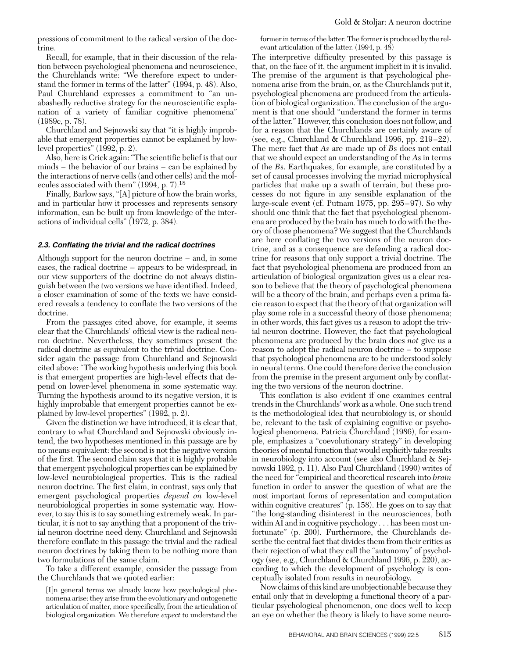pressions of commitment to the radical version of the doctrine.

Recall, for example, that in their discussion of the relation between psychological phenomena and neuroscience, the Churchlands write: "We therefore expect to understand the former in terms of the latter" (1994, p. 48). Also, Paul Churchland expresses a commitment to "an unabashedly reductive strategy for the neuroscientific explanation of a variety of familiar cognitive phenomena" (1989c, p. 78).

Churchland and Sejnowski say that "it is highly improbable that emergent properties cannot be explained by lowlevel properties" (1992, p. 2).

Also, here is Crick again: "The scientific belief is that our minds – the behavior of our brains – can be explained by the interactions of nerve cells (and other cells) and the molecules associated with them" (1994, p. 7).18

Finally, Barlow says, "[A] picture of how the brain works, and in particular how it processes and represents sensory information, can be built up from knowledge of the interactions of individual cells" (1972, p. 384).

### **2.3. Conflating the trivial and the radical doctrines**

Although support for the neuron doctrine – and, in some cases, the radical doctrine – appears to be widespread, in our view supporters of the doctrine do not always distinguish between the two versions we have identified. Indeed, a closer examination of some of the texts we have considered reveals a tendency to conflate the two versions of the doctrine.

From the passages cited above, for example, it seems clear that the Churchlands' official view is the radical neuron doctrine. Nevertheless, they sometimes present the radical doctrine as equivalent to the trivial doctrine. Consider again the passage from Churchland and Sejnowski cited above: "The working hypothesis underlying this book is that emergent properties are high-level effects that depend on lower-level phenomena in some systematic way. Turning the hypothesis around to its negative version, it is highly improbable that emergent properties cannot be explained by low-level properties" (1992, p. 2).

Given the distinction we have introduced, it is clear that, contrary to what Churchland and Sejnowski obviously intend, the two hypotheses mentioned in this passage are by no means equivalent: the second is not the negative version of the first. The second claim says that it is highly probable that emergent psychological properties can be explained by low-level neurobiological properties. This is the radical neuron doctrine. The first claim, in contrast, says only that emergent psychological properties *depend on* low-level neurobiological properties in some systematic way. However, to say this is to say something extremely weak. In particular, it is not to say anything that a proponent of the trivial neuron doctrine need deny. Churchland and Sejnowski therefore conflate in this passage the trivial and the radical neuron doctrines by taking them to be nothing more than two formulations of the same claim.

To take a different example, consider the passage from the Churchlands that we quoted earlier:

[I]n general terms we already know how psychological phenomena arise: they arise from the evolutionary and ontogenetic articulation of matter, more specifically, from the articulation of biological organization. We therefore *expect* to understand the

former in terms of the latter. The former is produced by the relevant articulation of the latter. (1994, p. 48)

The interpretive difficulty presented by this passage is that, on the face of it, the argument implicit in it is invalid. The premise of the argument is that psychological phenomena arise from the brain, or, as the Churchlands put it, psychological phenomena are produced from the articulation of biological organization. The conclusion of the argument is that one should "understand the former in terms of the latter." However, this conclusion does not follow, and for a reason that the Churchlands are certainly aware of (see, e.g., Churchland & Churchland 1996, pp. 219–22). The mere fact that *As* are made up of *B*s does not entail that we should expect an understanding of the *A*s in terms of the *B*s. Earthquakes, for example, are constituted by a set of causal processes involving the myriad microphysical particles that make up a swath of terrain, but these processes do not figure in any sensible explanation of the large-scale event (cf. Putnam 1975, pp. 295–97). So why should one think that the fact that psychological phenomena are produced by the brain has much to do with the theory of those phenomena? We suggest that the Churchlands are here conflating the two versions of the neuron doctrine, and as a consequence are defending a radical doctrine for reasons that only support a trivial doctrine. The fact that psychological phenomena are produced from an articulation of biological organization gives us a clear reason to believe that the theory of psychological phenomena will be a theory of the brain, and perhaps even a prima facie reason to expect that the theory of that organization will play some role in a successful theory of those phenomena; in other words, this fact gives us a reason to adopt the trivial neuron doctrine. However, the fact that psychological phenomena are produced by the brain does *not* give us a reason to adopt the radical neuron doctrine – to suppose that psychological phenomena are to be understood solely in neural terms. One could therefore derive the conclusion from the premise in the present argument only by conflating the two versions of the neuron doctrine.

This conflation is also evident if one examines central trends in the Churchlands' work as a whole. One such trend is the methodological idea that neurobiology is, or should be, relevant to the task of explaining cognitive or psychological phenomena. Patricia Churchland (1986), for example, emphasizes a "coevolutionary strategy" in developing theories of mental function that would explicitly take results in neurobiology into account (see also Churchland & Sejnowski 1992, p. 11). Also Paul Churchland (1990) writes of the need for "empirical and theoretical research into *brain* function in order to answer the question of what are the most important forms of representation and computation within cognitive creatures" (p. 158). He goes on to say that "the long-standing disinterest in the neurosciences, both within AI and in cognitive psychology . . . has been most unfortunate" (p. 200). Furthermore, the Churchlands describe the central fact that divides them from their critics as their rejection of what they call the "autonomy" of psychology (see, e.g., Churchland & Churchland 1996, p. 220), according to which the development of psychology is conceptually isolated from results in neurobiology.

Now claims of this kind are unobjectionable because they entail only that in developing a functional theory of a particular psychological phenomenon, one does well to keep an eye on whether the theory is likely to have some neuro-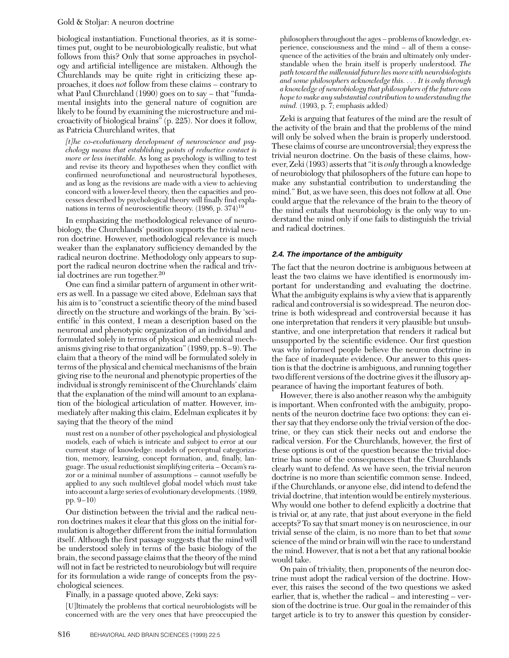#### Gold & Stoljar: A neuron doctrine

biological instantiation. Functional theories, as it is sometimes put, ought to be neurobiologically realistic, but what follows from this? Only that some approaches in psychology and artificial intelligence are mistaken. Although the Churchlands may be quite right in criticizing these approaches, it does *not* follow from these claims – contrary to what Paul Churchland (1990) goes on to say – that "fundamental insights into the general nature of cognition are likely to be found by examining the microstructure and microactivity of biological brains" (p. 225). Nor does it follow, as Patricia Churchland writes, that

*[t]he co-evolutionary development of neuroscience and psychology means that establishing points of reductive contact is more or less inevitable.* As long as psychology is willing to test and revise its theory and hypotheses when they conflict with confirmed neurofunctional and neurostructural hypotheses, and as long as the revisions are made with a view to achieving concord with a lower-level theory, then the capacities and processes described by psychological theory will finally find explanations in terms of neuroscientific theory. (1986, p. 374)19

In emphasizing the methodological relevance of neurobiology, the Churchlands' position supports the trivial neuron doctrine. However, methodological relevance is much weaker than the explanatory sufficiency demanded by the radical neuron doctrine. Methodology only appears to support the radical neuron doctrine when the radical and trivial doctrines are run together.<sup>20</sup>

One can find a similar pattern of argument in other writers as well. In a passage we cited above, Edelman says that his aim is to "construct a scientific theory of the mind based directly on the structure and workings of the brain. By 'scientific' in this context, I mean a description based on the neuronal and phenotypic organization of an individual and formulated solely in terms of physical and chemical mechanisms giving rise to that organization" (1989, pp. 8–9). The claim that a theory of the mind will be formulated solely in terms of the physical and chemical mechanisms of the brain giving rise to the neuronal and phenotypic properties of the individual is strongly reminiscent of the Churchlands' claim that the explanation of the mind will amount to an explanation of the biological articulation of matter. However, immediately after making this claim, Edelman explicates it by saying that the theory of the mind

must rest on a number of other psychological and physiological models, each of which is intricate and subject to error at our current stage of knowledge: models of perceptual categorization, memory, learning, concept formation, and, finally, language. The usual reductionist simplifying criteria – Occam's razor or a minimal number of assumptions – cannot usefully be applied to any such multilevel global model which must take into account a large series of evolutionary developments. (1989, pp. 9–10)

Our distinction between the trivial and the radical neuron doctrines makes it clear that this gloss on the initial formulation is altogether different from the initial formulation itself. Although the first passage suggests that the mind will be understood solely in terms of the basic biology of the brain, the second passage claims that the theory of the mind will not in fact be restricted to neurobiology but will require for its formulation a wide range of concepts from the psychological sciences.

Finally, in a passage quoted above, Zeki says:

[U]ltimately the problems that cortical neurobiologists will be concerned with are the very ones that have preoccupied the

philosophers throughout the ages – problems of knowledge, experience, consciousness and the mind – all of them a consequence of the activities of the brain and ultimately only understandable when the brain itself is properly understood. *The path toward the millennial future lies more with neurobiologists and some philosophers acknowledge this. . . . It is only through a knowledge of neurobiology that philosophers of the future can hope to make any substantial contribution to understanding the mind.* (1993, p. 7; emphasis added)

Zeki is arguing that features of the mind are the result of the activity of the brain and that the problems of the mind will only be solved when the brain is properly understood. These claims of course are uncontroversial; they express the trivial neuron doctrine. On the basis of these claims, however, Zeki (1993) asserts that "it is *only* through a knowledge of neurobiology that philosophers of the future can hope to make any substantial contribution to understanding the mind." But, as we have seen, this does not follow at all. One could argue that the relevance of the brain to the theory of the mind entails that neurobiology is the only way to understand the mind only if one fails to distinguish the trivial and radical doctrines.

## **2.4. The importance of the ambiguity**

The fact that the neuron doctrine is ambiguous between at least the two claims we have identified is enormously important for understanding and evaluating the doctrine. What the ambiguity explains is why a view that is apparently radical and controversial is so widespread. The neuron doctrine is both widespread and controversial because it has one interpretation that renders it very plausible but unsubstantive, and one interpretation that renders it radical but unsupported by the scientific evidence. Our first question was why informed people believe the neuron doctrine in the face of inadequate evidence. Our answer to this question is that the doctrine is ambiguous, and running together two different versions of the doctrine gives it the illusory appearance of having the important features of both.

However, there is also another reason why the ambiguity is important. When confronted with the ambiguity, proponents of the neuron doctrine face two options: they can either say that they endorse only the trivial version of the doctrine, or they can stick their necks out and endorse the radical version. For the Churchlands, however, the first of these options is out of the question because the trivial doctrine has none of the consequences that the Churchlands clearly want to defend. As we have seen, the trivial neuron doctrine is no more than scientific common sense. Indeed, if the Churchlands, or anyone else, did intend to defend the trivial doctrine, that intention would be entirely mysterious. Why would one bother to defend explicitly a doctrine that is trivial or, at any rate, that just about everyone in the field accepts? To say that smart money is on neuroscience, in our trivial sense of the claim, is no more than to bet that *some* science of the mind or brain will win the race to understand the mind. However, that is not a bet that any rational bookie would take.

On pain of triviality, then, proponents of the neuron doctrine must adopt the radical version of the doctrine. However, this raises the second of the two questions we asked earlier, that is, whether the radical – and interesting – version of the doctrine is true. Our goal in the remainder of this target article is to try to answer this question by consider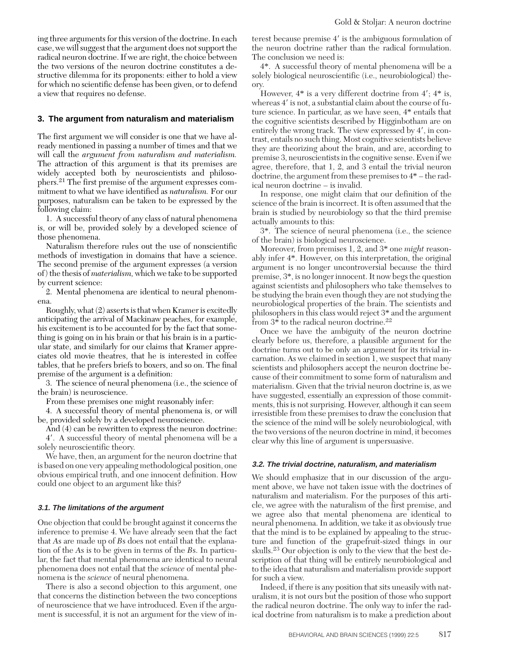ing three arguments for this version of the doctrine. In each case, we will suggest that the argument does not support the radical neuron doctrine. If we are right, the choice between the two versions of the neuron doctrine constitutes a destructive dilemma for its proponents: either to hold a view for which no scientific defense has been given, or to defend a view that requires no defense.

#### **3. The argument from naturalism and materialism**

The first argument we will consider is one that we have already mentioned in passing a number of times and that we will call the *argument from naturalism and materialism.* The attraction of this argument is that its premises are widely accepted both by neuroscientists and philosophers.21 The first premise of the argument expresses commitment to what we have identified as *naturalism.* For our purposes, naturalism can be taken to be expressed by the following claim:

1. A successful theory of any class of natural phenomena is, or will be, provided solely by a developed science of those phenomena.

Naturalism therefore rules out the use of nonscientific methods of investigation in domains that have a science. The second premise of the argument expresses (a version of) the thesis of *materialism,* which we take to be supported by current science:

2. Mental phenomena are identical to neural phenomena.

Roughly, what (2) asserts is that when Kramer is excitedly anticipating the arrival of Mackinaw peaches, for example, his excitement is to be accounted for by the fact that something is going on in his brain or that his brain is in a particular state, and similarly for our claims that Kramer appreciates old movie theatres, that he is interested in coffee tables, that he prefers briefs to boxers, and so on. The final premise of the argument is a definition:

3. The science of neural phenomena (i.e., the science of the brain) is neuroscience.

From these premises one might reasonably infer:

4. A successful theory of mental phenomena is, or will be, provided solely by a developed neuroscience.

And (4) can be rewritten to express the neuron doctrine: 4'. A successful theory of mental phenomena will be a solely neuroscientific theory.

We have, then, an argument for the neuron doctrine that is based on one very appealing methodological position, one obvious empirical truth, and one innocent definition. How could one object to an argument like this?

#### **3.1. The limitations of the argument**

One objection that could be brought against it concerns the inference to premise 4. We have already seen that the fact that *A*s are made up of *B*s does not entail that the explanation of the *A*s is to be given in terms of the *B*s. In particular, the fact that mental phenomena are identical to neural phenomena does not entail that the *science* of mental phenomena is the *science* of neural phenomena.

There is also a second objection to this argument, one that concerns the distinction between the two conceptions of neuroscience that we have introduced. Even if the argument is successful, it is not an argument for the view of interest because premise 4' is the ambiguous formulation of the neuron doctrine rather than the radical formulation. The conclusion we need is:

4\*. A successful theory of mental phenomena will be a solely biological neuroscientific (i.e., neurobiological) theory.

However,  $4^*$  is a very different doctrine from  $4'$ ;  $4^*$  is, whereas  $4'$  is not, a substantial claim about the course of future science. In particular, as we have seen, 4\* entails that the cognitive scientists described by Higginbotham are on entirely the wrong track. The view expressed by  $4'$ , in contrast, entails no such thing. Most cognitive scientists believe they are theorizing about the brain, and are, according to premise 3, neuroscientists in the cognitive sense. Even if we agree, therefore, that 1, 2, and 3 entail the trivial neuron doctrine, the argument from these premises to 4\* – the radical neuron doctrine – is invalid.

In response, one might claim that our definition of the science of the brain is incorrect. It is often assumed that the brain is studied by neurobiology so that the third premise actually amounts to this:

3\*. The science of neural phenomena (i.e., the science of the brain) is biological neuroscience.

Moreover, from premises 1, 2, and 3\* one *might* reasonably infer 4\*. However, on this interpretation, the original argument is no longer uncontroversial because the third premise, 3\*, is no longer innocent. It now begs the question against scientists and philosophers who take themselves to be studying the brain even though they are not studying the neurobiological properties of the brain. The scientists and philosophers in this class would reject 3\* and the argument from 3<sup>\*</sup> to the radical neuron doctrine.<sup>22</sup>

Once we have the ambiguity of the neuron doctrine clearly before us, therefore, a plausible argument for the doctrine turns out to be only an argument for its trivial incarnation. As we claimed in section 1, we suspect that many scientists and philosophers accept the neuron doctrine because of their commitment to some form of naturalism and materialism. Given that the trivial neuron doctrine is, as we have suggested, essentially an expression of those commitments, this is not surprising. However, although it can seem irresistible from these premises to draw the conclusion that the science of the mind will be solely neurobiological, with the two versions of the neuron doctrine in mind, it becomes clear why this line of argument is unpersuasive.

#### **3.2. The trivial doctrine, naturalism, and materialism**

We should emphasize that in our discussion of the argument above, we have not taken issue with the doctrines of naturalism and materialism. For the purposes of this article, we agree with the naturalism of the first premise, and we agree also that mental phenomena are identical to neural phenomena. In addition, we take it as obviously true that the mind is to be explained by appealing to the structure and function of the grapefruit-sized things in our skulls.23 Our objection is only to the view that the best description of that thing will be entirely neurobiological and to the idea that naturalism and materialism provide support for such a view.

Indeed, if there is any position that sits uneasily with naturalism, it is not ours but the position of those who support the radical neuron doctrine. The only way to infer the radical doctrine from naturalism is to make a prediction about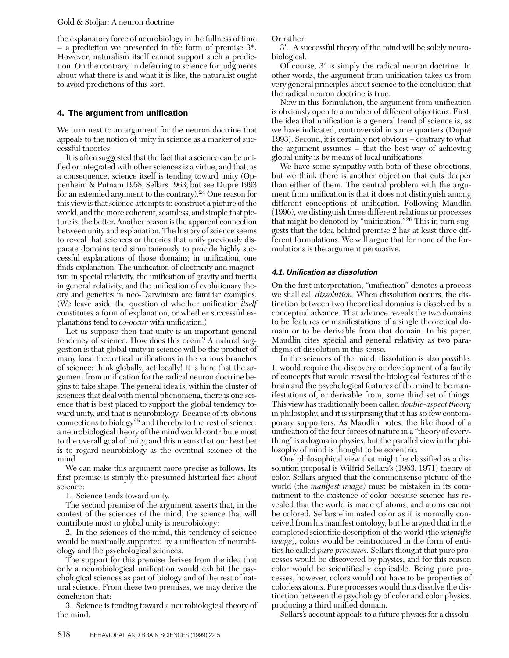#### Gold & Stoljar: A neuron doctrine

the explanatory force of neurobiology in the fullness of time – a prediction we presented in the form of premise 3\*. However, naturalism itself cannot support such a prediction. On the contrary, in deferring to science for judgments about what there is and what it is like, the naturalist ought to avoid predictions of this sort.

### **4. The argument from unification**

We turn next to an argument for the neuron doctrine that appeals to the notion of unity in science as a marker of successful theories.

It is often suggested that the fact that a science can be unified or integrated with other sciences is a virtue, and that, as a consequence, science itself is tending toward unity (Oppenheim & Putnam 1958; Sellars 1963; but see Dupré 1993 for an extended argument to the contrary).<sup>24</sup> One reason for this view is that science attempts to construct a picture of the world, and the more coherent, seamless, and simple that picture is, the better. Another reason is the apparent connection between unity and explanation. The history of science seems to reveal that sciences or theories that unify previously disparate domains tend simultaneously to provide highly successful explanations of those domains; in unification, one finds explanation. The unification of electricity and magnetism in special relativity, the unification of gravity and inertia in general relativity, and the unification of evolutionary theory and genetics in neo-Darwinism are familiar examples. (We leave aside the question of whether unification *itself* constitutes a form of explanation, or whether successful explanations tend to *co-occur* with unification.)

Let us suppose then that unity is an important general tendency of science. How does this occur? A natural suggestion is that global unity in science will be the product of many local theoretical unifications in the various branches of science: think globally, act locally! It is here that the argument from unification for the radical neuron doctrine begins to take shape. The general idea is, within the cluster of sciences that deal with mental phenomena, there is one science that is best placed to support the global tendency toward unity, and that is neurobiology. Because of its obvious connections to biology<sup>25</sup> and thereby to the rest of science, a neurobiological theory of the mind would contribute most to the overall goal of unity, and this means that our best bet is to regard neurobiology as the eventual science of the mind.

We can make this argument more precise as follows. Its first premise is simply the presumed historical fact about science:

1. Science tends toward unity.

The second premise of the argument asserts that, in the context of the sciences of the mind, the science that will contribute most to global unity is neurobiology:

2. In the sciences of the mind, this tendency of science would be maximally supported by a unification of neurobiology and the psychological sciences.

The support for this premise derives from the idea that only a neurobiological unification would exhibit the psychological sciences as part of biology and of the rest of natural science. From these two premises, we may derive the conclusion that:

3. Science is tending toward a neurobiological theory of the mind.

Or rather:

3'. A successful theory of the mind will be solely neurobiological.

Of course, 3' is simply the radical neuron doctrine. In other words, the argument from unification takes us from very general principles about science to the conclusion that the radical neuron doctrine is true.

Now in this formulation, the argument from unification is obviously open to a number of different objections. First, the idea that unification is a general trend of science is, as we have indicated, controversial in some quarters (Dupré 1993). Second, it is certainly not obvious – contrary to what the argument assumes – that the best way of achieving global unity is by means of local unifications.

We have some sympathy with both of these objections, but we think there is another objection that cuts deeper than either of them. The central problem with the argument from unification is that it does not distinguish among different conceptions of unification. Following Maudlin (1996), we distinguish three different relations or processes that might be denoted by "unification."26 This in turn suggests that the idea behind premise 2 has at least three different formulations. We will argue that for none of the formulations is the argument persuasive.

#### **4.1. Unification as dissolution**

On the first interpretation, "unification" denotes a process we shall call *dissolution.* When dissolution occurs, the distinction between two theoretical domains is dissolved by a conceptual advance. That advance reveals the two domains to be features or manifestations of a single theoretical domain or to be derivable from that domain. In his paper, Maudlin cites special and general relativity as two paradigms of dissolution in this sense.

In the sciences of the mind, dissolution is also possible. It would require the discovery or development of a family of concepts that would reveal the biological features of the brain and the psychological features of the mind to be manifestations of, or derivable from, some third set of things. This view has traditionally been called *double-aspect theory* in philosophy, and it is surprising that it has so few contemporary supporters. As Maudlin notes, the likelihood of a unification of the four forces of nature in a "theory of everything" is a dogma in physics, but the parallel view in the philosophy of mind is thought to be eccentric.

One philosophical view that might be classified as a dissolution proposal is Wilfrid Sellars's (1963; 1971) theory of color. Sellars argued that the commonsense picture of the world (the *manifest image)* must be mistaken in its commitment to the existence of color because science has revealed that the world is made of atoms, and atoms cannot be colored. Sellars eliminated color as it is normally conceived from his manifest ontology, but he argued that in the completed scientific description of the world (the *scientific image)*, colors would be reintroduced in the form of entities he called *pure processes.* Sellars thought that pure processes would be discovered by physics, and for this reason color would be scientifically explicable. Being pure processes, however, colors would not have to be properties of colorless atoms. Pure processes would thus dissolve the distinction between the psychology of color and color physics, producing a third unified domain.

Sellars's account appeals to a future physics for a dissolu-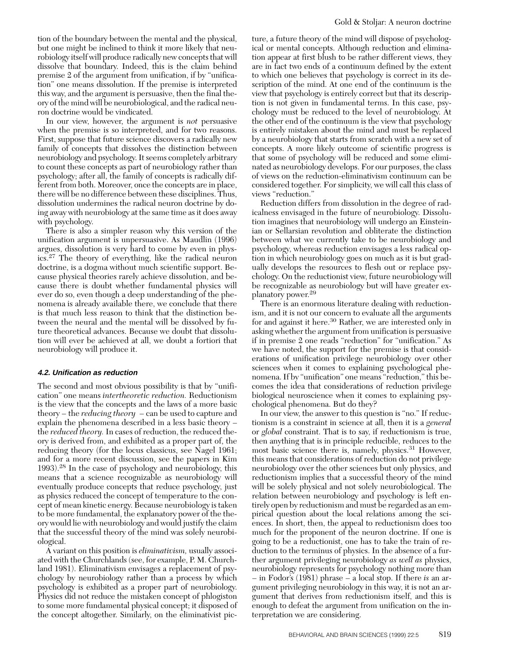tion of the boundary between the mental and the physical, but one might be inclined to think it more likely that neurobiology itself will produce radically new concepts that will dissolve that boundary. Indeed, this is the claim behind premise 2 of the argument from unification, if by "unification" one means dissolution. If the premise is interpreted this way, and the argument is persuasive, then the final theory of the mind will be neurobiological, and the radical neuron doctrine would be vindicated.

In our view, however, the argument is *not* persuasive when the premise is so interpreted, and for two reasons. First, suppose that future science discovers a radically new family of concepts that dissolves the distinction between neurobiology and psychology. It seems completely arbitrary to count these concepts as part of neurobiology rather than psychology; after all, the family of concepts is radically different from both. Moreover, once the concepts are in place, there will be no difference between these disciplines. Thus, dissolution undermines the radical neuron doctrine by doing away with neurobiology at the same time as it does away with psychology.

There is also a simpler reason why this version of the unification argument is unpersuasive. As Maudlin (1996) argues, dissolution is very hard to come by even in physics.<sup>27</sup> The theory of everything, like the radical neuron doctrine, is a dogma without much scientific support. Because physical theories rarely achieve dissolution, and because there is doubt whether fundamental physics will ever do so, even though a deep understanding of the phenomena is already available there, we conclude that there is that much less reason to think that the distinction between the neural and the mental will be dissolved by future theoretical advances. Because we doubt that dissolution will ever be achieved at all, we doubt a fortiori that neurobiology will produce it.

#### **4.2. Unification as reduction**

The second and most obvious possibility is that by "unification" one means *intertheoretic reduction.* Reductionism is the view that the concepts and the laws of a more basic theory – the *reducing theory* – can be used to capture and explain the phenomena described in a less basic theory – the *reduced theory.* In cases of reduction, the reduced theory is derived from, and exhibited as a proper part of, the reducing theory (for the locus classicus, see Nagel 1961; and for a more recent discussion, see the papers in Kim 1993).<sup>28</sup> In the case of psychology and neurobiology, this means that a science recognizable as neurobiology will eventually produce concepts that reduce psychology, just as physics reduced the concept of temperature to the concept of mean kinetic energy. Because neurobiology is taken to be more fundamental, the explanatory power of the theory would lie with neurobiology and would justify the claim that the successful theory of the mind was solely neurobiological.

A variant on this position is *eliminativism,* usually associated with the Churchlands (see, for example, P. M. Churchland 1981). Eliminativism envisages a replacement of psychology by neurobiology rather than a process by which psychology is exhibited as a proper part of neurobiology. Physics did not reduce the mistaken concept of phlogiston to some more fundamental physical concept; it disposed of the concept altogether. Similarly, on the eliminativist pic-

ture, a future theory of the mind will dispose of psychological or mental concepts. Although reduction and elimination appear at first blush to be rather different views, they are in fact two ends of a continuum defined by the extent to which one believes that psychology is correct in its description of the mind. At one end of the continuum is the view that psychology is entirely correct but that its description is not given in fundamental terms. In this case, psychology must be reduced to the level of neurobiology. At the other end of the continuum is the view that psychology is entirely mistaken about the mind and must be replaced by a neurobiology that starts from scratch with a new set of concepts. A more likely outcome of scientific progress is that some of psychology will be reduced and some eliminated as neurobiology develops. For our purposes, the class of views on the reduction-eliminativism continuum can be considered together. For simplicity, we will call this class of views "reduction."

Reduction differs from dissolution in the degree of radicalness envisaged in the future of neurobiology. Dissolution imagines that neurobiology will undergo an Einsteinian or Sellarsian revolution and obliterate the distinction between what we currently take to be neurobiology and psychology, whereas reduction envisages a less radical option in which neurobiology goes on much as it is but gradually develops the resources to flesh out or replace psychology. On the reductionist view, future neurobiology will be recognizable as neurobiology but will have greater explanatory power.<sup>29</sup>

There is an enormous literature dealing with reductionism, and it is not our concern to evaluate all the arguments for and against it here.30 Rather, we are interested only in asking whether the argument from unification is persuasive if in premise 2 one reads "reduction" for "unification." As we have noted, the support for the premise is that considerations of unification privilege neurobiology over other sciences when it comes to explaining psychological phenomena. If by "unification" one means "reduction," this becomes the idea that considerations of reduction privilege biological neuroscience when it comes to explaining psychological phenomena. But do they?

In our view, the answer to this question is "no." If reductionism is a constraint in science at all, then it is a *general* or *global* constraint. That is to say, if reductionism is true, then anything that is in principle reducible, reduces to the most basic science there is, namely, physics.31 However, this means that considerations of reduction do not privilege neurobiology over the other sciences but only physics, and reductionism implies that a successful theory of the mind will be solely physical and not solely neurobiological. The relation between neurobiology and psychology is left entirely open by reductionism and must be regarded as an empirical question about the local relations among the sciences. In short, then, the appeal to reductionism does too much for the proponent of the neuron doctrine. If one is going to be a reductionist, one has to take the train of reduction to the terminus of physics. In the absence of a further argument privileging neurobiology *as well as* physics, neurobiology represents for psychology nothing more than – in Fodor's (1981) phrase – a local stop. If there *is* an argument privileging neurobiology in this way, it is not an argument that derives from reductionism itself, and this is enough to defeat the argument from unification on the interpretation we are considering.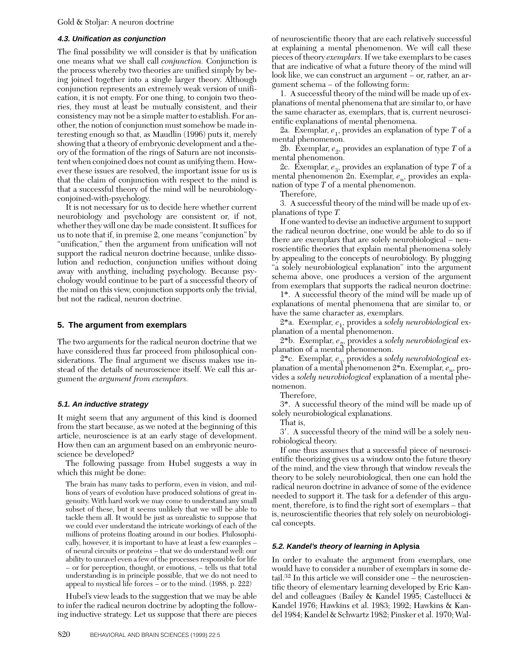#### **4.3. Unification as conjunction**

The final possibility we will consider is that by unification one means what we shall call *conjunction.* Conjunction is the process whereby two theories are unified simply by being joined together into a single larger theory. Although conjunction represents an extremely weak version of unification, it is not empty. For one thing, to conjoin two theories, they must at least be mutually consistent, and their consistency may not be a simple matter to establish. For another, the notion of conjunction must somehow be made interesting enough so that, as Maudlin (1996) puts it, merely showing that a theory of embryonic development and a theory of the formation of the rings of Saturn are not inconsistent when conjoined does not count as unifying them. However these issues are resolved, the important issue for us is that the claim of conjunction with respect to the mind is that a successful theory of the mind will be neurobiologyconjoined-with-psychology.

It is not necessary for us to decide here whether current neurobiology and psychology are consistent or, if not, whether they will one day be made consistent. It suffices for us to note that if, in premise 2, one means "conjunction" by "unification," then the argument from unification will not support the radical neuron doctrine because, unlike dissolution and reduction, conjunction unifies without doing away with anything, including psychology. Because psychology would continue to be part of a successful theory of the mind on this view, conjunction supports only the trivial, but not the radical, neuron doctrine.

#### **5. The argument from exemplars**

The two arguments for the radical neuron doctrine that we have considered thus far proceed from philosophical considerations. The final argument we discuss makes use instead of the details of neuroscience itself. We call this argument the *argument from exemplars.*

#### **5.1. An inductive strategy**

It might seem that any argument of this kind is doomed from the start because, as we noted at the beginning of this article, neuroscience is at an early stage of development. How then can an argument based on an embryonic neuroscience be developed?

The following passage from Hubel suggests a way in which this might be done:

The brain has many tasks to perform, even in vision, and millions of years of evolution have produced solutions of great ingenuity. With hard work we may come to understand any small subset of these, but it seems unlikely that we will be able to tackle them all. It would be just as unrealistic to suppose that we could ever understand the intricate workings of each of the millions of proteins floating around in our bodies. Philosophically, however, it is important to have at least a few examples – of neural circuits or proteins – that we do understand well: our ability to unravel even a few of the processes responsible for life – or for perception, thought, or emotions, – tells us that total understanding is in principle possible, that we do not need to appeal to mystical life forces – or to the mind. (1988, p. 222)

Hubel's view leads to the suggestion that we may be able to infer the radical neuron doctrine by adopting the following inductive strategy. Let us suppose that there are pieces of neuroscientific theory that are each relatively successful at explaining a mental phenomenon. We will call these pieces of theory *exemplars.*If we take exemplars to be cases that are indicative of what a future theory of the mind will look like, we can construct an argument – or, rather, an argument schema – of the following form:

1. A successful theory of the mind will be made up of explanations of mental phenomena that are similar to, or have the same character as, exemplars, that is, current neuroscientific explanations of mental phenomena.

2a. Exemplar,  $e_1$ , provides an explanation of type  $T$  of a mental phenomenon.

2b. Exemplar,  $e_2$ , provides an explanation of type  $T$  of a mental phenomenon.

2c. Exemplar,  $e_3$ , provides an explanation of type *T* of a mental phenomenon 2n. Exemplar,  $e_n$ , provides an explanation of type *T* of a mental phenomenon.

Therefore,

3. A successful theory of the mind will be made up of explanations of type *T.*

If one wanted to devise an inductive argument to support the radical neuron doctrine, one would be able to do so if there are exemplars that are solely neurobiological – neuroscientific theories that explain mental phenomena solely by appealing to the concepts of neurobiology. By plugging "a solely neurobiological explanation" into the argument schema above, one produces a version of the argument from exemplars that supports the radical neuron doctrine:

1\*. A successful theory of the mind will be made up of explanations of mental phenomena that are similar to, or have the same character as, exemplars.

2\*a. Exemplar, *e*1, provides a *solely neurobiological* explanation of a mental phenomenon.

2<sup>\*</sup>b. Exemplar,  $e_2$ , provides a *solely neurobiological* explanation of a mental phenomenon.

2\*c. Exemplar, *e*3, provides a *solely neurobiological* explanation of a mental phenomenon 2<sup>\*</sup>n. Exemplar,  $e_n$ , provides a *solely neurobiological* explanation of a mental phenomenon.

Therefore,

3\*. A successful theory of the mind will be made up of solely neurobiological explanations.

That is,

3'. A successful theory of the mind will be a solely neurobiological theory.

If one thus assumes that a successful piece of neuroscientific theorizing gives us a window onto the future theory of the mind, and the view through that window reveals the theory to be solely neurobiological, then one can hold the radical neuron doctrine in advance of some of the evidence needed to support it. The task for a defender of this argument, therefore, is to find the right sort of exemplars – that is, neuroscientific theories that rely solely on neurobiological concepts.

#### **5.2. Kandel's theory of learning in Aplysia**

In order to evaluate the argument from exemplars, one would have to consider a number of exemplars in some detail.32 In this article we will consider one – the neuroscientific theory of elementary learning developed by Eric Kandel and colleagues (Bailey & Kandel 1995; Castellucci & Kandel 1976; Hawkins et al. 1983; 1992; Hawkins & Kandel 1984; Kandel & Schwartz 1982; Pinsker et al. 1970; Wal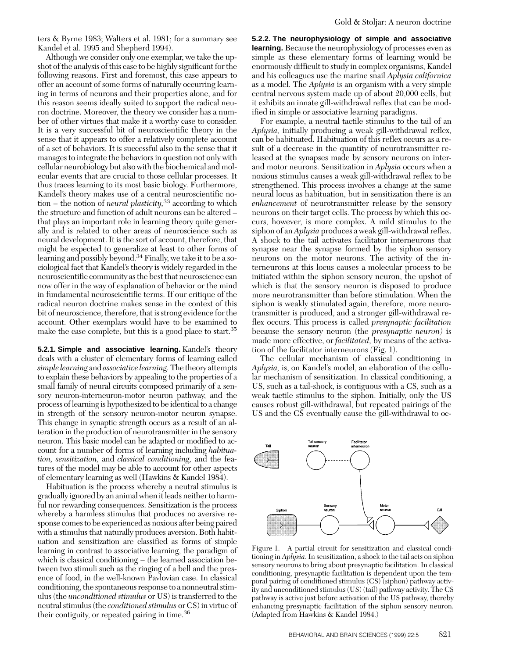ters & Byrne 1983; Walters et al. 1981; for a summary see Kandel et al. 1995 and Shepherd 1994).

Although we consider only one exemplar, we take the upshot of the analysis of this case to be highly significant for the following reasons. First and foremost, this case appears to offer an account of some forms of naturally occurring learning in terms of neurons and their properties alone, and for this reason seems ideally suited to support the radical neuron doctrine. Moreover, the theory we consider has a number of other virtues that make it a worthy case to consider. It is a very successful bit of neuroscientific theory in the sense that it appears to offer a relatively complete account of a set of behaviors. It is successful also in the sense that it manages to integrate the behaviors in question not only with cellular neurobiology but also with the biochemical and molecular events that are crucial to those cellular processes. It thus traces learning to its most basic biology. Furthermore, Kandel's theory makes use of a central neuroscientific notion – the notion of *neural plasticity,*<sup>33</sup> according to which the structure and function of adult neurons can be altered – that plays an important role in learning theory quite generally and is related to other areas of neuroscience such as neural development. It is the sort of account, therefore, that might be expected to generalize at least to other forms of learning and possibly beyond.<sup>34</sup> Finally, we take it to be a sociological fact that Kandel's theory is widely regarded in the neuroscientific community as the best that neuroscience can now offer in the way of explanation of behavior or the mind in fundamental neuroscientific terms. If our critique of the radical neuron doctrine makes sense in the context of this bit of neuroscience, therefore, that is strong evidence for the account. Other exemplars would have to be examined to make the case complete, but this is a good place to start.<sup>35</sup>

**5.2.1. Simple and associative learning.** Kandel's theory deals with a cluster of elementary forms of learning called *simple learning* and *associative learning.*The theory attempts to explain these behaviors by appealing to the properties of a small family of neural circuits composed primarily of a sensory neuron-interneuron-motor neuron pathway, and the process of learning is hypothesized to be identical to a change in strength of the sensory neuron-motor neuron synapse. This change in synaptic strength occurs as a result of an alteration in the production of neurotransmitter in the sensory neuron. This basic model can be adapted or modified to account for a number of forms of learning including *habituation, sensitization,* and *classical conditioning,* and the features of the model may be able to account for other aspects of elementary learning as well (Hawkins & Kandel 1984).

Habituation is the process whereby a neutral stimulus is gradually ignored by an animal when it leads neither to harmful nor rewarding consequences. Sensitization is the process whereby a harmless stimulus that produces no aversive response comes to be experienced as noxious after being paired with a stimulus that naturally produces aversion. Both habituation and sensitization are classified as forms of simple learning in contrast to associative learning, the paradigm of which is classical conditioning – the learned association between two stimuli such as the ringing of a bell and the presence of food, in the well-known Pavlovian case. In classical conditioning, the spontaneous response to a nonneutral stimulus (the *unconditioned stimulus* or US) is transferred to the neutral stimulus (the *conditioned stimulus* or CS) in virtue of their contiguity, or repeated pairing in time.36

**5.2.2. The neurophysiology of simple and associative learning.** Because the neurophysiology of processes even as simple as these elementary forms of learning would be enormously difficult to study in complex organisms, Kandel and his colleagues use the marine snail *Aplysia californica* as a model. The *Aplysia* is an organism with a very simple central nervous system made up of about 20,000 cells, but it exhibits an innate gill-withdrawal reflex that can be modified in simple or associative learning paradigms.

For example, a neutral tactile stimulus to the tail of an *Aplysia,* initially producing a weak gill-withdrawal reflex, can be habituated. Habituation of this reflex occurs as a result of a decrease in the quantity of neurotransmitter released at the synapses made by sensory neurons on interand motor neurons. Sensitization in *Aplysia* occurs when a noxious stimulus causes a weak gill-withdrawal reflex to be strengthened. This process involves a change at the same neural locus as habituation, but in sensitization there is an *enhancement* of neurotransmitter release by the sensory neurons on their target cells. The process by which this occurs, however, is more complex. A mild stimulus to the siphon of an *Aplysia* produces a weak gill-withdrawal reflex. A shock to the tail activates facilitator interneurons that synapse near the synapse formed by the siphon sensory neurons on the motor neurons. The activity of the interneurons at this locus causes a molecular process to be initiated within the siphon sensory neuron, the upshot of which is that the sensory neuron is disposed to produce more neurotransmitter than before stimulation. When the siphon is weakly stimulated again, therefore, more neurotransmitter is produced, and a stronger gill-withdrawal reflex occurs. This process is called *presynaptic facilitation* because the sensory neuron (the *presynaptic neuron)* is made more effective, or *facilitated,* by means of the activation of the facilitator interneurons (Fig. 1).

The cellular mechanism of classical conditioning in *Aplysia,* is, on Kandel's model, an elaboration of the cellular mechanism of sensitization. In classical conditioning, a US, such as a tail-shock, is contiguous with a CS, such as a weak tactile stimulus to the siphon. Initially, only the US causes robust gill-withdrawal, but repeated pairings of the US and the CS eventually cause the gill-withdrawal to oc-



Figure 1. A partial circuit for sensitization and classical conditioning in *Aplysia.*In sensitization, a shock to the tail acts on siphon sensory neurons to bring about presynaptic facilitation. In classical conditioning, presynaptic facilitation is dependent upon the temporal pairing of conditioned stimulus (CS) (siphon) pathway activity and unconditioned stimulus (US) (tail) pathway activity. The CS pathway is active just before activation of the US pathway, thereby enhancing presynaptic facilitation of the siphon sensory neuron. (Adapted from Hawkins & Kandel 1984.)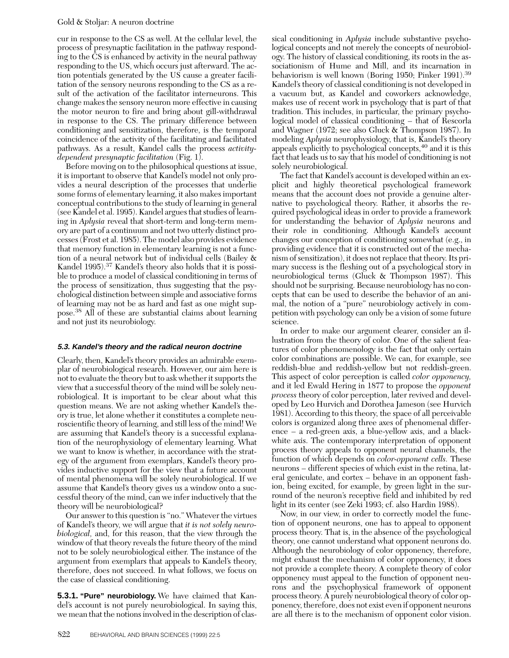### Gold & Stoljar: A neuron doctrine

cur in response to the CS as well. At the cellular level, the process of presynaptic facilitation in the pathway responding to the CS is enhanced by activity in the neural pathway responding to the US, which occurs just afterward. The action potentials generated by the US cause a greater facilitation of the sensory neurons responding to the CS as a result of the activation of the facilitator interneurons. This change makes the sensory neuron more effective in causing the motor neuron to fire and bring about gill-withdrawal in response to the CS. The primary difference between conditioning and sensitization, therefore, is the temporal coincidence of the activity of the facilitating and facilitated pathways. As a result, Kandel calls the process *activitydependent presynaptic facilitation* (Fig. 1).

Before moving on to the philosophical questions at issue, it is important to observe that Kandel's model not only provides a neural description of the processes that underlie some forms of elementary learning, it also makes important conceptual contributions to the study of learning in general (see Kandel et al. 1995). Kandel argues that studies of learning in *Aplysia* reveal that short-term and long-term memory are part of a continuum and not two utterly distinct processes (Frost et al. 1985). The model also provides evidence that memory function in elementary learning is not a function of a neural network but of individual cells (Bailey & Kandel 1995).<sup>37</sup> Kandel's theory also holds that it is possible to produce a model of classical conditioning in terms of the process of sensitization, thus suggesting that the psychological distinction between simple and associative forms of learning may not be as hard and fast as one might suppose.38 All of these are substantial claims about learning and not just its neurobiology.

## **5.3. Kandel's theory and the radical neuron doctrine**

Clearly, then, Kandel's theory provides an admirable exemplar of neurobiological research. However, our aim here is not to evaluate the theory but to ask whether it supports the view that a successful theory of the mind will be solely neurobiological. It is important to be clear about what this question means. We are not asking whether Kandel's theory is true, let alone whether it constitutes a complete neuroscientific theory of learning, and still less of the mind! We are assuming that Kandel's theory is a successful explanation of the neurophysiology of elementary learning. What we want to know is whether, in accordance with the strategy of the argument from exemplars, Kandel's theory provides inductive support for the view that a future account of mental phenomena will be solely neurobiological. If we assume that Kandel's theory gives us a window onto a successful theory of the mind, can we infer inductively that the theory will be neurobiological?

Our answer to this question is "no." Whatever the virtues of Kandel's theory, we will argue that *it is not solely neurobiological,* and, for this reason, that the view through the window of that theory reveals the future theory of the mind not to be solely neurobiological either. The instance of the argument from exemplars that appeals to Kandel's theory, therefore, does not succeed. In what follows, we focus on the case of classical conditioning.

**5.3.1. "Pure" neurobiology.** We have claimed that Kandel's account is not purely neurobiological. In saying this, we mean that the notions involved in the description of classical conditioning in *Aplysia* include substantive psychological concepts and not merely the concepts of neurobiology. The history of classical conditioning, its roots in the associationism of Hume and Mill, and its incarnation in behaviorism is well known (Boring 1950; Pinker 1991).39 Kandel's theory of classical conditioning is not developed in a vacuum but, as Kandel and coworkers acknowledge, makes use of recent work in psychology that is part of that tradition. This includes, in particular, the primary psychological model of classical conditioning – that of Rescorla and Wagner (1972; see also Gluck & Thompson 1987). In modeling *Aplysia* neurophysiology, that is, Kandel's theory appeals explicitly to psychological concepts,40 and it is this fact that leads us to say that his model of conditioning is not solely neurobiological.

The fact that Kandel's account is developed within an explicit and highly theoretical psychological framework means that the account does not provide a genuine alternative to psychological theory. Rather, it absorbs the required psychological ideas in order to provide a framework for understanding the behavior of *Aplysia* neurons and their role in conditioning. Although Kandel's account changes our conception of conditioning somewhat (e.g., in providing evidence that it is constructed out of the mechanism of sensitization), it does not replace that theory. Its primary success is the fleshing out of a psychological story in neurobiological terms (Gluck & Thompson 1987). This should not be surprising. Because neurobiology has no concepts that can be used to describe the behavior of an animal, the notion of a "pure" neurobiology actively in competition with psychology can only be a vision of some future science.

In order to make our argument clearer, consider an illustration from the theory of color. One of the salient features of color phenomenology is the fact that only certain color combinations are possible. We can, for example, see reddish-blue and reddish-yellow but not reddish-green. This aspect of color perception is called *color opponency,* and it led Ewald Hering in 1877 to propose the *opponent process* theory of color perception, later revived and developed by Leo Hurvich and Dorothea Jameson (see Hurvich 1981). According to this theory, the space of all perceivable colors is organized along three axes of phenomenal difference – a red-green axis, a blue-yellow axis, and a blackwhite axis. The contemporary interpretation of opponent process theory appeals to opponent neural channels, the function of which depends on *color-opponent cells.* These neurons – different species of which exist in the retina, lateral geniculate, and cortex – behave in an opponent fashion, being excited, for example, by green light in the surround of the neuron's receptive field and inhibited by red light in its center (see Zeki 1993; cf. also Hardin 1988).

Now, in our view, in order to correctly model the function of opponent neurons, one has to appeal to opponent process theory. That is, in the absence of the psychological theory, one cannot understand what opponent neurons do. Although the neurobiology of color opponency, therefore, might exhaust the mechanism of color opponency, it does not provide a complete theory. A complete theory of color opponency must appeal to the function of opponent neurons and the psychophysical framework of opponent process theory. A purely neurobiological theory of color opponency, therefore, does not exist even if opponent neurons are all there is to the mechanism of opponent color vision.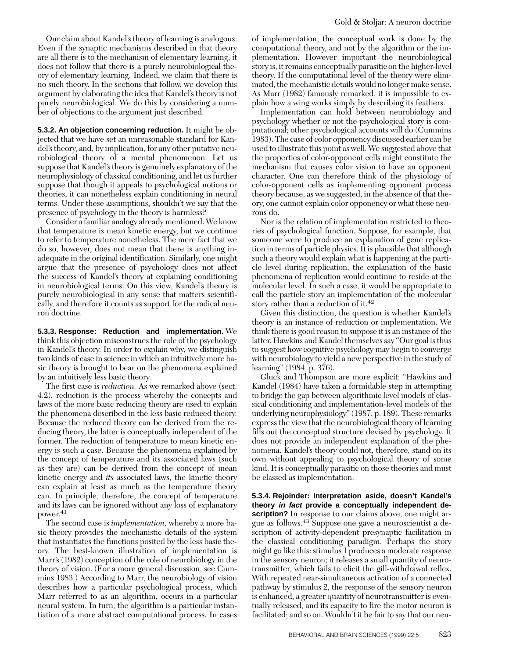Our claim about Kandel's theory of learning is analogous. Even if the synaptic mechanisms described in that theory are all there is to the mechanism of elementary learning, it does not follow that there is a purely neurobiological theory of elementary learning. Indeed, we claim that there is no such theory. In the sections that follow, we develop this argument by elaborating the idea that Kandel's theory is not purely neurobiological. We do this by considering a number of objections to the argument just described.

**5.3.2. An objection concerning reduction.** It might be objected that we have set an unreasonable standard for Kandel's theory, and, by implication, for any other putative neurobiological theory of a mental phenomenon. Let us suppose that Kandel's theory is genuinely explanatory of the neurophysiology of classical conditioning, and let us further suppose that though it appeals to psychological notions or theories, it can nonetheless explain conditioning in neural terms. Under these assumptions, shouldn't we say that the presence of psychology in the theory is harmless?

Consider a familiar analogy already mentioned. We know that temperature is mean kinetic energy, but we continue to refer to temperature nonetheless. The mere fact that we do so, however, does not mean that there is anything inadequate in the original identification. Similarly, one might argue that the presence of psychology does not affect the success of Kandel's theory at explaining conditioning in neurobiological terms. On this view, Kandel's theory is purely neurobiological in any sense that matters scientifically, and therefore it counts as support for the radical neuron doctrine.

**5.3.3. Response: Reduction and implementation.** We think this objection misconstrues the role of the psychology in Kandel's theory. In order to explain why, we distinguish two kinds of case in science in which an intuitively more basic theory is brought to bear on the phenomena explained by an intuitively less basic theory.

The first case is *reduction.* As we remarked above (sect. 4.2), reduction is the process whereby the concepts and laws of the more basic reducing theory are used to explain the phenomena described in the less basic reduced theory. Because the reduced theory can be derived from the reducing theory, the latter is conceptually independent of the former. The reduction of temperature to mean kinetic energy is such a case. Because the phenomena explained by the concept of temperature and its associated laws (such as they are) can be derived from the concept of mean kinetic energy and *its* associated laws, the kinetic theory can explain at least as much as the temperature theory can. In principle, therefore, the concept of temperature and its laws can be ignored without any loss of explanatory power.<sup>41</sup>

The second case is *implementation,* whereby a more basic theory provides the mechanistic details of the system that instantiates the functions posited by the less basic theory. The best-known illustration of implementation is Marr's (1982) conception of the role of neurobiology in the theory of vision. (For a more general discussion, see Cummins 1983.) According to Marr, the neurobiology of vision describes how a particular psychological process, which Marr referred to as an algorithm, occurs in a particular neural system. In turn, the algorithm is a particular instantiation of a more abstract computational process. In cases

of implementation, the conceptual work is done by the computational theory, and not by the algorithm or the implementation. However important the neurobiological story is, it remains conceptually parasitic on the higher-level theory. If the computational level of the theory were eliminated, the mechanistic details would no longer make sense. As Marr (1982) famously remarked, it is impossible to explain how a wing works simply by describing its feathers.

Implementation can hold between neurobiology and psychology whether or not the psychological story is computational; other psychological accounts will do (Cummins 1983). The case of color opponency discussed earlier can be used to illustrate this point as well. We suggested above that the properties of color-opponent cells might constitute the mechanism that causes color vision to have an opponent character. One can therefore think of the physiology of color-opponent cells as implementing opponent process theory because, as we suggested, in the absence of that theory, one cannot explain color opponency or what these neurons do.

Nor is the relation of implementation restricted to theories of psychological function. Suppose, for example, that someone were to produce an explanation of gene replication in terms of particle physics. It is plausible that although such a theory would explain what is happening at the particle level during replication, the explanation of the basic phenomena of replication would continue to reside at the molecular level. In such a case, it would be appropriate to call the particle story an implementation of the molecular story rather than a reduction of it.<sup>42</sup>

Given this distinction, the question is whether Kandel's theory is an instance of reduction or implementation. We think there is good reason to suppose it is an instance of the latter. Hawkins and Kandel themselves say "Our goal is thus to suggest how cognitive psychology may begin to converge with neurobiology to yield a new perspective in the study of learning" (1984, p. 376).

Gluck and Thompson are more explicit: "Hawkins and Kandel (1984) have taken a formidable step in attempting to bridge the gap between algorithmic level models of classical conditioning and implementation-level models of the underlying neurophysiology" (1987, p. 189). These remarks express the view that the neurobiological theory of learning fills out the conceptual structure devised by psychology. It does not provide an independent explanation of the phenomena. Kandel's theory could not, therefore, stand on its own without appealing to psychological theory of some kind. It is conceptually parasitic on those theories and must be classed as implementation.

**5.3.4. Rejoinder: Interpretation aside, doesn't Kandel's theory in fact provide a conceptually independent description?** In response to our claims above, one might argue as follows.43 Suppose one gave a neuroscientist a description of activity-dependent presynaptic facilitation in the classical conditioning paradigm. Perhaps the story might go like this: stimulus 1 produces a moderate response in the sensory neuron; it releases a small quantity of neurotransmitter, which fails to elicit the gill-withdrawal reflex. With repeated near-simultaneous activation of a connected pathway by stimulus 2, the response of the sensory neuron is enhanced, a greater quantity of neurotransmitter is eventually released, and its capacity to fire the motor neuron is facilitated; and so on. Wouldn't it be fair to say that our neu-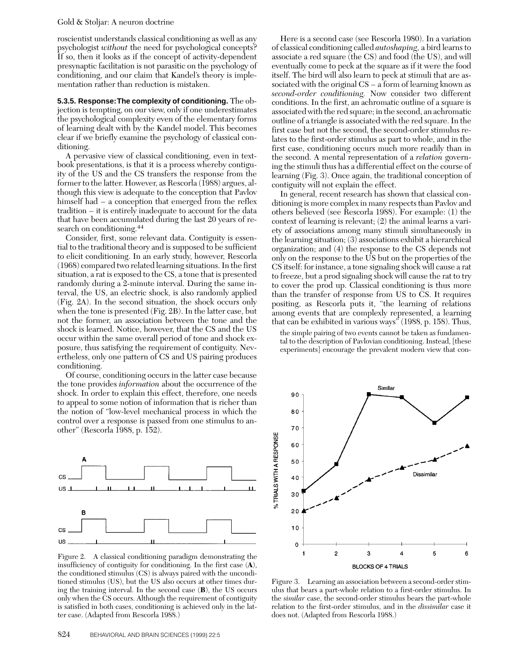#### Gold & Stoljar: A neuron doctrine

roscientist understands classical conditioning as well as any psychologist *without* the need for psychological concepts? If so, then it looks as if the concept of activity-dependent presynaptic facilitation is not parasitic on the psychology of conditioning, and our claim that Kandel's theory is implementation rather than reduction is mistaken.

**5.3.5. Response:The complexity of conditioning.** The objection is tempting, on our view, only if one underestimates the psychological complexity even of the elementary forms of learning dealt with by the Kandel model. This becomes clear if we briefly examine the psychology of classical conditioning.

A pervasive view of classical conditioning, even in textbook presentations, is that it is a process whereby contiguity of the US and the CS transfers the response from the former to the latter. However, as Rescorla (1988) argues, although this view is adequate to the conception that Pavlov himself had – a conception that emerged from the reflex tradition – it is entirely inadequate to account for the data that have been accumulated during the last 20 years of research on conditioning.<sup>44</sup>

Consider, first, some relevant data. Contiguity is essential to the traditional theory and is supposed to be sufficient to elicit conditioning. In an early study, however, Rescorla (1968) compared two related learning situations. In the first situation, a rat is exposed to the CS, a tone that is presented randomly during a 2-minute interval. During the same interval, the US, an electric shock, is also randomly applied (Fig. 2A). In the second situation, the shock occurs only when the tone is presented (Fig. 2B). In the latter case, but not the former, an association between the tone and the shock is learned. Notice, however, that the CS and the US occur within the same overall period of tone and shock exposure, thus satisfying the requirement of contiguity. Nevertheless, only one pattern of CS and US pairing produces conditioning.

Of course, conditioning occurs in the latter case because the tone provides *information* about the occurrence of the shock. In order to explain this effect, therefore, one needs to appeal to some notion of information that is richer than the notion of "low-level mechanical process in which the control over a response is passed from one stimulus to another" (Rescorla 1988, p. 152).



Figure 2. A classical conditioning paradigm demonstrating the insufficiency of contiguity for conditioning. In the first case (**A**), the conditioned stimulus (CS) is always paired with the unconditioned stimulus (US), but the US also occurs at other times during the training interval. In the second case (**B**), the US occurs only when the CS occurs. Although the requirement of contiguity is satisfied in both cases, conditioning is achieved only in the latter case. (Adapted from Rescorla 1988.)

Here is a second case (see Rescorla 1980). In a variation of classical conditioning called *autoshaping,* a bird learns to associate a red square (the CS) and food (the US), and will eventually come to peck at the square as if it were the food itself. The bird will also learn to peck at stimuli that are associated with the original CS – a form of learning known as *second-order conditioning.* Now consider two different conditions. In the first, an achromatic outline of a square is associated with the red square; in the second, an achromatic outline of a triangle is associated with the red square. In the first case but not the second, the second-order stimulus relates to the first-order stimulus as part to whole, and in the first case, conditioning occurs much more readily than in the second. A mental representation of a *relation* governing the stimuli thus has a differential effect on the course of learning (Fig. 3). Once again, the traditional conception of contiguity will not explain the effect.

In general, recent research has shown that classical conditioning is more complex in many respects than Pavlov and others believed (see Rescorla 1988). For example: (1) the context of learning is relevant; (2) the animal learns a variety of associations among many stimuli simultaneously in the learning situation; (3) associations exhibit a hierarchical organization; and (4) the response to the CS depends not only on the response to the US but on the properties of the CS itself: for instance, a tone signaling shock will cause a rat to freeze, but a prod signaling shock will cause the rat to try to cover the prod up. Classical conditioning is thus more than the transfer of response from US to CS. It requires positing, as Rescorla puts it, "the learning of relations among events that are complexly represented, a learning that can be exhibited in various ways" (1988, p. 158). Thus,

the simple pairing of two events cannot be taken as fundamental to the description of Pavlovian conditioning. Instead, [these experiments] encourage the prevalent modern view that con-



Figure 3. Learning an association between a second-order stimulus that bears a part-whole relation to a first-order stimulus. In the *similar* case, the second-order stimulus bears the part-whole relation to the first-order stimulus, and in the *dissimilar* case it does not. (Adapted from Rescorla 1988.)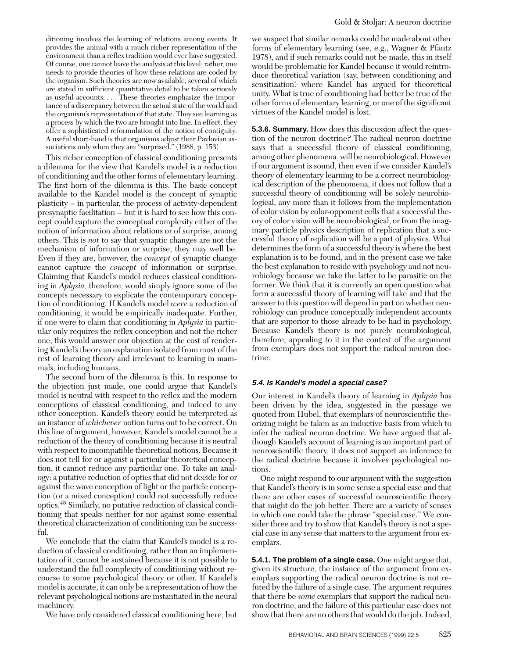ditioning involves the learning of relations among events. It provides the animal with a much richer representation of the environment than a reflex tradition would ever have suggested. Of course, one cannot leave the analysis at this level; rather, one needs to provide theories of how these relations are coded by the organism. Such theories are now available, several of which are stated in sufficient quantitative detail to be taken seriously as useful accounts. . . . These theories emphasize the importance of a discrepancy between the actual state of the world and the organism's representation of that state. They see learning as a process by which the two are brought into line. In effect, they offer a sophisticated reformulation of the notion of contiguity. A useful short-hand is that organisms adjust their Pavlovian associations only when they are "surprised." (1988, p. 153)

This richer conception of classical conditioning presents a dilemma for the view that Kandel's model is a reduction of conditioning and the other forms of elementary learning. The first horn of the dilemma is this. The basic concept available to the Kandel model is the concept of synaptic plasticity – in particular, the process of activity-dependent presynaptic facilitation – but it is hard to see how this concept could capture the conceptual complexity either of the notion of information about relations or of surprise, among others. This is *not* to say that synaptic changes are not the mechanism of information or surprise; they may well be. Even if they are, however, the *concept* of synaptic change cannot capture the *concept* of information or surprise. Claiming that Kandel's model reduces classical conditioning in *Aplysia,* therefore, would simply ignore some of the concepts necessary to explicate the contemporary conception of conditioning. If Kandel's model *were* a reduction of conditioning, it would be empirically inadequate. Further, if one were to claim that conditioning in *Aplysia* in particular only requires the reflex conception and not the richer one, this would answer our objection at the cost of rendering Kandel's theory an explanation isolated from most of the rest of learning theory and irrelevant to learning in mammals, including humans.

The second horn of the dilemma is this. In response to the objection just made, one could argue that Kandel's model is neutral with respect to the reflex and the modern conceptions of classical conditioning, and indeed to any other conception. Kandel's theory could be interpreted as an instance of *whichever* notion turns out to be correct. On this line of argument, however, Kandel's model cannot be a reduction of the theory of conditioning because it is neutral with respect to incompatible theoretical notions. Because it does not tell for or against a particular theoretical conception, it cannot reduce any particular one. To take an analogy: a putative reduction of optics that did not decide for or against the wave conception of light or the particle conception (or a mixed conception) could not successfully reduce optics.45 Similarly, no putative reduction of classical conditioning that speaks neither for nor against some essential theoretical characterization of conditioning can be successful.

We conclude that the claim that Kandel's model is a reduction of classical conditioning, rather than an implementation of it, cannot be sustained because it is not possible to understand the full complexity of conditioning without recourse to some psychological theory or other. If Kandel's model is accurate, it can only be a representation of how the relevant psychological notions are instantiated in the neural machinery.

We have only considered classical conditioning here, but

we suspect that similar remarks could be made about other forms of elementary learning (see, e.g., Wagner & Pfautz 1978), and if such remarks could not be made, this in itself would be problematic for Kandel because it would reintroduce theoretical variation (say, between conditioning and sensitization) where Kandel has argued for theoretical unity. What is true of conditioning had better be true of the other forms of elementary learning, or one of the significant virtues of the Kandel model is lost.

**5.3.6. Summary.** How does this discussion affect the question of the neuron doctrine? The radical neuron doctrine says that a successful theory of classical conditioning, among other phenomena, will be neurobiological. However if our argument is sound, then even if we consider Kandel's theory of elementary learning to be a correct neurobiological description of the phenomena, it does not follow that a successful theory of conditioning will be solely neurobiological, any more than it follows from the implementation of color vision by color-opponent cells that a successful theory of color vision will be neurobiological, or from the imaginary particle physics description of replication that a successful theory of replication will be a part of physics. What determines the form of a successful theory is where the best explanation is to be found, and in the present case we take the best explanation to reside with psychology and not neurobiology because we take the latter to be parasitic on the former. We think that it is currently an open question what form a successful theory of learning will take and that the answer to this question will depend in part on whether neurobiology can produce conceptually independent accounts that are superior to those already to be had in psychology. Because Kandel's theory is not purely neurobiological, therefore, appealing to it in the context of the argument from exemplars does not support the radical neuron doctrine.

#### **5.4. Is Kandel's model a special case?**

Our interest in Kandel's theory of learning in *Aplysia* has been driven by the idea, suggested in the passage we quoted from Hubel, that exemplars of neuroscientific theorizing might be taken as an inductive basis from which to infer the radical neuron doctrine. We have argued that although Kandel's account of learning is an important part of neuroscientific theory, it does not support an inference to the radical doctrine because it involves psychological notions.

One might respond to our argument with the suggestion that Kandel's theory is in some sense a special case and that there are other cases of successful neuroscientific theory that might do the job better. There are a variety of senses in which one could take the phrase "special case." We consider three and try to show that Kandel's theory is not a special case in any sense that matters to the argument from exemplars.

**5.4.1. The problem of a single case.** One might argue that, given its structure, the instance of the argument from exemplars supporting the radical neuron doctrine is not refuted by the failure of a single case. The argument requires that there be *some* exemplars that support the radical neuron doctrine, and the failure of this particular case does not show that there are no others that would do the job. Indeed,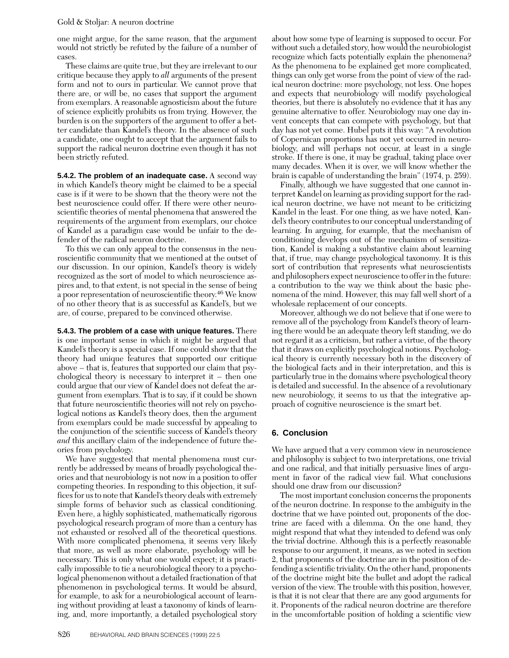one might argue, for the same reason, that the argument would not strictly be refuted by the failure of a number of cases.

These claims are quite true, but they are irrelevant to our critique because they apply to *all* arguments of the present form and not to ours in particular. We cannot prove that there are, or will be, no cases that support the argument from exemplars. A reasonable agnosticism about the future of science explicitly prohibits us from trying. However, the burden is on the supporters of the argument to offer a better candidate than Kandel's theory. In the absence of such a candidate, one ought to accept that the argument fails to support the radical neuron doctrine even though it has not been strictly refuted.

**5.4.2. The problem of an inadequate case.** A second way in which Kandel's theory might be claimed to be a special case is if it were to be shown that the theory were not the best neuroscience could offer. If there were other neuroscientific theories of mental phenomena that answered the requirements of the argument from exemplars, our choice of Kandel as a paradigm case would be unfair to the defender of the radical neuron doctrine.

To this we can only appeal to the consensus in the neuroscientific community that we mentioned at the outset of our discussion. In our opinion, Kandel's theory is widely recognized as the sort of model to which neuroscience aspires and, to that extent, is not special in the sense of being a poor representation of neuroscientific theory.46 We know of no other theory that is as successful as Kandel's, but we are, of course, prepared to be convinced otherwise.

**5.4.3. The problem of a case with unique features.** There is one important sense in which it might be argued that Kandel's theory is a special case. If one could show that the theory had unique features that supported our critique above – that is, features that supported our claim that psychological theory is necessary to interpret it – then one could argue that our view of Kandel does not defeat the argument from exemplars. That is to say, if it could be shown that future neuroscientific theories will not rely on psychological notions as Kandel's theory does, then the argument from exemplars could be made successful by appealing to the conjunction of the scientific success of Kandel's theory *and* this ancillary claim of the independence of future theories from psychology.

We have suggested that mental phenomena must currently be addressed by means of broadly psychological theories and that neurobiology is not now in a position to offer competing theories. In responding to this objection, it suffices for us to note that Kandel's theory deals with extremely simple forms of behavior such as classical conditioning. Even here, a highly sophisticated, mathematically rigorous psychological research program of more than a century has not exhausted or resolved all of the theoretical questions. With more complicated phenomena, it seems very likely that more, as well as more elaborate, psychology will be necessary. This is only what one would expect; it is practically impossible to tie a neurobiological theory to a psychological phenomenon without a detailed fractionation of that phenomenon in psychological terms. It would be absurd, for example, to ask for a neurobiological account of learning without providing at least a taxonomy of kinds of learning, and, more importantly, a detailed psychological story about how some type of learning is supposed to occur. For without such a detailed story, how would the neurobiologist recognize which facts potentially explain the phenomena? As the phenomena to be explained get more complicated, things can only get worse from the point of view of the radical neuron doctrine: more psychology, not less. One hopes and expects that neurobiology will modify psychological theories, but there is absolutely no evidence that it has any genuine alternative to offer. Neurobiology may one day invent concepts that can compete with psychology, but that day has not yet come. Hubel puts it this way: "A revolution of Copernican proportions has not yet occurred in neurobiology, and will perhaps not occur, at least in a single stroke. If there is one, it may be gradual, taking place over many decades. When it is over, we will know whether the brain is capable of understanding the brain" (1974, p. 259).

Finally, although we have suggested that one cannot interpret Kandel on learning as providing support for the radical neuron doctrine, we have not meant to be criticizing Kandel in the least. For one thing, as we have noted, Kandel's theory contributes to our conceptual understanding of learning. In arguing, for example, that the mechanism of conditioning develops out of the mechanism of sensitization, Kandel is making a substantive claim about learning that, if true, may change psychological taxonomy. It is this sort of contribution that represents what neuroscientists and philosophers expect neuroscience to offer in the future: a contribution to the way we think about the basic phenomena of the mind. However, this may fall well short of a wholesale replacement of our concepts.

Moreover, although we do not believe that if one were to remove all of the psychology from Kandel's theory of learning there would be an adequate theory left standing, we do not regard it as a criticism, but rather a virtue, of the theory that it draws on explicitly psychological notions. Psychological theory is currently necessary both in the discovery of the biological facts and in their interpretation, and this is particularly true in the domains where psychological theory is detailed and successful. In the absence of a revolutionary new neurobiology, it seems to us that the integrative approach of cognitive neuroscience is the smart bet.

## **6. Conclusion**

We have argued that a very common view in neuroscience and philosophy is subject to two interpretations, one trivial and one radical, and that initially persuasive lines of argument in favor of the radical view fail. What conclusions should one draw from our discussion?

The most important conclusion concerns the proponents of the neuron doctrine. In response to the ambiguity in the doctrine that we have pointed out, proponents of the doctrine are faced with a dilemma. On the one hand, they might respond that what they intended to defend was only the trivial doctrine. Although this is a perfectly reasonable response to our argument, it means, as we noted in section 2, that proponents of the doctrine are in the position of defending a scientific triviality. On the other hand, proponents of the doctrine might bite the bullet and adopt the radical version of the view. The trouble with this position, however, is that it is not clear that there are any good arguments for it. Proponents of the radical neuron doctrine are therefore in the uncomfortable position of holding a scientific view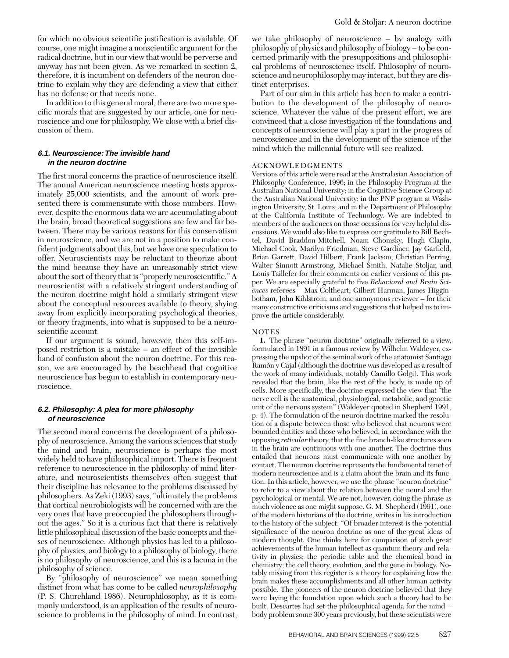for which no obvious scientific justification is available. Of course, one might imagine a nonscientific argument for the radical doctrine, but in our view that would be perverse and anyway has not been given. As we remarked in section 2, therefore, it is incumbent on defenders of the neuron doctrine to explain why they are defending a view that either has no defense or that needs none.

In addition to this general moral, there are two more specific morals that are suggested by our article, one for neuroscience and one for philosophy. We close with a brief discussion of them.

#### **6.1. Neuroscience:The invisible hand in the neuron doctrine**

The first moral concerns the practice of neuroscience itself. The annual American neuroscience meeting hosts approximately 25,000 scientists, and the amount of work presented there is commensurate with those numbers. However, despite the enormous data we are accumulating about the brain, broad theoretical suggestions are few and far between. There may be various reasons for this conservatism in neuroscience, and we are not in a position to make confident judgments about this, but we have one speculation to offer. Neuroscientists may be reluctant to theorize about the mind because they have an unreasonably strict view about the sort of theory that is "properly neuroscientific." A neuroscientist with a relatively stringent understanding of the neuron doctrine might hold a similarly stringent view about the conceptual resources available to theory, shying away from explicitly incorporating psychological theories, or theory fragments, into what is supposed to be a neuroscientific account.

If our argument is sound, however, then this self-imposed restriction is a mistake – an effect of the invisible hand of confusion about the neuron doctrine. For this reason, we are encouraged by the beachhead that cognitive neuroscience has begun to establish in contemporary neuroscience.

## **6.2. Philosophy: A plea for more philosophy of neuroscience**

The second moral concerns the development of a philosophy of neuroscience. Among the various sciences that study the mind and brain, neuroscience is perhaps the most widely held to have philosophical import. There is frequent reference to neuroscience in the philosophy of mind literature, and neuroscientists themselves often suggest that their discipline has relevance to the problems discussed by philosophers. As Zeki (1993) says, "ultimately the problems that cortical neurobiologists will be concerned with are the very ones that have preoccupied the philosophers throughout the ages." So it is a curious fact that there is relatively little philosophical discussion of the basic concepts and theses of neuroscience. Although physics has led to a philosophy of physics, and biology to a philosophy of biology, there is no philosophy of neuroscience, and this is a lacuna in the philosophy of science.

By "philosophy of neuroscience" we mean something distinct from what has come to be called *neurophilosophy* (P. S. Churchland 1986). Neurophilosophy, as it is commonly understood, is an application of the results of neuroscience to problems in the philosophy of mind. In contrast,

we take philosophy of neuroscience – by analogy with philosophy of physics and philosophy of biology – to be concerned primarily with the presuppositions and philosophical problems of neuroscience itself. Philosophy of neuroscience and neurophilosophy may interact, but they are distinct enterprises.

Part of our aim in this article has been to make a contribution to the development of the philosophy of neuroscience. Whatever the value of the present effort, we are convinced that a close investigation of the foundations and concepts of neuroscience will play a part in the progress of neuroscience and in the development of the science of the mind which the millennial future will see realized.

#### ACKNOWLEDGMENTS

Versions of this article were read at the Australasian Association of Philosophy Conference, 1996; in the Philosophy Program at the Australian National University; in the Cognitive Science Group at the Australian National University; in the PNP program at Washington University, St. Louis; and in the Department of Philosophy at the California Institute of Technology. We are indebted to members of the audiences on those occasions for very helpful discussions. We would also like to express our gratitude to Bill Bechtel, David Braddon-Mitchell, Noam Chomsky, Hugh Clapin, Michael Cook, Marilyn Friedman, Steve Gardiner, Jay Garfield, Brian Garrett, David Hilbert, Frank Jackson, Christian Perring, Walter Sinnott-Armstrong, Michael Smith, Natalie Stoljar, and Louis Taillefer for their comments on earlier versions of this paper. We are especially grateful to five *Behavioral and Brain Sciences* referees – Max Coltheart, Gilbert Harman, James Higginbotham, John Kihlstrom, and one anonymous reviewer – for their many constructive criticisms and suggestions that helped us to improve the article considerably.

#### NOTES

**1.** The phrase "neuron doctrine" originally referred to a view, formulated in 1891 in a famous review by Wilhelm Waldeyer, expressing the upshot of the seminal work of the anatomist Santiago Ramón y Cajal (although the doctrine was developed as a result of the work of many individuals, notably Camillo Golgi). This work revealed that the brain, like the rest of the body, is made up of cells. More specifically, the doctrine expressed the view that "the nerve cell is the anatomical, physiological, metabolic, and genetic unit of the nervous system" (Waldeyer quoted in Shepherd 1991, p. 4). The formulation of the neuron doctrine marked the resolution of a dispute between those who believed that neurons were bounded entities and those who believed, in accordance with the opposing *reticular* theory, that the fine branch-like structures seen in the brain are continuous with one another. The doctrine thus entailed that neurons must communicate with one another by contact. The neuron doctrine represents the fundamental tenet of modern neuroscience and is a claim about the brain and its function. In this article, however, we use the phrase "neuron doctrine" to refer to a view about the relation between the neural and the psychological or mental. We are not, however, doing the phrase as much violence as one might suppose. G. M. Shepherd (1991), one of the modern historians of the doctrine, writes in his introduction to the history of the subject: "Of broader interest is the potential significance of the neuron doctrine as one of the great ideas of modern thought. One thinks here for comparison of such great achievements of the human intellect as quantum theory and relativity in physics; the periodic table and the chemical bond in chemistry; the cell theory, evolution, and the gene in biology. Notably missing from this register is a theory for explaining how the brain makes these accomplishments and all other human activity possible. The pioneers of the neuron doctrine believed that they were laying the foundation upon which such a theory had to be built. Descartes had set the philosophical agenda for the mind – body problem some 300 years previously, but these scientists were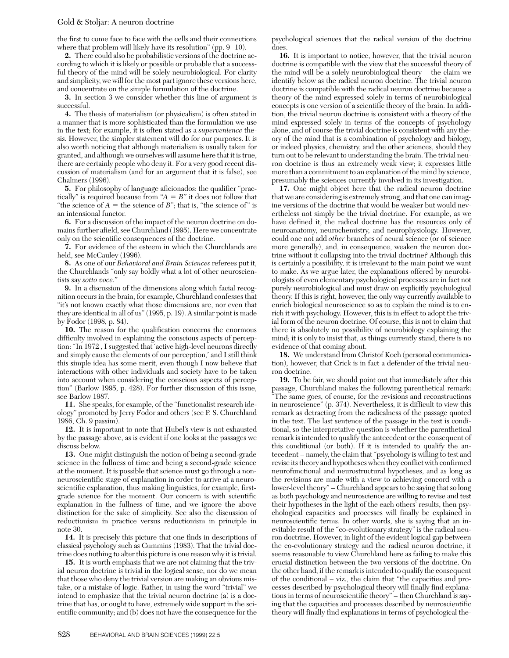#### Gold & Stoljar: A neuron doctrine

the first to come face to face with the cells and their connections where that problem will likely have its resolution" (pp. 9–10).

**2.** There could also be probabilistic versions of the doctrine according to which it is likely or possible or probable that a successful theory of the mind will be solely neurobiological. For clarity and simplicity, we will for the most part ignore these versions here, and concentrate on the simple formulation of the doctrine.

**3.** In section 3 we consider whether this line of argument is successful.

**4.** The thesis of materialism (or physicalism) is often stated in a manner that is more sophisticated than the formulation we use in the text; for example, it is often stated as a *supervenience* thesis. However, the simpler statement will do for our purposes. It is also worth noticing that although materialism is usually taken for granted, and although we ourselves will assume here that it is true, there are certainly people who deny it. For a very good recent discussion of materialism (and for an argument that it is false), see Chalmers (1996).

**5.** For philosophy of language aficionados: the qualifier "practically" is required because from " $A = B$ " it does not follow that "the science of  $A =$  the science of  $B$ "; that is, "the science of" is an intensional functor.

**6.** For a discussion of the impact of the neuron doctrine on domains further afield, see Churchland (1995). Here we concentrate only on the scientific consequences of the doctrine.

**7.** For evidence of the esteem in which the Churchlands are held, see McCauley (1996).

**8.** As one of our *Behavioral and Brain Sciences* referees put it, the Churchlands "only say boldly what a lot of other neuroscientists say *sotto voce.*"

**9.** In a discussion of the dimensions along which facial recognition occurs in the brain, for example, Churchland confesses that "it's not known exactly what those dimensions are, nor even that they are identical in all of us" (1995, p. 19). A similar point is made by Fodor (1998, p. 84).

**10.** The reason for the qualification concerns the enormous difficulty involved in explaining the conscious aspects of perception: "In 1972 , I suggested that 'active high-level neurons directly and simply cause the elements of our perception,' and I still think this simple idea has some merit, even though I now believe that interactions with other individuals and society have to be taken into account when considering the conscious aspects of perception" (Barlow 1995, p. 428). For further discussion of this issue, see Barlow 1987.

**11.** She speaks, for example, of the "functionalist research ideology" promoted by Jerry Fodor and others (see P. S. Churchland 1986, Ch. 9 passim).

**12.** It is important to note that Hubel's view is not exhausted by the passage above, as is evident if one looks at the passages we discuss below.

**13.** One might distinguish the notion of being a second-grade science in the fullness of time and being a second-grade science at the moment. It is possible that science must go through a nonneuroscientific stage of explanation in order to arrive at a neuroscientific explanation, thus making linguistics, for example, firstgrade science for the moment. Our concern is with scientific explanation in the fullness of time, and we ignore the above distinction for the sake of simplicity. See also the discussion of reductionism in practice versus reductionism in principle in note 30.

**14.** It is precisely this picture that one finds in descriptions of classical psychology such as Cummins (1983). That the trivial doctrine does nothing to alter this picture is one reason why it is trivial.

**15.** It is worth emphasis that we are not claiming that the trivial neuron doctrine is trivial in the logical sense, nor do we mean that those who deny the trivial version are making an obvious mistake, or a mistake of logic. Rather, in using the word "trivial" we intend to emphasize that the trivial neuron doctrine (a) is a doctrine that has, or ought to have, extremely wide support in the scientific community; and (b) does not have the consequence for the psychological sciences that the radical version of the doctrine does.

**16.** It is important to notice, however, that the trivial neuron doctrine is compatible with the view that the successful theory of the mind will be a solely neurobiological theory – the claim we identify below as the radical neuron doctrine. The trivial neuron doctrine is compatible with the radical neuron doctrine because a theory of the mind expressed solely in terms of neurobiological concepts is one version of a scientific theory of the brain. In addition, the trivial neuron doctrine is consistent with a theory of the mind expressed solely in terms of the concepts of psychology alone, and of course the trivial doctrine is consistent with any theory of the mind that is a combination of psychology and biology, or indeed physics, chemistry, and the other sciences, should they turn out to be relevant to understanding the brain. The trivial neuron doctrine is thus an extremely weak view; it expresses little more than a commitment to an explanation of the mind by science, presumably the sciences currently involved in its investigation.

**17.** One might object here that the radical neuron doctrine that we are considering is extremely strong, and that one can imagine versions of the doctrine that would be weaker but would nevertheless not simply be the trivial doctrine. For example, as we have defined it, the radical doctrine has the resources only of neuroanatomy, neurochemistry, and neurophysiology. However, could one not add *other* branches of neural science (or of science more generally), and, in consequence, weaken the neuron doctrine without it collapsing into the trivial doctrine? Although this is certainly a possibility, it is irrelevant to the main point we want to make. As we argue later, the explanations offered by neurobiologists of even elementary psychological processes are in fact not purely neurobiological and must draw on explicitly psychological theory. If this is right, however, the only way currently available to enrich biological neuroscience so as to explain the mind is to enrich it with psychology. However, this is in effect to adopt the trivial form of the neuron doctrine. Of course, this is not to claim that there is absolutely no possibility of neurobiology explaining the mind; it is only to insist that, as things currently stand, there is no evidence of that coming about.

**18.** We understand from Christof Koch (personal communication), however, that Crick is in fact a defender of the trivial neuron doctrine.

**19.** To be fair, we should point out that immediately after this passage, Churchland makes the following parenthetical remark: "The same goes, of course, for the revisions and reconstructions in neuroscience" (p. 374). Nevertheless, it is difficult to view this remark as detracting from the radicalness of the passage quoted in the text. The last sentence of the passage in the text is conditional, so the interpretative question is whether the parenthetical remark is intended to qualify the antecedent or the consequent of this conditional (or both). If it is intended to qualify the antecedent – namely, the claim that "psychology is willing to test and revise its theory and hypotheses when they conflict with confirmed neurofunctional and neurostructural hypotheses, and as long as the revisions are made with a view to achieving concord with a lower-level theory" – Churchland appears to be saying that so long as both psychology and neuroscience are willing to revise and test their hypotheses in the light of the each others' results, then psychological capacities and processes will finally be explained in neuroscientific terms. In other words, she is saying that an inevitable result of the "co-evolutionary strategy" is the radical neuron doctrine. However, in light of the evident logical gap between the co-evolutionary strategy and the radical neuron doctrine, it seems reasonable to view Churchland here as failing to make this crucial distinction between the two versions of the doctrine. On the other hand, if the remark is intended to qualify the consequent of the conditional – viz., the claim that "the capacities and processes described by psychological theory will finally find explanations in terms of neuroscientific theory" – then Churchland is saying that the capacities and processes described by neuroscientific theory will finally find explanations in terms of psychological the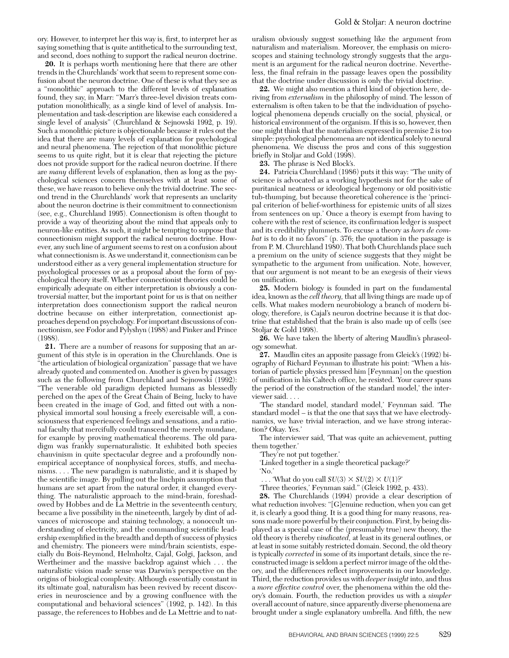ory. However, to interpret her this way is, first, to interpret her as saying something that is quite antithetical to the surrounding text, and second, does nothing to support the radical neuron doctrine.

**20.** It is perhaps worth mentioning here that there are other trends in the Churchlands' work that seem to represent some confusion about the neuron doctrine. One of these is what they see as a "monolithic" approach to the different levels of explanation found, they say, in Marr: "Marr's three-level division treats computation monolithically, as a single kind of level of analysis. Implementation and task-description are likewise each considered a single level of analysis" (Churchland & Sejnowski 1992, p. 19). Such a monolithic picture is objectionable because it rules out the idea that there are many levels of explanation for psychological and neural phenomena. The rejection of that monolithic picture seems to us quite right, but it is clear that rejecting the picture does not provide support for the radical neuron doctrine. If there are *many* different levels of explanation, then as long as the psychological sciences concern themselves with at least some of these, we have reason to believe only the trivial doctrine. The second trend in the Churchlands' work that represents an unclarity about the neuron doctrine is their commitment to connectionism (see, e.g., Churchland 1995). Connectionism is often thought to provide a way of theorizing about the mind that appeals only to neuron-like entities. As such, it might be tempting to suppose that connectionism might support the radical neuron doctrine. However, any such line of argument seems to rest on a confusion about what connectionism is. As we understand it, connectionism can be understood either as a very general implementation structure for psychological processes or as a proposal about the form of psychological theory itself. Whether connectionist theories could be empirically adequate on either interpretation is obviously a controversial matter, but the important point for us is that on neither interpretation does connectionism support the radical neuron doctrine because on either interpretation, connectionist approaches depend on psychology. For important discussions of connectionism, see Fodor and Pylyshyn (1988) and Pinker and Prince (1988).

**21.** There are a number of reasons for supposing that an argument of this style is in operation in the Churchlands. One is "the articulation of biological organization" passage that we have already quoted and commented on. Another is given by passages such as the following from Churchland and Sejnowski (1992): "The venerable old paradigm depicted humans as blessedly perched on the apex of the Great Chain of Being, lucky to have been created in the image of God, and fitted out with a nonphysical immortal soul housing a freely exercisable will, a consciousness that experienced feelings and sensations, and a rational faculty that mercifully could transcend the merely mundane, for example by proving mathematical theorems. The old paradigm was frankly supernaturalistic. It exhibited both species chauvinism in quite spectacular degree and a profoundly nonempirical acceptance of nonphysical forces, stuffs, and mechanisms. . . . The new paradigm is naturalistic, and it is shaped by the scientific image. By pulling out the linchpin assumption that humans are set apart from the natural order, it changed everything. The naturalistic approach to the mind-brain, foreshadowed by Hobbes and de La Mettrie in the seventeenth century, became a live possibility in the nineteenth, largely by dint of advances of microscope and staining technology, a nonoccult understanding of electricity, and the commanding scientific leadership exemplified in the breadth and depth of success of physics and chemistry. The pioneers were mind/brain scientists, especially du Bois-Reymond, Helmholtz, Cajal, Golgi, Jackson, and Wertheimer and the massive backdrop against which . . . the naturalistic vision made sense was Darwin's perspective on the origins of biological complexity. Although essentially constant in its ultimate goal, naturalism has been revived by recent discoveries in neuroscience and by a growing confluence with the computational and behavioral sciences" (1992, p. 142). In this passage, the references to Hobbes and de La Mettrie and to nat-

uralism obviously suggest something like the argument from naturalism and materialism. Moreover, the emphasis on microscopes and staining technology strongly suggests that the argument is an argument for the radical neuron doctrine. Nevertheless, the final refrain in the passage leaves open the possibility that the doctrine under discussion is only the trivial doctrine.

**22.** We might also mention a third kind of objection here, deriving from *externalism* in the philosophy of mind. The lesson of externalism is often taken to be that the individuation of psychological phenomena depends crucially on the social, physical, or historical environment of the organism. If this is so, however, then one might think that the materialism expressed in premise 2 is too simple: psychological phenomena are not identical solely to neural phenomena. We discuss the pros and cons of this suggestion briefly in Stoljar and Gold (1998).

**23.** The phrase is Ned Block's.

**24.** Patricia Churchland (1986) puts it this way: "The unity of science is advocated as a working hypothesis not for the sake of puritanical neatness or ideological hegemony or old positivistic tub-thumping, but because theoretical coherence is the 'principal criterion of belief-worthiness for epistemic units of all sizes from sentences on up.' Once a theory is exempt from having to cohere with the rest of science, its confirmation ledger is suspect and its credibility plummets. To excuse a theory as *hors de combat* is to do it no favors" (p. 376; the quotation in the passage is from P. M. Churchland 1980). That both Churchlands place such a premium on the unity of science suggests that they might be sympathetic to the argument from unification. Note, however, that our argument is not meant to be an exegesis of their views on unification.

**25.** Modern biology is founded in part on the fundamental idea, known as the *cell theory,* that all living things are made up of cells. What makes modern neurobiology a branch of modern biology, therefore, is Cajal's neuron doctrine because it is that doctrine that established that the brain is also made up of cells (see Stoljar & Gold 1998).

**26.** We have taken the liberty of altering Maudlin's phraseology somewhat.

**27.** Maudlin cites an apposite passage from Gleick's (1992) biography of Richard Feynman to illustrate his point: "When a historian of particle physics pressed him [Feynman] on the question of unification in his Caltech office, he resisted. 'Your career spans the period of the construction of the standard model,' the interviewer said....

'The standard model, standard model,' Feynman said. 'The standard model – is that the one that says that we have electrodynamics, we have trivial interaction, and we have strong interaction? Okay. Yes.'

The interviewer said, 'That was quite an achievement, putting them together.'

'They're not put together.'

'Linked together in a single theoretical package?'

'No.'

... What do you call  $SU(3) \times SU(2) \times U(1)$ ?'

'Three theories,' Feynman said." (Gleick 1992, p. 433).

**28.** The Churchlands (1994) provide a clear description of what reduction involves: "[G]enuine reduction, when you can get it, is clearly a good thing. It is a good thing for many reasons, reasons made more powerful by their conjunction. First, by being displayed as a special case of the (presumably true) new theory, the old theory is thereby *vindicated,* at least in its general outlines, or at least in some suitably restricted domain. Second, the old theory is typically *corrected* in some of its important details, since the reconstructed image is seldom a perfect mirror image of the old theory, and the differences reflect improvements in our knowledge. Third, the reduction provides us with *deeper insight* into, and thus a *more effective control* over, the phenomena within the old theory's domain. Fourth, the reduction provides us with a *simpler* overall account of nature, since apparently diverse phenomena are brought under a single explanatory umbrella. And fifth, the new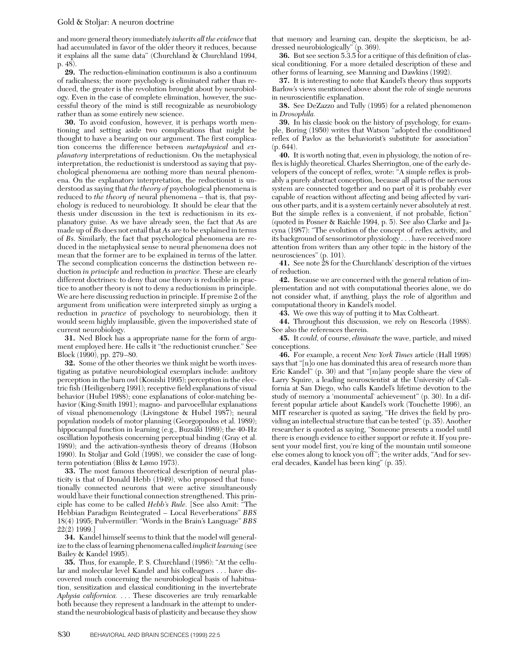and more general theory immediately *inherits all the evidence* that had accumulated in favor of the older theory it reduces, because it explains all the same data" (Churchland & Churchland 1994, p. 48).

**29.** The reduction-elimination continuum is also a continuum of radicalness; the more psychology is eliminated rather than reduced, the greater is the revolution brought about by neurobiology. Even in the case of complete elimination, however, the successful theory of the mind is still recognizable as neurobiology rather than as some entirely new science.

**30.** To avoid confusion, however, it is perhaps worth mentioning and setting aside two complications that might be thought to have a bearing on our argument. The first complication concerns the difference between *metaphysical* and *explanatory* interpretations of reductionism. On the metaphysical interpretation, the reductionist is understood as saying that psychological phenomena are nothing more than neural phenomena. On the explanatory interpretation, the reductionist is understood as saying that *the theory of* psychological phenomena is reduced to *the theory of neural phenomena* – that is, that psychology is reduced to neurobiology. It should be clear that the thesis under discussion in the text is reductionism in its explanatory guise. As we have already seen, the fact that *A*s are made up of *B*s does not entail that *A*s are to be explained in terms of *B*s. Similarly, the fact that psychological phenomena are reduced in the metaphysical sense to neural phenomena does not mean that the former are to be explained in terms of the latter. The second complication concerns the distinction between reduction *in principle* and reduction *in practice.* These are clearly different doctrines: to deny that one theory is reducible in practice to another theory is not to deny a reductionism in principle. We are here discussing reduction in principle. If premise 2 of the argument from unification were interpreted simply as urging a reduction in *practice* of psychology to neurobiology, then it would seem highly implausible, given the impoverished state of current neurobiology.

**31.** Ned Block has a appropriate name for the form of argument employed here. He calls it "the reductionist cruncher." See Block (1990), pp. 279–80.

**32.** Some of the other theories we think might be worth investigating as putative neurobiological exemplars include: auditory perception in the barn owl (Konishi 1995); perception in the electric fish (Heiligenberg 1991); receptive field explanations of visual behavior (Hubel 1988); cone explanations of color-matching behavior (King-Smith 1991); magno- and parvocellular explanations of visual phenomenology (Livingstone & Hubel 1987); neural population models of motor planning (Georgopoulos et al. 1989); hippocampal function in learning (e.g., Buzsáki 1989); the 40-Hz oscillation hypothesis concerning perceptual binding (Gray et al. 1989); and the activation-synthesis theory of dreams (Hobson 1990). In Stoljar and Gold (1998), we consider the case of longterm potentiation (Bliss & Lømo 1973).

**33.** The most famous theoretical description of neural plasticity is that of Donald Hebb (1949), who proposed that functionally connected neurons that were active simultaneously would have their functional connection strengthened. This principle has come to be called *Hebb's Rule*. [See also Amit: "The Hebbian Paradigm Reintegrated – Local Reverberations" *BBS* 18(4) 1995; Pulvermüller: "Words in the Brain's Language" *BBS* 22(2) 1999.]

**34.** Kandel himself seems to think that the model will generalize to the class of learning phenomena called *implicit learning* (see Bailey & Kandel 1995).

**35.** Thus, for example, P. S. Churchland (1986): "At the cellular and molecular level Kandel and his colleagues . . . have discovered much concerning the neurobiological basis of habituation, sensitization and classical conditioning in the invertebrate *Aplysia californica.* . . . These discoveries are truly remarkable both because they represent a landmark in the attempt to understand the neurobiological basis of plasticity and because they show

that memory and learning can, despite the skepticism, be addressed neurobiologically" (p. 369).

**36.** But see section 5.3.5 for a critique of this definition of classical conditioning. For a more detailed description of these and other forms of learning, see Manning and Dawkins (1992).

**37.** It is interesting to note that Kandel's theory thus supports Barlow's views mentioned above about the role of single neurons in neuroscientific explanation.

**38.** See DeZazzo and Tully (1995) for a related phenomenon in *Drosophila.*

**39.** In his classic book on the history of psychology, for example, Boring (1950) writes that Watson "adopted the conditioned reflex of Pavlov as the behaviorist's substitute for association" (p. 644).

**40.** It is worth noting that, even in physiology, the notion of reflex is highly theoretical. Charles Sherrington, one of the early developers of the concept of reflex, wrote: "A simple reflex is probably a purely abstract conception, because all parts of the nervous system are connected together and no part of it is probably ever capable of reaction without affecting and being affected by various other parts, and it is a system certainly never absolutely at rest. But the simple reflex is a convenient, if not probable, fiction" (quoted in Posner & Raichle 1994, p. 5). See also Clarke and Jacyna (1987): "The evolution of the concept of reflex activity, and its background of sensorimotor physiology . . . have received more attention from writers than any other topic in the history of the neurosciences" (p. 101).

**41.** See note 28 for the Churchlands' description of the virtues of reduction.

**42.** Because we are concerned with the general relation of implementation and not with computational theories alone, we do not consider what, if anything, plays the role of algorithm and computational theory in Kandel's model.

**43.** We owe this way of putting it to Max Coltheart.

**44.** Throughout this discussion, we rely on Rescorla (1988). See also the references therein.

**45.** It *could,* of course, *eliminate* the wave, particle, and mixed conceptions.

**46.** For example, a recent *New York Times* article (Hall 1998) says that "[n]o one has dominated this area of research more than Eric Kandel" (p. 30) and that "[m]any people share the view of Larry Squire, a leading neuroscientist at the University of California at San Diego, who calls Kandel's lifetime devotion to the study of memory a 'monumental' achievement" (p. 30). In a different popular article about Kandel's work (Touchette 1996), an MIT researcher is quoted as saying, "He drives the field by providing an intellectual structure that can be tested" (p. 35). Another researcher is quoted as saying, "Someone presents a model until there is enough evidence to either support or refute it. If you present your model first, you're king of the mountain until someone else comes along to knock you off"; the writer adds, "And for several decades, Kandel has been king" (p. 35).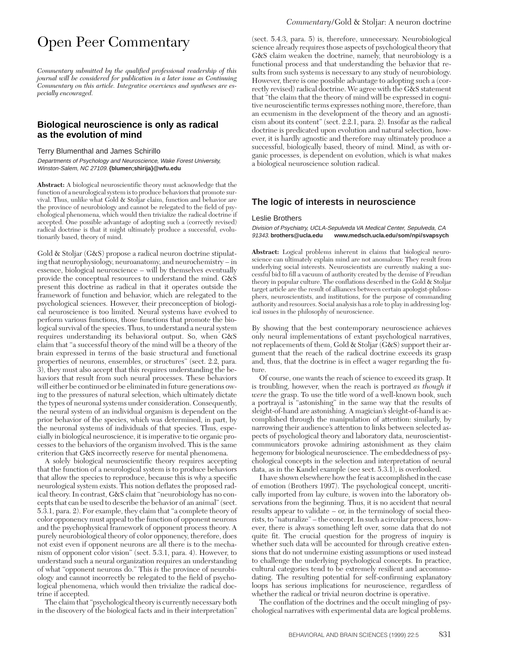## Open Peer Commentary

*Commentary submitted by the qualified professional readership of this journal will be considered for publication in a later issue as Continuing Commentary on this article. Integrative overviews and syntheses are especially encouraged.*

## **Biological neuroscience is only as radical as the evolution of mind**

Terry Blumenthal and James Schirillo Departments of Psychology and Neuroscience, Wake Forest University, Winston-Salem, NC 27109. **{blumen;shirija}@wfu.edu**

**Abstract:** A biological neuroscientific theory must acknowledge that the function of a neurological system is to produce behaviors that promote survival. Thus, unlike what Gold & Stoljar claim, function and behavior are the province of neurobiology and cannot be relegated to the field of psychological phenomena, which would then trivialize the radical doctrine if accepted. One possible advantage of adopting such a (correctly revised) radical doctrine is that it might ultimately produce a successful, evolutionarily based, theory of mind.

Gold & Stoljar (G&S) propose a radical neuron doctrine stipulating that neurophysiology, neuroanatomy, and neurochemistry – in essence, biological neuroscience – will by themselves eventually provide the conceptual resources to understand the mind. G&S present this doctrine as radical in that it operates outside the framework of function and behavior, which are relegated to the psychological sciences. However, their preconception of biological neuroscience is too limited. Neural systems have evolved to perform various functions, those functions that promote the biological survival of the species. Thus, to understand a neural system requires understanding its behavioral output. So, when G&S claim that "a successful theory of the mind will be a theory of the brain expressed in terms of the basic structural and functional properties of neurons, ensembles, or structures" (sect. 2.2, para. 3), they must also accept that this requires understanding the behaviors that result from such neural processes. These behaviors will either be continued or be eliminated in future generations owing to the pressures of natural selection, which ultimately dictate the types of neuronal systems under consideration. Consequently, the neural system of an individual organism is dependent on the prior behavior of the species, which was determined, in part, by the neuronal systems of individuals of that species. Thus, especially in biological neuroscience, it is imperative to tie organic processes to the behaviors of the organism involved. This is the same criterion that G&S incorrectly reserve for mental phenomena.

A solely biological neuroscientific theory requires accepting that the function of a neurological system is to produce behaviors that allow the species to reproduce, because this is why a specific neurological system exists. This notion deflates the proposed radical theory. In contrast, G&S claim that "neurobiology has no concepts that can be used to describe the behavior of an animal" (sect. 5.3.1, para. 2). For example, they claim that "a complete theory of color opponency must appeal to the function of opponent neurons and the psychophysical framework of opponent process theory. A purely neurobiological theory of color opponency, therefore, does not exist even if opponent neurons are all there is to the mechanism of opponent color vision" (sect. 5.3.1, para. 4). However, to understand such a neural organization requires an understanding of what "opponent neurons do." This *is* the province of neurobiology and cannot incorrectly be relegated to the field of psychological phenomena, which would then trivialize the radical doctrine if accepted.

The claim that "psychological theory is currently necessary both in the discovery of the biological facts and in their interpretation" (sect. 5.4.3, para. 5) is, therefore, unnecessary. Neurobiological science already requires those aspects of psychological theory that G&S claim weaken the doctrine, namely, that neurobiology is a functional process and that understanding the behavior that results from such systems is necessary to any study of neurobiology. However, there is one possible advantage to adopting such a (correctly revised) radical doctrine. We agree with the G&S statement that "the claim that the theory of mind will be expressed in cognitive neuroscientific terms expresses nothing more, therefore, than an ecumenism in the development of the theory and an agnosticism about its content" (sect. 2.2.1, para. 2). Insofar as the radical doctrine is predicated upon evolution and natural selection, however, it is hardly agnostic and therefore may ultimately produce a successful, biologically based, theory of mind. Mind, as with organic processes, is dependent on evolution, which is what makes a biological neuroscience solution radical.

## **The logic of interests in neuroscience**

#### Leslie Brothers

Division of Psychiatry, UCLA-Sepulveda VA Medical Center, Sepulveda, CA 91343. **brothers@ucla.edu www.medsch.ucla.edu/som/npi/svapsych**

**Abstract:** Logical problems inherent in claims that biological neuroscience can ultimately explain mind are not anomalous: They result from underlying social interests. Neuroscientists are currently making a successful bid to fill a vacuum of authority created by the demise of Freudian theory in popular culture. The conflations described in the Gold & Stoljar target article are the result of alliances between certain apologist-philosophers, neuroscientists, and institutions, for the purpose of commanding authority and resources. Social analysis has a role to play in addressing logical issues in the philosophy of neuroscience.

By showing that the best contemporary neuroscience achieves only neural implementations of extant psychological narratives, not replacements of them, Gold & Stoljar (G&S) support their argument that the reach of the radical doctrine exceeds its grasp and, thus, that the doctrine is in effect a wager regarding the future

Of course, one wants the reach of science to exceed its grasp. It is troubling, however, when the reach is portrayed *as though it were* the grasp. To use the title word of a well-known book, such a portrayal is "astonishing" in the same way that the results of sleight-of-hand are astonishing. A magician's sleight-of-hand is accomplished through the manipulation of attention: similarly, by narrowing their audience's attention to links between selected aspects of psychological theory and laboratory data, neuroscientistcommunicators provoke admiring astonishment as they claim hegemony for biological neuroscience. The embeddedness of psychological concepts in the selection and interpretation of neural data, as in the Kandel example (see sect. 5.3.1), is overlooked.

I have shown elsewhere how the feat is accomplished in the case of emotion (Brothers 1997). The psychological concept, uncritically imported from lay culture, is woven into the laboratory observations from the beginning. Thus, it is no accident that neural results appear to validate – or, in the terminology of social theorists, to "naturalize" – the concept. In such a circular process, however, there is always something left over, some data that do not quite fit. The crucial question for the progress of inquiry is whether such data will be accounted for through creative extensions that do not undermine existing assumptions or used instead to challenge the underlying psychological concepts. In practice, cultural categories tend to be extremely resilient and accommodating. The resulting potential for self-confirming explanatory loops has serious implications for neuroscience, regardless of whether the radical or trivial neuron doctrine is operative.

The conflation of the doctrines and the occult mingling of psychological narratives with experimental data are logical problems.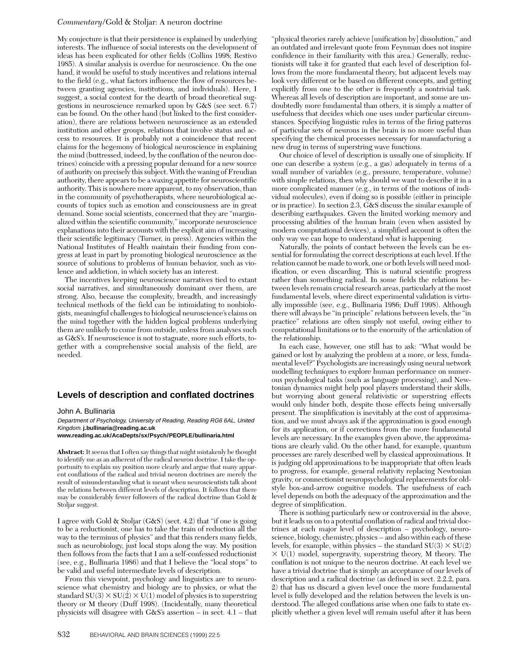#### *Commentary/*Gold & Stoljar: A neuron doctrine

My conjecture is that their persistence is explained by underlying interests. The influence of social interests on the development of ideas has been explicated for other fields (Collins 1998; Restivo 1985). A similar analysis is overdue for neuroscience. On the one hand, it would be useful to study incentives and relations internal to the field (e.g., what factors influence the flow of resources between granting agencies, institutions, and individuals). Here, I suggest, a social context for the dearth of broad theoretical suggestions in neuroscience remarked upon by G&S (see sect. 6.7) can be found. On the other hand (but linked to the first consideration), there are relations between neuroscience as an extended institution and other groups, relations that involve status and access to resources. It is probably not a coincidence that recent claims for the hegemony of biological neuroscience in explaining the mind (buttressed, indeed, by the conflation of the neuron doctrines) coincide with a pressing popular demand for a new source of authority on precisely this subject. With the waning of Freudian authority, there appears to be a waxing appetite for neuroscientific authority. This is nowhere more apparent, to my observation, than in the community of psychotherapists, where neurobiological accounts of topics such as emotion and consciousness are in great demand. Some social scientists, concerned that they are "marginalized within the scientific community," incorporate neuroscience explanations into their accounts with the explicit aim of increasing their scientific legitimacy (Turner, in press). Agencies within the National Institutes of Health maintain their funding from congress at least in part by promoting biological neuroscience as the source of solutions to problems of human behavior, such as violence and addiction, in which society has an interest.

The incentives keeping neuroscience narratives tied to extant social narratives, and simultaneously dominant over them, are strong. Also, because the complexity, breadth, and increasingly technical methods of the field can be intimidating to nonbiologists, meaningful challenges to biological neuroscience's claims on the mind together with the hidden logical problems underlying them are unlikely to come from outside, unless from analyses such as G&S's. If neuroscience is not to stagnate, more such efforts, together with a comprehensive social analysis of the field, are needed.

## **Levels of description and conflated doctrines**

#### John A. Bullinaria

Department of Psychology, University of Reading, Reading RG6 6AL, United Kingdom. **j.bullinaria@reading.ac.uk www.reading.ac.uk/AcaDepts/sx/Psych/PEOPLE/bullinaria.html**

**Abstract:** It seems that I often say things that might mistakenly be thought to identify me as an adherent of the radical neuron doctrine. I take the opportunity to explain my position more clearly and argue that many apparent conflations of the radical and trivial neuron doctrines are merely the result of misunderstanding what is meant when neuroscientists talk about the relations between different levels of description. It follows that there may be considerably fewer followers of the radical doctrine than Gold & Stoljar suggest.

I agree with Gold & Stoljar (G&S) (sect. 4.2) that "if one is going to be a reductionist, one has to take the train of reduction all the way to the terminus of physics" and that this renders many fields, such as neurobiology, just local stops along the way. My position then follows from the facts that I am a self-confessed reductionist (see, e.g., Bullinaria 1986) and that I believe the "local stops" to be valid and useful intermediate levels of description.

From this viewpoint, psychology and linguistics are to neuroscience what chemistry and biology are to physics, or what the standard  $SU(3) \times SU(2) \times U(1)$  model of physics is to superstring theory or M theory (Duff 1998). (Incidentally, many theoretical physicists will disagree with G&S's assertion – in sect. 4.1 – that

"physical theories rarely achieve [unification by] dissolution," and an outdated and irrelevant quote from Feynman does not inspire confidence in their familiarity with this area.) Generally, reductionists will take it for granted that each level of description follows from the more fundamental theory, but adjacent levels may look very different or be based on different concepts, and getting explicitly from one to the other is frequently a nontrivial task. Whereas all levels of description are important, and some are undoubtedly more fundamental than others, it is simply a matter of usefulness that decides which one uses under particular circumstances. Specifying linguistic rules in terms of the firing patterns of particular sets of neurons in the brain is no more useful than specifying the chemical processes necessary for manufacturing a new drug in terms of superstring wave functions.

Our choice of level of description is usually one of simplicity. If one can describe a system (e.g., a gas) adequately in terms of a small number of variables (e.g., pressure, temperature, volume) with simple relations, then why should we want to describe it in a more complicated manner (e.g., in terms of the motions of individual molecules), even if doing so is possible (either in principle or in practice). In section 2.3, G&S discuss the similar example of describing earthquakes. Given the limited working memory and processing abilities of the human brain (even when assisted by modern computational devices), a simplified account is often the only way we can hope to understand what is happening.

Naturally, the points of contact between the levels can be essential for formulating the correct descriptions at each level. If the relation cannot be made to work, one or both levels will need modification, or even discarding. This is natural scientific progress rather than something radical. In some fields the relations between levels remain crucial research areas, particularly at the most fundamental levels, where direct experimental validation is virtually impossible (see, e.g., Bullinaria 1986; Duff 1998). Although there will always be "in principle" relations between levels, the "in practice" relations are often simply not useful, owing either to computational limitations or to the enormity of the articulation of the relationship.

In each case, however, one still has to ask: "What would be gained or lost by analyzing the problem at a more, or less, fundamental level?" Psychologists are increasingly using neural network modelling techniques to explore human performance on numerous psychological tasks (such as language processing), and Newtonian dynamics might help pool players understand their skills, but worrying about general relativistic or superstring effects would only hinder both, despite those effects being universally present. The simplification is inevitably at the cost of approximation, and we must always ask if the approximation is good enough for its application, or if corrections from the more fundamental levels are necessary. In the examples given above, the approximations are clearly valid. On the other hand, for example, quantum processes are rarely described well by classical approximations. It is judging old approximations to be inappropriate that often leads to progress, for example, general relativity replacing Newtonian gravity, or connectionist neuropsychological replacements for oldstyle box-and-arrow cognitive models. The usefulness of each level depends on both the adequacy of the approximation and the degree of simplification.

There is nothing particularly new or controversial in the above, but it leads us on to a potential conflation of radical and trivial doctrines at each major level of description – psychology, neuroscience, biology, chemistry, physics – and also within each of these levels, for example, within physics – the standard  $SU(3) \times SU(2)$  $\times$  U(1) model, supergravity, superstring theory, M theory. The conflation is not unique to the neuron doctrine. At each level we have a trivial doctrine that is simply an acceptance of our levels of description and a radical doctrine (as defined in sect. 2.2.2, para. 2) that has us discard a given level once the more fundamental level is fully developed and the relation between the levels is understood. The alleged conflations arise when one fails to state explicitly whether a given level will remain useful after it has been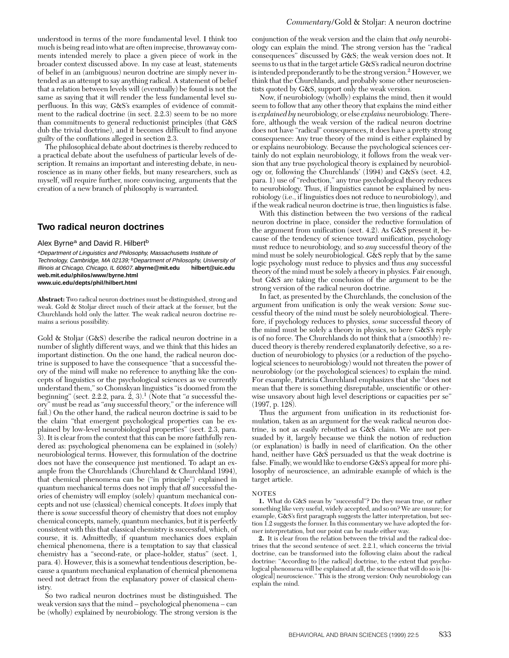understood in terms of the more fundamental level. I think too much is being read into what are often imprecise, throwaway comments intended merely to place a given piece of work in the broader context discussed above. In my case at least, statements of belief in an (ambiguous) neuron doctrine are simply never intended as an attempt to say anything radical. A statement of belief that a relation between levels will (eventually) be found is not the same as saying that it will render the less fundamental level superfluous. In this way, G&S's examples of evidence of commitment to the radical doctrine (in sect. 2.2.3) seem to be no more than commitments to general reductionist principles (that G&S dub the trivial doctrine), and it becomes difficult to find anyone guilty of the conflations alleged in section 2.3.

The philosophical debate about doctrines is thereby reduced to a practical debate about the usefulness of particular levels of description. It remains an important and interesting debate, in neuroscience as in many other fields, but many researchers, such as myself, will require further, more convincing, arguments that the creation of a new branch of philosophy is warranted.

## **Two radical neuron doctrines**

#### Alex Byrne<sup>a</sup> and David R. Hilbert<sup>b</sup>

aDepartment of Linguistics and Philosophy, Massachusetts Institute of Technology, Cambridge, MA 02139; <sup>b</sup>Department of Philosophy, University of Illinois at Chicago, Chicago, IL 60607. **abyrne@mit.edu hilbert@uic.edu web.mit.edu/philos/www/byrne.html www.uic.edu/depts/phil/hilbert.html**

**Abstract:** Two radical neuron doctrines must be distinguished, strong and weak. Gold & Stoljar direct much of their attack at the former, but the Churchlands hold only the latter. The weak radical neuron doctrine remains a serious possibility.

Gold & Stoljar (G&S) describe the radical neuron doctrine in a number of slightly different ways, and we think that this hides an important distinction. On the one hand, the radical neuron doctrine is supposed to have the consequence "that a successful theory of the mind will make no reference to anything like the concepts of linguistics or the psychological sciences as we currently understand them," so Chomskyan linguistics "is doomed from the beginning" (sect. 2.2.2, para. 2, 3).<sup>1</sup> (Note that "*a* successful theory" must be read as "*any* successful theory," or the inference will fail.) On the other hand, the radical neuron doctrine is said to be the claim "that emergent psychological properties can be explained by low-level neurobiological properties" (sect. 2.3, para. 3). It is clear from the context that this can be more faithfully rendered as: psychological phenomena can be explained in (solely) neurobiological terms. However, this formulation of the doctrine does not have the consequence just mentioned. To adapt an example from the Churchlands (Churchland & Churchland 1994), that chemical phenomena can be ("in principle") explained in quantum mechanical terms does not imply that *all* successful theories of chemistry will employ (solely) quantum mechanical concepts and not use (classical) chemical concepts. It *does* imply that there is *some* successful theory of chemistry that does not employ chemical concepts, namely, quantum mechanics, but it is perfectly consistent with this that classical chemistry is successful, which, of course, it is. Admittedly, if quantum mechanics does explain chemical phenomena, there is a temptation to say that classical chemistry has a "second-rate, or place-holder, status" (sect. 1, para. 4). However, this is a somewhat tendentious description, because a quantum mechanical explanation of chemical phenomena need not detract from the explanatory power of classical chemistry.

So two radical neuron doctrines must be distinguished. The weak version says that the mind – psychological phenomena – can be (wholly) explained by neurobiology. The strong version is the conjunction of the weak version and the claim that *only* neurobiology can explain the mind. The strong version has the "radical consequences" discussed by G&S; the weak version does not. It seems to us that in the target article G&S's radical neuron doctrine is intended preponderantly to be the strong version.2 However, we think that the Churchlands, and probably some other neuroscientists quoted by G&S, support only the weak version.

Now, if neurobiology (wholly) explains the mind, then it would seem to follow that any other theory that explains the mind either is *explained by* neurobiology, or else *explains* neurobiology. Therefore, although the weak version of the radical neuron doctrine does not have "radical" consequences, it does have a pretty strong consequence: Any true theory of the mind is either explained by or explains neurobiology. Because the psychological sciences certainly do not explain neurobiology, it follows from the weak version that any true psychological theory is explained by neurobiology or, following the Churchlands' (1994) and G&S's (sect. 4.2, para. 1) use of "reduction," any true psychological theory reduces to neurobiology. Thus, if linguistics cannot be explained by neurobiology (i.e., if linguistics does not reduce to neurobiology), and if the weak radical neuron doctrine is true, then linguistics is false.

With this distinction between the two versions of the radical neuron doctrine in place, consider the reductive formulation of the argument from unification (sect. 4.2). As G&S present it, because of the tendency of science toward unification, psychology must reduce to neurobiology, and so *any* successful theory of the mind must be solely neurobiological. G&S reply that by the same logic psychology must reduce to physics and thus *any* successful theory of the mind must be solely a theory in physics. Fair enough, but G&S are taking the conclusion of the argument to be the strong version of the radical neuron doctrine.

In fact, as presented by the Churchlands, the conclusion of the argument from unification is only the weak version: *Some* successful theory of the mind must be solely neurobiological. Therefore, if psychology reduces to physics, *some* successful theory of the mind must be solely a theory in physics, so here G&S's reply is of no force. The Churchlands do not think that a (smoothly) reduced theory is thereby rendered explanatorily defective, so a reduction of neurobiology to physics (or a reduction of the psychological sciences to neurobiology) would not threaten the power of neurobiology (or the psychological sciences) to explain the mind. For example, Patricia Churchland emphasizes that she "does not mean that there is something disreputable, unscientific or otherwise unsavory about high level descriptions or capacities per se" (1997, p. 128).

Thus the argument from unification in its reductionist formulation, taken as an argument for the weak radical neuron doctrine, is not as easily rebutted as G&S claim. We are not persuaded by it, largely because we think the notion of reduction (or explanation) is badly in need of clarification. On the other hand, neither have G&S persuaded us that the weak doctrine is false. Finally, we would like to endorse G&S's appeal for more philosophy of neuroscience, an admirable example of which is the target article.

#### NOTES

**1.** What do G&S mean by "successful"? Do they mean true, or rather something like very useful, widely accepted, and so on? We are unsure; for example, G&S's first paragraph suggests the latter interpretation, but section 1.2 suggests the former. In this commentary we have adopted the former interpretation, but our point can be made either way.

**2.** It is clear from the relation between the trivial and the radical doctrines that the second sentence of sect. 2.2.1, which concerns the trivial doctrine, can be transformed into the following claim about the radical doctrine: "According to [the radical] doctrine, to the extent that psychological phenomena will be explained at all, the science that will do so is [biological] neuroscience." This is the strong version: Only neurobiology can explain the mind.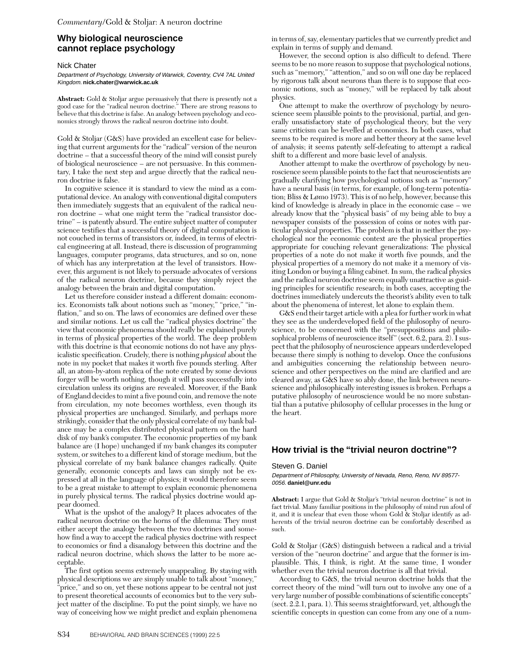## **Why biological neuroscience cannot replace psychology**

#### Nick Chater

Department of Psychology, University of Warwick, Coventry, CV4 7AL United Kingdom. **nick.chater@warwick.ac.uk**

Abstract: Gold & Stoljar argue persuasively that there is presently not a good case for the "radical neuron doctrine." There are strong reasons to believe that this doctrine is false. An analogy between psychology and economics strongly throws the radical neuron doctrine into doubt.

Gold & Stoljar (G&S) have provided an excellent case for believing that current arguments for the "radical" version of the neuron doctrine – that a successful theory of the mind will consist purely of biological neuroscience – are not persuasive. In this commentary, I take the next step and argue directly that the radical neuron doctrine is false.

In cognitive science it is standard to view the mind as a computational device. An analogy with conventional digital computers then immediately suggests that an equivalent of the radical neuron doctrine – what one might term the "radical transistor doctrine" – is patently absurd. The entire subject matter of computer science testifies that a successful theory of digital computation is not couched in terms of transistors or, indeed, in terms of electrical engineering at all. Instead, there is discussion of programming languages, computer programs, data structures, and so on, none of which has any interpretation at the level of transistors. However, this argument is not likely to persuade advocates of versions of the radical neuron doctrine, because they simply reject the analogy between the brain and digital computation.

Let us therefore consider instead a different domain: economics. Economists talk about notions such as "money," "price," "inflation," and so on. The laws of economics are defined over these and similar notions. Let us call the "radical physics doctrine" the view that economic phenomena should really be explained purely in terms of physical properties of the world. The deep problem with this doctrine is that economic notions do not have any physicalistic specification. Crudely, there is nothing *physical* about the note in my pocket that makes it worth five pounds sterling. After all, an atom-by-atom replica of the note created by some devious forger will be worth nothing, though it will pass successfully into circulation unless its origins are revealed. Moreover, if the Bank of England decides to mint a five pound coin, and remove the note from circulation, my note becomes worthless, even though its physical properties are unchanged. Similarly, and perhaps more strikingly, consider that the only physical correlate of my bank balance may be a complex distributed physical pattern on the hard disk of my bank's computer. The economic properties of my bank balance are (I hope) unchanged if my bank changes its computer system, or switches to a different kind of storage medium, but the physical correlate of my bank balance changes radically. Quite generally, economic concepts and laws can simply not be expressed at all in the language of physics; it would therefore seem to be a great mistake to attempt to explain economic phenomena in purely physical terms. The radical physics doctrine would appear doomed.

What is the upshot of the analogy? It places advocates of the radical neuron doctrine on the horns of the dilemma: They must either accept the analogy between the two doctrines and somehow find a way to accept the radical physics doctrine with respect to economics or find a disanalogy between this doctrine and the radical neuron doctrine, which shows the latter to be more acceptable.

The first option seems extremely unappealing. By staying with physical descriptions we are simply unable to talk about "money," "price," and so on, yet these notions appear to be central not just to present theoretical accounts of economics but to the very subject matter of the discipline. To put the point simply, we have no way of conceiving how we might predict and explain phenomena in terms of, say, elementary particles that we currently predict and explain in terms of supply and demand.

However, the second option is also difficult to defend. There seems to be no more reason to suppose that psychological notions, such as "memory," "attention," and so on will one day be replaced by rigorous talk about neurons than there is to suppose that economic notions, such as "money," will be replaced by talk about physics.

One attempt to make the overthrow of psychology by neuroscience seem plausible points to the provisional, partial, and generally unsatisfactory state of psychological theory, but the very same criticism can be levelled at economics. In both cases, what seems to be required is more and better theory at the same level of analysis; it seems patently self-defeating to attempt a radical shift to a different and more basic level of analysis.

Another attempt to make the overthrow of psychology by neuroscience seem plausible points to the fact that neuroscientists are gradually clarifying how psychological notions such as "memory" have a neural basis (in terms, for example, of long-term potentiation; Bliss & Lømo 1973). This is of no help, however, because this kind of knowledge is already in place in the economic case – we already know that the "physical basis" of my being able to buy a newspaper consists of the possession of coins or notes with particular physical properties. The problem is that in neither the psychological nor the economic context are the physical properties appropriate for couching relevant generalizations: The physical properties of a note do not make it worth five pounds, and the physical properties of a memory do not make it a memory of visiting London or buying a filing cabinet. In sum, the radical physics and the radical neuron doctrine seem equally unattractive as guiding principles for scientific research; in both cases, accepting the doctrines immediately undercuts the theorist's ability even to talk about the phenomena of interest, let alone to explain them.

G&S end their target article with a plea for further work in what they see as the underdeveloped field of the philosophy of neuroscience, to be concerned with the "presuppositions and philosophical problems of neuroscience itself" (sect. 6.2, para. 2). I suspect that the philosophy of neuroscience appears underdeveloped because there simply is nothing to develop. Once the confusions and ambiguities concerning the relationship between neuroscience and other perspectives on the mind are clarified and are cleared away, as G&S have so ably done, the link between neuroscience and philosophically interesting issues is broken. Perhaps a putative philosophy of neuroscience would be no more substantial than a putative philosophy of cellular processes in the lung or the heart.

## **How trivial is the "trivial neuron doctrine"?**

#### Steven G. Daniel

Department of Philosophy, University of Nevada, Reno, Reno, NV 89577- 0056. **daniel@unr.edu**

**Abstract:** I argue that Gold & Stoljar's "trivial neuron doctrine" is not in fact trivial. Many familiar positions in the philosophy of mind run afoul of it, and it is unclear that even those whom Gold & Stoljar identify as adherents of the trivial neuron doctrine can be comfortably described as such.

Gold & Stoljar (G&S) distinguish between a radical and a trivial version of the "neuron doctrine" and argue that the former is implausible. This, I think, is right. At the same time, I wonder whether even the trivial neuron doctrine is all that trivial.

According to G&S, the trivial neuron doctrine holds that the correct theory of the mind "will turn out to involve any one of a very large number of possible combinations of scientific concepts" (sect. 2.2.1, para. 1). This seems straightforward, yet, although the scientific concepts in question can come from any one of a num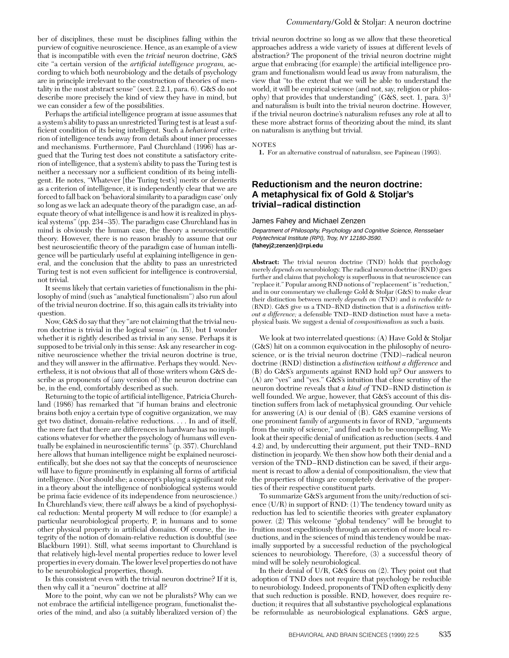ber of disciplines, these must be disciplines falling within the purview of cognitive neuroscience. Hence, as an example of a view that is incompatible with even the *trivial* neuron doctrine, G&S cite "a certain version of the *artificial intelligence program,* according to which both neurobiology and the details of psychology are in principle irrelevant to the construction of theories of mentality in the most abstract sense" (sect. 2.2.1, para. 6). G&S do not describe more precisely the kind of view they have in mind, but we can consider a few of the possibilities.

Perhaps the artificial intelligence program at issue assumes that a system's ability to pass an unrestricted Turing test is at least a sufficient condition of its being intelligent. Such a *behavioral* criterion of intelligence tends away from details about inner processes and mechanisms. Furthermore, Paul Churchland (1996) has argued that the Turing test does not constitute a satisfactory criterion of intelligence, that a system's ability to pass the Turing test is neither a necessary nor a sufficient condition of its being intelligent. He notes, "Whatever [the Turing test's] merits or demerits as a criterion of intelligence, it is independently clear that we are forced to fall back on 'behavioral similarity to a paradigm case' only so long as we lack an adequate theory of the paradigm case, an adequate theory of what intelligence is and how it is realized in physical systems" (pp. 234–35). The paradigm case Churchland has in mind is obviously the human case, the theory a neuroscientific theory. However, there is no reason brashly to assume that our best neuroscientific theory of the paradigm case of human intelligence will be particularly useful at explaining intelligence in general, and the conclusion that the ability to pass an unrestricted Turing test is not even sufficient for intelligence is controversial, not trivial.

It seems likely that certain varieties of functionalism in the philosophy of mind (such as "analytical functionalism") also run afoul of the trivial neuron doctrine. If so, this again calls its triviality into question.

Now, G&S do say that they "are not claiming that the trivial neuron doctrine is trivial in the logical sense" (n. 15), but I wonder whether it is rightly described as trivial in any sense. Perhaps it is supposed to be trivial only in this sense: Ask any researcher in cognitive neuroscience whether the trivial neuron doctrine is true, and they will answer in the affirmative. Perhaps they would. Nevertheless, it is not obvious that all of those writers whom G&S describe as proponents of (any version of) the neuron doctrine can be, in the end, comfortably described as such.

Returning to the topic of artificial intelligence, Patricia Churchland (1986) has remarked that "if human brains and electronic brains both enjoy a certain type of cognitive organization, we may get two distinct, domain-relative reductions. . . . In and of itself, the mere fact that there are differences in hardware has no implications whatever for whether the psychology of humans will eventually be explained in neuroscientific terms" (p. 357). Churchland here allows that human intelligence might be explained neuroscientifically, but she does not say that the concepts of neuroscience will have to figure prominently in explaining all forms of artificial intelligence. (Nor should she; a concept's playing a significant role in a theory about the intelligence of nonbiological systems would be prima facie evidence of its independence from neuroscience.) In Churchland's view, there *will* always be a kind of psychophysical reduction: Mental property M will reduce to (for example) a particular neurobiological property, P, in humans and to some other physical property in artificial domains. Of course, the integrity of the notion of domain-relative reduction is doubtful (see Blackburn 1991). Still, what seems important to Churchland is that relatively high-level mental properties reduce to lower level properties in every domain. The lower level properties do not have to be neurobiological properties, though.

Is this consistent even with the trivial neuron doctrine? If it is, then why call it a "neuron" doctrine at all?

More to the point, why can we not be pluralists? Why can we not embrace the artificial intelligence program, functionalist theories of the mind, and also (a suitably liberalized version of) the

trivial neuron doctrine so long as we allow that these theoretical approaches address a wide variety of issues at different levels of abstraction? The proponent of the trivial neuron doctrine might argue that embracing (for example) the artificial intelligence program and functionalism would lead us away from naturalism, the view that "to the extent that we will be able to understand the world, it will be empirical science (and not, say, religion or philosophy) that provides that understanding" (G&S, sect. 1, para.  $3$ )<sup>1</sup> and naturalism is built into the trivial neuron doctrine. However, if the trivial neuron doctrine's naturalism refuses any role at all to these more abstract forms of theorizing about the mind, its slant on naturalism is anything but trivial.

NOTES

**1.** For an alternative construal of naturalism, see Papineau (1993).

## **Reductionism and the neuron doctrine: A metaphysical fix of Gold & Stoljar's trivial–radical distinction**

James Fahey and Michael Zenzen

Department of Philosophy, Psychology and Cognitive Science, Rensselaer Polytechnical Institute (RPI), Troy, NY 12180-3590. **{faheyj2;zenzen}@rpi.edu**

**Abstract:** The trivial neuron doctrine (TND) holds that psychology merely *depends on* neurobiology. The radical neuron doctrine ( $\hat{RND}$ ) goes further and claims that psychology is superfluous in that neuroscience can "replace it." Popular among RND notions of "replacement" is "reduction," and in our commentary we challenge Gold & Stoljar (G&S) to make clear their distinction between merely *depends on* (TND) and *is reducible to* (RND). G&S give us a TND–RND distinction that is a *distinction without a difference;* a defensible TND–RND distinction must have a metaphysical basis. We suggest a denial of *compositionalism* as such a basis.

We look at two interrelated questions: (A) Have Gold & Stoljar (G&S) hit on a common equivocation in the philosophy of neuroscience, or is the trivial neuron doctrine (TND)–radical neuron doctrine (RND) distinction a *distinction without a difference* and (B) do G&S's arguments against RND hold up? Our answers to  $(A)$  are "yes" and "yes." G&S's intuition that close scrutiny of the neuron doctrine reveals that *a kind of* TND–RND distinction *is* well founded. We argue, however, that G&S's account of this distinction suffers from lack of metaphysical grounding. Our vehicle for answering  $(A)$  is our denial of  $(B)$ . G&S examine versions of one prominent family of arguments in favor of RND, "arguments from the unity of science," and find each to be uncompelling. We look at their specific denial of unification as reduction (sects. 4 and 4.2) and, by undercutting their argument, put their TND–RND distinction in jeopardy. We then show how both their denial and a version of the TND–RND distinction can be saved, if their argument is recast to allow a denial of compositionalism, the view that the properties of things are completely derivative of the properties of their respective constituent parts.

To summarize G&S's argument from the unity/reduction of science (U/R) in support of RND: (1) The tendency toward unity as reduction has led to scientific theories with greater explanatory power. (2) This welcome "global tendency" will be brought to fruition most expeditiously through an accretion of more local reductions, and in the sciences of mind this tendency would be maximally supported by a successful reduction of the psychological sciences to neurobiology. Therefore, (3) a successful theory of mind will be solely neurobiological.

In their denial of U/R, G&S focus on (2). They point out that adoption of TND does not require that psychology be reducible to neurobiology. Indeed, proponents of TND often explicitly deny that such reduction is possible. RND, however, does require reduction; it requires that all substantive psychological explanations be reformulable as neurobiological explanations. G&S argue,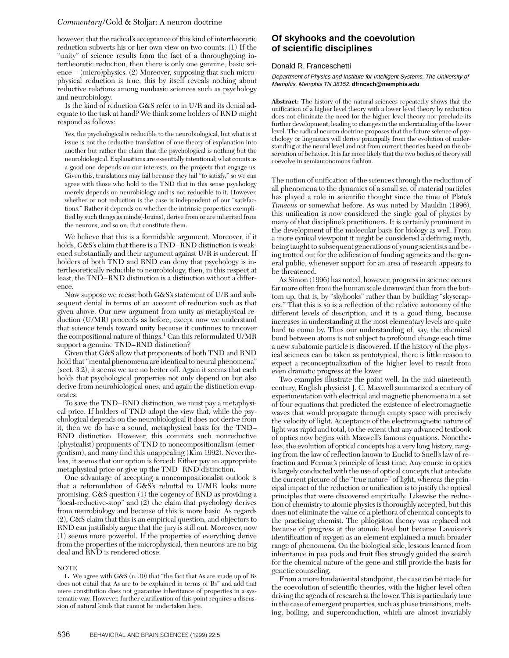### *Commentary/*Gold & Stoljar: A neuron doctrine

however, that the radical's acceptance of this kind of intertheoretic reduction subverts his or her own view on two counts: (1) If the "unity" of science results from the fact of a thoroughgoing intertheoretic reduction, then there is only one genuine, basic science – (micro)physics. (2) Moreover, supposing that such microphysical reduction is true, this by itself reveals nothing about reductive relations among nonbasic sciences such as psychology and neurobiology.

Is the kind of reduction G&S refer to in U/R and its denial adequate to the task at hand? We think some holders of RND might respond as follows:

Yes, the psychological is reducible to the neurobiological, but what is at issue is not the reductive translation of one theory of explanation into another but rather the claim that the psychological is nothing but the neurobiological. Explanations are essentially intentional; what counts as a good one depends on our interests, on the projects that engage us. Given this, translations may fail because they fail "to satisfy," so we can agree with those who hold to the TND that in this sense psychology merely depends on neurobiology and is not reducible to it. However, whether or not reduction is the case is independent of our "satisfactions." Rather it depends on whether the intrinsic properties exemplified by such things as minds(-brains), derive from or are inherited from the neurons, and so on, that constitute them.

We believe that this is a formidable argument. Moreover, if it holds, G&S's claim that there is a TND–RND distinction is weakened substantially and their argument against U/R is undercut. If holders of both TND and RND can deny that psychology is intertheoretically reducible to neurobiology, then, in this respect at least, the TND–RND distinction is a distinction without a difference.

Now suppose we recast both G&S's statement of U/R and subsequent denial in terms of an account of reduction such as that given above. Our new argument from unity as metaphysical reduction (U/MR) proceeds as before, except now we understand that science tends toward unity because it continues to uncover the compositional nature of things.<sup>1</sup> Can this reformulated U/MR support a genuine TND–RND distinction?

Given that G&S allow that proponents of both TND and RND hold that "mental phenomena are identical to neural phenomena" (sect. 3.2), it seems we are no better off. Again it seems that each holds that psychological properties not only depend on but also derive from neurobiological ones, and again the distinction evaporates.

To save the TND–RND distinction, we must pay a metaphysical price. If holders of TND adopt the view that, while the psychological depends on the neurobiological it does not derive from it, then we do have a sound, metaphysical basis for the TND– RND distinction. However, this commits such nonreductive (physicalist) proponents of TND to noncompositionalism (emergentism), and many find this unappealing (Kim 1992). Nevertheless, it seems that our option is forced: Either pay an appropriate metaphysical price or give up the TND–RND distinction.

One advantage of accepting a noncompositionalist outlook is that a reformulation of G&S's rebuttal to U/MR looks more promising. G&S question (1) the cogency of RND as providing a "local-reductive-stop" and (2) the claim that psychology derives from neurobiology and because of this is more basic. As regards (2), G&S claim that this is an empirical question, and objectors to RND can justifiably argue that the jury is still out. Moreover, now (1) seems more powerful. If the properties of everything derive from the properties of the microphysical, then neurons are no big deal and RND is rendered otiose.

#### **NOTE**

**1.** We agree with G&S (n. 30) that "the fact that As are made up of Bs does not entail that As are to be explained in terms of Bs" and add that mere constitution does not guarantee inheritance of properties in a systematic way. However, further clarification of this point requires a discussion of natural kinds that cannot be undertaken here.

## **Of skyhooks and the coevolution of scientific disciplines**

#### Donald R. Franceschetti

Department of Physics and Institute for Intelligent Systems, The University of Memphis, Memphis TN 38152. **dfrncsch@memphis.edu**

**Abstract:** The history of the natural sciences repeatedly shows that the unification of a higher level theory with a lower level theory by reduction does not eliminate the need for the higher level theory nor preclude its further development, leading to changes in the understanding of the lower level. The radical neuron doctrine proposes that the future science of psychology or linguistics will derive principally from the evolution of understanding at the neural level and not from current theories based on the observation of behavior. It is far more likely that the two bodies of theory will coevolve in semiautonomous fashion.

The notion of unification of the sciences through the reduction of all phenomena to the dynamics of a small set of material particles has played a role in scientific thought since the time of Plato's *Timaeus* or somewhat before. As was noted by Mauldin (1996), this unification is now considered the single goal of physics by many of that discipline's practitioners. It is certainly prominent in the development of the molecular basis for biology as well. From a more cynical viewpoint it might be considered a defining myth, being taught to subsequent generations of young scientists and being trotted out for the edification of funding agencies and the general public, whenever support for an area of research appears to be threatened.

As Simon (1996) has noted, however, progress in science occurs far more often from the human scale downward than from the bottom up, that is, by "skyhooks" rather than by building "skyscrapers." That this is so is a reflection of the relative autonomy of the different levels of description, and it is a good thing, because increases in understanding at the most elementary levels are quite hard to come by. Thus our understanding of, say, the chemical bond between atoms is not subject to profound change each time a new subatomic particle is discovered. If the history of the physical sciences can be taken as prototypical, there is little reason to expect a reconceptualization of the higher level to result from even dramatic progress at the lower.

Two examples illustrate the point well. In the mid-nineteenth century, English physicist J. C. Maxwell summarized a century of experimentation with electrical and magnetic phenomena in a set of four equations that predicted the existence of electromagnetic waves that would propagate through empty space with precisely the velocity of light. Acceptance of the electromagnetic nature of light was rapid and total, to the extent that any advanced textbook of optics now begins with Maxwell's famous equations. Nonetheless, the evolution of optical concepts has a very long history, ranging from the law of reflection known to Euclid to Snell's law of refraction and Fermat's principle of least time. Any course in optics is largely conducted with the use of optical concepts that antedate the current picture of the "true nature" of light, whereas the principal impact of the reduction or unification is to justify the optical principles that were discovered empirically. Likewise the reduction of chemistry to atomic physics is thoroughly accepted, but this does not eliminate the value of a plethora of chemical concepts to the practicing chemist. The phlogiston theory was replaced not because of progress at the atomic level but because Lavoisier's identification of oxygen as an element explained a much broader range of phenomena. On the biological side, lessons learned from inheritance in pea pods and fruit flies strongly guided the search for the chemical nature of the gene and still provide the basis for genetic counseling.

From a more fundamental standpoint, the case can be made for the coevolution of scientific theories, with the higher level often driving the agenda of research at the lower. This is particularly true in the case of emergent properties, such as phase transitions, melting, boiling, and superconduction, which are almost invariably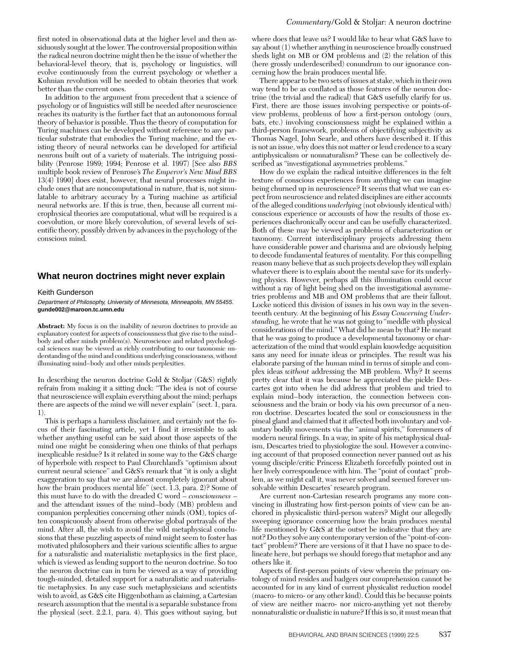first noted in observational data at the higher level and then assiduously sought at the lower. The controversial proposition within the radical neuron doctrine might then be the issue of whether the behavioral-level theory, that is, psychology or linguistics, will evolve continuously from the current psychology or whether a Kuhnian revolution will be needed to obtain theories that work better than the current ones.

In addition to the argument from precedent that a science of psychology or of linguistics will still be needed after neuroscience reaches its maturity is the further fact that an autonomous formal theory of behavior is possible. Thus the theory of computation for Turing machines can be developed without reference to any particular substrate that embodies the Turing machine, and the existing theory of neural networks can be developed for artificial neurons built out of a variety of materials. The intriguing possibility (Penrose 1989; 1994; Penrose et al. 1997) [See also *BBS* multiple book review of Penrose's *The Emperor's New Mind BBS* 13(4) 1990] does exist, however, that neural processes might include ones that are noncomputational in nature, that is, not simulatable to arbitrary accuracy by a Turing machine as artificial neural networks are. If this is true, then, because all current microphysical theories are computational, what will be required is a coevolution, or more likely corevolution, of several levels of scientific theory, possibly driven by advances in the psychology of the conscious mind.

## **What neuron doctrines might never explain**

#### Keith Gunderson

#### Department of Philosophy, University of Minnesota, Minneapolis, MN 55455. **gunde002@maroon.tc.umn.edu**

**Abstract:** My focus is on the inability of neuron doctrines to provide an explanatory context for aspects of consciousness that give rise to the mind– body and other minds problem(s). Neuroscience and related psychological sciences may be viewed as richly contributing to our taxonomic understanding of the mind and conditions underlying consciousness, without illuminating mind–body and other minds perplexities.

In describing the neuron doctrine Gold & Stoljar (G&S) rightly refrain from making it a sitting duck: "The idea is not of course that neuroscience will explain everything about the mind; perhaps there are aspects of the mind we will never explain" (sect. 1, para. 1).

This is perhaps a harmless disclaimer, and certainly not the focus of their fascinating article, yet I find it irresistible to ask whether anything useful can be said about those aspects of the mind one might be considering when one thinks of that perhaps inexplicable residue? Is it related in some way to the G&S charge of hyperbole with respect to Paul Churchland's "optimism about current neural science" and G&S's remark that "it is only a slight exaggeration to say that we are almost completely ignorant about how the brain produces mental life" (sect. 1.3, para. 2)? Some of this must have to do with the dreaded C word – *consciousness* – and the attendant issues of the mind–body (MB) problem and companion perplexities concerning other minds (OM), topics often conspicuously absent from otherwise global portrayals of the mind. After all, the wish to avoid the wild metaphysical conclusions that these puzzling aspects of mind might seem to foster has motivated philosophers and their various scientific allies to argue for a naturalistic and materialistic metaphysics in the first place, which is viewed as lending support to the neuron doctrine. So too the neuron doctrine can in turn be viewed as a way of providing tough-minded, detailed support for a naturalistic and materialistic metaphysics. In any case such metaphysicians and scientists wish to avoid, as G&S cite Higgenbotham as claiming, a Cartesian research assumption that the mental is a separable substance from the physical (sect. 2.2.1, para. 4). This goes without saying, but

where does that leave us? I would like to hear what G&S have to say about (1) whether anything in neuroscience broadly construed sheds light on MB or OM problems and (2) the relation of this (here grossly underdescribed) conundrum to our ignorance concerning how the brain produces mental life.

There appear to be two sets of issues at stake, which in their own way tend to be as conflated as those features of the neuron doctrine (the trivial and the radical) that G&S usefully clarify for us. First, there are those issues involving perspective or points-ofview problems, problems of how a first-person ontology (ours, bats, etc.) involving consciousness might be explained within a third-person framework, problems of objectifying subjectivity as Thomas Nagel, John Searle, and others have described it. If this is not an issue, why does this not matter or lend credence to a scary antiphysicalism or nonnaturalism? These can be collectively described as "investigational asymmetries problems."

How do we explain the radical intuitive differences in the felt texture of conscious experiences from anything we can imagine being churned up in neuroscience? It seems that what we can expect from neuroscience and related disciplines are either accounts of the alleged conditions *underlying* (not obviously identical with) conscious experience or accounts of how the results of those experiences diachronically occur and can be usefully characterized. Both of these may be viewed as problems of characterization or taxonomy. Current interdisciplinary projects addressing them have considerable power and charisma and are obviously helping to decode fundamental features of mentality. For this compelling reason many believe that as such projects develop they will explain whatever there is to explain about the mental save for its underlying physics. However, perhaps all this illumination could occur without a ray of light being shed on the investigational asymmetries problems and MB and OM problems that are their fallout. Locke noticed this division of issues in his own way in the seventeenth century. At the beginning of his *Essay Concerning Understanding,* he wrote that he was not going to "meddle with physical considerations of the mind." What did he mean by that? He meant that he was going to produce a developmental taxonomy or characterization of the mind that would explain knowledge acquisition sans any need for innate ideas or principles. The result was his elaborate parsing of the human mind in terms of simple and complex ideas *without* addressing the MB problem. Why? It seems pretty clear that it was because he appreciated the pickle Descartes got into when he did address that problem and tried to explain mind–body interaction, the connection between consciousness and the brain or body via his own precursor of a neuron doctrine. Descartes located the soul or consciousness in the pineal gland and claimed that it affected both involuntary and voluntary bodily movements via the "animal spirits," forerunners of modern neural firings. In a way, in spite of his metaphysical dualism, Descartes tried to physiologize the soul. However a convincing account of that proposed connection never panned out as his young disciple/critic Princess Elizabeth forcefully pointed out in her lively correspondence with him. The "point of contact" problem, as we might call it, was never solved and seemed forever unsolvable within Descartes' research program.

Are current non-Cartesian research programs any more convincing in illustrating how first-person points of view can be anchored in physicalistic third-person waters? Might our allegedly sweeping ignorance concerning how the brain produces mental life mentioned by G&S at the outset be indicative that they are not? Do they solve any contemporary version of the "point-of-contact" problem? There are versions of it that I have no space to delineate here, but perhaps we should forego that metaphor and any others like it.

Aspects of first-person points of view wherein the primary ontology of mind resides and badgers our comprehension cannot be accounted for in any kind of current physicalist reduction model (macro- to micro- or any other kind). Could this be because points of view are neither macro- nor micro-anything yet not thereby nonnaturalistic or dualistic in nature? If this is so, it must mean that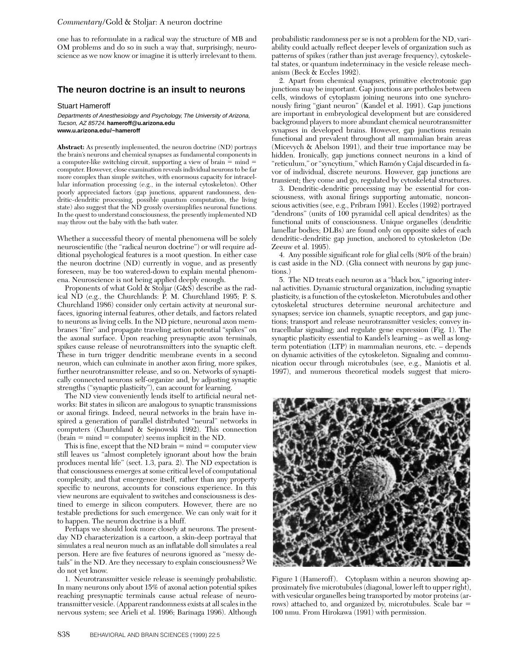### *Commentary/*Gold & Stoljar: A neuron doctrine

one has to reformulate in a radical way the structure of MB and OM problems and do so in such a way that, surprisingly, neuroscience as we now know or imagine it is utterly irrelevant to them.

#### **The neuron doctrine is an insult to neurons**

#### Stuart Hameroff

Departments of Anesthesiology and Psychology, The University of Arizona, Tucson, AZ 85724. **hameroff@u.arizona.edu www.u.arizona.edu/~hameroff**

**Abstract:** As presently implemented, the neuron doctrine (ND) portrays the brain's neurons and chemical synapses as fundamental components in a computer-like switching circuit, supporting a view of brain  $=$  mind  $=$ computer. However, close examination reveals individual neurons to be far more complex than simple switches, with enormous capacity for intracellular information processing (e.g., in the internal cytoskeleton). Other poorly appreciated factors (gap junctions, apparent randomness, dendritic-dendritic processing, possible quantum computation, the living state) also suggest that the ND grossly oversimplifies neuronal functions. In the quest to understand consciousness, the presently implemented ND may throw out the baby with the bath water.

Whether a successful theory of mental phenomena will be solely neuroscientific (the "radical neuron doctrine") or will require additional psychological features is a moot question. In either case the neuron doctrine (ND) currently in vogue, and as presently foreseen, may be too watered-down to explain mental phenomena. Neuroscience is not being applied deeply enough.

Proponents of what Gold & Stoljar (G&S) describe as the radical ND (e.g., the Churchlands: P. M. Churchland 1995; P. S. Churchland 1986) consider only certain activity at neuronal surfaces, ignoring internal features, other details, and factors related to neurons as living cells. In the ND picture, neuronal axon membranes "fire" and propagate traveling action potential "spikes" on the axonal surface. Upon reaching presynaptic axon terminals, spikes cause release of neurotransmitters into the synaptic cleft. These in turn trigger dendritic membrane events in a second neuron, which can culminate in another axon firing, more spikes, further neurotransmitter release, and so on. Networks of synaptically connected neurons self-organize and, by adjusting synaptic strengths ("synaptic plasticity"), can account for learning.

The ND view conveniently lends itself to artificial neural networks: Bit states in silicon are analogous to synaptic transmissions or axonal firings. Indeed, neural networks in the brain have inspired a generation of parallel distributed "neural" networks in computers (Churchland & Sejnowski 1992). This connection  ${\rm (brain = mind = computer)}$  seems implicit in the ND.

This is fine, except that the ND brain  $=$  mind  $=$  computer view still leaves us "almost completely ignorant about how the brain produces mental life" (sect. 1.3, para. 2). The ND expectation is that consciousness emerges at some critical level of computational complexity, and that emergence itself, rather than any property specific to neurons, accounts for conscious experience. In this view neurons are equivalent to switches and consciousness is destined to emerge in silicon computers. However, there are no testable predictions for such emergence. We can only wait for it to happen. The neuron doctrine is a bluff.

Perhaps we should look more closely at neurons. The presentday ND characterization is a cartoon, a skin-deep portrayal that simulates a real neuron much as an inflatable doll simulates a real person. Here are five features of neurons ignored as "messy details" in the ND. Are they necessary to explain consciousness? We do not yet know.

1. Neurotransmitter vesicle release is seemingly probabilistic. In many neurons only about 15% of axonal action potential spikes reaching presynaptic terminals cause actual release of neurotransmitter vesicle. (Apparent randomness exists at all scales in the nervous system; see Arieli et al. 1996; Barinaga 1996). Although probabilistic randomness per se is not a problem for the ND, variability could actually reflect deeper levels of organization such as patterns of spikes (rather than just average frequency), cytoskeletal states, or quantum indeterminacy in the vesicle release mechanism (Beck & Eccles 1992).

2. Apart from chemical synapses, primitive electrotonic gap junctions may be important. Gap junctions are portholes between cells, windows of cytoplasm joining neurons into one synchronously firing "giant neuron" (Kandel et al. 1991). Gap junctions are important in embryological development but are considered background players to more abundant chemical neurotransmitter synapses in developed brains. However, gap junctions remain functional and prevalent throughout all mammalian brain areas (Micevych & Abelson 1991), and their true importance may be hidden. Ironically, gap junctions connect neurons in a kind of "reticulum," or "syncytium," which Ramón y Cajal discarded in favor of individual, discrete neurons. However, gap junctions are transient; they come and go, regulated by cytoskeletal structures.

3. Dendritic-dendritic processing may be essential for consciousness, with axonal firings supporting automatic, nonconscious activities (see, e.g., Pribram 1991). Eccles (1992) portrayed "dendrons" (units of 100 pyramidal cell apical dendrites) as the functional units of consciousness. Unique organelles (dendritic lamellar bodies; DLBs) are found only on opposite sides of each dendritic-dendritic gap junction, anchored to cytoskeleton (De Zeeuw et al. 1995).

4. Any possible significant role for glial cells (80% of the brain) is cast aside in the ND. (Glia connect with neurons by gap junctions.

5. The ND treats each neuron as a "black box," ignoring internal activities. Dynamic structural organization, including synaptic plasticity, is a function of the cytoskeleton. Microtubules and other cytoskeletal structures determine neuronal architecture and synapses; service ion channels, synaptic receptors, and gap junctions; transport and release neurotransmitter vesicles; convey intracellular signaling; and regulate gene expression (Fig. 1). The synaptic plasticity essential to Kandel's learning – as well as longterm potentiation (LTP) in mammalian neurons, etc. – depends on dynamic activities of the cytoskeleton. Signaling and communication occur through microtubules (see, e.g., Maniotis et al. 1997), and numerous theoretical models suggest that micro-



Figure 1 (Hameroff). Cytoplasm within a neuron showing approximately five microtubules (diagonal, lower left to upper right), with vesicular organelles being transported by motor proteins (arrows) attached to, and organized by, microtubules. Scale bar  $=$ 100 nmu. From Hirokawa (1991) with permission.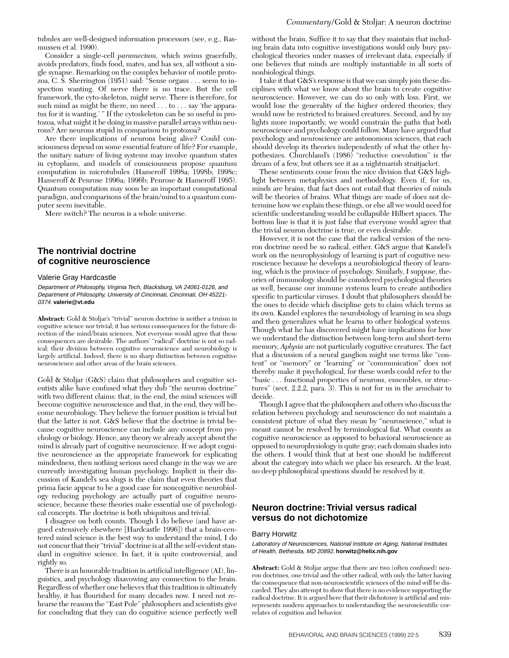tubules are well-designed information processors (see, e.g., Rasmussen et al. 1990).

Consider a single-cell *paramecium,* which swims gracefully, avoids predators, finds food, mates, and has sex, all without a single synapse. Remarking on the complex behavior of motile protozoa, C. S. Sherrington (1951) said: "Sense organs . . . seem to inspection wanting. Of nerve there is no trace. But the cell framework, the cyto-skeleton, might serve. There is therefore, for such mind as might be there, no need . . . to . . . say 'the apparatus for it is wanting.' " If the cytoskeleton can be so useful in protozoa, what might it be doing in massive parallel arrays within neurons? Are neurons stupid in comparison to protozoa?

Are there implications of neurons being alive? Could consciousness depend on some essential feature of life? For example, the unitary nature of living systems may involve quantum states in cytoplasm, and models of consciousness propose quantum computation in microtubules (Hameroff 1998a; 1998b; 1998c; Hameroff & Penrose 1996a; 1996b; Penrose & Hameroff 1995). Quantum computation may soon be an important computational paradigm, and comparisons of the brain/mind to a quantum computer seem inevitable.

Mere switch? The neuron is a whole universe.

## **The nontrivial doctrine of cognitive neuroscience**

#### Valerie Gray Hardcastle

Department of Philosophy, Virginia Tech, Blacksburg, VA 24061-0126, and Department of Philosophy, University of Cincinnati, Cincinnati, OH 45221- 0374. **valerie@vt.edu**

**Abstract:** Gold & Stoljar's "trivial" neuron doctrine is neither a truism in cognitive science nor trivial; it has serious consequences for the future direction of the mind/brain sciences. Not everyone would agree that these consequences are desirable. The authors' "radical" doctrine is not so radical; their division between cognitive neuroscience and neurobiology is largely artificial. Indeed, there is no sharp distinction between cognitive neuroscience and other areas of the brain sciences.

Gold & Stoljar (G&S) claim that philosophers and cognitive scientists alike have confused what they dub "the neuron doctrine" with two different claims: that, in the end, the mind sciences will become cognitive neuroscience and that, in the end, they will become neurobiology. They believe the former position is trivial but that the latter is not. G&S believe that the doctrine is trivial because cognitive neuroscience can include any concept from psychology or biology. Hence, any theory we already accept about the mind is already part of cognitive neuroscience. If we adopt cognitive neuroscience as the appropriate framework for explicating mindedness, then nothing serious need change in the way we are currently investigating human psychology. Implicit in their discussion of Kandel's sea slugs is the claim that even theories that prima facie appear to be a good case for noncognitive neurobiology reducing psychology are actually part of cognitive neuroscience, because these theories make essential use of psychological concepts. The doctrine is both ubiquitous and trivial.

I disagree on both counts. Though I do believe (and have argued extensively elsewhere [Hardcastle 1996]) that a brain-centered mind science is the best way to understand the mind, I do not concur that their "trivial" doctrine is at all the self-evident standard in cognitive science. In fact, it is quite controversial, and rightly so.

There is an honorable tradition in artificial intelligence (AI), linguistics, and psychology disavowing any connection to the brain. Regardless of whether one believes that this tradition is ultimately healthy, it has flourished for many decades now. I need not rehearse the reasons the "East Pole" philosophers and scientists give for concluding that they can do cognitive science perfectly well

without the brain. Suffice it to say that they maintain that including brain data into cognitive investigations would only bury psychological theories under masses of irrelevant data, especially if one believes that minds are multiply instantiable in all sorts of nonbiological things.

I take it that G&S's response is that we can simply join these disciplines with what we know about the brain to create cognitive neuroscience. However, we can do so only with loss. First, we would lose the generality of the higher ordered theories; they would now be restricted to brained creatures. Second, and by my lights more importantly, we would constrain the paths that both neuroscience and psychology could follow. Many have argued that psychology and neuroscience are autonomous sciences, that each should develop its theories independently of what the other hypothesizes. Churchland's (1986) "reductive coevolution" is the dream of a few, but others see it as a nightmarish straitjacket.

These sentiments come from the nice division that G&S highlight between metaphysics and methodology. Even if, for us, minds are brains, that fact does not entail that theories of minds will be theories of brains. What things are made of does not determine how we explain these things, or else all we would need for scientific understanding would be collapsible Hilbert spaces. The bottom line is that it is just false that everyone would agree that the trivial neuron doctrine is true, or even desirable.

However, it is not the case that the radical version of the neuron doctrine need be so radical, either. G&S argue that Kandel's work on the neurophysiology of learning is part of cognitive neuroscience because he develops a neurobiological theory of learning, which is the province of psychology. Similarly, I suppose, theories of immunology should be considered psychological theories as well, because our immune systems learn to create antibodies specific to particular viruses. I doubt that philosophers should be the ones to decide which discipline gets to claim which terms as its own. Kandel explores the neurobiology of learning in sea slugs and then generalizes what he learns to other biological systems. Though what he has discovered might have implications for how we understand the distinction between long-term and short-term memory, *Aplysia* are not particularly cognitive creatures. The fact that a discussion of a neural ganglion might use terms like "content" or "memory" or "learning" or "communication" does not thereby make it psychological, for these words could refer to the "basic . . . functional properties of neurons, ensembles, or structures" (sect. 2.2.2, para. 3). This is not for us in the armchair to decide.

Though I agree that the philosophers and others who discuss the relation between psychology and neuroscience do not maintain a consistent picture of what they mean by "neuroscience," what is meant cannot be resolved by terminological fiat. What counts as cognitive neuroscience as opposed to behavioral neuroscience as opposed to neurophysiology is quite gray; each domain shades into the others. I would think that at best one should be indifferent about the category into which we place his research. At the least, no deep philosophical questions should be resolved by it.

## **Neuron doctrine:Trivial versus radical versus do not dichotomize**

#### Barry Horwitz

Laboratory of Neurosciences, National Institute on Aging, National Institutes of Health, Bethesda, MD 20892. **horwitz@helix.nih.gov**

Abstract: Gold & Stoljar argue that there are two (often confused) neuron doctrines, one trivial and the other radical, with only the latter having the consequence that non-neuroscientific sciences of the mind will be discarded. They also attempt to show that there is no evidence supporting the radical doctrine. It is argued here that their dichotomy is artificial and misrepresents modern approaches to understanding the neuroscientific correlates of cognition and behavior.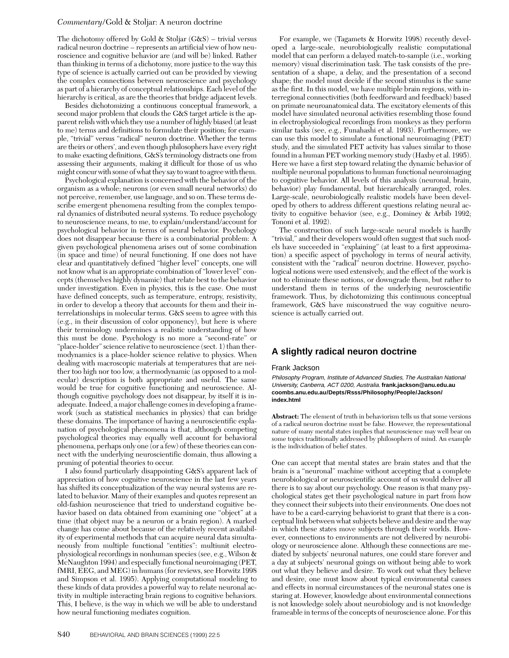### *Commentary/*Gold & Stoljar: A neuron doctrine

The dichotomy offered by Gold  $\&$  Stoljar (G $\&$ S) – trivial versus radical neuron doctrine – represents an artificial view of how neuroscience and cognitive behavior are (and will be) linked. Rather than thinking in terms of a dichotomy, more justice to the way this type of science is actually carried out can be provided by viewing the complex connections between neuroscience and psychology as part of a hierarchy of conceptual relationships. Each level of the hierarchy is critical, as are the theories that bridge adjacent levels.

Besides dichotomizing a continuous conceptual framework, a second major problem that clouds the G&S target article is the apparent relish with which they use a number of highly biased (at least to me) terms and definitions to formulate their position; for example, "trivial" versus "radical" neuron doctrine. Whether the terms are theirs or others', and even though philosophers have every right to make exacting definitions, G&S's terminology distracts one from assessing their arguments, making it difficult for those of us who might concur with some of what they say to want to agree with them.

Psychological explanation is concerned with the behavior of the organism as a whole; neurons (or even small neural networks) do not perceive, remember, use language, and so on. These terms describe emergent phenomena resulting from the complex temporal dynamics of distributed neural systems. To reduce psychology to neuroscience means, to me, to explain/understand/account for psychological behavior in terms of neural behavior. Psychology does not disappear because there is a combinatorial problem: A given psychological phenomena arises out of some combination (in space and time) of neural functioning. If one does not have clear and quantitatively defined "higher level" concepts, one will not know what is an appropriate combination of "lower level" concepts (themselves highly dynamic) that relate best to the behavior under investigation. Even in physics, this is the case. One must have defined concepts, such as temperature, entropy, resistivity, in order to develop a theory that accounts for them and their interrelationships in molecular terms. G&S seem to agree with this (e.g., in their discussion of color opponency), but here is where their terminology undermines a realistic understanding of how this must be done. Psychology is no more a "second-rate" or "place-holder" science relative to neuroscience (sect. 1) than thermodynamics is a place-holder science relative to physics. When dealing with macroscopic materials at temperatures that are neither too high nor too low, a thermodynamic (as opposed to a molecular) description is both appropriate and useful. The same would be true for cognitive functioning and neuroscience. Although cognitive psychology does not disappear, by itself it is inadequate. Indeed, a major challenge comes in developing a framework (such as statistical mechanics in physics) that can bridge these domains. The importance of having a neuroscientific explanation of psychological phenomena is that, although competing psychological theories may equally well account for behavioral phenomena, perhaps only one (or a few) of these theories can connect with the underlying neuroscientific domain, thus allowing a pruning of potential theories to occur.

I also found particularly disappointing G&S's apparent lack of appreciation of how cognitive neuroscience in the last few years has shifted its conceptualization of the way neural systems are related to behavior. Many of their examples and quotes represent an old-fashion neuroscience that tried to understand cognitive behavior based on data obtained from examining one "object" at a time (that object may be a neuron or a brain region). A marked change has come about because of the relatively recent availability of experimental methods that can acquire neural data simultaneously from multiple functional "entities": multiunit electrophysiological recordings in nonhuman species (see, e.g., Wilson & McNaughton 1994) and especially functional neuroimaging (PET, fMRI, EEG, and MEG) in humans (for reviews, see Horwitz 1998 and Simpson et al. 1995). Applying computational modeling to these kinds of data provides a powerful way to relate neuronal activity in multiple interacting brain regions to cognitive behaviors. This, I believe, is the way in which we will be able to understand how neural functioning mediates cognition.

For example, we (Tagamets & Horwitz 1998) recently developed a large-scale, neurobiologically realistic computational model that can perform a delayed match-to-sample (i.e., working memory) visual discrimination task. The task consists of the presentation of a shape, a delay, and the presentation of a second shape; the model must decide if the second stimulus is the same as the first. In this model, we have multiple brain regions, with interregional connectivities (both feedforward and feedback) based on primate neuroanatomical data. The excitatory elements of this model have simulated neuronal activities resembling those found in electrophysiological recordings from monkeys as they perform similar tasks (see, e.g., Funahashi et al. 1993). Furthermore, we can use this model to simulate a functional neuroimaging (PET) study, and the simulated PET activity has values similar to those found in a human PET working memory study (Haxby et al. 1995). Here we have a first step toward relating the dynamic behavior of multiple neuronal populations to human functional neuroimaging to cognitive behavior. All levels of this analysis (neuronal, brain, behavior) play fundamental, but hierarchically arranged, roles. Large-scale, neurobiologically realistic models have been developed by others to address different questions relating neural activity to cognitive behavior (see, e.g., Dominey & Arbib 1992; Tononi et al. 1992).

The construction of such large-scale neural models is hardly "trivial," and their developers would often suggest that such models have succeeded in "explaining" (at least to a first approximation) a specific aspect of psychology in terms of neural activity, consistent with the "radical" neuron doctrine. However, psychological notions were used extensively, and the effect of the work is not to eliminate these notions, or downgrade them, but rather to understand them in terms of the underlying neuroscientific framework. Thus, by dichotomizing this continuous conceptual framework, G&S have misconstrued the way cognitive neuroscience is actually carried out.

## **A slightly radical neuron doctrine**

#### Frank Jackson

Philosophy Program, Institute of Advanced Studies, The Australian National University, Canberra, ACT 0200, Australia. **frank.jackson@anu.edu.au coombs.anu.edu.au/Depts/Rsss/Philosophy/People/Jackson/ index.html**

**Abstract:** The element of truth in behaviorism tells us that some versions of a radical neuron doctrine must be false. However, the representational nature of many mental states implies that neuroscience may well bear on some topics traditionally addressed by philosophers of mind. An example is the individuation of belief states.

One can accept that mental states are brain states and that the brain is a "neuronal" machine without accepting that a complete neurobiological or neuroscientific account of us would deliver all there is to say about our psychology. One reason is that many psychological states get their psychological nature in part from how they connect their subjects into their environments. One does not have to be a card-carrying behaviorist to grant that there is a conceptual link between what subjects believe and desire and the way in which these states move subjects through their worlds. However, connections to environments are not delivered by neurobiology or neuroscience alone. Although these connections are mediated by subjects' neuronal natures, one could stare forever and a day at subjects' neuronal goings on without being able to work out what they believe and desire. To work out what they believe and desire, one must know about typical environmental causes and effects in normal circumstances of the neuronal states one is staring at. However, knowledge about environmental connections is not knowledge solely about neurobiology and is not knowledge frameable in terms of the concepts of neuroscience alone. For this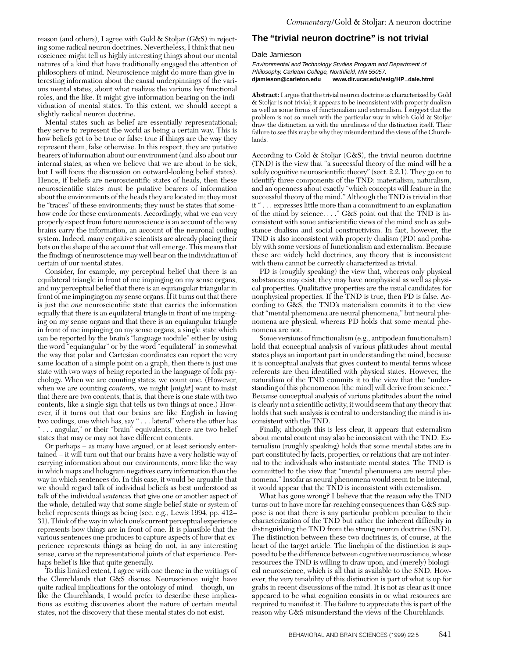reason (and others), I agree with Gold & Stoljar (G&S) in rejecting some radical neuron doctrines. Nevertheless, I think that neuroscience might tell us highly interesting things about our mental natures of a kind that have traditionally engaged the attention of philosophers of mind. Neuroscience might do more than give interesting information about the causal underpinnings of the various mental states, about what realizes the various key functional roles, and the like. It might give information bearing on the individuation of mental states. To this extent, we should accept a slightly radical neuron doctrine.

Mental states such as belief are essentially representational; they serve to represent the world as being a certain way. This is how beliefs get to be true or false: true if things are the way they represent them, false otherwise. In this respect, they are putative bearers of information about our environment (and also about our internal states, as when we believe that we are about to be sick, but I will focus the discussion on outward-looking belief states). Hence, if beliefs are neuroscientific states of heads, then these neuroscientific states must be putative bearers of information about the environments of the heads they are located in; they must be "traces" of these environments; they must be states that somehow code for these environments. Accordingly, what we can very properly expect from future neuroscience is an account of the way brains carry the information, an account of the neuronal coding system. Indeed, many cognitive scientists are already placing their bets on the shape of the account that will emerge. This means that the findings of neuroscience may well bear on the individuation of certain of our mental states.

Consider, for example, my perceptual belief that there is an equilateral triangle in front of me impinging on my sense organs, and my perceptual belief that there is an equiangular triangular in front of me impinging on my sense organs. If it turns out that there is just the *one* neuroscientific state that carries the information equally that there is an equilateral triangle in front of me impinging on my sense organs and that there is an equiangular triangle in front of me impinging on my sense organs, a single state which can be reported by the brain's "language module" either by using the word "equiangular" or by the word "equilateral" in somewhat the way that polar and Cartesian coordinates can report the very same location of a simple point on a graph, then there is just one state with two ways of being reported in the language of folk psychology. When we are counting states, we count one. (However, when we are counting *contents,* we might [*might*] want to insist that there are two contents, that is, that there is one state with two contents, like a single sign that tells us two things at once.) However, if it turns out that our brains are like English in having two codings, one which has, say " . . . lateral" where the other has ... angular," or their "brain" equivalents, there are two belief states that may or may not have different contents.

Or perhaps – as many have argued, or at least seriously entertained – it will turn out that our brains have a very holistic way of carrying information about our environments, more like the way in which maps and hologram negatives carry information than the way in which sentences do. In this case, it would be arguable that we should regard talk of individual beliefs as best understood as talk of the individual *sentences* that give one or another aspect of the whole, detailed way that some single belief state or system of belief represents things as being (see, e.g., Lewis 1994, pp. 412– 31). Think of the way in which one's current perceptual experience represents how things are in front of one. It is plausible that the various sentences one produces to capture aspects of how that experience represents things as being do not, in any interesting sense, carve at the representational joints of that experience. Perhaps belief is like that quite generally.

To this limited extent, I agree with one theme in the writings of the Churchlands that G&S discuss. Neuroscience might have quite radical implications for the ontology of mind – though, unlike the Churchlands, I would prefer to describe these implications as exciting discoveries about the nature of certain mental states, not the discovery that these mental states do not exist.

## **The "trivial neuron doctrine" is not trivial**

#### Dale Jamieson

Environmental and Technology Studies Program and Department of Philosophy, Carleton College, Northfield, MN 55057. **djamieson@carleton.edu www.dir.ucar.edu/esig/HP–dale.html**

**Abstract:** I argue that the trivial neuron doctrine as characterized by Gold & Stoljar is not trivial; it appears to be inconsistent with property dualism as well as some forms of functionalism and externalism. I suggest that the problem is not so much with the particular way in which Gold & Stoljar draw the distinction as with the unruliness of the distinction itself. Their failure to see this may be why they misunderstand the views of the Churchlands.

According to Gold & Stoljar (G&S), the trivial neuron doctrine (TND) is the view that "a successful theory of the mind will be a solely cognitive neuroscientific theory" (sect. 2.2.1). They go on to identify three components of the TND: materialism, naturalism, and an openness about exactly "which concepts will feature in the successful theory of the mind." Although the TND is trivial in that it " . . . expresses little more than a commitment to an explanation of the mind by science. . . ." G&S point out that the TND is inconsistent with some antiscientific views of the mind such as substance dualism and social constructivism. In fact, however, the TND is also inconsistent with property dualism (PD) and probably with some versions of functionalism and externalism. Because these are widely held doctrines, any theory that is inconsistent with them cannot be correctly characterized as trivial.

PD is (roughly speaking) the view that, whereas only physical substances may exist, they may have nonphysical as well as physical properties. Qualitative properties are the usual candidates for nonphysical properties. If the TND is true, then PD is false. According to G&S, the TND's materialism commits it to the view that "mental phenomena are neural phenomena," but neural phenomena are physical, whereas PD holds that some mental phenomena are not.

Some versions of functionalism (e.g., antipodean functionalism) hold that conceptual analysis of various platitudes about mental states plays an important part in understanding the mind, because it is conceptual analysis that gives content to mental terms whose referents are then identified with physical states. However, the naturalism of the TND commits it to the view that the "understanding of this phenomenon [the mind] will derive from science." Because conceptual analysis of various platitudes about the mind is clearly not a scientific activity, it would seem that any theory that holds that such analysis is central to understanding the mind is inconsistent with the TND.

Finally, although this is less clear, it appears that externalism about mental content may also be inconsistent with the TND. Externalism (roughly speaking) holds that some mental states are in part constituted by facts, properties, or relations that are not internal to the individuals who instantiate mental states. The TND is committed to the view that "mental phenomena are neural phenomena." Insofar as neural phenomena would seem to be internal, it would appear that the TND is inconsistent with externalism.

What has gone wrong? I believe that the reason why the TND turns out to have more far-reaching consequences than G&S suppose is not that there is any particular problem peculiar to their characterization of the TND but rather the inherent difficulty in distinguishing the TND from the strong neuron doctrine (SND). The distinction between these two doctrines is, of course, at the heart of the target article. The linchpin of the distinction is supposed to be the difference between cognitive neuroscience, whose resources the TND is willing to draw upon, and (merely) biological neuroscience, which is all that is available to the SND. However, the very tenability of this distinction is part of what is up for grabs in recent discussions of the mind. It is not as clear as it once appeared to be what cognition consists in or what resources are required to manifest it. The failure to appreciate this is part of the reason why G&S misunderstand the views of the Churchlands.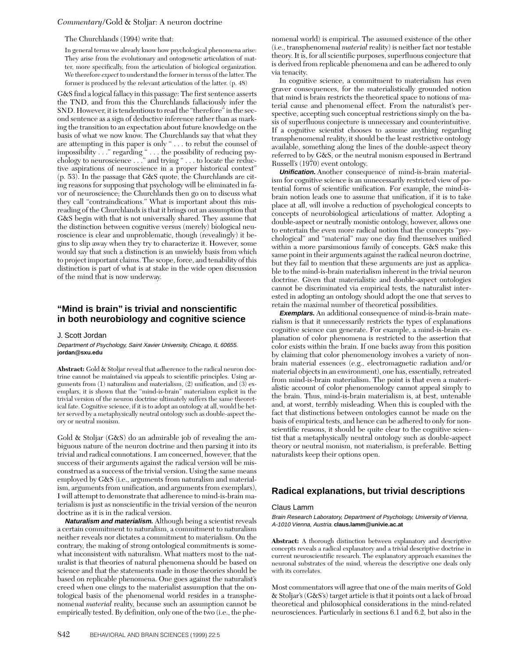#### *Commentary/*Gold & Stoljar: A neuron doctrine

#### The Churchlands (1994) write that:

In general terms we already know how psychological phenomena arise: They arise from the evolutionary and ontogenetic articulation of matter, more specifically, from the articulation of biological organization. We therefore *expect* to understand the former in terms of the latter. The former is produced by the relevant articulation of the latter. (p. 48)

G&S find a logical fallacy in this passage: The first sentence asserts the TND, and from this the Churchlands fallaciously infer the SND. However, it is tendentious to read the "therefore" in the second sentence as a sign of deductive inference rather than as marking the transition to an expectation about future knowledge on the basis of what we now know. The Churchlands say that what they are attempting in this paper is only " . . . to rebut the counsel of impossibility . . ." regarding " . . . the possibility of reducing psychology to neuroscience . . ." and trying " . . . to locate the reductive aspirations of neuroscience in a proper historical context" (p. 53). In the passage that G&S quote, the Churchlands are citing reasons for supposing that psychology will be eliminated in favor of neuroscience; the Churchlands then go on to discuss what they call "contraindications." What is important about this misreading of the Churchlands is that it brings out an assumption that G&S begin with that is not universally shared. They assume that the distinction between cognitive versus (merely) biological neuroscience is clear and unproblematic, though (revealingly) it begins to slip away when they try to characterize it. However, some would say that such a distinction is an unwieldy basis from which to project important claims. The scope, force, and tenability of this distinction is part of what is at stake in the wide open discussion of the mind that is now underway.

## **"Mind is brain" is trivial and nonscientific in both neurobiology and cognitive science**

#### J. Scott Jordan

#### Department of Psychology, Saint Xavier University, Chicago, IL 60655. **jordan@sxu.edu**

**Abstract:** Gold & Stoljar reveal that adherence to the radical neuron doctrine cannot be maintained via appeals to scientific principles. Using arguments from  $(1)$  naturalism and materialism,  $(2)$  unification, and  $(3)$  exemplars, it is shown that the "mind-is-brain" materialism explicit in the trivial version of the neuron doctrine ultimately suffers the same theoretical fate. Cognitive science, if it is to adopt an ontology at all, would be better served by a metaphysically neutral ontology such as double-aspect theory or neutral monism.

Gold & Stoljar (G&S) do an admirable job of revealing the ambiguous nature of the neuron doctrine and then parsing it into its trivial and radical connotations. I am concerned, however, that the success of their arguments against the radical version will be misconstrued as a success of the trivial version. Using the same means employed by G&S (i.e., arguments from naturalism and materialism, arguments from unification, and arguments from exemplars), I will attempt to demonstrate that adherence to mind-is-brain materialism is just as nonscientific in the trivial version of the neuron doctrine as it is in the radical version.

**Naturalism and materialism.** Although being a scientist reveals a certain commitment to naturalism, a commitment to naturalism neither reveals nor dictates a commitment to materialism. On the contrary, the making of strong ontological commitments is somewhat inconsistent with naturalism. What matters most to the naturalist is that theories of natural phenomena should be based on science and that the statements made in those theories should be based on replicable phenomena. One goes against the naturalist's creed when one clings to the materialist assumption that the ontological basis of the phenomenal world resides in a transphenomenal *material* reality, because such an assumption cannot be empirically tested. By definition, only one of the two (i.e., the phenomenal world) is empirical. The assumed existence of the other (i.e., transphenomenal *material* reality) is neither fact nor testable theory. It is, for all scientific purposes, superfluous conjecture that is derived from replicable phenomena and can be adhered to only via tenacity.

In cognitive science, a commitment to materialism has even graver consequences, for the materialistically grounded notion that mind is brain restricts the theoretical space to notions of material cause and phenomenal effect. From the naturalist's perspective, accepting such conceptual restrictions simply on the basis of superfluous conjecture is unnecessary and counterintuitive. If a cognitive scientist chooses to assume anything regarding transphenomenal reality, it should be the least restrictive ontology available, something along the lines of the double-aspect theory referred to by G&S, or the neutral monism espoused in Bertrand Russell's (1970) event ontology.

**Unification.** Another consequence of mind-is-brain materialism for cognitive science is an unnecessarily restricted view of potential forms of scientific unification. For example, the mind-isbrain notion leads one to assume that unification, if it is to take place at all, will involve a reduction of psychological concepts to concepts of neurobiological articulations of matter. Adopting a double-aspect or neutrally monistic ontology, however, allows one to entertain the even more radical notion that the concepts "psychological" and "material" may one day find themselves unified within a more parsimonious family of concepts. G&S make this same point in their arguments against the radical neuron doctrine, but they fail to mention that these arguments are just as applicable to the mind-is-brain materialism inherent in the trivial neuron doctrine. Given that materialistic and double-aspect ontologies cannot be discriminated via empirical tests, the naturalist interested in adopting an ontology should adopt the one that serves to retain the maximal number of theoretical possibilities.

**Exemplars.** An additional consequence of mind-is-brain materialism is that it unnecessarily restricts the types of explanations cognitive science can generate. For example, a mind-is-brain explanation of color phenomena is restricted to the assertion that color exists within the brain. If one backs away from this position by claiming that color phenomenology involves a variety of nonbrain material essences (e.g., electromagnetic radiation and/or material objects in an environment), one has, essentially, retreated from mind-is-brain materialism. The point is that even a materialistic account of color phenomenology cannot appeal simply to the brain. Thus, mind-is-brain materialism is, at best, untenable and, at worst, terribly misleading. When this is coupled with the fact that distinctions between ontologies cannot be made on the basis of empirical tests, and hence can be adhered to only for nonscientific reasons, it should be quite clear to the cognitive scientist that a metaphysically neutral ontology such as double-aspect theory or neutral monism, not materialism, is preferable. Betting naturalists keep their options open.

## **Radical explanations, but trivial descriptions**

#### Claus Lamm

Brain Research Laboratory, Department of Psychology, University of Vienna, A-1010 Vienna, Austria. **claus.lamm@univie.ac.at**

**Abstract:** A thorough distinction between explanatory and descriptive concepts reveals a radical explanatory and a trivial descriptive doctrine in current neuroscientific research. The explanatory approach examines the neuronal substrates of the mind, whereas the descriptive one deals only with its correlates.

Most commentators will agree that one of the main merits of Gold & Stoljar's (G&S's) target article is that it points out a lack of broad theoretical and philosophical considerations in the mind-related neurosciences. Particularly in sections 6.1 and 6.2, but also in the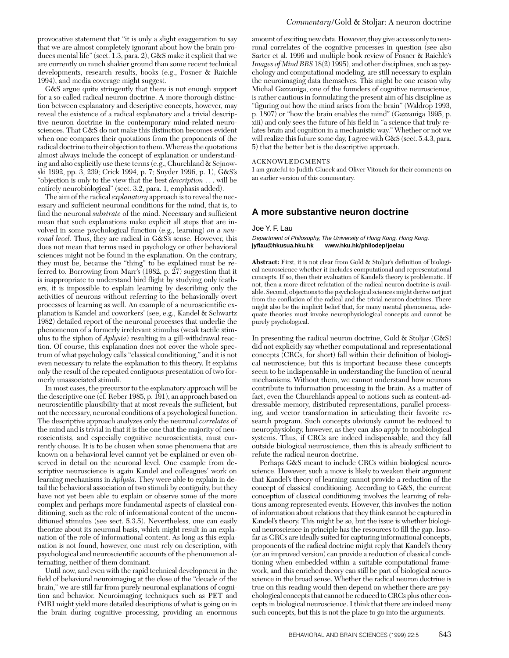provocative statement that "it is only a slight exaggeration to say that we are almost completely ignorant about how the brain produces mental life" (sect. 1.3, para. 2), G&S make it explicit that we are currently on much shakier ground than some recent technical developments, research results, books (e.g., Posner & Raichle 1994), and media coverage might suggest.

G&S argue quite stringently that there is not enough support for a so-called radical neuron doctrine. A more thorough distinction between explanatory and descriptive concepts, however, may reveal the existence of a radical explanatory and a trivial descriptive neuron doctrine in the contemporary mind-related neurosciences. That G&S do not make this distinction becomes evident when one compares their quotations from the proponents of the radical doctrine to their objection to them. Whereas the quotations almost always include the concept of explanation or understanding and also explicitly use these terms (e.g., Churchland & Sejnowski 1992, pp. 3, 239; Crick 1994, p. 7; Snyder 1996, p. 1), G&S's "objection is only to the view that the best *description* . . . will be entirely neurobiological" (sect. 3.2, para. 1, emphasis added).

The aim of the radical *explanatory* approach is to reveal the necessary and sufficient neuronal conditions for the mind, that is, to find the neuronal *substrate* of the mind. Necessary and sufficient mean that such explanations make explicit all steps that are involved in some psychological function (e.g., learning) *on a neuronal level.* Thus, they are radical in G&S's sense. However, this does not mean that terms used in psychology or other behavioral sciences might not be found in the explanation. On the contrary, they must be, because the "thing" to be explained must be referred to. Borrowing from Marr's (1982, p. 27) suggestion that it is inappropriate to understand bird flight by studying only feathers, it is impossible to explain learning by describing only the activities of neurons without referring to the behaviorally overt processes of learning as well. An example of a neuroscientific explanation is Kandel and coworkers' (see, e.g., Kandel & Schwartz 1982) detailed report of the neuronal processes that underlie the phenomenon of a formerly irrelevant stimulus (weak tactile stimulus to the siphon of *Aplysia*) resulting in a gill-withdrawal reaction. Of course, this explanation does not cover the whole spectrum of what psychology calls "classical conditioning," and it is not even necessary to relate the explanation to this theory. It explains only the result of the repeated contiguous presentation of two formerly unassociated stimuli.

In most cases, the precursor to the explanatory approach will be the descriptive one (cf. Reber 1985, p. 191), an approach based on neuroscientific plausibility that at most reveals the sufficient, but not the necessary, neuronal conditions of a psychological function. The descriptive approach analyzes only the neuronal *correlates* of the mind and is trivial in that it is the one that the majority of neuroscientists, and especially cognitive neuroscientists, must currently choose. It is to be chosen when some phenomena that are known on a behavioral level cannot yet be explained or even observed in detail on the neuronal level. One example from descriptive neuroscience is again Kandel and colleagues' work on learning mechanisms in *Aplysia.* They were able to explain in detail the behavioral association of two stimuli by contiguity, but they have not yet been able to explain or observe some of the more complex and perhaps more fundamental aspects of classical conditioning, such as the role of informational content of the unconditioned stimulus (see sect. 5.3.5). Nevertheless, one can easily theorize about its neuronal basis, which might result in an explanation of the role of informational content. As long as this explanation is not found, however, one must rely on description, with psychological and neuroscientific accounts of the phenomenon alternating, neither of them dominant.

Until now, and even with the rapid technical development in the field of behavioral neuroimaging at the close of the "decade of the brain," we are still far from purely neuronal explanations of cognition and behavior. Neuroimaging techniques such as PET and fMRI might yield more detailed descriptions of what is going on in the brain during cognitive processing, providing an enormous amount of exciting new data. However, they give access only to neuronal correlates of the cognitive processes in question (see also Sarter et al. 1996 and multiple book review of Posner & Raichle's *Images of Mind BBS* 18(2) 1995), and other disciplines, such as psychology and computational modeling, are still necessary to explain the neuroimaging data themselves. This might be one reason why Michal Gazzaniga, one of the founders of cognitive neuroscience, is rather cautious in formulating the present aim of his discipline as "figuring out how the mind arises from the brain" (Waldrop 1993, p. 1807) or "how the brain enables the mind" (Gazzaniga 1995, p. xiii) and only sees the future of his field in "a science that truly relates brain and cognition in a mechanistic way." Whether or not we will realize this future some day, I agree with G&S (sect. 5.4.3, para. 5) that the better bet is the descriptive approach.

#### ACKNOWLEDGMENTS

I am grateful to Judith Glueck and Oliver Vitouch for their comments on an earlier version of this commentary.

## **A more substantive neuron doctrine**

### Joe Y. F. Lau

Department of Philosophy, The University of Hong Kong, Hong Kong.<br>iyflau@hkusua.hku.hk www.hku.hk/philodep/joelau **jyflau@hkusua.hku.hk www.hku.hk/philodep/joelau**

**Abstract:** First, it is not clear from Gold & Stoljar's definition of biological neuroscience whether it includes computational and representational concepts. If so, then their evaluation of Kandel's theory is problematic. If not, then a more direct refutation of the radical neuron doctrine is available. Second, objections to the psychological sciences might derive not just from the conflation of the radical and the trivial neuron doctrines. There might also be the implicit belief that, for many mental phenomena, adequate theories must invoke neurophysiological concepts and cannot be purely psychological.

In presenting the radical neuron doctrine, Gold & Stoljar (G&S) did not explicitly say whether computational and representational concepts (CRCs, for short) fall within their definition of biological neuroscience; but this is important because these concepts seem to be indispensable in understanding the function of neural mechanisms. Without them, we cannot understand how neurons contribute to information processing in the brain. As a matter of fact, even the Churchlands appeal to notions such as content-addressable memory, distributed representations, parallel processing, and vector transformation in articulating their favorite research program. Such concepts obviously cannot be reduced to neurophysiology, however, as they can also apply to nonbiological systems. Thus, if CRCs are indeed indispensable, and they fall outside biological neuroscience, then this is already sufficient to refute the radical neuron doctrine.

Perhaps G&S meant to include CRCs within biological neuroscience. However, such a move is likely to weaken their argument that Kandel's theory of learning cannot provide a reduction of the concept of classical conditioning. According to G&S, the current conception of classical conditioning involves the learning of relations among represented events. However, this involves the notion of information about relations that they think cannot be captured in Kandel's theory. This might be so, but the issue is whether biological neuroscience in principle has the resources to fill the gap. Insofar as CRCs are ideally suited for capturing informational concepts, proponents of the radical doctrine might reply that Kandel's theory (or an improved version) can provide a reduction of classical conditioning when embedded within a suitable computational framework, and this enriched theory can still be part of biological neuroscience in the broad sense. Whether the radical neuron doctrine is true on this reading would then depend on whether there are psychological concepts that cannot be reduced to CRCs plus other concepts in biological neuroscience. I think that there are indeed many such concepts, but this is not the place to go into the arguments.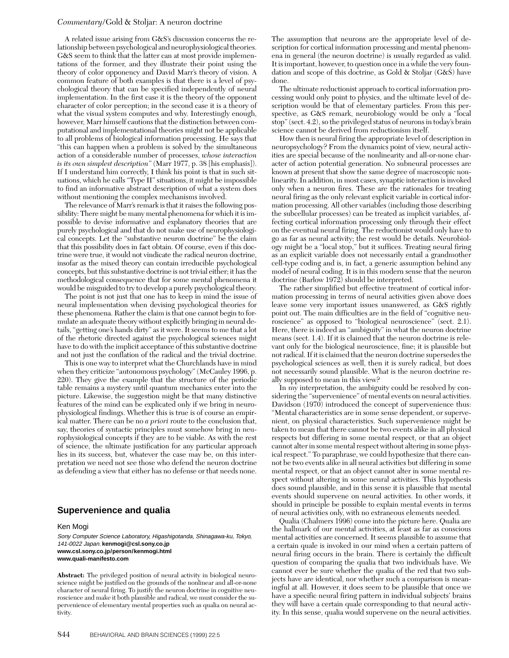### *Commentary/*Gold & Stoljar: A neuron doctrine

A related issue arising from G&S's discussion concerns the relationship between psychological and neurophysiological theories. G&S seem to think that the latter can at most provide implementations of the former, and they illustrate their point using the theory of color opponency and David Marr's theory of vision. A common feature of both examples is that there is a level of psychological theory that can be specified independently of neural implementation. In the first case it is the theory of the opponent character of color perception; in the second case it is a theory of what the visual system computes and why. Interestingly enough, however, Marr himself cautions that the distinction between computational and implementational theories might not be applicable to all problems of biological information processing. He says that "this can happen when a problem is solved by the simultaneous action of a considerable number of processes, *whose interaction is its own simplest description"* (Marr 1977, p. 38 [his emphasis]). If I understand him correctly, I think his point is that in such situations, which he calls "Type II" situations, it might be impossible to find an informative abstract description of what a system does without mentioning the complex mechanisms involved.

The relevance of Marr's remark is that it raises the following possibility: There might be many mental phenomena for which it is impossible to devise informative and explanatory theories that are purely psychological and that do not make use of neurophysiological concepts. Let the "substantive neuron doctrine" be the claim that this possibility does in fact obtain. Of course, even if this doctrine were true, it would not vindicate the radical neuron doctrine, insofar as the mixed theory can contain irreducible psychological concepts, but this substantive doctrine is not trivial either; it has the methodological consequence that for some mental phenomena it would be misguided to try to develop a purely psychological theory.

The point is not just that one has to keep in mind the issue of neural implementation when devising psychological theories for these phenomena. Rather the claim is that one cannot begin to formulate an adequate theory without explicitly bringing in neural details, "getting one's hands dirty" as it were. It seems to me that a lot of the rhetoric directed against the psychological sciences might have to do with the implicit acceptance of this substantive doctrine and not just the conflation of the radical and the trivial doctrine.

This is one way to interpret what the Churchlands have in mind when they criticize "autonomous psychology" (McCauley 1996, p. 220). They give the example that the structure of the periodic table remains a mystery until quantum mechanics enter into the picture. Likewise, the suggestion might be that many distinctive features of the mind can be explicated only if we bring in neurophysiological findings. Whether this is true is of course an empirical matter. There can be no *a priori* route to the conclusion that, say, theories of syntactic principles must somehow bring in neurophysiological concepts if they are to be viable. As with the rest of science, the ultimate justification for any particular approach lies in its success, but, whatever the case may be, on this interpretation we need not see those who defend the neuron doctrine as defending a view that either has no defense or that needs none.

## **Supervenience and qualia**

Ken Mogi

Sony Computer Science Laboratory, Higashigotanda, Shinagawa-ku, Tokyo, 141-0022 Japan. **kenmogi@csl.sony.co.jp www.csl.sony.co.jp/person/kenmogi.html www.quali-manifesto.com**

**Abstract:** The privileged position of neural activity in biological neuroscience might be justified on the grounds of the nonlinear and all-or-none character of neural firing. To justify the neuron doctrine in cognitive neuroscience and make it both plausible and radical, we must consider the supervenience of elementary mental properties such as qualia on neural activity.

The assumption that neurons are the appropriate level of description for cortical information processing and mental phenomena in general (the neuron doctrine) is usually regarded as valid. It is important, however, to question once in a while the very foundation and scope of this doctrine, as Gold & Stoljar (G&S) have done.

The ultimate reductionist approach to cortical information processing would only point to physics, and the ultimate level of description would be that of elementary particles. From this perspective, as G&S remark, neurobiology would be only a "local stop" (sect. 4.2), so the privileged status of neurons in today's brain science cannot be derived from reductionism itself.

How then is neural firing the appropriate level of description in neuropsychology? From the dynamics point of view, neural activities are special because of the nonlinearity and all-or-none character of action potential generation. No subneural processes are known at present that show the same degree of macroscopic nonlinearity. In addition, in most cases, synaptic interaction is invoked only when a neuron fires. These are the rationales for treating neural firing as the only relevant explicit variable in cortical information processing. All other variables (including those describing the subcellular processes) can be treated as implicit variables, affecting cortical information processing only through their effect on the eventual neural firing. The reductionist would only have to go as far as neural activity; the rest would be details. Neurobiology might be a "local stop," but it suffices. Treating neural firing as an explicit variable does not necessarily entail a grandmother cell-type coding and is, in fact, a generic assumption behind any model of neural coding. It is in this modern sense that the neuron doctrine (Barlow 1972) should be interpreted.

The rather simplified but effective treatment of cortical information processing in terms of neural activities given above does leave some very important issues unanswered, as G&S rightly point out. The main difficulties are in the field of "cognitive neuroscience" as opposed to "biological neuroscience" (sect. 2.1). Here, there is indeed an "ambiguity" in what the neuron doctrine means (sect. 1.4). If it is claimed that the neuron doctrine is relevant only for the biological neuroscience, fine; it is plausible but not radical. If it is claimed that the neuron doctrine supersedes the psychological sciences as well, then it is surely radical, but does not necessarily sound plausible. What is the neuron doctrine really supposed to mean in this view?

In my interpretation, the ambiguity could be resolved by considering the "supervenience" of mental events on neural activities. Davidson (1970) introduced the concept of supervenience thus: "Mental characteristics are in some sense dependent, or supervenient, on physical characteristics. Such supervenience might be taken to mean that there cannot be two events alike in all physical respects but differing in some mental respect, or that an object cannot alter in some mental respect without altering in some physical respect." To paraphrase, we could hypothesize that there cannot be two events alike in all neural activities but differing in some mental respect, or that an object cannot alter in some mental respect without altering in some neural activities. This hypothesis does sound plausible, and in this sense it is plausible that mental events should supervene on neural activities. In other words, it should in principle be possible to explain mental events in terms of neural activities only, with no extraneous elements needed.

Qualia (Chalmers 1996) come into the picture here. Qualia are the hallmark of our mental activities, at least as far as conscious mental activities are concerned. It seems plausible to assume that a certain quale is invoked in our mind when a certain pattern of neural firing occurs in the brain. There is certainly the difficult question of comparing the qualia that two individuals have. We cannot ever be sure whether the qualia of the red that two subjects have are identical, nor whether such a comparison is meaningful at all. However, it does seem to be plausible that once we have a specific neural firing pattern in individual subjects' brains they will have a certain quale corresponding to that neural activity. In this sense, qualia would supervene on the neural activities.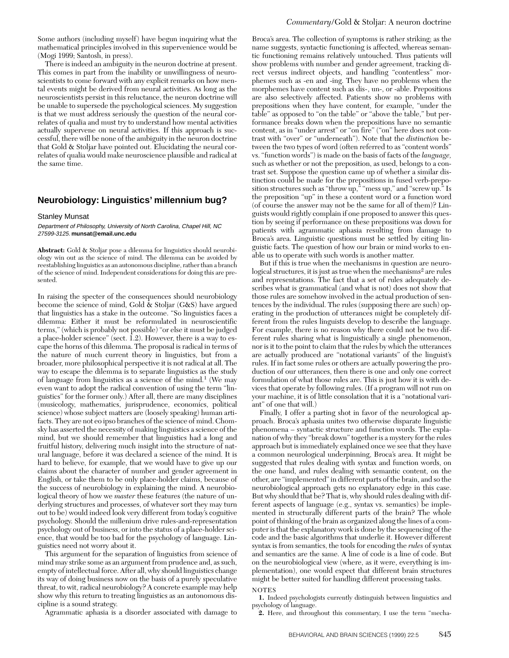Some authors (including myself) have begun inquiring what the mathematical principles involved in this supervenience would be (Mogi 1999; Santosh, in press).

There is indeed an ambiguity in the neuron doctrine at present. This comes in part from the inability or unwillingness of neuroscientists to come forward with any explicit remarks on how mental events might be derived from neural activities. As long as the neuroscientists persist in this reluctance, the neuron doctrine will be unable to supersede the psychological sciences. My suggestion is that we must address seriously the question of the neural correlates of qualia and must try to understand how mental activities actually supervene on neural activities. If this approach is successful, there will be none of the ambiguity in the neuron doctrine that Gold & Stoljar have pointed out. Elucidating the neural correlates of qualia would make neuroscience plausible and radical at the same time.

## **Neurobiology: Linguistics' millennium bug?**

#### Stanley Munsat

Department of Philosophy, University of North Carolina, Chapel Hill, NC 27599-3125. **munsat@email.unc.edu**

**Abstract:** Gold & Stoljar pose a dilemma for linguistics should neurobiology win out as the science of mind. The dilemma can be avoided by reestablishing linguistics as an autonomous discipline, rather than a branch of the science of mind. Independent considerations for doing this are presented.

In raising the specter of the consequences should neurobiology become the science of mind, Gold & Stoljar (G&S) have argued that linguistics has a stake in the outcome. "So linguistics faces a dilemma: Either it must be reformulated in neuroscientific terms," (which is probably not possible) "or else it must be judged a place-holder science" (sect. 1.2). However, there is a way to escape the horns of this dilemma. The proposal is radical in terms of the nature of much current theory in linguistics, but from a broader, more philosophical perspective it is not radical at all. The way to escape the dilemma is to separate linguistics as the study of language from linguistics as a science of the mind.1 (We may even want to adopt the radical convention of using the term "linguistics" for the former only.) After all, there are many disciplines (musicology, mathematics, jurisprudence, economics, political science) whose subject matters are (loosely speaking) human artifacts. They are not eo ipso branches of the science of mind. Chomsky has asserted the necessity of making linguistics a science of the mind, but we should remember that linguistics had a long and fruitful history, delivering much insight into the structure of natural language, before it was declared a science of the mind. It is hard to believe, for example, that we would have to give up our claims about the character of number and gender agreement in English, or take them to be only place-holder claims, because of the success of neurobiology in explaining the mind. A neurobiological theory of how we *master* these features (the nature of underlying structures and processes, of whatever sort they may turn out to be) would indeed look very different from today's cognitive psychology. Should the millenium drive rules-and-representation psychology out of business, or into the status of a place-holder science, that would be too bad for the psychology of language. Linguistics need not worry about it.

This argument for the separation of linguistics from science of mind may strike some as an argument from prudence and, as such, empty of intellectual force. After all, why should linguistics change its way of doing business now on the basis of a purely speculative threat, to wit, radical neurobiology? A concrete example may help show why this return to treating linguistics as an autonomous discipline is a sound strategy.

Agrammatic aphasia is a disorder associated with damage to

Broca's area. The collection of symptoms is rather striking; as the name suggests, syntactic functioning is affected, whereas semantic functioning remains relatively untouched. Thus patients will show problems with number and gender agreement, tracking direct versus indirect objects, and handling "contentless" morphemes such as -en and -ing. They have no problems when the morphemes have content such as dis-, un-, or -able. Prepositions are also selectively affected. Patients show no problems with prepositions when they have content, for example, "under the table" as opposed to "on the table" or "above the table," but performance breaks down when the prepositions have no semantic content, as in "under arrest" or "on fire" ("on" here does not contrast with "over" or "underneath"). Note that the *distinction* between the two types of word (often referred to as "content words" vs. "function words") is made on the basis of facts of the *language,* such as whether or not the preposition, as used, belongs to a contrast set. Suppose the question came up of whether a similar distinction could be made for the prepositions in fused verb-preposition structures such as "throw up," "mess up," and "screw up." Is the preposition "up" in these a content word or a function word (of course the answer may not be the same for all of them)? Linguists would rightly complain if one proposed to answer this question by seeing if performance on these prepositions was down for patients with agrammatic aphasia resulting from damage to Broca's area. Linguistic questions must be settled by citing linguistic facts. The question of how our brain or mind works to enable us to operate with such words is another matter.

But if this is true when the mechanisms in question are neurological structures, it is just as true when the mechanisms<sup>2</sup> are rules and representations. The fact that a set of rules adequately describes what is grammatical (and what is not) does not show that those rules are somehow involved in the actual production of sentences by the individual. The rules (supposing there are such) operating in the production of utterances might be completely different from the rules linguists develop to describe the language. For example, there is no reason why there could not be two different rules sharing what is linguistically a single phenomenon, nor is it to the point to claim that the rules by which the utterances are actually produced are "notational variants" of the linguist's rules. If in fact some rules or others are actually powering the production of our utterances, then there is one and only one correct formulation of what those rules are. This is just how it is with devices that operate by following rules. (If a program will not run on your machine, it is of little consolation that it is a "notational variant" of one that will.)

Finally, I offer a parting shot in favor of the neurological approach. Broca's aphasia unites two otherwise disparate linguistic phenomena – syntactic structure and function words. The explanation of why they "break down" together is a mystery for the rules approach but is immediately explained once we see that they have a common neurological underpinning, Broca's area. It might be suggested that rules dealing with syntax and function words, on the one hand, and rules dealing with semantic content, on the other, are "implemented" in different parts of the brain, and so the neurobiological approach gets no explanatory edge in this case. But why should that be? That is, why should rules dealing with different aspects of language (e.g., syntax vs. semantics) be implemented in structurally different parts of the brain? The whole point of thinking of the brain as organized along the lines of a computer is that the explanatory work is done by the sequencing of the code and the basic algorithms that underlie it. However different syntax is from semantics, the tools for encoding the *rules* of syntax and semantics are the same. A line of code is a line of code. But on the neurobiological view (where, as it were, everything is implementation), one would expect that different brain structures might be better suited for handling different processing tasks.

NOTES

**1.** Indeed psychologists currently distinguish between linguistics and psychology of language.

**2.** Here, and throughout this commentary, I use the term "mecha-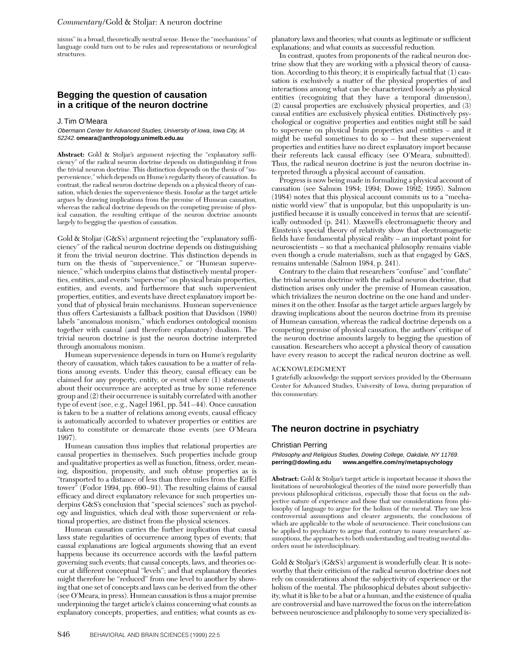### *Commentary/*Gold & Stoljar: A neuron doctrine

nisms" in a broad, theoretically neutral sense. Hence the "mechanisms" of language could turn out to be rules and representations or neurological structures.

## **Begging the question of causation in a critique of the neuron doctrine**

#### J. Tim O'Meara

Obermann Center for Advanced Studies, University of Iowa, Iowa City, IA 52242. **omeara@anthropology.unimelb.edu.au**

**Abstract:** Gold & Stoljar's argument rejecting the "explanatory sufficiency" of the radical neuron doctrine depends on distinguishing it from the trivial neuron doctrine. This distinction depends on the thesis of "supervenience," which depends on Hume's regularity theory of causation. In contrast, the radical neuron doctrine depends on a physical theory of causation, which denies the supervenience thesis. Insofar as the target article argues by drawing implications from the premise of Humean causation, whereas the radical doctrine depends on the competing premise of physical causation, the resulting critique of the neuron doctrine amounts largely to begging the question of causation.

Gold & Stoljar (G&S's) argument rejecting the "explanatory sufficiency" of the radical neuron doctrine depends on distinguishing it from the trivial neuron doctrine. This distinction depends in turn on the thesis of "supervenience," or "Humean supervenience," which underpins claims that distinctively mental properties, entities, and events "supervene" on physical brain properties, entities, and events, and furthermore that such supervenient properties, entities, and events have direct explanatory import beyond that of physical brain mechanisms. Humean supervenience thus offers Cartesianists a fallback position that Davidson (1980) labels "anomalous monism," which endorses ontological monism together with causal (and therefore explanatory) dualism. The trivial neuron doctrine is just the neuron doctrine interpreted through anomalous monism.

Humean supervenience depends in turn on Hume's regularity theory of causation, which takes causation to be a matter of relations among events. Under this theory, causal efficacy can be claimed for any property, entity, or event where (1) statements about their occurrence are accepted as true by some reference group and (2) their occurrence is suitably correlated with another type of event (see, e.g., Nagel 1961, pp. 541–44). Once causation is taken to be a matter of relations among events, causal efficacy is automatically accorded to whatever properties or entities are taken to constitute or demarcate those events (see O'Meara 1997).

Humean causation thus implies that relational properties are causal properties in themselves. Such properties include group and qualitative properties as well as function, fitness, order, meaning, disposition, propensity, and such obtuse properties as is "transported to a distance of less than three miles from the Eiffel tower" (Fodor 1994, pp. 690–91). The resulting claims of causal efficacy and direct explanatory relevance for such properties underpins G&S's conclusion that "special sciences" such as psychology and linguistics, which deal with those supervenient or relational properties, are distinct from the physical sciences.

Humean causation carries the further implication that causal laws state regularities of occurrence among types of events; that causal explanations are logical arguments showing that an event happens because its occurrence accords with the lawful pattern governing such events; that causal concepts, laws, and theories occur at different conceptual "levels"; and that explanatory theories might therefore be "reduced" from one level to another by showing that one set of concepts and laws can be derived from the other (see O'Meara, in press). Humean causation is thus a major premise underpinning the target article's claims concerning what counts as explanatory concepts, properties, and entities; what counts as explanatory laws and theories; what counts as legitimate or sufficient explanations; and what counts as successful reduction.

In contrast, quotes from proponents of the radical neuron doctrine show that they are working with a physical theory of causation. According to this theory, it is empirically factual that (1) causation is exclusively a matter of the physical properties of and interactions among what can be characterized loosely as physical entities (recognizing that they have a temporal dimension), (2) causal properties are exclusively physical properties, and (3) causal entities are exclusively physical entities. Distinctively psychological or cognitive properties and entities might still be said to supervene on physical brain properties and entities – and it might be useful sometimes to do so – but these supervenient properties and entities have no direct explanatory import because their referents lack causal efficacy (see O'Meara, submitted). Thus, the radical neuron doctrine is just the neuron doctrine interpreted through a physical account of causation.

Progress is now being made in formalizing a physical account of causation (see Salmon 1984; 1994; Dowe 1992; 1995). Salmon (1984) notes that this physical account commits us to a "mechanistic world view" that is unpopular, but this unpopularity is unjustified because it is usually conceived in terms that are scientifically outmoded (p. 241). Maxwell's electromagnetic theory and Einstein's special theory of relativity show that electromagnetic fields have fundamental physical reality – an important point for neuroscientists – so that a mechanical philosophy remains viable even though a crude materialism, such as that engaged by G&S, remains untenable (Salmon 1984, p. 241).

Contrary to the claim that researchers "confuse" and "conflate" the trivial neuron doctrine with the radical neuron doctrine, that distinction arises only under the premise of Humean causation, which trivializes the neuron doctrine on the one hand and undermines it on the other. Insofar as the target article argues largely by drawing implications about the neuron doctrine from its premise of Humean causation, whereas the radical doctrine depends on a competing premise of physical causation, the authors' critique of the neuron doctrine amounts largely to begging the question of causation. Researchers who accept a physical theory of causation have every reason to accept the radical neuron doctrine as well.

#### ACKNOWLEDGMENT

I gratefully acknowledge the support services provided by the Obermann Center for Advanced Studies, University of Iowa, during preparation of this commentary.

## **The neuron doctrine in psychiatry**

#### Christian Perring

Philosophy and Religious Studies, Dowling College, Oakdale, NY 11769. **perring@dowling.edu www.angelfire.com/ny/metapsychology**

**Abstract:** Gold & Stoljar's target article is important because it shows the limitations of neurobiological theories of the mind more powerfully than previous philosophical criticisms, especially those that focus on the subjective nature of experience and those that use considerations from philosophy of language to argue for the holism of the mental. They use less controversial assumptions and clearer arguments, the conclusions of which are applicable to the whole of neuroscience. Their conclusions can be applied to psychiatry to argue that, contrary to many researchers' assumptions, the approaches to both understanding and treating mental disorders must be interdisciplinary.

Gold & Stoljar's (G&S's) argument is wonderfully clear. It is noteworthy that their criticism of the radical neuron doctrine does not rely on considerations about the subjectivity of experience or the holism of the mental. The philosophical debates about subjectivity, what it is like to be a bat or a human, and the existence of qualia are controversial and have narrowed the focus on the interrelation between neuroscience and philosophy to some very specialized is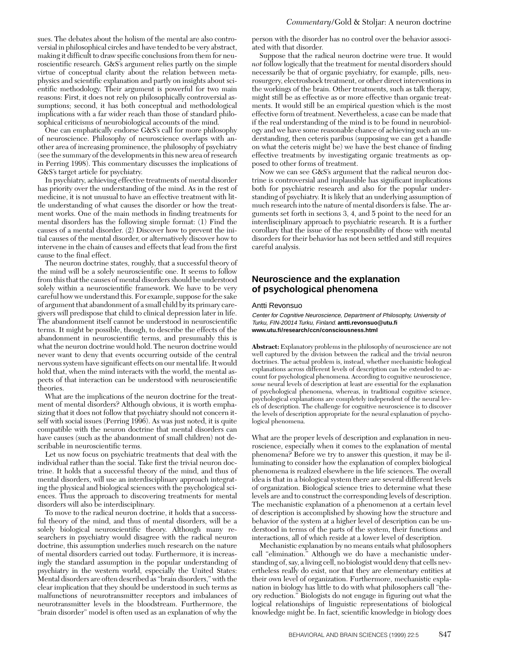sues. The debates about the holism of the mental are also controversial in philosophical circles and have tended to be very abstract, making it difficult to draw specific conclusions from them for neuroscientific research. G&S's argument relies partly on the simple virtue of conceptual clarity about the relation between metaphysics and scientific explanation and partly on insights about scientific methodology. Their argument is powerful for two main reasons: First, it does not rely on philosophically controversial assumptions; second, it has both conceptual and methodological implications with a far wider reach than those of standard philosophical criticisms of neurobiological accounts of the mind.

One can emphatically endorse G&S's call for more philosophy of neuroscience. Philosophy of neuroscience overlaps with another area of increasing prominence, the philosophy of psychiatry (see the summary of the developments in this new area of research in Perring 1998). This commentary discusses the implications of G&S's target article for psychiatry.

In psychiatry, achieving effective treatments of mental disorder has priority over the understanding of the mind. As in the rest of medicine, it is not unusual to have an effective treatment with little understanding of what causes the disorder or how the treatment works. One of the main methods in finding treatments for mental disorders has the following simple format: (1) Find the causes of a mental disorder. (2) Discover how to prevent the initial causes of the mental disorder, or alternatively discover how to intervene in the chain of causes and effects that lead from the first cause to the final effect.

The neuron doctrine states, roughly, that a successful theory of the mind will be a solely neuroscientific one. It seems to follow from this that the causes of mental disorders should be understood solely within a neuroscientific framework. We have to be very careful how we understand this. For example, suppose for the sake of argument that abandonment of a small child by its primary caregivers will predispose that child to clinical depression later in life. The abandonment itself cannot be understood in neuroscientific terms. It might be possible, though, to describe the effects of the abandonment in neuroscientific terms, and presumably this is what the neuron doctrine would hold. The neuron doctrine would never want to deny that events occurring outside of the central nervous system have significant effects on our mental life. It would hold that, when the mind interacts with the world, the mental aspects of that interaction can be understood with neuroscientific theories.

What are the implications of the neuron doctrine for the treatment of mental disorders? Although obvious, it is worth emphasizing that it does not follow that psychiatry should not concern itself with social issues (Perring 1996). As was just noted, it is quite compatible with the neuron doctrine that mental disorders can have causes (such as the abandonment of small children) not describable in neuroscientific terms.

Let us now focus on psychiatric treatments that deal with the individual rather than the social. Take first the trivial neuron doctrine. It holds that a successful theory of the mind, and thus of mental disorders, will use an interdisciplinary approach integrating the physical and biological sciences with the psychological sciences. Thus the approach to discovering treatments for mental disorders will also be interdisciplinary.

To move to the radical neuron doctrine, it holds that a successful theory of the mind, and thus of mental disorders, will be a solely biological neuroscientific theory. Although many researchers in psychiatry would disagree with the radical neuron doctrine, this assumption underlies much research on the nature of mental disorders carried out today. Furthermore, it is increasingly the standard assumption in the popular understanding of psychiatry in the western world, especially the United States: Mental disorders are often described as "brain disorders," with the clear implication that they should be understood in such terms as malfunctions of neurotransmitter receptors and imbalances of neurotransmitter levels in the bloodstream. Furthermore, the "brain disorder" model is often used as an explanation of why the

person with the disorder has no control over the behavior associated with that disorder.

Suppose that the radical neuron doctrine were true. It would *not* follow logically that the treatment for mental disorders should necessarily be that of organic psychiatry, for example, pills, neurosurgery, electroshock treatment, or other direct interventions in the workings of the brain. Other treatments, such as talk therapy, might still be as effective as or more effective than organic treatments. It would still be an empirical question which is the most effective form of treatment. Nevertheless, a case can be made that if the real understanding of the mind is to be found in neurobiology and we have some reasonable chance of achieving such an understanding, then ceteris paribus (supposing we can get a handle on what the ceteris might be) we have the best chance of finding effective treatments by investigating organic treatments as opposed to other forms of treatment.

Now we can see G&S's argument that the radical neuron doctrine is controversial and implausible has significant implications both for psychiatric research and also for the popular understanding of psychiatry. It is likely that an underlying assumption of much research into the nature of mental disorders is false. The arguments set forth in sections 3, 4, and 5 point to the need for an interdisciplinary approach to psychiatric research. It is a further corollary that the issue of the responsibility of those with mental disorders for their behavior has not been settled and still requires careful analysis.

## **Neuroscience and the explanation of psychological phenomena**

#### Antti Revonsuo

Center for Cognitive Neuroscience, Department of Philosophy, University of Turku, FIN-20014 Turku, Finland. **antti.revonsuo@utu.fi www.utu.fi/research/ccn/consciousness.html**

**Abstract:** Explanatory problems in the philosophy of neuroscience are not well captured by the division between the radical and the trivial neuron doctrines. The actual problem is, instead, whether mechanistic biological explanations across different levels of description can be extended to account for psychological phenomena. According to cognitive neuroscience, *some* neural levels of description at least are essential for the explanation of psychological phenomena, whereas, in traditional cognitive science, psychological explanations are completely independent of the neural levels of description. The challenge for cognitive neuroscience is to discover the levels of description appropriate for the neural explanation of psychological phenomena.

What are the proper levels of description and explanation in neuroscience, especially when it comes to the explanation of mental phenomena? Before we try to answer this question, it may be illuminating to consider how the explanation of complex biological phenomena is realized elsewhere in the life sciences. The overall idea is that in a biological system there are several different levels of organization. Biological science tries to determine what these levels are and to construct the corresponding levels of description. The mechanistic explanation of a phenomenon at a certain level of description is accomplished by showing how the structure and behavior of the system at a higher level of description can be understood in terms of the parts of the system, their functions and interactions, all of which reside at a lower level of description.

Mechanistic explanation by no means entails what philosophers call "elimination." Although we do have a mechanistic understanding of, say, a living cell, no biologist would deny that cells nevertheless really do exist, nor that they are elementary entities at their own level of organization. Furthermore, mechanistic explanation in biology has little to do with what philosophers call "theory reduction." Biologists do not engage in figuring out what the logical relationships of linguistic representations of biological knowledge might be. In fact, scientific knowledge in biology does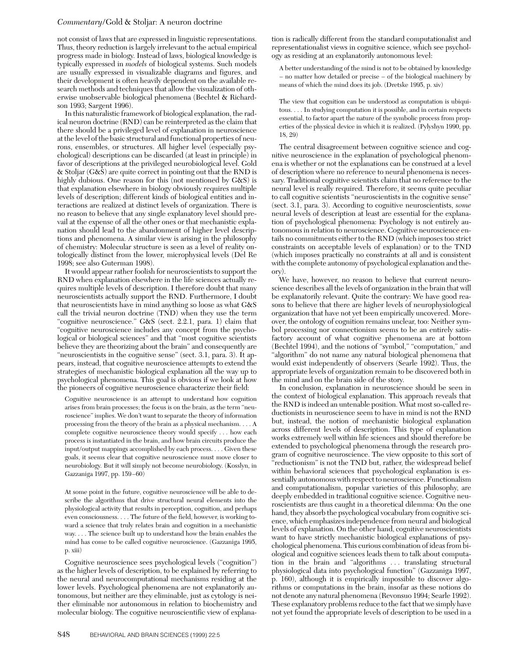### *Commentary/*Gold & Stoljar: A neuron doctrine

not consist of laws that are expressed in linguistic representations. Thus, theory reduction is largely irrelevant to the actual empirical progress made in biology. Instead of laws, biological knowledge is typically expressed in *models* of biological systems. Such models are usually expressed in visualizable diagrams and figures, and their development is often heavily dependent on the available research methods and techniques that allow the visualization of otherwise unobservable biological phenomena (Bechtel & Richardson 1993; Sargent 1996).

In this naturalistic framework of biological explanation, the radical neuron doctrine (RND) can be reinterpreted as the claim that there should be a privileged level of explanation in neuroscience at the level of the basic structural and functional properties of neurons, ensembles, or structures. All higher level (especially psychological) descriptions can be discarded (at least in principle) in favor of descriptions at the privileged neurobiological level. Gold & Stoljar (G&S) are quite correct in pointing out that the RND is highly dubious. One reason for this (not mentioned by G&S) is that explanation elsewhere in biology obviously requires multiple levels of description; different kinds of biological entities and interactions are realized at distinct levels of organization. There is no reason to believe that any single explanatory level should prevail at the expense of all the other ones or that mechanistic explanation should lead to the abandonment of higher level descriptions and phenomena. A similar view is arising in the philosophy of chemistry: Molecular structure is seen as a level of reality ontologically distinct from the lower, microphysical levels (Del Re 1998; see also Guterman 1998).

It would appear rather foolish for neuroscientists to support the RND when explanation elsewhere in the life sciences actually requires multiple levels of description. I therefore doubt that many neuroscientists actually support the RND. Furthermore, I doubt that neuroscientists have in mind anything so loose as what G&S call the trivial neuron doctrine (TND) when they use the term "cognitive neuroscience." G&S (sect. 2.2.1, para. 1) claim that "cognitive neuroscience includes any concept from the psychological or biological sciences" and that "most cognitive scientists believe they are theorizing about the brain" and consequently are "neuroscientists in the cognitive sense" (sect. 3.1, para. 3). It appears, instead, that cognitive neuroscience attempts to extend the strategies of mechanistic biological explanation all the way up to psychological phenomena. This goal is obvious if we look at how the pioneers of cognitive neuroscience characterize their field:

Cognitive neuroscience is an attempt to understand how cognition arises from brain processes; the focus is on the brain, as the term "neuroscience" implies. We don't want to separate the theory of information processing from the theory of the brain as a physical mechanism. . . . A complete cognitive neuroscience theory would specify . . . how each process is instantiated in the brain, and how brain circuits produce the input/output mappings accomplished by each process. . . . Given these goals, it seems clear that cognitive neuroscience must move closer to neurobiology. But it will simply not become neurobiology. (Kosslyn, in Gazzaniga 1997, pp. 159–60)

At some point in the future, cognitive neuroscience will be able to describe the algorithms that drive structural neural elements into the physiological activity that results in perception, cognition, and perhaps even consciousness. . . . The future of the field, however, is working toward a science that truly relates brain and cognition in a mechanistic way. . . . The science built up to understand how the brain enables the mind has come to be called cognitive neuroscience. (Gazzaniga 1995, p. xiii)

Cognitive neuroscience sees psychological levels ("cognition") as the higher levels of description, to be explained by referring to the neural and neurocomputational mechanisms residing at the lower levels. Psychological phenomena are not explanatorily autonomous, but neither are they eliminable, just as cytology is neither eliminable nor autonomous in relation to biochemistry and molecular biology. The cognitive neuroscientific view of explanation is radically different from the standard computationalist and representationalist views in cognitive science, which see psychology as residing at an explanatorily autonomous level:

A better understanding of the mind is not to be obtained by knowledge – no matter how detailed or precise – of the biological machinery by means of which the mind does its job. (Dretske 1995, p. xiv)

The view that cognition can be understood as computation is ubiquitous. . . . In studying computation it is possible, and in certain respects essential, to factor apart the nature of the symbolic process from properties of the physical device in which it is realized. (Pylyshyn 1990, pp. 18, 29)

The central disagreement between cognitive science and cognitive neuroscience in the explanation of psychological phenomena is whether or not the explanations can be construed at a level of description where no reference to neural phenomena is necessary. Traditional cognitive scientists claim that no reference to the neural level is really required. Therefore, it seems quite peculiar to call cognitive scientists "neuroscientists in the cognitive sense" (sect. 3.1, para. 3). According to cognitive neuroscientists, *some* neural levels of description at least are essential for the explanation of psychological phenomena: Psychology is not entirely autonomous in relation to neuroscience. Cognitive neuroscience entails no commitments either to the RND (which imposes too strict constraints on acceptable levels of explanation) or to the TND (which imposes practically no constraints at all and is consistent with the complete autonomy of psychological explanation and theory).

We have, however, no reason to believe that current neuroscience describes all the levels of organization in the brain that will be explanatorily relevant. Quite the contrary: We have good reasons to believe that there are higher levels of neurophysiological organization that have not yet been empirically uncovered. Moreover, the ontology of cognition remains unclear, too: Neither symbol processing nor connectionism seems to be an entirely satisfactory account of what cognitive phenomena are at bottom (Bechtel 1994), and the notions of "symbol," "computation," and "algorithm" do not name any natural biological phenomena that would exist independently of observers (Searle 1992). Thus, the appropriate levels of organization remain to be discovered both in the mind and on the brain side of the story.

In conclusion, explanation in neuroscience should be seen in the context of biological explanation. This approach reveals that the RND is indeed an untenable position. What most so-called reductionists in neuroscience seem to have in mind is not the RND but, instead, the notion of mechanistic biological explanation across different levels of description. This type of explanation works extremely well within life sciences and should therefore be extended to psychological phenomena through the research program of cognitive neuroscience. The view opposite to this sort of "reductionism" is not the TND but, rather, the widespread belief within behavioral sciences that psychological explanation is essentially autonomous with respect to neuroscience. Functionalism and computationalism, popular varieties of this philosophy, are deeply embedded in traditional cognitive science. Cognitive neuroscientists are thus caught in a theoretical dilemma: On the one hand, they absorb the psychological vocabulary from cognitive science, which emphasizes independence from neural and biological levels of explanation. On the other hand, cognitive neuroscientists want to have strictly mechanistic biological explanations of psychological phenomena. This curious combination of ideas from biological and cognitive sciences leads them to talk about computation in the brain and "algorithms . . . translating structural physiological data into psychological function" (Gazzaniga 1997, p. 160), although it is empirically impossible to discover algorithms or computations in the brain, insofar as these notions do not denote any natural phenomena (Revonsuo 1994; Searle 1992). These explanatory problems reduce to the fact that we simply have not yet found the appropriate levels of description to be used in a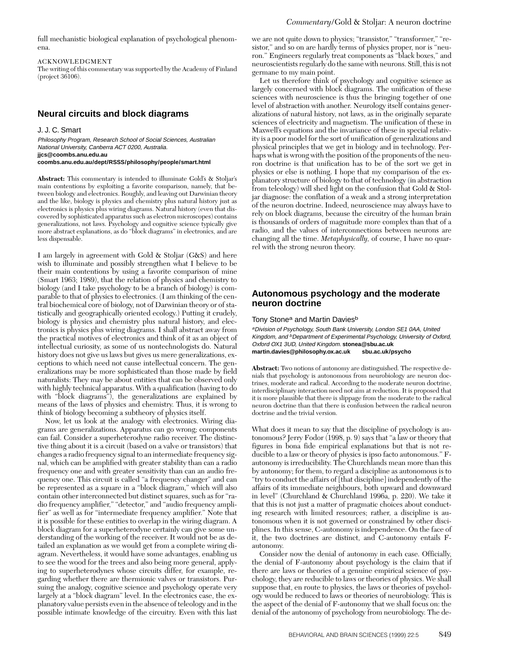full mechanistic biological explanation of psychological phenomena.

#### ACKNOWLEDGMENT

The writing of this commentary was supported by the Academy of Finland (project 36106).

## **Neural circuits and block diagrams**

#### J. J. C. Smart

Philosophy Program, Research School of Social Sciences, Australian National University, Canberra ACT 0200, Australia. **jjcs@coombs.anu.edu.au coombs.anu.edu.au/dept/RSSS/philosophy/people/smart.html**

**Abstract:** This commentary is intended to illuminate Gold's & Stoljar's main contentions by exploiting a favorite comparison, namely, that between biology and electronics. Roughly, and leaving out Darwinian theory and the like, biology is physics and chemistry plus natural history just as electronics is physics plus wiring diagrams. Natural history (even that discovered by sophisticated apparatus such as electron microscopes) contains generalizations, not laws. Psychology and cognitive science typically give more abstract explanations, as do "block diagrams" in electronics, and are less dispensable.

I am largely in agreement with Gold & Stoljar (G&S) and here wish to illuminate and possibly strengthen what I believe to be their main contentions by using a favorite comparison of mine (Smart 1963; 1989), that the relation of physics and chemistry to biology (and I take psychology to be a branch of biology) is comparable to that of physics to electronics. (I am thinking of the central biochemical core of biology, not of Darwinian theory or of statistically and geographically oriented ecology.) Putting it crudely, biology is physics and chemistry plus natural history, and electronics is physics plus wiring diagrams. I shall abstract away from the practical motives of electronics and think of it as an object of intellectual curiosity, as some of us nontechnologists do. Natural history does not give us laws but gives us mere generalizations, exceptions to which need not cause intellectual concern. The generalizations may be more sophisticated than those made by field naturalists: They may be about entities that can be observed only with highly technical apparatus. With a qualification (having to do with "block diagrams"), the generalizations are explained by means of the laws of physics and chemistry. Thus, it is wrong to think of biology becoming a subtheory of physics itself.

Now, let us look at the analogy with electronics. Wiring diagrams are generalizations. Apparatus can go wrong; components can fail. Consider a superheterodyne radio receiver. The distinctive thing about it is a circuit (based on a valve or transistors) that changes a radio frequency signal to an intermediate frequency signal, which can be amplified with greater stability than can a radio frequency one and with greater sensitivity than can an audio frequency one. This circuit is called "a frequency changer" and can be represented as a square in a "block diagram," which will also contain other interconnected but distinct squares, such as for "radio frequency amplifier," "detector," and "audio frequency amplifier" as well as for "intermediate frequency amplifier." Note that it is possible for these entities to overlap in the wiring diagram. A block diagram for a superheterodyne certainly can give some understanding of the working of the receiver. It would not be as detailed an explanation as we would get from a complete wiring diagram. Nevertheless, it would have some advantages, enabling us to see the wood for the trees and also being more general, applying to superheterodynes whose circuits differ, for example, regarding whether there are thermionic valves or transistors. Pursuing the analogy, cognitive science and psychology operate very largely at a "block diagram" level. In the electronics case, the explanatory value persists even in the absence of teleology and in the possible intimate knowledge of the circuitry. Even with this last

we are not quite down to physics; "transistor," "transformer," "resistor," and so on are hardly terms of physics proper, nor is "neuron." Engineers regularly treat components as "black boxes," and neuroscientists regularly do the same with neurons. Still, this is not germane to my main point.

Let us therefore think of psychology and cognitive science as largely concerned with block diagrams. The unification of these sciences with neuroscience is thus the bringing together of one level of abstraction with another. Neurology itself contains generalizations of natural history, not laws, as in the originally separate sciences of electricity and magnetism. The unification of these in Maxwell's equations and the invariance of these in special relativity is a poor model for the sort of unification of generalizations and physical principles that we get in biology and in technology. Perhaps what is wrong with the position of the proponents of the neuron doctrine is that unification has to be of the sort we get in physics or else is nothing. I hope that my comparison of the explanatory structure of biology to that of technology (in abstraction from teleology) will shed light on the confusion that Gold & Stoljar diagnose: the conflation of a weak and a strong interpretation of the neuron doctrine. Indeed, neuroscience may always have to rely on block diagrams, because the circuitry of the human brain is thousands of orders of magnitude more complex than that of a radio, and the values of interconnections between neurons are changing all the time. *Metaphysically,* of course, I have no quarrel with the strong neuron theory.

## **Autonomous psychology and the moderate neuron doctrine**

Tony Stone<sup>a</sup> and Martin Davies<sup>b</sup>

<sup>a</sup>Division of Psychology, South Bank University, London SE1 0AA, United Kingdom, and <sup>b</sup>Department of Experimental Psychology, University of Oxford, Oxford OX1 3UD, United Kingdom. **stonea@sbu.ac.uk martin.davies@philosophy.ox.ac.uk sbu.ac.uk/psycho**

**Abstract:** Two notions of autonomy are distinguished. The respective denials that psychology is autonomous from neurobiology are neuron doctrines, moderate and radical. According to the moderate neuron doctrine, interdisciplinary interaction need not aim at reduction. It is proposed that it is more plausible that there is slippage from the moderate to the radical neuron doctrine than that there is confusion between the radical neuron doctrine and the trivial version.

What does it mean to say that the discipline of psychology is autonomous? Jerry Fodor (1998, p. 9) says that "a law or theory that figures in bona fide empirical explanations but that is not reducible to a law or theory of physics is ipso facto autonomous." Fautonomy is irreducibility. The Churchlands mean more than this by autonomy; for them, to regard a discipline as autonomous is to "try to conduct the affairs of [that discipline] independently of the affairs of its immediate neighbours, both upward and downward in level" (Churchland & Churchland 1996a, p. 220). We take it that this is not just a matter of pragmatic choices about conducting research with limited resources; rather, a discipline is autonomous when it is not governed or constrained by other disciplines. In this sense, C-autonomy is independence. On the face of it, the two doctrines are distinct, and C-autonomy entails Fautonomy.

Consider now the denial of autonomy in each case. Officially, the denial of F-autonomy about psychology is the claim that if there are laws or theories of a genuine empirical science of psychology, they are reducible to laws or theories of physics. We shall suppose that, en route to physics, the laws or theories of psychology would be reduced to laws or theories of neurobiology. This is the aspect of the denial of F-autonomy that we shall focus on: the denial of the autonomy of psychology from neurobiology. The de-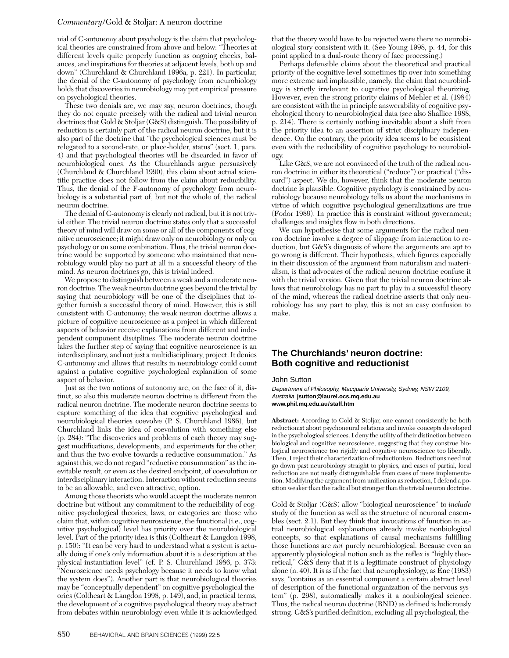### *Commentary/*Gold & Stoljar: A neuron doctrine

nial of C-autonomy about psychology is the claim that psychological theories are constrained from above and below: "Theories at different levels quite properly function as ongoing checks, balances, and inspirations for theories at adjacent levels, both up and down" (Churchland & Churchland 1996a, p. 221). In particular, the denial of the C-autonomy of psychology from neurobiology holds that discoveries in neurobiology may put empirical pressure on psychological theories.

These two denials are, we may say, neuron doctrines, though they do not equate precisely with the radical and trivial neuron doctrines that Gold & Stoljar (G&S) distinguish. The possibility of reduction is certainly part of the radical neuron doctrine, but it is also part of the doctrine that "the psychological sciences must be relegated to a second-rate, or place-holder, status" (sect. 1, para. 4) and that psychological theories will be discarded in favor of neurobiological ones. As the Churchlands argue persuasively (Churchland & Churchland 1990), this claim about actual scientific practice does not follow from the claim about reducibility. Thus, the denial of the F-autonomy of psychology from neurobiology is a substantial part of, but not the whole of, the radical neuron doctrine.

The denial of C-autonomy is clearly not radical, but it is not trivial either. The trivial neuron doctrine states only that a successful theory of mind will draw on some or all of the components of cognitive neuroscience; it might draw only on neurobiology or only on psychology or on some combination. Thus, the trivial neuron doctrine would be supported by someone who maintained that neurobiology would play no part at all in a successful theory of the mind. As neuron doctrines go, this is trivial indeed.

We propose to distinguish between a weak and a moderate neuron doctrine. The weak neuron doctrine goes beyond the trivial by saying that neurobiology will be one of the disciplines that together furnish a successful theory of mind. However, this is still consistent with C-autonomy; the weak neuron doctrine allows a picture of cognitive neuroscience as a project in which different aspects of behavior receive explanations from different and independent component disciplines. The moderate neuron doctrine takes the further step of saying that cognitive neuroscience is an interdisciplinary, and not just a multidisciplinary, project. It denies C-autonomy and allows that results in neurobiology could count against a putative cognitive psychological explanation of some aspect of behavior.

Just as the two notions of autonomy are, on the face of it, distinct, so also this moderate neuron doctrine is different from the radical neuron doctrine. The moderate neuron doctrine seems to capture something of the idea that cognitive psychological and neurobiological theories coevolve (P. S. Churchland 1986), but Churchland links the idea of coevolution with something else (p. 284): "The discoveries and problems of each theory may suggest modifications, developments, and experiments for the other, and thus the two evolve towards a reductive consummation." As against this, we do not regard "reductive consummation" as the inevitable result, or even as the desired endpoint, of coevolution or interdisciplinary interaction. Interaction without reduction seems to be an allowable, and even attractive, option.

Among those theorists who would accept the moderate neuron doctrine but without any commitment to the reducibility of cognitive psychological theories, laws, or categories are those who claim that, within cognitive neuroscience, the functional (i.e., cognitive psychological) level has priority over the neurobiological level. Part of the priority idea is this (Coltheart & Langdon 1998, p. 150): "It can be very hard to understand what a system is actually doing if one's only information about it is a description at the physical-instantiation level" (cf. P. S. Churchland 1986, p. 373: "Neuroscience needs psychology because it needs to know what the system does"). Another part is that neurobiological theories may be "conceptually dependent" on cognitive psychological theories (Coltheart & Langdon 1998, p. 149), and, in practical terms, the development of a cognitive psychological theory may abstract from debates within neurobiology even while it is acknowledged that the theory would have to be rejected were there no neurobiological story consistent with it. (See Young 1998, p. 44, for this point applied to a dual-route theory of face processing.)

Perhaps defensible claims about the theoretical and practical priority of the cognitive level sometimes tip over into something more extreme and implausible, namely, the claim that neurobiology is strictly irrelevant to cognitive psychological theorizing. However, even the strong priority claims of Mehler et al. (1984) are consistent with the in principle answerability of cognitive psychological theory to neurobiological data (see also Shallice 1988, p. 214). There is certainly nothing inevitable about a shift from the priority idea to an assertion of strict disciplinary independence. On the contrary, the priority idea seems to be consistent even with the reducibility of cognitive psychology to neurobiology.

Like G&S, we are not convinced of the truth of the radical neuron doctrine in either its theoretical ("reduce") or practical ("discard") aspect. We do, however, think that the moderate neuron doctrine is plausible. Cognitive psychology is constrained by neurobiology because neurobiology tells us about the mechanisms in virtue of which cognitive psychological generalizations are true (Fodor 1989). In practice this is constraint without government; challenges and insights flow in both directions.

We can hypothesise that some arguments for the radical neuron doctrine involve a degree of slippage from interaction to reduction, but G&S's diagnosis of where the arguments are apt to go wrong is different. Their hypothesis, which figures especially in their discussion of the argument from naturalism and materialism, is that advocates of the radical neuron doctrine confuse it with the trivial version. Given that the trivial neuron doctrine allows that neurobiology has no part to play in a successful theory of the mind, whereas the radical doctrine asserts that only neurobiology has any part to play, this is not an easy confusion to make.

## **The Churchlands' neuron doctrine: Both cognitive and reductionist**

#### John Sutton

Department of Philosophy, Macquarie University, Sydney, NSW 2109, Australia. **jsutton@laurel.ocs.mq.edu.au www.phil.mq.edu.au/staff.htm**

**Abstract:** According to Gold & Stoljar, one cannot consistently be both reductionist about psychoneural relations and invoke concepts developed in the psychological sciences. I deny the utility of their distinction between biological and cognitive neuroscience, suggesting that they construe biological neuroscience too rigidly and cognitive neuroscience too liberally. Then, I reject their characterization of reductionism. Reductions need not go down past neurobiology straight to physics, and cases of partial, local reduction are not neatly distinguishable from cases of mere implementation. Modifying the argument from unification as reduction, I defend a position weaker than the radical but stronger than the trivial neuron doctrine.

Gold & Stoljar (G&S) allow "biological neuroscience" to *include* study of the function as well as the structure of neuronal ensembles (sect. 2.1). But they think that invocations of function in actual neurobiological explanations already invoke nonbiological concepts, so that explanations of causal mechanisms fulfilling those functions are *not* purely neurobiological. Because even an apparently physiological notion such as the reflex is "highly theoretical," G&S deny that it is a legitimate construct of physiology alone (n. 40). It is as if the fact that neurophysiology, as Enc (1983) says, "contains as an essential component a certain abstract level of description of the functional organization of the nervous system" (p. 298), automatically makes it a nonbiological science. Thus, the radical neuron doctrine (RND) as defined is ludicrously strong. G&S's purified definition, excluding all psychological, the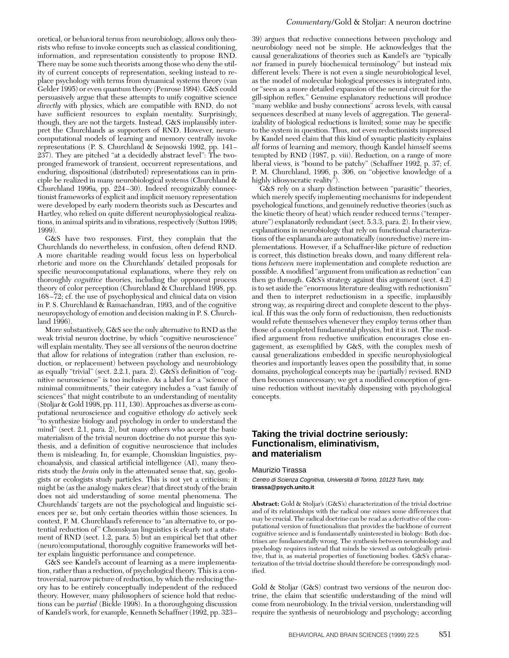oretical, or behavioral terms from neurobiology, allows only theorists who refuse to invoke concepts such as classical conditioning, information, and representation consistently to propose RND. There may be some such theorists among those who deny the utility of current concepts of representation, seeking instead to replace psychology with terms from dynamical systems theory (van Gelder 1995) or even quantum theory (Penrose 1994). G&S could persuasively argue that these attempts to unify cognitive science *directly* with physics, which are compatible with RND, do not have sufficient resources to explain mentality. Surprisingly, though, they are not the targets. Instead, G&S implausibly interpret the Churchlands as supporters of RND. However, neurocomputational models of learning and memory centrally invoke representations (P. S. Churchland & Sejnowski 1992, pp. 141– 237). They are pitched "at a decidedly abstract level": The twopronged framework of transient, occurrent representations, and enduring, dispositional (distributed) representations can in principle be realized in many neurobiological systems (Churchland & Churchland 1996a, pp. 224–30). Indeed recognizably connectionist frameworks of explicit and implicit memory representation were developed by early modern theorists such as Descartes and Hartley, who relied on quite different neurophysiological realizations, in animal spirits and in vibrations, respectively (Sutton 1998; 1999).

G&S have two responses. First, they complain that the Churchlands do nevertheless, in confusion, often defend RND. A more charitable reading would focus less on hyperbolical rhetoric and more on the Churchlands' detailed proposals for specific neurocomputational explanations, where they rely on thoroughly *cognitive* theories, including the opponent process theory of color perception (Churchland & Churchland 1998, pp. 168–72; cf. the use of psychophysical and clinical data on vision in P. S. Churchland & Ramachandran, 1993, and of the cognitive neuropsychology of emotion and decision making in P. S. Churchland 1996).

More substantively, G&S see the only alternative to RND as the weak trivial neuron doctrine, by which "cognitive neuroscience" will explain mentality. They see all versions of the neuron doctrine that allow for relations of integration (rather than exclusion, reduction, or replacement) between psychology and neurobiology as equally "trivial" (sect. 2.2.1, para. 2). G&S's definition of "cognitive neuroscience" is too inclusive. As a label for a "science of minimal commitments," their category includes a "vast family of sciences" that might contribute to an understanding of mentality (Stoljar & Gold 1998, pp. 111, 130). Approaches as diverse as computational neuroscience and cognitive ethology *do* actively seek "to synthesize biology and psychology in order to understand the mind" (sect. 2.1, para. 2), but many others who accept the basic materialism of the trivial neuron doctrine do not pursue this synthesis, and a definition of cognitive neuroscience that includes them is misleading. In, for example, Chomskian linguistics, psychoanalysis, and classical artificial intelligence (AI), many theorists study the *brain* only in the attenuated sense that, say, geologists or ecologists study particles. This is not yet a criticism; it might be (as the analogy makes clear) that direct study of the brain does not aid understanding of some mental phenomena. The Churchlands' targets are not the psychological and linguistic sciences per se, but only certain theories within those sciences. In context, P. M. Churchland's reference to "an alternative to, or potential reduction of" Chomskyan linguistics is clearly not a statement of RND (sect. 1.2, para. 5) but an empirical bet that other (neuro)computational, thoroughly cognitive frameworks will better explain linguistic performance and competence.

G&S see Kandel's account of learning as a mere implementation, rather than a reduction, of psychological theory. This is a controversial, narrow picture of reduction, by which the reducing theory has to be entirely conceptually independent of the reduced theory. However, many philosophers of science hold that reductions can be *partial* (Bickle 1998). In a thoroughgoing discussion of Kandel's work, for example, Kenneth Schaffner (1992, pp. 323– 39) argues that reductive connections between psychology and neurobiology need not be simple. He acknowledges that the causal generalizations of theories such as Kandel's are "typically *not* framed in purely biochemical terminology" but instead mix different levels: There is not even a single neurobiological level, as the model of molecular biological processes is integrated into, or "seen as a more detailed expansion of the neural circuit for the gill-siphon reflex." Genuine explanatory reductions will produce "many weblike and bushy connections" across levels, with causal sequences described at many levels of aggregation. The generalizability of biological reductions is limited; some may be specific to the system in question. Thus, not even reductionists impressed by Kandel need claim that this kind of synaptic plasticity explains *all* forms of learning and memory, though Kandel himself seems tempted by RND (1987, p. viii). Reduction, on a range of more liberal views, is "bound to be patchy" (Schaffner 1992, p. 37; cf. P. M. Churchland, 1996, p. 306, on "objective knowledge of a highly idiosyncratic reality").

G&S rely on a sharp distinction between "parasitic" theories, which merely specify implementing mechanisms for independent psychological functions, and genuinely reductive theories (such as the kinetic theory of heat) which render reduced terms ("temperature") explanatorily redundant (sect. 5.3.3, para. 2). In their view, explanations in neurobiology that rely on functional characterizations of the explananda are automatically (nonreductive) mere implementations. However, if a Schaffner-like picture of reduction is correct, this distinction breaks down, and many different relations *between* mere implementation and complete reduction are possible. A modified "argument from unification as reduction" can then go through. G&S's strategy against this argument (sect. 4.2) is to set aside the "enormous literature dealing with reductionism" and then to interpret reductionism in a specific, implausibly strong way, as requiring direct and complete descent to the physical. If this was the only form of reductionism, then reductionists would refute themselves whenever they employ terms other than those of a completed fundamental physics, but it is not. The modified argument from reductive unification encourages close engagement, as exemplified by G&S, with the complex mesh of causal generalizations embedded in specific neurophysiological theories and importantly leaves open the possibility that, in some domains, psychological concepts may be (partially) revised. RND then becomes unnecessary; we get a modified conception of genuine reduction without inevitably dispensing with psychological concepts.

## **Taking the trivial doctrine seriously: Functionalism, eliminativism, and materialism**

Maurizio Tirassa

Centro di Scienza Cognitiva, Università di Torino, 10123 Turin, Italy. **tirassa@psych.unito.it**

**Abstract:** Gold & Stoljar's (G&S's) characterization of the trivial doctrine and of its relationships with the radical one misses some differences that may be crucial. The radical doctrine can be read as a derivative of the computational version of functionalism that provides the backbone of current cognitive science and is fundamentally uninterested in biology: Both doctrines are fundamentally wrong. The synthesis between neurobiology and psychology requires instead that minds be viewed as ontologically primitive, that is, as material properties of functioning bodies. G&S's characterization of the trivial doctrine should therefore be correspondingly modified.

Gold & Stoljar (G&S) contrast two versions of the neuron doctrine, the claim that scientific understanding of the mind will come from neurobiology. In the trivial version, understanding will require the synthesis of neurobiology and psychology; according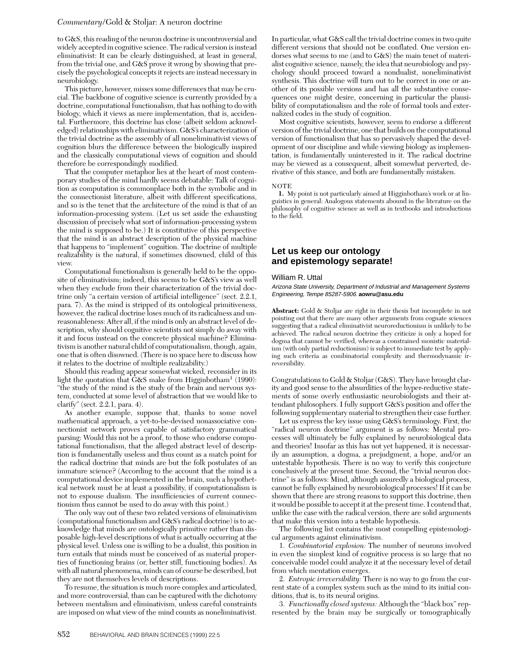### *Commentary/*Gold & Stoljar: A neuron doctrine

to G&S, this reading of the neuron doctrine is uncontroversial and widely accepted in cognitive science. The radical version is instead eliminativist: It can be clearly distinguished, at least in general, from the trivial one, and G&S prove it wrong by showing that precisely the psychological concepts it rejects are instead necessary in neurobiology.

This picture, however, misses some differences that may be crucial. The backbone of cognitive science is currently provided by a doctrine, computational functionalism, that has nothing to do with biology, which it views as mere implementation, that is, accidental. Furthermore, this doctrine has close (albeit seldom acknowledged) relationships with eliminativism. G&S's characterization of the trivial doctrine as the assembly of all noneliminativist views of cognition blurs the difference between the biologically inspired and the classically computational views of cognition and should therefore be correspondingly modified.

That the computer metaphor lies at the heart of most contemporary studies of the mind hardly seems debatable: Talk of cognition as computation is commonplace both in the symbolic and in the connectionist literature, albeit with different specifications, and so is the tenet that the architecture of the mind is that of an information-processing system. (Let us set aside the exhausting discussion of precisely what sort of information-processing system the mind is supposed to be.) It is constitutive of this perspective that the mind is an abstract description of the physical machine that happens to "implement" cognition. The doctrine of multiple realizability is the natural, if sometimes disowned, child of this view.

Computational functionalism is generally held to be the opposite of eliminativism; indeed, this seems to be G&S's view as well when they exclude from their characterization of the trivial doctrine only "a certain version of artificial intelligence" (sect. 2.2.1, para. 7). As the mind is stripped of its ontological primitiveness, however, the radical doctrine loses much of its radicalness and unreasonableness: After all, if the mind is only an abstract level of description, why should cognitive scientists not simply do away with it and focus instead on the concrete physical machine? Eliminativism is another natural child of computationalism, though, again, one that is often disowned. (There is no space here to discuss how it relates to the doctrine of multiple realizability.)

Should this reading appear somewhat wicked, reconsider in its light the quotation that G&S make from Higginbotham<sup>1</sup> (1990): "the study of the mind is the study of the brain and nervous system, conducted at some level of abstraction that we would like to clarify" (sect. 2.2.1, para. 4).

As another example, suppose that, thanks to some novel mathematical approach, a yet-to-be-devised nonassociative connectionist network proves capable of satisfactory grammatical parsing: Would this not be a proof, to those who endorse computational functionalism, that the alleged abstract level of description is fundamentally useless and thus count as a match point for the radical doctrine that minds are but the folk postulates of an immature science? (According to the account that the mind is a computational device implemented in the brain, such a hypothetical network must be at least a possibility, if computationalism is not to espouse dualism. The insufficiencies of current connectionism thus cannot be used to do away with this point.)

The only way out of these two related versions of eliminativism (computational functionalism and G&S's radical doctrine) is to acknowledge that minds are ontologically primitive rather than disposable high-level descriptions of what is actually occurring at the physical level. Unless one is willing to be a dualist, this position in turn entails that minds must be conceived of as material properties of functioning brains (or, better still, functioning bodies). As with all natural phenomena, minds can of course be described, but they are not themselves levels of descriptions.

To resume, the situation is much more complex and articulated, and more controversial, than can be captured with the dichotomy between mentalism and eliminativism, unless careful constraints are imposed on what view of the mind counts as noneliminativist.

In particular, what G&S call the trivial doctrine comes in two quite different versions that should not be conflated. One version endorses what seems to me (and to G&S) the main tenet of materialist cognitive science, namely, the idea that neurobiology and psychology should proceed toward a nondualist, noneliminativist synthesis. This doctrine will turn out to be correct in one or another of its possible versions and has all the substantive consequences one might desire, concerning in particular the plausibility of computationalism and the role of formal tools and externalized codes in the study of cognition.

Most cognitive scientists, however, seem to endorse a different version of the trivial doctrine, one that builds on the computational version of functionalism that has so pervasively shaped the development of our discipline and while viewing biology as implementation, is fundamentally uninterested in it. The radical doctrine may be viewed as a consequent, albeit somewhat perverted, derivative of this stance, and both are fundamentally mistaken.

#### **NOTE**

**1.** My point is not particularly aimed at Higginbotham's work or at linguistics in general: Analogous statements abound in the literature on the philosophy of cognitive science as well as in textbooks and introductions to the field.

## **Let us keep our ontology and epistemology separate!**

#### William R. Uttal

Arizona State University, Department of Industrial and Management Systems Engineering, Tempe 85287-5906. **aowru@asu.edu**

**Abstract:** Gold & Stoljar are right in their thesis but incomplete in not pointing out that there are many other arguments from cognate sciences suggesting that a radical eliminativist neuroreductionism is unlikely to be achieved. The radical neuron doctrine they criticize is only a hoped for dogma that cannot be verified, whereas a constrained monistic materialism (with only partial reductionism) is subject to immediate test by applying such criteria as combinatorial complexity and thermodynamic irreversibility.

Congratulations to Gold & Stoljar (G&S). They have brought clarity and good sense to the absurdities of the hyper-reductive statements of some overly enthusiastic neurobiologists and their attendant philosophers. I fully support G&S's position and offer the following supplementary material to strengthen their case further.

Let us express the key issue using G&S's terminology. First, the "radical neuron doctrine" argument is as follows: Mental processes will ultimately be fully explained by neurobiological data and theories! Insofar as this has not yet happened, it is necessarily an assumption, a dogma, a prejudgment, a hope, and/or an untestable hypothesis. There is no way to verify this conjecture conclusively at the present time. Second, the "trivial neuron doctrine" is as follows: Mind, although assuredly a biological process, cannot be fully explained by neurobiological processes! If it can be shown that there are strong reasons to support this doctrine, then it would be possible to accept it at the present time. I contend that, unlike the case with the radical version, there are solid arguments that make this version into a testable hypothesis.

The following list contains the most compelling epistemological arguments against eliminativism.

1. *Combinatorial explosion:* The number of neurons involved in even the simplest kind of cognitive process is so large that no conceivable model could analyze it at the necessary level of detail from which mentation emerges.

2. *Entropic irreversibility:* There is no way to go from the current state of a complex system such as the mind to its initial conditions, that is, to its neural origins.

3. *Functionally closed systems:* Although the "black box" represented by the brain may be surgically or tomographically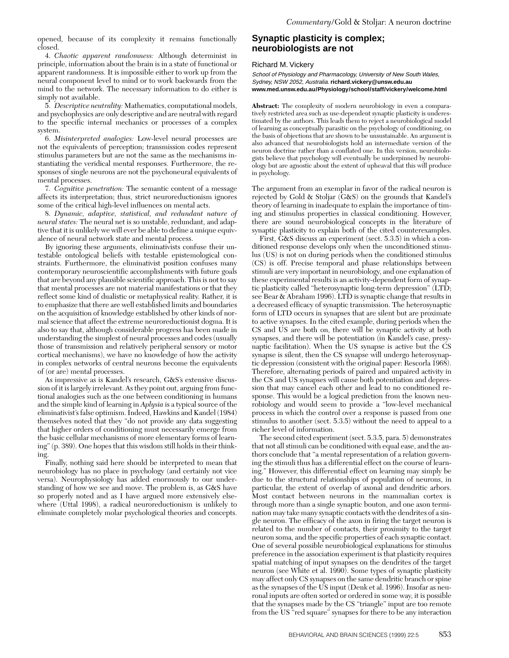opened, because of its complexity it remains functionally closed.

4. *Chaotic apparent randomness:* Although determinist in principle, information about the brain is in a state of functional or apparent randomness. It is impossible either to work up from the neural component level to mind or to work backwards from the mind to the network. The necessary information to do either is simply not available.

5. *Descriptive neutrality:* Mathematics, computational models, and psychophysics are only descriptive and are neutral with regard to the specific internal mechanics or processes of a complex system.

6. *Misinterpreted analogies:* Low-level neural processes are not the equivalents of perception; transmission codes represent stimulus parameters but are not the same as the mechanisms instantiating the veridical mental responses. Furthermore, the responses of single neurons are not the psychoneural equivalents of mental processes.

7. *Cognitive penetration:* The semantic content of a message affects its interpretation; thus, strict neuroreductionism ignores some of the critical high-level influences on mental acts.

8. *Dynamic, adaptive, statistical, and redundant nature of neural states:* The neural net is so unstable, redundant, and adaptive that it is unlikely we will ever be able to define a unique equivalence of neural network state and mental process.

By ignoring these arguments, eliminativists confuse their untestable ontological beliefs with testable epistemological constraints. Furthermore, the eliminativist position confuses many contemporary neuroscientific accomplishments with future goals that are beyond any plausible scientific approach. This is not to say that mental processes are not material manifestations or that they reflect some kind of dualistic or metaphysical reality. Rather, it is to emphasize that there are well established limits and boundaries on the acquisition of knowledge established by other kinds of normal science that affect the extreme neuroreductionist dogma. It is also to say that, although considerable progress has been made in understanding the simplest of neural processes and codes (usually those of transmission and relatively peripheral sensory or motor cortical mechanisms), we have no knowledge of how the activity in complex networks of central neurons become the equivalents of (or are) mental processes.

As impressive as is Kandel's research, G&S's extensive discussion of it is largely irrelevant. As they point out, arguing from functional analogies such as the one between conditioning in humans and the simple kind of learning in *Aplysia* is a typical source of the eliminativist's false optimism. Indeed, Hawkins and Kandel (1984) themselves noted that they "do not provide any data suggesting that higher orders of conditioning must necessarily emerge from the basic cellular mechanisms of more elementary forms of learning" (p. 389). One hopes that this wisdom still holds in their thinking.

Finally, nothing said here should be interpreted to mean that neurobiology has no place in psychology (and certainly not vice versa). Neurophysiology has added enormously to our understanding of how we see and move. The problem is, as G&S have so properly noted and as I have argued more extensively elsewhere (Uttal 1998), a radical neuroreductionism is unlikely to eliminate completely molar psychological theories and concepts.

## **Synaptic plasticity is complex; neurobiologists are not**

#### Richard M. Vickery

School of Physiology and Pharmacology, University of New South Wales, Sydney, NSW 2052, Australia. **richard.vickery@unsw.edu.au www.med.unsw.edu.au/Physiology/school/staff/vickery/welcome.html**

**Abstract:** The complexity of modern neurobiology in even a comparatively restricted area such as use-dependent synaptic plasticity is underestimated by the authors. This leads them to reject a neurobiological model of learning as conceptually parasitic on the psychology of conditioning, on the basis of objections that are shown to be unsustainable. An argument is also advanced that neurobiologists hold an intermediate version of the neuron doctrine rather than a conflated one. In this version, neurobiologists believe that psychology will eventually be underpinned by neurobiology but are agnostic about the extent of upheaval that this will produce in psychology.

The argument from an exemplar in favor of the radical neuron is rejected by Gold & Stoljar (G&S) on the grounds that Kandel's theory of learning in inadequate to explain the importance of timing and stimulus properties in classical conditioning. However, there are sound neurobiological concepts in the literature of synaptic plasticity to explain both of the cited counterexamples.

First, G&S discuss an experiment (sect. 5.3.5) in which a conditioned response develops only when the unconditioned stimulus (US) is not on during periods when the conditioned stimulus (CS) is off. Precise temporal and phase relationships between stimuli are very important in neurobiology, and one explanation of these experimental results is an activity-dependent form of synaptic plasticity called "heterosynaptic long-term depression" (LTD; see Bear & Abraham 1996). LTD is synaptic change that results in a decreased efficacy of synaptic transmission. The heterosynaptic form of LTD occurs in synapses that are silent but are proximate to active synapses. In the cited example, during periods when the CS and US are both on, there will be synaptic activity at both synapses, and there will be potentiation (in Kandel's case, presynaptic facilitation). When the US synapse is active but the CS synapse is silent, then the CS synapse will undergo heterosynaptic depression (consistent with the original paper: Rescorla 1968). Therefore, alternating periods of paired and unpaired activity in the CS and US synapses will cause both potentiation and depression that may cancel each other and lead to no conditioned response. This would be a logical prediction from the known neurobiology and would seem to provide a "low-level mechanical process in which the control over a response is passed from one stimulus to another (sect. 5.3.5) without the need to appeal to a richer level of information.

The second cited experiment (sect. 5.3.5, para. 5) demonstrates that not all stimuli can be conditioned with equal ease, and the authors conclude that "a mental representation of a relation governing the stimuli thus has a differential effect on the course of learning." However, this differential effect on learning may simply be due to the structural relationships of population of neurons, in particular, the extent of overlap of axonal and dendritic arbors. Most contact between neurons in the mammalian cortex is through more than a single synaptic bouton, and one axon termination may take many synaptic contacts with the dendrites of a single neuron. The efficacy of the axon in firing the target neuron is related to the number of contacts, their proximity to the target neuron soma, and the specific properties of each synaptic contact. One of several possible neurobiological explanations for stimulus preference in the association experiment is that plasticity requires spatial matching of input synapses on the dendrites of the target neuron (see White et al. 1990). Some types of synaptic plasticity may affect only CS synapses on the same dendritic branch or spine as the synapses of the US input (Denk et al. 1996). Insofar as neuronal inputs are often sorted or ordered in some way, it is possible that the synapses made by the CS "triangle" input are too remote from the US "red square" synapses for there to be any interaction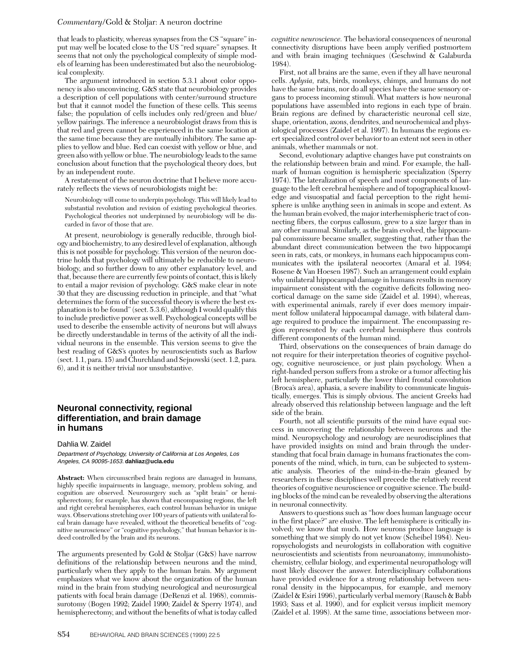### *Commentary/*Gold & Stoljar: A neuron doctrine

that leads to plasticity, whereas synapses from the CS "square" input may well be located close to the US "red square" synapses. It seems that not only the psychological complexity of simple models of learning has been underestimated but also the neurobiological complexity.

The argument introduced in section 5.3.1 about color opponency is also unconvincing. G&S state that neurobiology provides a description of cell populations with center/surround structure but that it cannot model the function of these cells. This seems false; the population of cells includes only red/green and blue/ yellow pairings. The inference a neurobiologist draws from this is that red and green cannot be experienced in the same location at the same time because they are mutually inhibitory. The same applies to yellow and blue. Red can coexist with yellow or blue, and green also with yellow or blue. The neurobiology leads to the same conclusion about function that the psychological theory does, but by an independent route.

A restatement of the neuron doctrine that I believe more accurately reflects the views of neurobiologists might be:

Neurobiology will come to underpin psychology. This will likely lead to substantial revolution and revision of existing psychological theories. Psychological theories not underpinned by neurobiology will be discarded in favor of those that are.

At present, neurobiology is generally reducible, through biology and biochemistry, to any desired level of explanation, although this is not possible for psychology. This version of the neuron doctrine holds that psychology will ultimately be reducible to neurobiology, and so further down to any other explanatory level, and that, because there are currently few points of contact, this is likely to entail a major revision of psychology. G&S make clear in note 30 that they are discussing reduction in principle, and that "what determines the form of the successful theory is where the best explanation is to be found" (sect. 5.3.6), although I would qualify this to include predictive power as well. Psychological concepts will be used to describe the ensemble activity of neurons but will always be directly understandable in terms of the activity of all the individual neurons in the ensemble. This version seems to give the best reading of G&S's quotes by neuroscientists such as Barlow (sect. 1.1, para. 15) and Churchland and Sejnowski (sect. 1.2, para. 6), and it is neither trivial nor unsubstantive.

## **Neuronal connectivity, regional differentiation, and brain damage in humans**

#### Dahlia W. Zaidel

Department of Psychology, University of California at Los Angeles, Los Angeles, CA 90095-1653. **dahliaz@ucla.edu**

**Abstract:** When circumscribed brain regions are damaged in humans, highly specific impairments in language, memory, problem solving, and cognition are observed. Neurosurgery such as "split brain" or hemispherectomy, for example, has shown that encompassing regions, the left and right cerebral hemispheres, each control human behavior in unique ways. Observations stretching over 100 years of patients with unilateral focal brain damage have revealed, without the theoretical benefits of "cognitive neuroscience" or "cognitive psychology," that human behavior is indeed controlled by the brain and its neurons.

The arguments presented by Gold & Stoljar (G&S) have narrow definitions of the relationship between neurons and the mind, particularly when they apply to the human brain. My argument emphasizes what we know about the organization of the human mind in the brain from studying neurological and neurosurgical patients with focal brain damage (DeRenzi et al. 1968), commissurotomy (Bogen 1992; Zaidel 1990; Zaidel & Sperry 1974), and hemispherectomy, and without the benefits of what is today called *cognitive neuroscience.* The behavioral consequences of neuronal connectivity disruptions have been amply verified postmortem and with brain imaging techniques (Geschwind & Galaburda 1984).

First, not all brains are the same, even if they all have neuronal cells. *Aplysia,* rats, birds, monkeys, chimps, and humans do not have the same brains, nor do all species have the same sensory organs to process incoming stimuli. What matters is how neuronal populations have assembled into regions in each type of brain. Brain regions are defined by characteristic neuronal cell size, shape, orientation, axons, dendrites, and neurochemical and physiological processes (Zaidel et al. 1997). In humans the regions exert specialized control over behavior to an extent not seen in other animals, whether mammals or not.

Second, evolutionary adaptive changes have put constraints on the relationship between brain and mind. For example, the hallmark of human cognition is hemispheric specialization (Sperry 1974). The lateralization of speech and most components of language to the left cerebral hemisphere and of topographical knowledge and visuospatial and facial perception to the right hemisphere is unlike anything seen in animals in scope and extent. As the human brain evolved, the major interhemispheric tract of connecting fibers, the corpus callosum, grew to a size larger than in any other mammal. Similarly, as the brain evolved, the hippocampal commissure became smaller, suggesting that, rather than the abundant direct communication between the two hippocampi seen in rats, cats, or monkeys, in humans each hippocampus communicates with the ipsilateral neocortex (Amaral et al. 1984; Rosene & Van Hoesen 1987). Such an arrangement could explain why unilateral hippocampal damage in humans results in memory impairment consistent with the cognitive deficits following neocortical damage on the same side (Zaidel et al. 1994), whereas, with experimental animals, rarely if ever does memory impairment follow unilateral hippocampal damage, with bilateral damage required to produce the impairment. The encompassing region represented by each cerebral hemisphere thus controls different components of the human mind.

Third, observations on the consequences of brain damage do not require for their interpretation theories of cognitive psychology, cognitive neuroscience, or just plain psychology. When a right-handed person suffers from a stroke or a tumor affecting his left hemisphere, particularly the lower third frontal convolution (Broca's area), aphasia, a severe inability to communicate linguistically, emerges. This is simply obvious. The ancient Greeks had already observed this relationship between language and the left side of the brain.

Fourth, not all scientific pursuits of the mind have equal success in uncovering the relationship between neurons and the mind. Neuropsychology and neurology are neurodisciplines that have provided insights on mind and brain through the understanding that focal brain damage in humans fractionates the components of the mind, which, in turn, can be subjected to systematic analysis. Theories of the mind-in-the-brain gleaned by researchers in these disciplines well precede the relatively recent theories of cognitive neuroscience or cognitive science. The building blocks of the mind can be revealed by observing the alterations in neuronal connectivity.

Answers to questions such as "how does human language occur in the first place?" are elusive. The left hemisphere is critically involved; we know that much. How neurons produce language is something that we simply do not yet know (Scheibel 1984). Neuropsychologists and neurologists in collaboration with cognitive neuroscientists and scientists from neuroanatomy, immunohistochemistry, cellular biology, and experimental neuropathology will most likely discover the answer. Interdisciplinary collaborations have provided evidence for a strong relationship between neuronal density in the hippocampus, for example, and memory (Zaidel & Esiri 1996), particularly verbal memory (Rausch & Babb 1993; Sass et al. 1990), and for explicit versus implicit memory (Zaidel et al. 1998). At the same time, associations between mor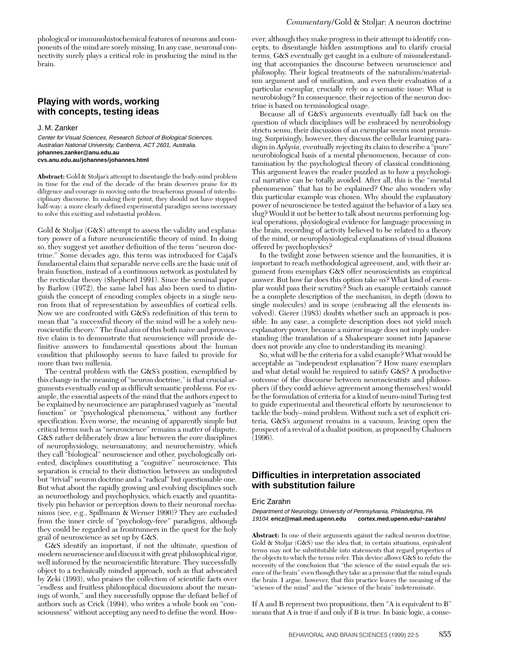phological or immunohistochemical features of neurons and components of the mind are sorely missing. In any case, neuronal connectivity surely plays a critical role in producing the mind in the brain.

## **Playing with words, working with concepts, testing ideas**

J. M. Zanker

Center for Visual Sciences, Research School of Biological Sciences, Australian National University, Canberra, ACT 2601, Australia. **johannes.zanker@anu.edu.au cvs.anu.edu.au/johannes/johannes.html**

**Abstract:** Gold & Stoljar's attempt to disentangle the body-mind problem in time for the end of the decade of the brain deserves praise for its diligence and courage in moving onto the treacherous ground of interdisciplinary discourse. In making their point, they should not have stopped half-way: a more clearly defined experimental paradigm seems necessary to solve this exciting and substantial problem.

Gold & Stoljar (G&S) attempt to assess the validity and explanatory power of a future neuroscientific theory of mind. In doing so, they suggest yet another definition of the term "neuron doctrine." Some decades ago, this term was introduced for Cajal's fundamental claim that separable nerve cells are the basic unit of brain function, instead of a continuous network as postulated by the recticular theory (Shepherd 1991). Since the seminal paper by Barlow (1972), the same label has also been used to distinguish the concept of encoding complex objects in a single neuron from that of representation by assemblies of cortical cells. Now we are confronted with G&S's redefinition of this term to mean that "a successful theory of the mind will be a solely neuroscientific theory." The final aim of this both naive and provocative claim is to demonstrate that neuroscience will provide definitive answers to fundamental questions about the human condition that philosophy seems to have failed to provide for more than two millenia.

The central problem with the G&S's position, exemplified by this change in the meaning of "neuron doctrine," is that crucial arguments eventually end up as difficult semantic problems. For example, the essential aspects of the mind that the authors expect to be explained by neuroscience are paraphrased vaguely as "mental function" or "psychological phenomena," without any further specification. Even worse, the meaning of apparently simple but critical terms such as "neuroscience" remains a matter of dispute. G&S rather deliberately draw a line between the core disciplines of neurophysiology, neuroanatomy, and neurochemistry, which they call "biological" neuroscience and other, psychologically oriented, disciplines constituting a "cognitive" neuroscience. This separation is crucial to their distinction between an undisputed but "trivial" neuron doctrine and a "radical" but questionable one. But what about the rapidly growing and evolving disciplines such as neuroethology and psychophysics, which exactly and quantitatively pin behavior or perception down to their neuronal mechanisms (see, e.g., Spillmann & Werner 1990)? They are excluded from the inner circle of "psychology-free" paradigms, although they could be regarded as frontrunners in the quest for the holy grail of neuroscience as set up by G&S.

G&S identify an important, if not the ultimate, question of modern neuroscience and discuss it with great philosophical rigor, well informed by the neuroscientific literature. They successfully object to a technically minded approach, such as that advocated by Zeki (1993), who praises the collection of scientific facts over "endless and fruitless philosophical discussions about the meanings of words," and they successfully oppose the defiant belief of authors such as Crick (1994), who writes a whole book on "consciousness" without accepting any need to define the word. How-

ever, although they make progress in their attempt to identify concepts, to disentangle hidden assumptions and to clarify crucial terms, G&S eventually get caught in a culture of misunderstanding that accompanies the discourse between neuroscience and philosophy. Their logical treatments of the naturalism/materialism argument and of unification, and even their evaluation of a particular exemplar, crucially rely on a semantic issue: What is neurobiology? In consequence, their rejection of the neuron doctrine is based on terminological usage.

Because all of G&S's arguments eventually fall back on the question of which disciplines will be embraced by neurobiology strictu sensu, their discussion of an exemplar seems most promising. Surprisingly, however, they discuss the cellular learning paradigm in *Aplysia,* eventually rejecting its claim to describe a "pure" neurobiological basis of a mental phenomenon, because of contamination by the psychological theory of classical conditioning. This argument leaves the reader puzzled as to how a psychological narrative can be totally avoided. After all, this is the "mental phenomenon" that has to be explained? One also wonders why this particular example was chosen. Why should the explanatory power of neuroscience be tested against the behavior of a lazy sea slug? Would it not be better to talk about neurons performing logical operations, physiological evidence for language processing in the brain, recording of activity believed to be related to a theory of the mind, or neurophysiological explanations of visual illusions offered by psychophysics?

In the twilight zone between science and the humanities, it is important to reach methodological agreement, and, with their argument from exemplars G&S offer neuroscientists an empirical answer. But how far does this option take us? What kind of exemplar would pass their scrutiny? Such an example certainly cannot be a complete description of the mechanism, in depth (down to single molecules) and in scope (embracing all the elements involved). Gierer (1983) doubts whether such an approach is possible. In any case, a complete description does not yield much explanatory power, because a mirror image does not imply understanding (the translation of a Shakespeare sonnet into Japanese does not provide any clue to understanding its meaning).

So, what will be the criteria for a valid example? What would be acceptable as "independent explanation"? How many exemplars and what detail would be required to satisfy G&S? A productive outcome of the discourse between neuroscientists and philosophers (if they could achieve agreement among themselves) would be the formulation of criteria for a kind of neuro-mind Turing test to guide experimental and theoretical efforts by neuroscience to tackle the body–mind problem. Without such a set of explicit criteria, G&S's argument remains in a vacuum, leaving open the prospect of a revival of a dualist position, as proposed by Chalmers (1996).

## **Difficulties in interpretation associated with substitution failure**

#### Eric Zarahn

Department of Neurology, University of Pennsylvania, Philadelphia, PA 19104. **ericz@mail.med.upenn.edu cortex.med.upenn.edu/~zarahn/**

**Abstract:** In one of their arguments against the radical neuron doctrine, Gold & Stoljar (G&S) use the idea that, in certain situations, equivalent terms may not be substitutable into statements that regard properties of the objects to which the terms refer. This device allows G&S to refute the necessity of the conclusion that "the science of the mind equals the science of the brain" even though they take as a premise that the mind equals the brain. I argue, however, that this practice leaves the meaning of the "science of the mind" and the "science of the brain" indeterminate.

If A and B represent two propositions, then "A is equivalent to B" means that A is true if and only if B is true. In basic logic, a conse-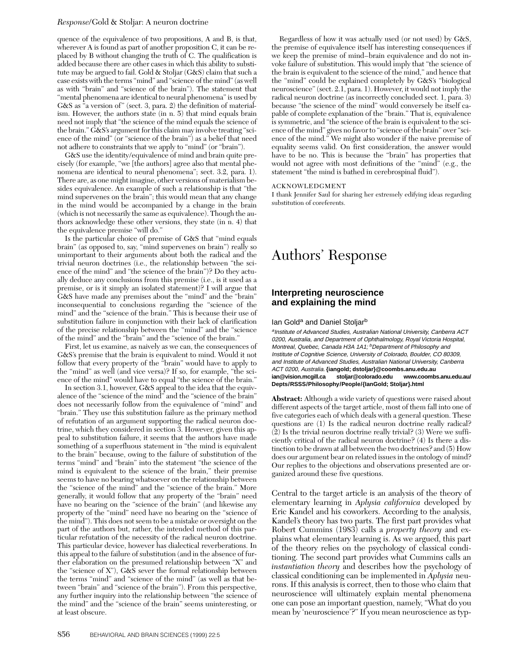### *Response/*Gold & Stoljar: A neuron doctrine

quence of the equivalence of two propositions, A and B, is that, wherever A is found as part of another proposition C, it can be replaced by B without changing the truth of C. The qualification is added because there are other cases in which this ability to substitute may be argued to fail. Gold & Stoljar (G&S) claim that such a case exists with the terms "mind" and "science of the mind" (as well as with "brain" and "science of the brain"). The statement that "mental phenomena are identical to neural phenomena" is used by G&S as "a version of" (sect. 3, para. 2) the definition of materialism. However, the authors state (in n. 5) that mind equals brain need not imply that "the science of the mind equals the science of the brain." G&S's argument for this claim may involve treating "science of the mind" (or "science of the brain") as a belief that need not adhere to constraints that we apply to "mind" (or "brain").

G&S use the identity/equivalence of mind and brain quite precisely (for example, "we [the authors] agree also that mental phenomena are identical to neural phenomena"; sect. 3.2, para. 1). There are, as one might imagine, other versions of materialism besides equivalence. An example of such a relationship is that "the mind supervenes on the brain"; this would mean that any change in the mind would be accompanied by a change in the brain (which is not necessarily the same as equivalence). Though the authors acknowledge these other versions, they state (in n. 4) that the equivalence premise "will do."

Is the particular choice of premise of G&S that "mind equals brain" (as opposed to, say, "mind supervenes on brain") really so unimportant to their arguments about both the radical and the trivial neuron doctrines (i.e., the relationship between "the science of the mind" and "the science of the brain")? Do they actually deduce any conclusions from this premise (i.e., is it used as a premise, or is it simply an isolated statement)? I will argue that G&S have made any premises about the "mind" and the "brain" inconsequential to conclusions regarding the "science of the mind" and the "science of the brain." This is because their use of substitution failure in conjunction with their lack of clarification of the precise relationship between the "mind" and the "science of the mind" and the "brain" and the "science of the brain."

First, let us examine, as naively as we can, the consequences of G&S's premise that the brain is equivalent to mind. Would it not follow that every property of the "brain" would have to apply to the "mind" as well (and vice versa)? If so, for example, "the science of the mind" would have to equal "the science of the brain."

In section 3.1, however, G&S appeal to the idea that the equivalence of the "science of the mind" and the "science of the brain" does not necessarily follow from the equivalence of "mind" and "brain." They use this substitution failure as the primary method of refutation of an argument supporting the radical neuron doctrine, which they considered in section 3. However, given this appeal to substitution failure, it seems that the authors have made something of a superfluous statement in "the mind is equivalent to the brain" because, owing to the failure of substitution of the terms "mind" and "brain" into the statement "the science of the mind is equivalent to the science of the brain," their premise seems to have no bearing whatsoever on the relationship between the "science of the mind" and the "science of the brain." More generally, it would follow that any property of the "brain" need have no bearing on the "science of the brain" (and likewise any property of the "mind" need have no bearing on the "science of the mind"). This does not seem to be a mistake or oversight on the part of the authors but, rather, the intended method of this particular refutation of the necessity of the radical neuron doctrine. This particular device, however has dialectical reverberations. In this appeal to the failure of substitution (and in the absence of further elaboration on the presumed relationship between "X" and the "science of  $X$ "),  $G\&S$  sever the formal relationship between the terms "mind" and "science of the mind" (as well as that between "brain" and "science of the brain"). From this perspective, any further inquiry into the relationship between "the science of the mind" and the "science of the brain" seems uninteresting, or at least obscure.

Regardless of how it was actually used (or not used) by G&S, the premise of equivalence itself has interesting consequences if we keep the premise of mind–brain equivalence and do not invoke failure of substitution. This would imply that "the science of the brain is equivalent to the science of the mind," and hence that the "mind" could be explained completely by G&S's "biological neuroscience" (sect. 2.1, para. 1). However, it would not imply the radical neuron doctrine (as incorrectly concluded sect. 1, para. 3) because "the science of the mind" would conversely be itself capable of complete explanation of the "brain." That is, equivalence is symmetric, and "the science of the brain is equivalent to the science of the mind" gives no favor to "science of the brain" over "science of the mind." We might also wonder if the naive premise of equality seems valid. On first consideration, the answer would have to be no. This is because the "brain" has properties that would not agree with most definitions of the "mind" (e.g., the statement "the mind is bathed in cerebrospinal fluid").

#### ACKNOWLEDGMENT

I thank Jennifer Saul for sharing her extremely edifying ideas regarding substitution of coreferents.

## Authors' Response

## **Interpreting neuroscience and explaining the mind**

#### Ian Gold<sup>a</sup> and Daniel Stoljar<sup>b</sup>

aInstitute of Advanced Studies, Australian National University, Canberra ACT 0200, Australia, and Department of Ophthalmology, Royal Victoria Hospital, Montreal, Quebec, Canada H3A 1A1; <sup>b</sup>Department of Philosophy and Institute of Cognitive Science, University of Colorado, Boulder, CO 80309, and Institute of Advanced Studies, Australian National University, Canberra ACT 0200, Australia. **{iangold; dstoljar}@coombs.anu.edu.au ian@vision.mcgill.ca stoljar@colorado.edu www.coombs.anu.edu.au/ Depts/RSSS/Philosophy/People/{IanGold; Stoljar}.html**

**Abstract:** Although a wide variety of questions were raised about different aspects of the target article, most of them fall into one of five categories each of which deals with a general question. These questions are (1) Is the radical neuron doctrine really radical?  $(2)$  Is the trivial neuron doctrine really trivial? (3) Were we sufficiently critical of the radical neuron doctrine? (4) Is there a distinction to be drawn at all between the two doctrines? and (5) How does our argument bear on related issues in the ontology of mind? Our replies to the objections and observations presented are organized around these five questions.

Central to the target article is an analysis of the theory of elementary learning in *Aplysia californica* developed by Eric Kandel and his coworkers. According to the analysis, Kandel's theory has two parts. The first part provides what Robert Cummins (1983) calls a *property theory* and explains what elementary learning is. As we argued, this part of the theory relies on the psychology of classical conditioning. The second part provides what Cummins calls an *instantiation theory* and describes how the psychology of classical conditioning can be implemented in *Aplysia* neurons. If this analysis is correct, then to those who claim that neuroscience will ultimately explain mental phenomena one can pose an important question, namely, "What do you mean by 'neuroscience'?" If you mean neuroscience as typ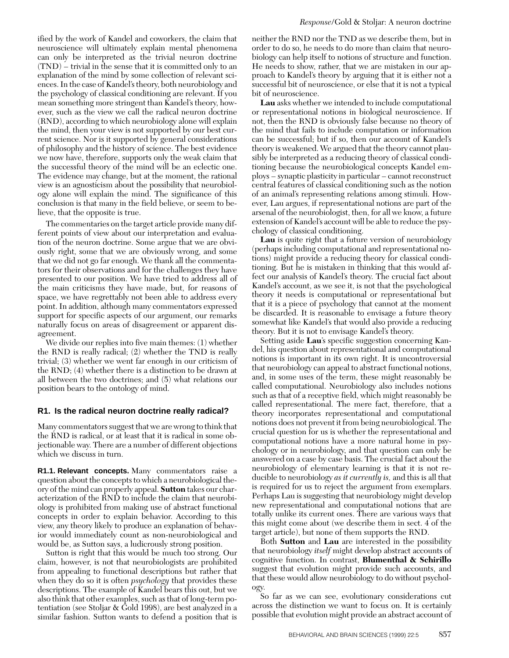ified by the work of Kandel and coworkers, the claim that neuroscience will ultimately explain mental phenomena can only be interpreted as the trivial neuron doctrine (TND) – trivial in the sense that it is committed only to an explanation of the mind by some collection of relevant sciences. In the case of Kandel's theory, both neurobiology and the psychology of classical conditioning are relevant. If you mean something more stringent than Kandel's theory, however, such as the view we call the radical neuron doctrine (RND), according to which neurobiology alone will explain the mind, then your view is not supported by our best current science. Nor is it supported by general considerations of philosophy and the history of science. The best evidence we now have, therefore, supports only the weak claim that the successful theory of the mind will be an eclectic one. The evidence may change, but at the moment, the rational view is an agnosticism about the possibility that neurobiology alone will explain the mind. The significance of this conclusion is that many in the field believe, or seem to believe, that the opposite is true.

The commentaries on the target article provide many different points of view about our interpretation and evaluation of the neuron doctrine. Some argue that we are obviously right, some that we are obviously wrong, and some that we did not go far enough. We thank all the commentators for their observations and for the challenges they have presented to our position. We have tried to address all of the main criticisms they have made, but, for reasons of space, we have regrettably not been able to address every point. In addition, although many commentators expressed support for specific aspects of our argument, our remarks naturally focus on areas of disagreement or apparent disagreement.

We divide our replies into five main themes: (1) whether the RND is really radical; (2) whether the TND is really trivial; (3) whether we went far enough in our criticism of the RND; (4) whether there is a distinction to be drawn at all between the two doctrines; and (5) what relations our position bears to the ontology of mind.

#### **R1. Is the radical neuron doctrine really radical?**

Many commentators suggest that we are wrong to think that the RND is radical, or at least that it is radical in some objectionable way. There are a number of different objections which we discuss in turn.

**R1.1. Relevant concepts.** Many commentators raise a question about the concepts to which a neurobiological theory of the mind can properly appeal. **Sutton** takes our characterization of the RND to include the claim that neurobiology is prohibited from making use of abstract functional concepts in order to explain behavior. According to this view, any theory likely to produce an explanation of behavior would immediately count as non-neurobiological and would be, as Sutton says, a ludicrously strong position.

Sutton is right that this would be much too strong. Our claim, however, is not that neurobiologists are prohibited from appealing to functional descriptions but rather that when they do so it is often *psychology* that provides these descriptions. The example of Kandel bears this out, but we also think that other examples, such as that of long-term potentiation (see Stoljar & Gold 1998), are best analyzed in a similar fashion. Sutton wants to defend a position that is

neither the RND nor the TND as we describe them, but in order to do so, he needs to do more than claim that neurobiology can help itself to notions of structure and function. He needs to show, rather, that we are mistaken in our approach to Kandel's theory by arguing that it is either not a successful bit of neuroscience, or else that it is not a typical bit of neuroscience.

**Lau** asks whether we intended to include computational or representational notions in biological neuroscience. If not, then the RND is obviously false because no theory of the mind that fails to include computation or information can be successful; but if so, then our account of Kandel's theory is weakened. We argued that the theory cannot plausibly be interpreted as a reducing theory of classical conditioning because the neurobiological concepts Kandel employs – synaptic plasticity in particular – cannot reconstruct central features of classical conditioning such as the notion of an animal's representing relations among stimuli. However, Lau argues, if representational notions are part of the arsenal of the neurobiologist, then, for all we know, a future extension of Kandel's account will be able to reduce the psychology of classical conditioning.

**Lau** is quite right that a future version of neurobiology (perhaps including computational and representational notions) might provide a reducing theory for classical conditioning. But he is mistaken in thinking that this would affect our analysis of Kandel's theory. The crucial fact about Kandel's account, as we see it, is not that the psychological theory it needs is computational or representational but that it is a piece of psychology that cannot at the moment be discarded. It is reasonable to envisage a future theory somewhat like Kandel's that would also provide a reducing theory. But it is not to envisage Kandel's theory.

Setting aside **Lau**'s specific suggestion concerning Kandel, his question about representational and computational notions is important in its own right. It is uncontroversial that neurobiology can appeal to abstract functional notions, and, in some uses of the term, these might reasonably be called computational. Neurobiology also includes notions such as that of a receptive field, which might reasonably be called representational. The mere fact, therefore, that a theory incorporates representational and computational notions does not prevent it from being neurobiological. The crucial question for us is whether the representational and computational notions have a more natural home in psychology or in neurobiology, and that question can only be answered on a case by case basis. The crucial fact about the neurobiology of elementary learning is that it is not reducible to neurobiology *as it currently is,* and this is all that is required for us to reject the argument from exemplars. Perhaps Lau is suggesting that neurobiology might develop new representational and computational notions that are totally unlike its current ones. There are various ways that this might come about (we describe them in sect. 4 of the target article), but none of them supports the RND.

Both **Sutton** and **Lau** are interested in the possibility that neurobiology *itself* might develop abstract accounts of cognitive function. In contrast, **Blumenthal & Schirillo** suggest that evolution might provide such accounts, and that these would allow neurobiology to do without psychology.

So far as we can see, evolutionary considerations cut across the distinction we want to focus on. It is certainly possible that evolution might provide an abstract account of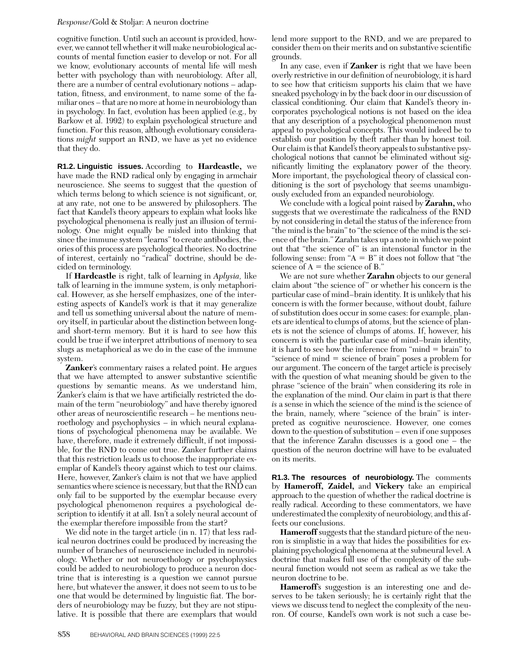## *Response/*Gold & Stoljar: A neuron doctrine

cognitive function. Until such an account is provided, however, we cannot tell whether it will make neurobiological accounts of mental function easier to develop or not. For all we know, evolutionary accounts of mental life will mesh better with psychology than with neurobiology. After all, there are a number of central evolutionary notions – adaptation, fitness, and environment, to name some of the familiar ones – that are no more at home in neurobiology than in psychology. In fact, evolution has been applied (e.g., by Barkow et al. 1992) to explain psychological structure and function. For this reason, although evolutionary considerations *might* support an RND, we have as yet no evidence that they do.

**R1.2. Linguistic issues.** According to **Hardcastle,** we have made the RND radical only by engaging in armchair neuroscience. She seems to suggest that the question of which terms belong to which science is not significant, or, at any rate, not one to be answered by philosophers. The fact that Kandel's theory appears to explain what looks like psychological phenomena is really just an illusion of terminology. One might equally be misled into thinking that since the immune system "learns" to create antibodies, theories of this process are psychological theories. No doctrine of interest, certainly no "radical" doctrine, should be decided on terminology.

If **Hardcastle** is right, talk of learning in *Aplysia,* like talk of learning in the immune system, is only metaphorical. However, as she herself emphasizes, one of the interesting aspects of Kandel's work is that it may generalize and tell us something universal about the nature of memory itself, in particular about the distinction between longand short-term memory. But it is hard to see how this could be true if we interpret attributions of memory to sea slugs as metaphorical as we do in the case of the immune system.

**Zanker**'s commentary raises a related point. He argues that we have attempted to answer substantive scientific questions by semantic means. As we understand him, Zanker's claim is that we have artificially restricted the domain of the term "neurobiology" and have thereby ignored other areas of neuroscientific research – he mentions neuroethology and psychophysics – in which neural explanations of psychological phenomena may be available. We have, therefore, made it extremely difficult, if not impossible, for the RND to come out true. Zanker further claims that this restriction leads us to choose the inappropriate exemplar of Kandel's theory against which to test our claims. Here, however, Zanker's claim is not that we have applied semantics where science is necessary, but that the RND can only fail to be supported by the exemplar because every psychological phenomenon requires a psychological description to identify it at all. Isn't a solely neural account of the exemplar therefore impossible from the start?

We did note in the target article (in n. 17) that less radical neuron doctrines could be produced by increasing the number of branches of neuroscience included in neurobiology. Whether or not neuroethology or psychophysics could be added to neurobiology to produce a neuron doctrine that is interesting is a question we cannot pursue here, but whatever the answer, it does not seem to us to be one that would be determined by linguistic fiat. The borders of neurobiology may be fuzzy, but they are not stipulative. It is possible that there are exemplars that would lend more support to the RND, and we are prepared to consider them on their merits and on substantive scientific grounds.

In any case, even if **Zanker** is right that we have been overly restrictive in our definition of neurobiology, it is hard to see how that criticism supports his claim that we have sneaked psychology in by the back door in our discussion of classical conditioning. Our claim that Kandel's theory incorporates psychological notions is not based on the idea that any description of a psychological phenomenon must appeal to psychological concepts. This would indeed be to establish our position by theft rather than by honest toil. Our claim is that Kandel's theory appeals to substantive psychological notions that cannot be eliminated without significantly limiting the explanatory power of the theory. More important, the psychological theory of classical conditioning is the sort of psychology that seems unambiguously excluded from an expanded neurobiology.

We conclude with a logical point raised by **Zarahn,** who suggests that we overestimate the radicalness of the RND by not considering in detail the status of the inference from "the mind is the brain" to "the science of the mind is the science of the brain." Zarahn takes up a note in which we point out that "the science of" is an intensional functor in the following sense: from " $A = B$ " it does not follow that "the science of  $A =$  the science of B."

We are not sure whether **Zarahn** objects to our general claim about "the science of" or whether his concern is the particular case of mind–brain identity. It is unlikely that his concern is with the former because, without doubt, failure of substitution does occur in some cases: for example, planets are identical to clumps of atoms, but the science of planets is not the science of clumps of atoms. If, however, his concern is with the particular case of mind–brain identity, it is hard to see how the inference from "mind  $=$  brain" to "science of mind  $=$  science of brain" poses a problem for our argument. The concern of the target article is precisely with the question of what meaning should be given to the phrase "science of the brain" when considering its role in the explanation of the mind. Our claim in part is that there *is* a sense in which the science of the mind is the science of the brain, namely, where "science of the brain" is interpreted as cognitive neuroscience. However, one comes down to the question of substitution – even if one supposes that the inference Zarahn discusses is a good one – the question of the neuron doctrine will have to be evaluated on its merits.

**R1.3. The resources of neurobiology.** The comments by **Hameroff, Zaidel,** and **Vickery** take an empirical approach to the question of whether the radical doctrine is really radical. According to these commentators, we have underestimated the complexity of neurobiology, and this affects our conclusions.

**Hameroff** suggests that the standard picture of the neuron is simplistic in a way that hides the possibilities for explaining psychological phenomena at the subneural level. A doctrine that makes full use of the complexity of the subneural function would not seem as radical as we take the neuron doctrine to be.

**Hameroff**'s suggestion is an interesting one and deserves to be taken seriously; he is certainly right that the views we discuss tend to neglect the complexity of the neuron. Of course, Kandel's own work is not such a case be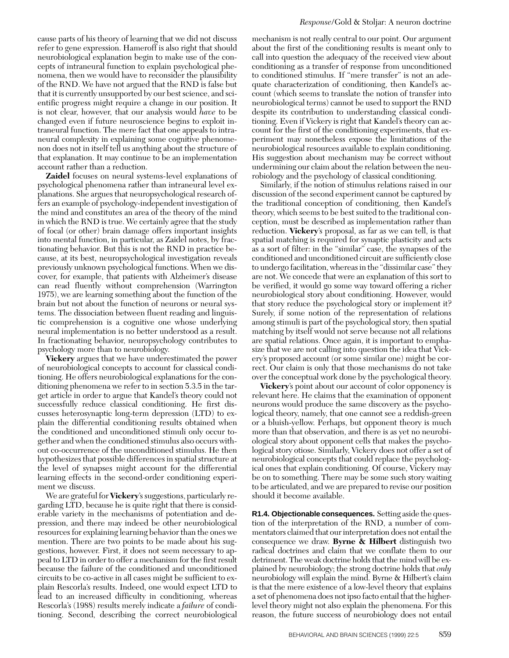cause parts of his theory of learning that we did not discuss refer to gene expression. Hameroff is also right that should neurobiological explanation begin to make use of the concepts of intraneural function to explain psychological phenomena, then we would have to reconsider the plausibility of the RND. We have not argued that the RND is false but that it is currently unsupported by our best science, and scientific progress might require a change in our position. It is not clear, however, that our analysis would *have* to be changed even if future neuroscience begins to exploit intraneural function. The mere fact that one appeals to intraneural complexity in explaining some cognitive phenomenon does not in itself tell us anything about the structure of that explanation. It may continue to be an implementation account rather than a reduction.

**Zaidel** focuses on neural systems-level explanations of psychological phenomena rather than intraneural level explanations. She argues that neuropsychological research offers an example of psychology-independent investigation of the mind and constitutes an area of the theory of the mind in which the RND is true. We certainly agree that the study of focal (or other) brain damage offers important insights into mental function, in particular, as Zaidel notes, by fractionating behavior. But this is not the RND in practice because, at its best, neuropsychological investigation reveals previously unknown psychological functions. When we discover, for example, that patients with Alzheimer's disease can read fluently without comprehension (Warrington 1975), we are learning something about the function of the brain but not about the function of neurons or neural systems. The dissociation between fluent reading and linguistic comprehension is a cognitive one whose underlying neural implementation is no better understood as a result. In fractionating behavior, neuropsychology contributes to psychology more than to neurobiology.

**Vickery** argues that we have underestimated the power of neurobiological concepts to account for classical conditioning. He offers neurobiological explanations for the conditioning phenomena we refer to in section 5.3.5 in the target article in order to argue that Kandel's theory could not successfully reduce classical conditioning. He first discusses heterosynaptic long-term depression (LTD) to explain the differential conditioning results obtained when the conditioned and unconditioned stimuli only occur together and when the conditioned stimulus also occurs without co-occurrence of the unconditioned stimulus. He then hypothesizes that possible differences in spatial structure at the level of synapses might account for the differential learning effects in the second-order conditioning experiment we discuss.

We are grateful for **Vickery**'s suggestions, particularly regarding LTD, because he is quite right that there is considerable variety in the mechanisms of potentiation and depression, and there may indeed be other neurobiological resources for explaining learning behavior than the ones we mention. There are two points to be made about his suggestions, however. First, it does not seem necessary to appeal to LTD in order to offer a mechanism for the first result because the failure of the conditioned and unconditioned circuits to be co-active in all cases might be sufficient to explain Rescorla's results. Indeed, one would expect LTD to lead to an increased difficulty in conditioning, whereas Rescorla's (1988) results merely indicate a *failure* of conditioning. Second, describing the correct neurobiological

mechanism is not really central to our point. Our argument about the first of the conditioning results is meant only to call into question the adequacy of the received view about conditioning as a transfer of response from unconditioned to conditioned stimulus. If "mere transfer" is not an adequate characterization of conditioning, then Kandel's account (which seems to translate the notion of transfer into neurobiological terms) cannot be used to support the RND despite its contribution to understanding classical conditioning. Even if Vickery is right that Kandel's theory can account for the first of the conditioning experiments, that experiment may nonetheless expose the limitations of the neurobiological resources available to explain conditioning. His suggestion about mechanism may be correct without undermining our claim about the relation between the neurobiology and the psychology of classical conditioning.

Similarly, if the notion of stimulus relations raised in our discussion of the second experiment cannot be captured by the traditional conception of conditioning, then Kandel's theory, which seems to be best suited to the traditional conception, must be described as implementation rather than reduction. **Vickery**'s proposal, as far as we can tell, is that spatial matching is required for synaptic plasticity and acts as a sort of filter: in the "similar" case, the synapses of the conditioned and unconditioned circuit are sufficiently close to undergo facilitation, whereas in the "dissimilar case" they are not. We concede that were an explanation of this sort to be verified, it would go some way toward offering a richer neurobiological story about conditioning. However, would that story reduce the psychological story or implement it? Surely, if some notion of the representation of relations among stimuli is part of the psychological story, then spatial matching by itself would not serve because not all relations are spatial relations. Once again, it is important to emphasize that we are not calling into question the idea that Vickery's proposed account (or some similar one) might be correct. Our claim is only that those mechanisms do not take over the conceptual work done by the psychological theory.

**Vickery**'s point about our account of color opponency is relevant here. He claims that the examination of opponent neurons would produce the same discovery as the psychological theory, namely, that one cannot see a reddish-green or a bluish-yellow. Perhaps, but opponent theory is much more than that observation, and there is as yet no neurobiological story about opponent cells that makes the psychological story otiose. Similarly, Vickery does not offer a set of neurobiological concepts that could replace the psychological ones that explain conditioning. Of course, Vickery may be on to something. There may be some such story waiting to be articulated, and we are prepared to revise our position should it become available.

**R1.4. Objectionable consequences.** Setting aside the question of the interpretation of the RND, a number of commentators claimed that our interpretation does not entail the consequence we draw. **Byrne & Hilbert** distinguish two radical doctrines and claim that we conflate them to our detriment. The weak doctrine holds that the mind will be explained by neurobiology; the strong doctrine holds that *only* neurobiology will explain the mind. Byrne & Hilbert's claim is that the mere existence of a low-level theory that explains a set of phenomena does not ipso facto entail that the higherlevel theory might not also explain the phenomena. For this reason, the future success of neurobiology does not entail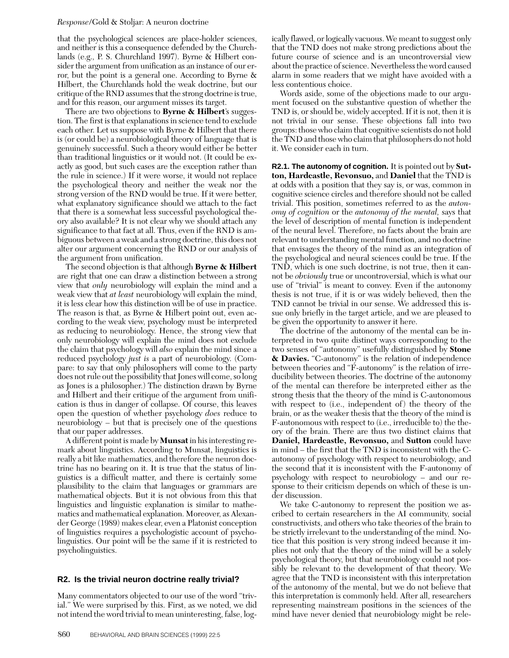#### *Response/*Gold & Stoljar: A neuron doctrine

that the psychological sciences are place-holder sciences, and neither is this a consequence defended by the Churchlands (e.g., P. S. Churchland 1997). Byrne & Hilbert consider the argument from unification as an instance of our error, but the point is a general one. According to Byrne & Hilbert, the Churchlands hold the weak doctrine, but our critique of the RND assumes that the strong doctrine is true, and for this reason, our argument misses its target.

There are two objections to **Byrne & Hilbert**'s suggestion. The first is that explanations in science tend to exclude each other. Let us suppose with Byrne & Hilbert that there is (or could be) a neurobiological theory of language that is genuinely successful. Such a theory would either be better than traditional linguistics or it would not. (It could be exactly as good, but such cases are the exception rather than the rule in science.) If it were worse, it would not replace the psychological theory and neither the weak nor the strong version of the RND would be true. If it were better, what explanatory significance should we attach to the fact that there is a somewhat less successful psychological theory also available? It is not clear why we should attach any significance to that fact at all. Thus, even if the RND is ambiguous between a weak and a strong doctrine, this does not alter our argument concerning the RND or our analysis of the argument from unification.

The second objection is that although **Byrne & Hilbert** are right that one can draw a distinction between a strong view that *only* neurobiology will explain the mind and a weak view that *at least* neurobiology will explain the mind, it is less clear how this distinction will be of use in practice. The reason is that, as Byrne & Hilbert point out, even according to the weak view, psychology must be interpreted as reducing to neurobiology. Hence, the strong view that only neurobiology will explain the mind does not exclude the claim that psychology will *also* explain the mind since a reduced psychology *just is* a part of neurobiology. (Compare: to say that only philosophers will come to the party does not rule out the possibility that Jones will come, so long as Jones is a philosopher.) The distinction drawn by Byrne and Hilbert and their critique of the argument from unification is thus in danger of collapse. Of course, this leaves open the question of whether psychology *does* reduce to neurobiology – but that is precisely one of the questions that our paper addresses.

A different point is made by **Munsat**in his interesting remark about linguistics. According to Munsat, linguistics is really a bit like mathematics, and therefore the neuron doctrine has no bearing on it. It is true that the status of linguistics is a difficult matter, and there is certainly some plausibility to the claim that languages or grammars are mathematical objects. But it is not obvious from this that linguistics and linguistic explanation is similar to mathematics and mathematical explanation. Moreover, as Alexander George (1989) makes clear, even a Platonist conception of linguistics requires a psychologistic account of psycholinguistics. Our point will be the same if it is restricted to psycholinguistics.

## **R2. Is the trivial neuron doctrine really trivial?**

Many commentators objected to our use of the word "trivial." We were surprised by this. First, as we noted, we did not intend the word trivial to mean uninteresting, false, logically flawed, or logically vacuous. We meant to suggest only that the TND does not make strong predictions about the future course of science and is an uncontroversial view about the practice of science. Nevertheless the word caused alarm in some readers that we might have avoided with a less contentious choice.

Words aside, some of the objections made to our argument focused on the substantive question of whether the TND is, or should be, widely accepted. If it is not, then it is not trivial in our sense. These objections fall into two groups: those who claim that cognitive scientists do not hold the TND and those who claim that philosophers do not hold it. We consider each in turn.

**R2.1. The autonomy of cognition.** It is pointed out by **Sutton, Hardcastle, Revonsuo,** and **Daniel** that the TND is at odds with a position that they say is, or was, common in cognitive science circles and therefore should not be called trivial. This position, sometimes referred to as the *autonomy of cognition* or the *autonomy of the mental,* says that the level of description of mental function is independent of the neural level. Therefore, no facts about the brain are relevant to understanding mental function, and no doctrine that envisages the theory of the mind as an integration of the psychological and neural sciences could be true. If the TND, which is one such doctrine, is not true, then it cannot be *obviously* true or uncontroversial, which is what our use of "trivial" is meant to convey. Even if the autonomy thesis is not true, if it is or was widely believed, then the TND cannot be trivial in our sense. We addressed this issue only briefly in the target article, and we are pleased to be given the opportunity to answer it here.

The doctrine of the autonomy of the mental can be interpreted in two quite distinct ways corresponding to the two senses of "autonomy" usefully distinguished by **Stone & Davies.** "C-autonomy" is the relation of independence between theories and "F-autonomy" is the relation of irreducibility between theories. The doctrine of the autonomy of the mental can therefore be interpreted either as the strong thesis that the theory of the mind is C-autonomous with respect to (i.e., independent of) the theory of the brain, or as the weaker thesis that the theory of the mind is F-autonomous with respect to (i.e., irreducible to) the theory of the brain. There are thus two distinct claims that **Daniel, Hardcastle, Revonsuo,** and **Sutton** could have in mind – the first that the TND is inconsistent with the Cautonomy of psychology with respect to neurobiology, and the second that it is inconsistent with the F-autonomy of psychology with respect to neurobiology – and our response to their criticism depends on which of these is under discussion.

We take C-autonomy to represent the position we ascribed to certain researchers in the AI community, social constructivists, and others who take theories of the brain to be strictly irrelevant to the understanding of the mind. Notice that this position is very strong indeed because it implies not only that the theory of the mind will be a solely psychological theory, but that neurobiology could not possibly be relevant to the development of that theory. We agree that the TND is inconsistent with this interpretation of the autonomy of the mental, but we do not believe that this interpretation is commonly held. After all, researchers representing mainstream positions in the sciences of the mind have never denied that neurobiology might be rele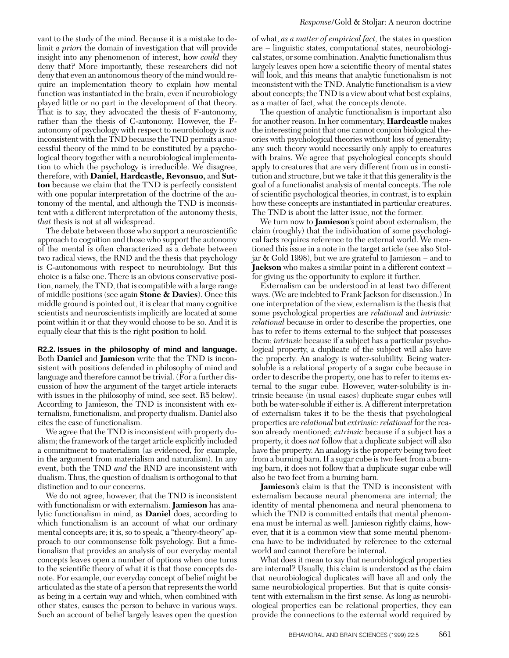vant to the study of the mind. Because it is a mistake to delimit *a priori* the domain of investigation that will provide insight into any phenomenon of interest, how *could* they deny that? More importantly, these researchers did not deny that even an autonomous theory of the mind would require an implementation theory to explain how mental function was instantiated in the brain, even if neurobiology played little or no part in the development of that theory. That is to say, they advocated the thesis of F-autonomy, rather than the thesis of C-autonomy. However, the Fautonomy of psychology with respect to neurobiology is *not* inconsistent with the TND because the TND permits a successful theory of the mind to be constituted by a psychological theory together with a neurobiological implementation to which the psychology is irreducible. We disagree, therefore, with **Daniel, Hardcastle, Revonsuo,** and **Sutton** because we claim that the TND is perfectly consistent with one popular interpretation of the doctrine of the autonomy of the mental, and although the TND is inconsistent with a different interpretation of the autonomy thesis, *that* thesis is not at all widespread.

The debate between those who support a neuroscientific approach to cognition and those who support the autonomy of the mental is often characterized as a debate between two radical views, the RND and the thesis that psychology is C-autonomous with respect to neurobiology. But this choice is a false one. There is an obvious conservative position, namely, the TND, that is compatible with a large range of middle positions (see again **Stone & Davies**). Once this middle ground is pointed out, it is clear that many cognitive scientists and neuroscientists implicitly are located at some point within it or that they would choose to be so. And it is equally clear that this is the right position to hold.

## **R2.2. Issues in the philosophy of mind and language.**

Both **Daniel** and **Jamieson** write that the TND is inconsistent with positions defended in philosophy of mind and language and therefore cannot be trivial. (For a further discussion of how the argument of the target article interacts with issues in the philosophy of mind, see sect. R5 below). According to Jamieson, the TND is inconsistent with externalism, functionalism, and property dualism. Daniel also cites the case of functionalism.

We agree that the TND is inconsistent with property dualism; the framework of the target article explicitly included a commitment to materialism (as evidenced, for example, in the argument from materialism and naturalism). In any event, both the TND *and* the RND are inconsistent with dualism. Thus, the question of dualism is orthogonal to that distinction and to our concerns.

We do not agree, however, that the TND is inconsistent with functionalism or with externalism. **Jamieson** has analytic functionalism in mind, as **Daniel** does, according to which functionalism is an account of what our ordinary mental concepts are; it is, so to speak, a "theory-theory" approach to our commonsense folk psychology. But a functionalism that provides an analysis of our everyday mental concepts leaves open a number of options when one turns to the scientific theory of what it is that those concepts denote. For example, our everyday concept of belief might be articulated as the state of a person that represents the world as being in a certain way and which, when combined with other states, causes the person to behave in various ways. Such an account of belief largely leaves open the question

of what, *as a matter of empirical fact,* the states in question are – linguistic states, computational states, neurobiological states, or some combination. Analytic functionalism thus largely leaves open how a scientific theory of mental states will look, and this means that analytic functionalism is not inconsistent with the TND. Analytic functionalism is a view about concepts; the TND is a view about what best explains, as a matter of fact, what the concepts denote.

The question of analytic functionalism is important also for another reason. In her commentary, **Hardcastle** makes the interesting point that one cannot conjoin biological theories with psychological theories without loss of generality; any such theory would necessarily only apply to creatures with brains. We agree that psychological concepts should apply to creatures that are very different from us in constitution and structure, but we take it that this generality is the goal of a functionalist analysis of mental concepts. The role of scientific psychological theories, in contrast, is to explain how these concepts are instantiated in particular creatures. The TND is about the latter issue, not the former.

We turn now to **Jamieson**'s point about externalism, the claim (roughly) that the individuation of some psychological facts requires reference to the external world. We mentioned this issue in a note in the target article (see also Stoljar & Gold 1998), but we are grateful to Jamieson – and to **Jackson** who makes a similar point in a different context – for giving us the opportunity to explore it further.

Externalism can be understood in at least two different ways. (We are indebted to Frank Jackson for discussion.) In one interpretation of the view, externalism is the thesis that some psychological properties are *relational* and *intrinsic: relational* because in order to describe the properties, one has to refer to items external to the subject that possesses them; *intrinsic* because if a subject has a particular psychological property, a duplicate of the subject will also have the property. An analogy is water-solubility. Being watersoluble is a relational property of a sugar cube because in order to describe the property, one has to refer to items external to the sugar cube. However, water-solubility is intrinsic because (in usual cases) duplicate sugar cubes will both be water-soluble if either is. A different interpretation of externalism takes it to be the thesis that psychological properties are *relational* but *extrinsic: relational* for the reason already mentioned; *extrinsic* because if a subject has a property, it does *not* follow that a duplicate subject will also have the property. An analogy is the property being two feet from a burning barn. If a sugar cube is two feet from a burning barn, it does not follow that a duplicate sugar cube will also be two feet from a burning barn.

**Jamieson**'s claim is that the TND is inconsistent with externalism because neural phenomena are internal; the identity of mental phenomena and neural phenomena to which the TND is committed entails that mental phenomena must be internal as well. Jamieson rightly claims, however, that it is a common view that some mental phenomena have to be individuated by reference to the external world and cannot therefore be internal.

What does it mean to say that neurobiological properties are internal? Usually, this claim is understood as the claim that neurobiological duplicates will have all and only the same neurobiological properties. But that is quite consistent with externalism in the first sense. As long as neurobiological properties can be relational properties, they can provide the connections to the external world required by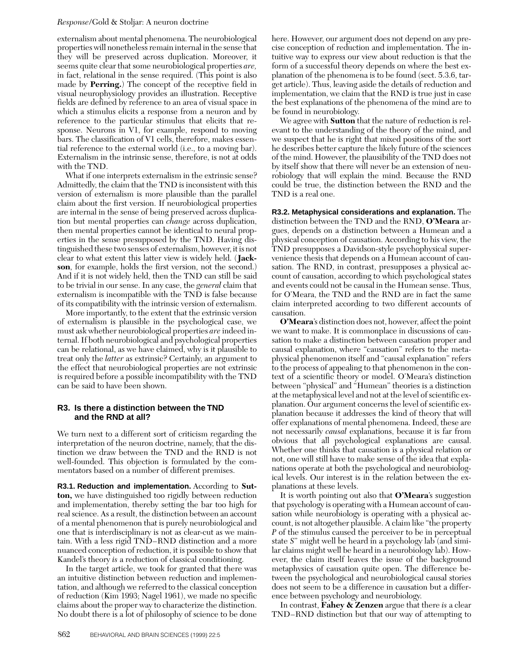### *Response/*Gold & Stoljar: A neuron doctrine

externalism about mental phenomena. The neurobiological properties will nonetheless remain internal in the sense that they will be preserved across duplication. Moreover, it seems quite clear that some neurobiological properties *are,* in fact, relational in the sense required. (This point is also made by **Perring.**) The concept of the receptive field in visual neurophysiology provides an illustration. Receptive fields are defined by reference to an area of visual space in which a stimulus elicits a response from a neuron and by reference to the particular stimulus that elicits that response. Neurons in V1, for example, respond to moving bars. The classification of V1 cells, therefore, makes essential reference to the external world (i.e., to a moving bar). Externalism in the intrinsic sense, therefore, is not at odds with the TND.

What if one interprets externalism in the extrinsic sense? Admittedly, the claim that the TND is inconsistent with this version of externalism is more plausible than the parallel claim about the first version. If neurobiological properties are internal in the sense of being preserved across duplication but mental properties can *change* across duplication, then mental properties cannot be identical to neural properties in the sense presupposed by the TND. Having distinguished these two senses of externalism, however, it is not clear to what extent this latter view is widely held. (**Jackson**, for example, holds the first version, not the second.) And if it is not widely held, then the TND can still be said to be trivial in our sense. In any case, the *general* claim that externalism is incompatible with the TND is false because of its compatibility with the intrinsic version of externalism.

More importantly, to the extent that the extrinsic version of externalism is plausible in the psychological case, we must ask whether neurobiological properties *are* indeed internal. If both neurobiological and psychological properties can be relational, as we have claimed, why is it plausible to treat only the *latter* as extrinsic? Certainly, an argument to the effect that neurobiological properties are not extrinsic is required before a possible incompatibility with the TND can be said to have been shown.

## **R3. Is there a distinction between the TND and the RND at all?**

We turn next to a different sort of criticism regarding the interpretation of the neuron doctrine, namely, that the distinction we draw between the TND and the RND is not well-founded. This objection is formulated by the commentators based on a number of different premises.

**R3.1. Reduction and implementation.** According to Sut**ton,** we have distinguished too rigidly between reduction and implementation, thereby setting the bar too high for real science. As a result, the distinction between an account of a mental phenomenon that is purely neurobiological and one that is interdisciplinary is not as clear-cut as we maintain. With a less rigid TND–RND distinction and a more nuanced conception of reduction, it is possible to show that Kandel's theory *is* a reduction of classical conditioning.

In the target article, we took for granted that there was an intuitive distinction between reduction and implementation, and although we referred to the classical conception of reduction (Kim 1993; Nagel 1961), we made no specific claims about the proper way to characterize the distinction. No doubt there is a lot of philosophy of science to be done here. However, our argument does not depend on any precise conception of reduction and implementation. The intuitive way to express our view about reduction is that the form of a successful theory depends on where the best explanation of the phenomena is to be found (sect. 5.3.6, target article). Thus, leaving aside the details of reduction and implementation, we claim that the RND is true just in case the best explanations of the phenomena of the mind are to be found in neurobiology.

We agree with **Sutton** that the nature of reduction is relevant to the understanding of the theory of the mind, and we suspect that he is right that mixed positions of the sort he describes better capture the likely future of the sciences of the mind. However, the plausibility of the TND does not by itself show that there will never be an extension of neurobiology that will explain the mind. Because the RND could be true, the distinction between the RND and the TND is a real one.

**R3.2. Metaphysical considerations and explanation.** The distinction between the TND and the RND, **O'Meara** argues, depends on a distinction between a Humean and a physical conception of causation. According to his view, the TND presupposes a Davidson-style psychophysical supervenience thesis that depends on a Humean account of causation. The RND, in contrast, presupposes a physical account of causation, according to which psychological states and events could not be causal in the Humean sense. Thus, for O'Meara, the TND and the RND are in fact the same claim interpreted according to two different accounts of causation.

**O'Meara**'s distinction does not, however, affect the point we want to make. It is commonplace in discussions of causation to make a distinction between causation proper and causal explanation, where "causation" refers to the metaphysical phenomenon itself and "causal explanation" refers to the process of appealing to that phenomenon in the context of a scientific theory or model. O'Meara's distinction between "physical" and "Humean" theories is a distinction at the metaphysical level and not at the level of scientific explanation. Our argument concerns the level of scientific explanation because it addresses the kind of theory that will offer explanations of mental phenomena. Indeed, these are not necessarily *causal* explanations, because it is far from obvious that all psychological explanations are causal. Whether one thinks that causation is a physical relation or not, one will still have to make sense of the idea that explanations operate at both the psychological and neurobiological levels. Our interest is in the relation between the explanations at these levels.

It is worth pointing out also that **O'Meara**'s suggestion that psychology is operating with a Humean account of causation while neurobiology is operating with a physical account, is not altogether plausible. A claim like "the property *P* of the stimulus caused the perceiver to be in perceptual state *S*" might well be heard in a psychology lab (and similar claims might well be heard in a neurobiology lab). However, the claim itself leaves the issue of the background metaphysics of causation quite open. The difference between the psychological and neurobiological causal stories does not seem to be a difference in causation but a difference between psychology and neurobiology.

In contrast, **Fahey & Zenzen** argue that there *is* a clear TND–RND distinction but that our way of attempting to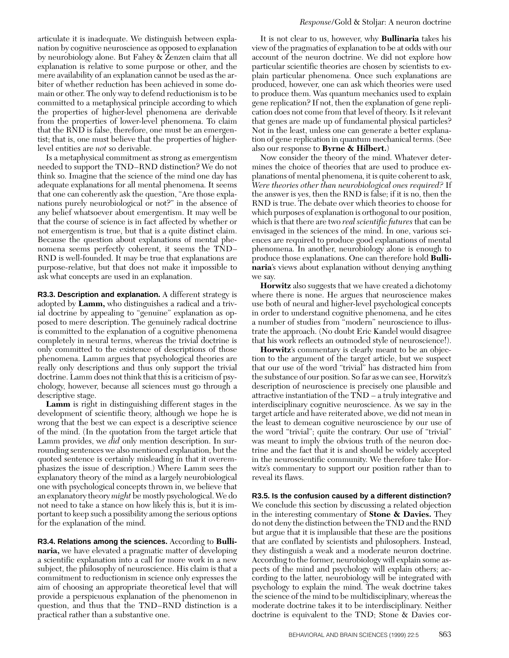articulate it is inadequate. We distinguish between explanation by cognitive neuroscience as opposed to explanation by neurobiology alone. But Fahey & Zenzen claim that all explanation is relative to some purpose or other, and the mere availability of an explanation cannot be used as the arbiter of whether reduction has been achieved in some domain or other. The only way to defend reductionism is to be committed to a metaphysical principle according to which the properties of higher-level phenomena are derivable from the properties of lower-level phenomena. To claim that the RND is false, therefore, one must be an emergentist; that is, one must believe that the properties of higherlevel entities are *not* so derivable.

Is a metaphysical commitment as strong as emergentism needed to support the TND–RND distinction? We do not think so. Imagine that the science of the mind one day has adequate explanations for all mental phenomena. It seems that one can coherently ask the question, "Are those explanations purely neurobiological or not?" in the absence of any belief whatsoever about emergentism. It may well be that the course of science is in fact affected by whether or not emergentism is true, but that is a quite distinct claim. Because the question about explanations of mental phenomena seems perfectly coherent, it seems the TND– RND is well-founded. It may be true that explanations are purpose-relative, but that does not make it impossible to ask what concepts are used in an explanation.

**R3.3. Description and explanation.** A different strategy is adopted by **Lamm,** who distinguishes a radical and a trivial doctrine by appealing to "genuine" explanation as opposed to mere description. The genuinely radical doctrine is committed to the explanation of a cognitive phenomena completely in neural terms, whereas the trivial doctrine is only committed to the existence of descriptions of those phenomena. Lamm argues that psychological theories are really only descriptions and thus only support the trivial doctrine. Lamm does not think that this is a criticism of psychology, however, because all sciences must go through a descriptive stage.

**Lamm** is right in distinguishing different stages in the development of scientific theory, although we hope he is wrong that the best we can expect is a descriptive science of the mind. (In the quotation from the target article that Lamm provides, we *did* only mention description. In surrounding sentences we also mentioned explanation, but the quoted sentence is certainly misleading in that it overemphasizes the issue of description.) Where Lamm sees the explanatory theory of the mind as a largely neurobiological one with psychological concepts thrown in, we believe that an explanatory theory *might* be mostly psychological. We do not need to take a stance on how likely this is, but it is important to keep such a possibility among the serious options for the explanation of the mind.

**R3.4. Relations among the sciences.** According to **Bullinaria,** we have elevated a pragmatic matter of developing

a scientific explanation into a call for more work in a new subject, the philosophy of neuroscience. His claim is that a commitment to reductionism in science only expresses the aim of choosing an appropriate theoretical level that will provide a perspicuous explanation of the phenomenon in question, and thus that the TND–RND distinction is a practical rather than a substantive one.

It is not clear to us, however, why **Bullinaria** takes his view of the pragmatics of explanation to be at odds with our account of the neuron doctrine. We did not explore how particular scientific theories are chosen by scientists to explain particular phenomena. Once such explanations are produced, however, one can ask which theories were used to produce them. Was quantum mechanics used to explain gene replication? If not, then the explanation of gene replication does not come from that level of theory. Is it relevant that genes are made up of fundamental physical particles? Not in the least, unless one can generate a better explanation of gene replication in quantum mechanical terms. (See also our response to **Byrne & Hilbert.**)

Now consider the theory of the mind. Whatever determines the choice of theories that are used to produce explanations of mental phenomena, it is quite coherent to ask, *Were theories other than neurobiological ones required?* If the answer is yes, then the RND is false; if it is no, then the RND is true. The debate over which theories to choose for which purposes of explanation is orthogonal to our position, which is that there are two *real scientific futures* that can be envisaged in the sciences of the mind. In one, various sciences are required to produce good explanations of mental phenomena. In another, neurobiology alone is enough to produce those explanations. One can therefore hold **Bullinaria**'s views about explanation without denying anything we say.

**Horwitz** also suggests that we have created a dichotomy where there is none. He argues that neuroscience makes use both of neural and higher-level psychological concepts in order to understand cognitive phenomena, and he cites a number of studies from "modern" neuroscience to illustrate the approach. (No doubt Eric Kandel would disagree that his work reflects an outmoded style of neuroscience!).

**Horwitz**'s commentary is clearly meant to be an objection to the argument of the target article, but we suspect that our use of the word "trivial" has distracted him from the substance of our position. So far as we can see, Horwitz's description of neuroscience is precisely one plausible and attractive instantiation of the TND – a truly integrative and interdisciplinary cognitive neuroscience. As we say in the target article and have reiterated above, we did not mean in the least to demean cognitive neuroscience by our use of the word "trivial"; quite the contrary. Our use of "trivial" was meant to imply the obvious truth of the neuron doctrine and the fact that it is and should be widely accepted in the neuroscientific community. We therefore take Horwitz's commentary to support our position rather than to reveal its flaws.

**R3.5. Is the confusion caused by a different distinction?** We conclude this section by discussing a related objection in the interesting commentary of **Stone & Davies.** They do not deny the distinction between the TND and the RND but argue that it is implausible that these are the positions that are conflated by scientists and philosophers. Instead, they distinguish a weak and a moderate neuron doctrine. According to the former, neurobiology will explain some aspects of the mind and psychology will explain others; according to the latter, neurobiology will be integrated with psychology to explain the mind. The weak doctrine takes the science of the mind to be multidisciplinary, whereas the moderate doctrine takes it to be interdisciplinary. Neither doctrine is equivalent to the TND; Stone & Davies cor-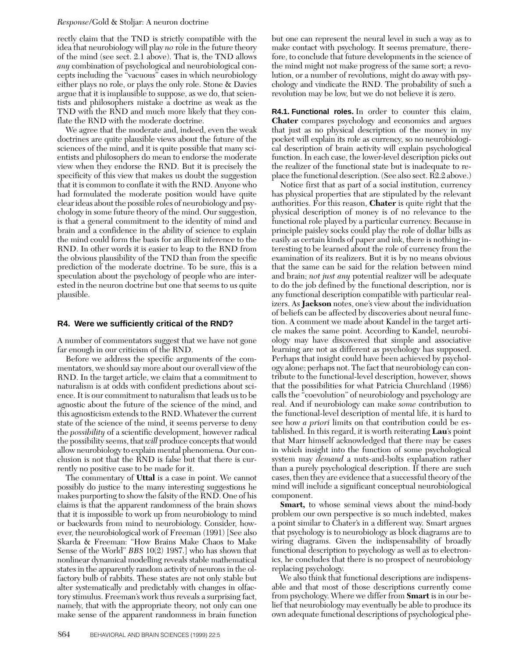#### *Response/*Gold & Stoljar: A neuron doctrine

rectly claim that the TND is strictly compatible with the idea that neurobiology will play *no* role in the future theory of the mind (see sect. 2.1 above). That is, the TND allows *any* combination of psychological and neurobiological concepts including the "vacuous" cases in which neurobiology either plays no role, or plays the only role. Stone & Davies argue that it is implausible to suppose, as we do, that scientists and philosophers mistake a doctrine as weak as the TND with the RND and much more likely that they conflate the RND with the moderate doctrine.

We agree that the moderate and, indeed, even the weak doctrines are quite plausible views about the future of the sciences of the mind, and it is quite possible that many scientists and philosophers do mean to endorse the moderate view when they endorse the RND. But it is precisely the specificity of this view that makes us doubt the suggestion that it is common to conflate it with the RND. Anyone who had formulated the moderate position would have quite clear ideas about the possible roles of neurobiology and psychology in some future theory of the mind. Our suggestion, is that a general commitment to the identity of mind and brain and a confidence in the ability of science to explain the mind could form the basis for an illicit inference to the RND. In other words it is easier to leap to the RND from the obvious plausibility of the TND than from the specific prediction of the moderate doctrine. To be sure, this is a speculation about the psychology of people who are interested in the neuron doctrine but one that seems to us quite plausible.

## **R4. Were we sufficiently critical of the RND?**

A number of commentators suggest that we have not gone far enough in our criticism of the RND.

Before we address the specific arguments of the commentators, we should say more about our overall view of the RND. In the target article, we claim that a commitment to naturalism is at odds with confident predictions about science. It is our commitment to naturalism that leads us to be agnostic about the future of the science of the mind, and this agnosticism extends to the RND. Whatever the current state of the science of the mind, it seems perverse to deny the *possibility* of a scientific development, however radical the possibility seems, that *will* produce concepts that would allow neurobiology to explain mental phenomena. Our conclusion is not that the RND is false but that there is currently no positive case to be made for it.

The commentary of **Uttal** is a case in point. We cannot possibly do justice to the many interesting suggestions he makes purporting to show the falsity of the RND. One of his claims is that the apparent randomness of the brain shows that it is impossible to work up from neurobiology to mind or backwards from mind to neurobiology. Consider, however, the neurobiological work of Freeman (1991) [See also Skarda & Freeman: "How Brains Make Chaos to Make Sense of the World" *BBS* 10(2) 1987.] who has shown that nonlinear dynamical modelling reveals stable mathematical states in the apparently random activity of neurons in the olfactory bulb of rabbits. These states are not only stable but alter systematically and predictably with changes in olfactory stimulus. Freeman's work thus reveals a surprising fact, namely, that with the appropriate theory, not only can one make sense of the apparent randomness in brain function but one can represent the neural level in such a way as to make contact with psychology. It seems premature, therefore, to conclude that future developments in the science of the mind might not make progress of the same sort; a revolution, or a number of revolutions, might do away with psychology and vindicate the RND. The probability of such a revolution may be low, but we do not believe it is zero.

**R4.1. Functional roles.** In order to counter this claim, **Chater** compares psychology and economics and argues that just as no physical description of the money in my pocket will explain its role as currency, so no neurobiological description of brain activity will explain psychological function. In each case, the lower-level description picks out the realizer of the functional state but is inadequate to replace the functional description. (See also sect. R2.2 above.)

Notice first that as part of a social institution, currency has physical properties that are stipulated by the relevant authorities. For this reason, **Chater** is quite right that the physical description of money is of no relevance to the functional role played by a particular currency. Because in principle paisley socks could play the role of dollar bills as easily as certain kinds of paper and ink, there is nothing interesting to be learned about the role of currency from the examination of its realizers. But it is by no means obvious that the same can be said for the relation between mind and brain; *not just any* potential realizer will be adequate to do the job defined by the functional description, nor is any functional description compatible with particular realizers. As **Jackson** notes, one's view about the individuation of beliefs can be affected by discoveries about neural function. A comment we made about Kandel in the target article makes the same point. According to Kandel, neurobiology may have discovered that simple and associative learning are not as different as psychology has supposed. Perhaps that insight could have been achieved by psychology alone; perhaps not. The fact that neurobiology can contribute to the functional-level description, however, shows that the possibilities for what Patricia Churchland (1986) calls the "coevolution" of neurobiology and psychology are real. And if neurobiology can make *some* contribution to the functional-level description of mental life, it is hard to see how *a priori* limits on that contribution could be established. In this regard, it is worth reiterating **Lau**'s point that Marr himself acknowledged that there may be cases in which insight into the function of some psychological system may *demand* a nuts-and-bolts explanation rather than a purely psychological description. If there are such cases, then they are evidence that a successful theory of the mind will include a significant conceptual neurobiological component.

**Smart**, to whose seminal views about the mind-body problem our own perspective is so much indebted, makes a point similar to Chater's in a different way. Smart argues that psychology is to neurobiology as block diagrams are to wiring diagrams. Given the indispensability of broadly functional description to psychology as well as to electronics, he concludes that there is no prospect of neurobiology replacing psychology.

We also think that functional descriptions are indispensable and that most of those descriptions currently come from psychology. Where we differ from **Smart** is in our belief that neurobiology may eventually be able to produce its own adequate functional descriptions of psychological phe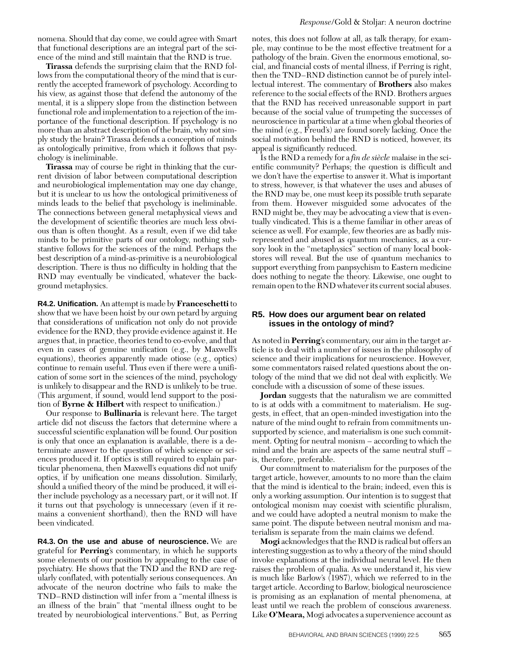nomena. Should that day come, we could agree with Smart that functional descriptions are an integral part of the science of the mind and still maintain that the RND is true.

**Tirassa** defends the surprising claim that the RND follows from the computational theory of the mind that is currently the accepted framework of psychology. According to his view, as against those that defend the autonomy of the mental, it is a slippery slope from the distinction between functional role and implementation to a rejection of the importance of the functional description. If psychology is no more than an abstract description of the brain, why not simply study the brain? Tirassa defends a conception of minds as ontologically primitive, from which it follows that psychology is ineliminable.

**Tirassa** may of course be right in thinking that the current division of labor between computational description and neurobiological implementation may one day change, but it is unclear to us how the ontological primitiveness of minds leads to the belief that psychology is ineliminable. The connections between general metaphysical views and the development of scientific theories are much less obvious than is often thought. As a result, even if we did take minds to be primitive parts of our ontology, nothing substantive follows for the sciences of the mind. Perhaps the best description of a mind-as-primitive is a neurobiological description. There is thus no difficulty in holding that the RND may eventually be vindicated, whatever the background metaphysics.

**R4.2. Unification.** An attempt is made by **Franceschetti** to show that we have been hoist by our own petard by arguing that considerations of unification not only do not provide evidence for the RND, they provide evidence against it. He argues that, in practice, theories tend to co-evolve, and that even in cases of genuine unification (e.g., by Maxwell's equations), theories apparently made otiose (e.g., optics) continue to remain useful. Thus even if there were a unification of some sort in the sciences of the mind, psychology is unlikely to disappear and the RND is unlikely to be true. (This argument, if sound, would lend support to the position of **Byrne & Hilbert** with respect to unification.)

Our response to **Bullinaria** is relevant here. The target article did not discuss the factors that determine where a successful scientific explanation will be found. Our position is only that once an explanation is available, there is a determinate answer to the question of which science or sciences produced it. If optics is still required to explain particular phenomena, then Maxwell's equations did not unify optics, if by unification one means dissolution. Similarly, should a unified theory of the mind be produced, it will either include psychology as a necessary part, or it will not. If it turns out that psychology is unnecessary (even if it remains a convenient shorthand), then the RND will have been vindicated.

**R4.3. On the use and abuse of neuroscience.** We are grateful for **Perring**'s commentary, in which he supports some elements of our position by appealing to the case of psychiatry. He shows that the TND and the RND are regularly conflated, with potentially serious consequences. An advocate of the neuron doctrine who fails to make the TND–RND distinction will infer from a "mental illness is an illness of the brain" that "mental illness ought to be treated by neurobiological interventions." But, as Perring

notes, this does not follow at all, as talk therapy, for example, may continue to be the most effective treatment for a pathology of the brain. Given the enormous emotional, social, and financial costs of mental illness, if Perring is right, then the TND–RND distinction cannot be of purely intellectual interest. The commentary of **Brothers** also makes reference to the social effects of the RND. Brothers argues that the RND has received unreasonable support in part because of the social value of trumpeting the successes of neuroscience in particular at a time when global theories of the mind (e.g., Freud's) are found sorely lacking. Once the social motivation behind the RND is noticed, however, its appeal is significantly reduced.

Is the RND a remedy for a *fin de siècle* malaise in the scientific community? Perhaps; the question is difficult and we don't have the expertise to answer it. What is important to stress, however, is that whatever the uses and abuses of the RND may be, one must keep its possible truth separate from them. However misguided some advocates of the RND might be, they may be advocating a view that is eventually vindicated. This is a theme familiar in other areas of science as well. For example, few theories are as badly misrepresented and abused as quantum mechanics, as a cursory look in the "metaphysics" section of many local bookstores will reveal. But the use of quantum mechanics to support everything from panpsychism to Eastern medicine does nothing to negate the theory. Likewise, one ought to remain open to the RND whatever its current social abuses.

## **R5. How does our argument bear on related issues in the ontology of mind?**

As noted in **Perring**'s commentary, our aim in the target article is to deal with a number of issues in the philosophy of science and their implications for neuroscience. However, some commentators raised related questions about the ontology of the mind that we did not deal with explicitly. We conclude with a discussion of some of these issues.

**Jordan** suggests that the naturalism we are committed to is at odds with a commitment to materialism. He suggests, in effect, that an open-minded investigation into the nature of the mind ought to refrain from commitments unsupported by science, and materialism is one such commitment. Opting for neutral monism – according to which the mind and the brain are aspects of the same neutral stuff – is, therefore, preferable.

Our commitment to materialism for the purposes of the target article, however, amounts to no more than the claim that the mind is identical to the brain; indeed, even this is only a working assumption. Our intention is to suggest that ontological monism may coexist with scientific pluralism, and we could have adopted a neutral monism to make the same point. The dispute between neutral monism and materialism is separate from the main claims we defend.

**Mogi** acknowledges that the RND is radical but offers an interesting suggestion as to why a theory of the mind should invoke explanations at the individual neural level. He then raises the problem of qualia. As we understand it, his view is much like Barlow's (1987), which we referred to in the target article. According to Barlow, biological neuroscience is promising as an explanation of mental phenomena, at least until we reach the problem of conscious awareness. Like **O'Meara,** Mogi advocates a supervenience account as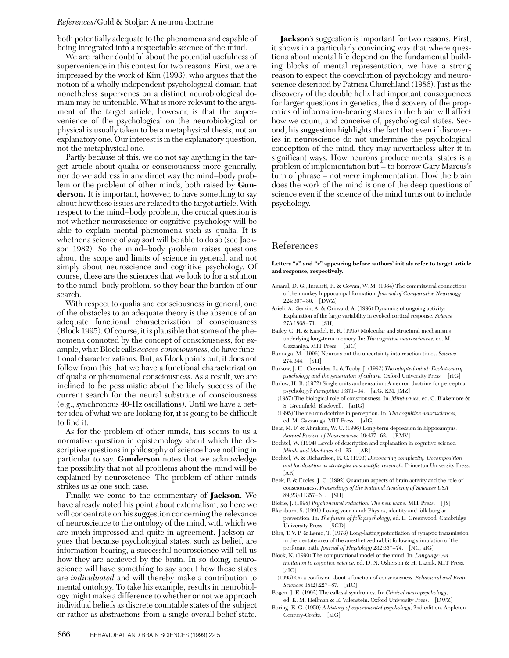#### *References/*Gold & Stoljar: A neuron doctrine

both potentially adequate to the phenomena and capable of being integrated into a respectable science of the mind.

We are rather doubtful about the potential usefulness of supervenience in this context for two reasons. First, we are impressed by the work of Kim (1993), who argues that the notion of a wholly independent psychological domain that nonetheless supervenes on a distinct neurobiological domain may be untenable. What is more relevant to the argument of the target article, however, is that the supervenience of the psychological on the neurobiological or physical is usually taken to be a metaphysical thesis, not an explanatory one. Our interest is in the explanatory question, not the metaphysical one.

Partly because of this, we do not say anything in the target article about qualia or consciousness more generally, nor do we address in any direct way the mind–body problem or the problem of other minds, both raised by **Gunderson.** It is important, however, to have something to say about how these issues are related to the target article. With respect to the mind–body problem, the crucial question is not whether neuroscience or cognitive psychology will be able to explain mental phenomena such as qualia. It is whether a science of *any* sort will be able to do so (see Jackson 1982). So the mind–body problem raises questions about the scope and limits of science in general, and not simply about neuroscience and cognitive psychology. Of course, these are the sciences that we look to for a solution to the mind–body problem, so they bear the burden of our search.

With respect to qualia and consciousness in general, one of the obstacles to an adequate theory is the absence of an adequate functional characterization of consciousness (Block 1995). Of course, it is plausible that some of the phenomena connoted by the concept of consciousness, for example, what Block calls *access-consciousness,* do have functional characterizations. But, as Block points out, it does not follow from this that we have a functional characterization of qualia or phenomenal consciousness. As a result, we are inclined to be pessimistic about the likely success of the current search for the neural substrate of consciousness (e.g., synchronous 40-Hz oscillations). Until we have a better idea of what we are looking for, it is going to be difficult to find it.

As for the problem of other minds, this seems to us a normative question in epistemology about which the descriptive questions in philosophy of science have nothing in particular to say. **Gunderson** notes that we acknowledge the possibility that not all problems about the mind will be explained by neuroscience. The problem of other minds strikes us as one such case.

Finally, we come to the commentary of **Jackson.** We have already noted his point about externalism, so here we will concentrate on his suggestion concerning the relevance of neuroscience to the ontology of the mind, with which we are much impressed and quite in agreement. Jackson argues that because psychological states, such as belief, are information-bearing, a successful neuroscience will tell us how they are achieved by the brain. In so doing, neuroscience will have something to say about how these states are *individuated* and will thereby make a contribution to mental ontology. To take his example, results in neurobiology might make a difference to whether or not we approach individual beliefs as discrete countable states of the subject or rather as abstractions from a single overall belief state.

**Jackson**'s suggestion is important for two reasons. First, it shows in a particularly convincing way that where questions about mental life depend on the fundamental building blocks of mental representation, we have a strong reason to expect the coevolution of psychology and neuroscience described by Patricia Churchland (1986). Just as the discovery of the double helix had important consequences for larger questions in genetics, the discovery of the properties of information-bearing states in the brain will affect how we count, and conceive of, psychological states. Second, his suggestion highlights the fact that even if discoveries in neuroscience do not undermine the psychological conception of the mind, they may nevertheless alter it in significant ways. How neurons produce mental states is a problem of implementation but – to borrow Gary Marcus's turn of phrase – not *mere* implementation. How the brain does the work of the mind is one of the deep questions of science even if the science of the mind turns out to include psychology.

## References

#### **Letters "a" and "r" appearing before authors' initials refer to target article and response, respectively.**

- Amaral, D. G., Insausti, R. & Cowan, W. M. (1984) The commissural connections of the monkey hippocampal formation. *Journal of Comparative Neurology* 224:307–36. [DWZ]
- Arieli, A., Serkin, A. & Grinvald, A. (1996) Dynamics of ongoing activity: Explanation of the large variability in evoked cortical response. *Science* 273:1868–71. [SH]
- Bailey, C. H. & Kandel, E. R. (1995) Molecular and structural mechanisms underlying long-term memory. In: *The cognitive neurosciences,* ed. M. Gazzaniga. MIT Press. [aIG]
- Barinaga, M. (1996) Neurons put the uncertainty into reaction times. *Science* 274:344. [SH]
- Barkow, J. H., Cosmides, L. & Tooby, J. (1992) *The adapted mind: Evolutionary psychology and the generation of culture.* Oxford University Press. [rIG]
- Barlow, H. B. (1972) Single units and sensation: A neuron doctrine for perceptual psychology? *Perception* 1:371–94. [aIG, KM, JMZ]
- (1987) The biological role of consciousness. In: *Mindwaves,* ed. C. Blakemore & S. Greenfield. Blackwell. [arIG]
- (1995) The neuron doctrine in perception. In: *The cognitive neurosciences,* ed. M. Gazzaniga. MIT Press. [aIG]
- Bear, M. F. & Abraham, W. C. (1996) Long-term depression in hippocampus. *Annual Review of Neuroscience* 19:437–62. [RMV]
- Bechtel, W. (1994) Levels of description and explanation in cognitive science. *Minds and Machines* 4:1–25. [AR]
- Bechtel, W. & Richardson, R. C. (1993) *Discovering complexity: Decomposition and localization as strategies in scientific research.* Princeton University Press. [AR]
- Beck, F. & Eccles, J. C. (1992) Quantum aspects of brain activity and the role of consciousness. *Proceedings of the National Academy of Sciences USA* 89(23):11357–61. [SH]
- Bickle, J. (1998) *Psychoneural reduction: The new wave.* MIT Press. [JS]
- Blackburn, S. (1991) Losing your mind: Physics, identity and folk burglar prevention. In: *The future of folk psychology,* ed. L. Greenwood. Cambridge University Press. [SGD]
- Bliss, T. V. P. & Lømo, T. (1973) Long-lasting potentiation of synaptic transmission in the dentate area of the anesthetized rabbit following stimulation of the perforant path. *Journal of Physiology* 232:357–74. [NC, aIG]
- Block, N. (1990) The computational model of the mind. In: *Language: An invitation to cognitive science,* ed. D. N. Osherson & H. Laznik. MIT Press. [aIG]
- (1995) On a confusion about a function of consciousness. *Behavioral and Brain Sciences* 18(2):227–87. [rIG]
- Bogen, J. E. (1992) The callosal syndromes. In: *Clinical neuropsychology,* ed. K. M. Heilman & E. Valenstein. Oxford University Press. [DWZ]
- Boring, E. G. (1950) *A history of experimental psychology,* 2nd edition. Appleton-Century-Crofts. [aIG]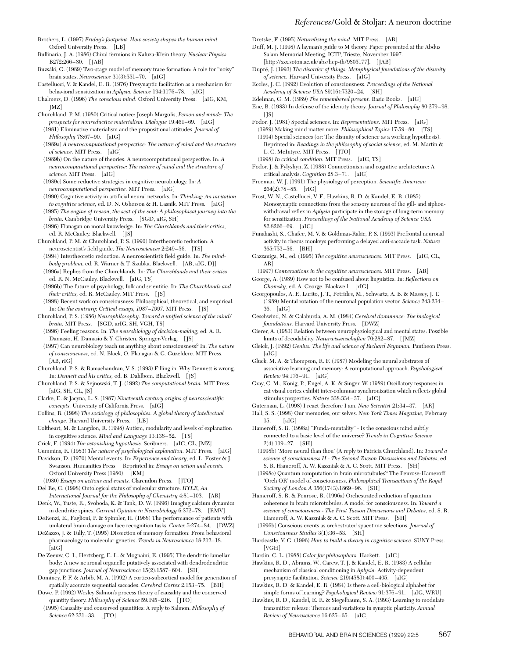Brothers, L. (1997) *Friday's footprint: How society shapes the human mind.* Oxford University Press. [LB]

Bullinaria, J. A. (1986) Chiral fermions in Kaluza-Klein theory. *Nuclear Physics* B272:266–80. [JAB]

- Buzsáki, G. (1989) Two-stage model of memory trace formation: A role for "noisy" brain states. *Neuroscience* 31(3):551–70. [aIG]
- Castellucci, V. & Kandel, E. R. (1976) Presynaptic facilitation as a mechanism for behavioral sensitization in *Aplysia. Science* 194:1176–78. [aIG]
- Chalmers, D. (1996) *The conscious mind.* Oxford University Press. [aIG, KM, JMZ]
- Churchland, P. M. (1980) Critical notice: Joseph Margolis, *Person and minds: The prospects for nonreductive materialism. Dialogue* 19:461–69. [aIG] (1981) Eliminative materialism and the propositional attitudes. *Journal of*
- *Philosophy* 78:67–90. [aIG] (1989a) *A neurocomputational perspective: The nature of mind and the structure of science.* MIT Press. [aIG]
- (1989b) On the nature of theories: A neurocomputational perspective. In: *A neurocomputational perspective: The nature of mind and the structure of science.* MIT Press. [aIG]
- (1989c) Some reductive strategies in cognitive neurobiology. In: *A neurocomputational perspective.* MIT Press. [aIG]
- (1990) Cognitive activity in artificial neural networks. In: *Thinking: An invitation to cognitive science,* ed. D. N. Osherson & H. Lasnik. MIT Press. [aIG]
- (1995) *The engine of reason, the seat of the soul: A philosophical journey into the brain.* Cambridge University Press. [SGD, aIG, SH]
- (1996) Flanagan on moral knowledge. In: *The Churchlands and their critics,* ed. R. McCauley. Blackwell. [JS]
- Churchland, P. M. & Churchland, P. S. (1990) Intertheoretic reduction: A neuroscientist's field guide. *The Neurosciences* 2:249–56. [TS]
- (1994) Intertheoretic reduction: A neuroscientist's field guide. In: *The mindbody problem,* ed. R. Warner & T. Szubka. Blackwell. [AB, aIG, DJ]
- (1996a) Replies from the Churchlands. In: *The Churchlands and their critics,* ed. R. N. McCauley. Blackwell. [aIG, TS]
- (1996b) The future of psychology, folk and scientific. In: *The Churchlands and their critics,* ed. R. McCauley. MIT Press. [JS]
- (1998) Recent work on consciousness: Philosophical, theoretical, and empirical. In: *On the contrary: Critical essays, 1987–1997.* MIT Press. [JS]
- Churchland, P. S. (1986) *Neurophilosophy: Toward a unified science of the mind/ brain.* MIT Press. [SGD, arIG, SH, VGH, TS]
	- (1996) Feeling reasons. In: *The neurobiology of decision-making,* ed. A. R. Damasio, H. Damasio & Y. Christen. Springer-Verlag. [JS]
- (1997) Can neurobiology teach us anything about consciousness? In: *The nature of consciousness,* ed. N. Block, O. Flanagan & G. Güzeldere. MIT Press. [AB, rIG]
- Churchland, P. S. & Ramachandran, V. S. (1993) Filling in: Why Dennett is wrong. In: *Dennett and his critics,* ed. B. Dahlbom. Blackwell. [JS]
- Churchland, P. S. & Sejnowski, T. J. (1992) *The computational brain.* MIT Press. [aIG, SH, CL, JS]
- Clarke, E. & Jacyna, L. S. (1987) *Nineteenth century origins of neuroscientific concepts.* University of California Press. [aIG]
- Collins, R. (1998) *The sociology of philosophies: A global theory of intellectual change.* Harvard University Press. [LB]
- Coltheart, M. & Langdon, R. (1998) Autism, modularity and levels of explanation in cognitive science. *Mind and Language* 13:138–52. [TS]
- Crick, F. (1994) *The astonishing hypothesis.* Scribners. [aIG, CL, JMZ]
- Cummins, R. (1983) *The nature of psychological explanation.* MIT Press. [aIG]
- Davidson, D. (1970) Mental events. In: *Experience and theory,* ed. L. Foster & J. Swanson. Humanities Press. Reprinted in: *Essays on action and events.* Oxford University Press (1980). [KM]
- (1980) *Essays on actions and events.* Clarendon Press. [JTO] Del Re, G. (1998) Ontological status of molecular structure. *HYLE, An*
- *International Journal for the Philosophy of Chemistry* 4:81–103. [AR] Denk, W., Yuste, R., Svoboda, K. & Tank, D. W. (1996) Imaging calcium dynamics
- in dendritic spines. *Current Opinion in Neurobiology* 6:372–78. [RMV] DeRenzi, E., Faglioni, P. & Spinnler, H. (1968) The performance of patients with unilateral brain damage on face recognition tasks. *Cortex* 5:274–84. [DWZ]
- DeZazzo, J. & Tully, T. (1995) Dissection of memory formation: From behavioral pharmacology to molecular genetics. *Trends in Neuroscience* 18:212–18. [aIG]
- De Zeeuw, C. I., Hertzberg, E. L. & Mognaini, E. (1995) The dendritic lamellar body: A new neuronal organelle putatively associated with dendrodendritic gap junctions. *Journal of Neuroscience* 15(2):1587–604. [SH]
- Dominey, P. F. & Arbib, M. A. (1992) A cortico-subcortical model for generation of spatially accurate sequential saccades. *Cerebral Cortex* 2:153–75. [BH]
- Dowe, P. (1992) Wesley Salmon's process theory of causality and the conserved quantity theory. *Philosophy of Science* 59:195–216. [JTO]
- (1995) Causality and conserved quantities: A reply to Salmon. *Philosophy of Science* 62:321–33. [JTO]
- Dretske, F. (1995) *Naturalizing the mind.* MIT Press. [AR]
- Duff, M. J. (1998) A layman's guide to M theory. Paper presented at the Abdus Salam Memorial Meeting, ICTP, Trieste, November 1997. [http://xxx.soton.ac.uk/abs/hep-th/9805177]. [JAB]
- Dupré, J. (1993) *The disorder of things: Metaphysical foundations of the disunity of science.* Harvard University Press. [aIG]
- Eccles, J. C. (1992) Evolution of consciousness. *Proceedings of the National Academy of Science USA* 89(16):7320–24. [SH]
- Edelman, G. M. (1989) *The remembered present.* Basic Books. [aIG]
- Enc, B. (1983) In defense of the identity theory. *Journal of Philosophy* 80:279–98.  $\lfloor$  [S]
- Fodor, J. (1981) Special sciences. In: *Representations.* MIT Press. [aIG] (1989) Making mind matter more. *Philosophical Topics* 17:59–80. [TS] (1994) Special sciences (or: The disunity of science as a working hypothesis). Reprinted in: *Readings in the philosophy of social science,* ed. M. Martin &
- L. C. McIntyre. MIT Press. [JTO] (1998) *In critical condition.* MIT Press. [aIG, TS]
- Fodor, J. & Pylyshyn, Z. (1988) Connectionism and cognitive architecture: A critical analysis. *Cognition* 28:3–71. [aIG]
- Freeman, W. J. (1991) The physiology of perception. *Scientific American* 264(2):78–85. [rIG]
- Frost, W. N., Castellucci, V. F., Hawkins, R. D. & Kandel, E. R. (1985) Monosynaptic connections from the sensory neurons of the gill- and siphonwithdrawal reflex in *Aplysia* participate in the storage of long-term memory for sensitization. *Proceedings of the National Academy of Science USA* 82:8266–69. [aIG]
- Funahashi, S., Chafee, M. V. & Goldman-Rakic, P. S. (1993) Prefrontal neuronal activity in rhesus monkeys performing a delayed anti-saccade task. *Nature* 365:753–56. [BH]
- Gazzaniga, M., ed. (1995) *The cognitive neurosciences.* MIT Press. [aIG, CL, AR]
- (1997) *Conversations in the cognitive neurosciences.* MIT Press. [AR]
- George, A. (1989) How not to be confused about linguistics. In: *Reflections on Chomsky,* ed. A. George. Blackwell. [rIG]
- Georgopoulos, A. P., Lurito, J. T., Petrides, M., Schwartz, A. B. & Massey, J. T. (1989) Mental rotation of the neuronal population vector. *Science* 243:234– 36. [aIG]
- Geschwind, N. & Galaburda, A. M. (1984) *Cerebral dominance: The biological foundations.* Harvard University Press. [DWZ]
- Gierer, A. (1983) Relation between neurophysiological and mental states: Possible limits of decodability. *Naturwissenschaften* 70:282–87. [JMZ]
- Gleick, J. (1992) *Genius: The life and science of Richard Feynman.* Pantheon Press. [aIG]
- Gluck, M. A. & Thompson, R. F. (1987) Modeling the neural substrates of associative learning and memory: A computational approach. *Psychological Review* 94:176–91. [aIG]
- Gray, C. M., König, P., Engel, A. K. & Singer, W. (1989) Oscillatory responses in cat visual cortex exhibit inter-columnar synchronization which reflects global stimulus properties. *Nature* 338:334–37. [aIG]
- Guterman, L. (1998) I react therefore I am. *New Scientist* 21:34–37. [AR]
- Hall, S. S. (1998) Our memories, our selves. *New York Times Magazine,* February 15. [aIG]
- Hameroff, S. R. (1998a) "Funda-mentality" Is the conscious mind subtly connected to a basic level of the universe? *Trends in Cognitive Science*  $2(4):119-27.$  [SH]
- (1998b) 'More neural than thou' (A reply to Patricia Churchland). In: *Toward a science of consciousness II - The Second Tucson Discussions and Debates,* ed. S. R. Hameroff, A. W. Kaszniak & A. C. Scott. MIT Press. [SH]
- (1998c) Quantum computation in brain microtubules? The Penrose-Hameroff 'Orch OR' model of consciousness. *Philosophical Transactions of the Royal Society of London A* 356(1743):1869–96. [SH]
- Hameroff, S. R. & Penrose, R. (1996a) Orchestrated reduction of quantum coherence in brain microtubules: A model for consciousness. In: *Toward a science of consciousness - The First Tucson Discussions and Debates,* ed. S. R. Hameroff, A. W. Kaszniak & A. C. Scott. MIT Press. [SH]
- (1996b) Conscious events as orchestrated spacetime selections. *Journal of Consciousness Studies* 3(1):36–53. [SH]
- Hardcastle, V. G. (1996) *How to build a theory in cognitive science.* SUNY Press. [VGH]
- Hardin, C. L. (1988) *Color for philosophers.* Hackett. [aIG]
- Hawkins, R. D., Abrams, W., Carew, T. J. & Kandel, E. R. (1983) A cellular mechanism of classical conditioning in *Aplysia:* Activity-dependent presynaptic facilitation. *Science* 219(4583):400–405. [aIG]
- Hawkins, R. D. & Kandel, E. R. (1984) Is there a cell-biological alphabet for simple forms of learning? *Psychological Review* 91:376–91. [aIG, WRU]
- Hawkins, R. D., Kandel, E. R. & Siegelbaum, S. A. (1993) Learning to modulate transmitter release: Themes and variations in synaptic plasticity. *Annual Review of Neuroscience* 16:625–65. [aIG]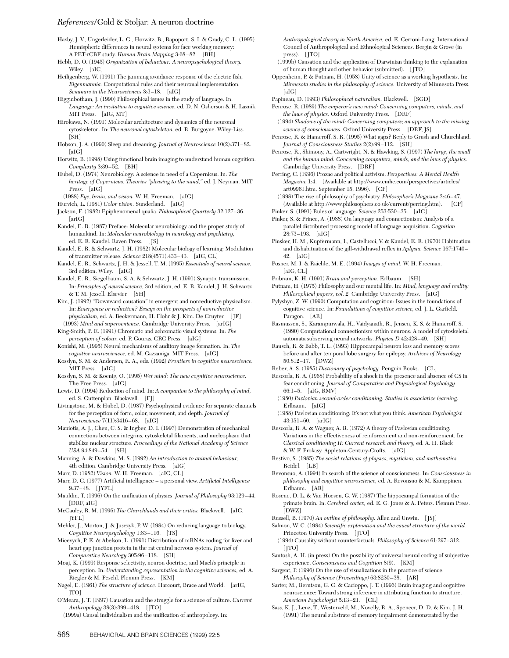### *References/*Gold & Stoljar: A neuron doctrine

Haxby, J. V., Ungerleider, L. G., Horwitz, B., Rapoport, S. I. & Grady, C. L. (1995) Hemispheric differences in neural systems for face working memory: A PET-rCBF study. *Human Brain Mapping* 3:68–82. [BH]

Hebb, D. O. (1945) *Organization of behaviour: A neuropsychological theory.* Wiley. [aIG]

Heiligenberg, W. (1991) The jamming avoidance response of the electric fish, *Eigenmannia:* Computational rules and their neuronal implementation. *Seminars in the Neurosciences* 3:3–18. [aIG]

Higginbotham, J. (1990) Philosophical issues in the study of language. In: *Language: An invitation to cognitive science,* ed. D. N. Osherson & H. Laznik. MIT Press. [aIG, MT]

- Hirokawa, N. (1991) Molecular architecture and dynamics of the neuronal cytoskeleton. In: *The neuronal cytoskeleton,* ed. R. Burgoyne. Wiley-Liss. [SH]
- Hobson, J. A. (1990) Sleep and dreaming. *Journal of Neuroscience* 10(2):371–82. [aIG]
- Horwitz, B. (1998) Using functional brain imaging to understand human cognition. *Complexity* 3:39–52. [BH]

Hubel, D. (1974) Neurobiology: A science in need of a Copernicus. In: *The heritage of Copernicus: Theories "pleasing to the mind,"* ed. J. Neyman. MIT Press. [aIG]

- (1988) *Eye, brain, and vision.* W. H. Freeman. [aIG]
- Hurvich, L. (1981) *Color vision.* Sunderland. [aIG]
- Jackson, F. (1982) Epiphenomenal qualia. *Philosophical Quarterly* 32:127–36. [arIG]
- Kandel, E. R. (1987) Preface: Molecular neurobiology and the proper study of humankind. In: *Molecular neurobiology in neurology and psychiatry,* ed. E. R. Kandel. Raven Press. [JS]
- Kandel, E. R. & Schwartz, J. H. (1982) Molecular biology of learning: Modulation of transmitter release. *Science* 218(4571):433–43. [aIG, CL]
- Kandel, E. R., Schwartz, J. H. & Jessell, T. M. (1995) *Essentials of neural science,* 3rd edition. Wiley. [aIG]
- Kandel, E. R., Siegelbaum, S. A. & Schwartz, J. H. (1991) Synaptic transmission. In: *Principles of neural science,* 3rd edition, ed. E. R. Kandel, J. H. Schwartz & T. M. Jessell. Elsevier. [SH]

Kim, J. (1992) "Downward causation" in emergent and nonreductive physicalism. In: *Emergence or reduction? Essays on the prospects of nonreductive physicalism,* ed. A. Beckermann, H. Flohr & J. Kim. De Gruyter. [JF] (1993) *Mind and supervenience.* Cambridge University Press. [arIG]

- King-Smith, P. E. (1991) Chromatic and achromatic visual systems. In: *The perception of colour,* ed. P. Gouras. CRC Press. [aIG]
- Konishi, M. (1995) Neural mechanisms of auditory image formation. In: *The cognitive neurosciences,* ed. M. Gazzaniga. MIT Press. [aIG]
- Kosslyn, S. M. & Andersen, R. A., eds. (1992) *Frontiers in cognitive neuroscience.* MIT Press. [aIG]
- Kosslyn, S. M. & Koenig, O. (1995) *Wet mind: The new cognitive neuroscience.* The Free Press. [aIG]
- Lewis, D. (1994) Reduction of mind. In: *A companion to the philosophy of mind,* ed. S. Guttenplan. Blackwell. [FJ]
- Livingstone, M. & Hubel, D. (1987) Psychophysical evidence for separate channels for the perception of form, color, movement, and depth. *Journal of Neuroscience* 7(11):3416–68. [aIG]
- Maniotis, A. J., Chen, C. S. & Ingber, D. I. (1997) Demonstration of mechanical connections between integrins, cytoskeletal filaments, and nucleoplasm that stabilize nuclear structure. *Proceedings of the National Academy of Science USA* 94:849–54. [SH]
- Manning, A. & Dawkins, M. S. (1992) *An introduction to animal behaviour,* 4th edition. Cambridge University Press. [aIG]
- Marr, D. (1982) *Vision.* W. H. Freeman. [aIG, CL]
- Marr, D. C. (1977) Artificial intelligence a personal view. *Artificial Intelligence* 9:37–48. [JYFL]
- Mauldin, T. (1996) On the unification of physics. *Journal of Philosophy* 93:129–44. [DRF, aIG]
- McCauley, R. M. (1996) *The Churchlands and their critics.* Blackwell. [aIG, JYFL]
- Mehler, J., Morton, J. & Jusczyk, P. W. (1984) On reducing language to biology. *Cognitive Neuropsychology* 1:83–116. [TS]
- Micevych, P. E. & Abelson, L. (1991) Distribution of mRNAs coding for liver and heart gap junction protein in the rat central nervous system. *Journal of Comparative Neurology* 305:96–118. [SH]
- Mogi, K. (1999) Response selectivity, neuron doctrine, and Mach's principle in perception. In: *Understanding representation in the cognitive sciences,* ed. A. Riegler & M. Peschl. Plenum Press. [KM]
- Nagel, E. (1961) *The structure of science.* Harcourt, Brace and World. [arIG, JTO]
- O'Meara, J. T. (1997) Causation and the struggle for a science of culture. *Current Anthropology* 38(3):399–418. [JTO]
- (1999a) Causal individualism and the unification of anthropology. In:

*Anthropological theory in North America,* ed. E. Cerroni-Long. International Council of Anthropological and Ethnological Sciences. Bergin & Grove (in press). [JTO]

- (1999b) Causation and the application of Darwinian thinking to the explanation of human thought and other behavior (submitted). [JTO]
- Oppenheim, P. & Putnam, H. (1958) Unity of science as a working hypothesis. In: *Minnesota studies in the philosophy of science.* University of Minnesota Press. [aIG]
- Papineau, D. (1993) *Philosophical naturalism.* Blackwell. [SGD]
- Penrose, R. (1989) *The emperor's new mind: Concerning computers, minds, and the laws of physics.* Oxford University Press. [DRF]
- (1994) *Shadows of the mind: Concerning computers; an approach to the missing science of consciousness.* Oxford University Press. [DRF, JS]
- Penrose, R. & Hameroff, S. R. (1995) What gaps? Reply to Grush and Churchland. *Journal of Consciousness Studies* 2(2):99–112. [SH]
- Penrose, R., Shimony, A., Cartwright, N. & Hawking, S. (1997) *The large, the small and the human mind: Concerning computers, minds, and the laws of physics.* Cambridge University Press. [DRF]
- Perring, C. (1996) Prozac and political activism. *Perspectives: A Mental Health Magazine* 1:4. (Available at http://www.cmhc.com/perspectives/articles/ art09961.htm. September 15, 1996). [CP]
- (1998) The rise of philosophy of psychiatry. *Philosopher's Magazine* 3:46–47. (Available at http://www.philosophers.co.uk/current/perring.htm). [CP]
- Pinker, S. (1991) Rules of language. *Science* 253:530–35. [aIG]
- Pinker, S. & Prince, A. (1988) On language and connectionism: Analysis of a parallel distributed processing model of language acquisition. *Cognition* 28:73–193. [aIG]
- Pinsker, H. M., Kupfermann, I., Castellucci, V. & Kandel, E. R. (1970) Habituation and dishabituation of the gill-withdrawal reflex in *Aplysia. Science* 167:1740– 42. [aIG]
- Posner, M. I. & Raichle, M. E. (1994) *Images of mind.* W. H. Freeman. [aIG, CL]
- Pribram, K. H. (1991) *Brain and perception.* Erlbaum. [SH]
- Putnam, H. (1975) Philosophy and our mental life. In: *Mind, language and reality: Philosophical papers, vol. 2.* Cambridge University Press. [aIG]
- Pylyshyn, Z. W. (1990) Computation and cognition: Issues in the foundations of cognitive science. In: *Foundations of cognitive science,* ed. J. L. Garfield. Paragon. [AR]
- Rasmussen, S., Karampurwala, H., Vaidyanath, R., Jensen, K. S. & Hameroff, S. (1990) Computational connectionism within neurons: A model of cytoskeletal automata subserving neural networks. *Physica D* 42:428–49. [SH]
- Rausch, R. & Babb, T. L. (1993) Hippocampal neuron loss and memory scores before and after temporal lobe surgery for epilepsy. *Archives of Neurology* 50:812–17. [DWZ]
- Reber, A. S. (1985) *Dictionary of psychology.* Penguin Books. [CL]
- Rescorla, R. A. (1968) Probability of a shock in the presence and absence of CS in fear conditioning. *Journal of Comparative and Physiological Psychology*  66:1–5. [aIG, RMV]
	- (1980) *Pavlovian second-order conditioning: Studies in associative learning.* Erlbaum. [aIG]
- (1988) Pavlovian conditioning: It's not what you think. *American Psychologist* 43:151–60. [arIG]
- Rescorla, R. A. & Wagner, A. R. (1972) A theory of Pavlovian conditioning: Variations in the effectiveness of reinforcement and non-reinforcement. In: *Classical conditioning II: Current research and theory,* ed. A. H. Black & W. F. Prokasy. Appleton-Century-Crofts. [aIG]
- Restivo, S. (1985) *The social relations of physics, mysticism, and mathematics.* Reidel. [LB]
- Revonsuo, A. (1994) In search of the science of consciousness. In: *Consciousness in philosophy and cognitive neuroscience,* ed. A. Revonsuo & M. Kamppinen. Erlbaum. [AR]
- Rosene, D. L. & Van Hoesen, G. W. (1987) The hippocampal formation of the primate brain. In: *Cerebral cortex,* ed. E. G. Jones & A. Peters. Plenum Press. [DWZ]
- Russell, B. (1970) *An outline of philosophy.* Allen and Unwin. [JSJ]
- Salmon, W. C. (1984) *Scientific explanation and the causal structure of the world.* Princeton University Press. [JTO]
- (1994) Causality without counterfactuals. *Philosophy of Science* 61:297–312. [ITO]
- Santosh, A. H. (in press) On the possibility of universal neural coding of subjective experience. *Consciousness and Cognition* 8(9). [KM]
- Sargent, P. (1996) On the use of visualizations in the practice of science. *Philosophy of Science (Proceedings)* 63:S230–38. [AR]
- Sarter, M., Berntson, G. G. & Cacioppo, J. T. (1996) Brain imaging and cognitive neuroscience: Toward strong inference in attributing function to structure. *American Psychologist* 5:13–21. [CL]
- Sass, K. J., Lenz, T., Westerveld, M., Novelly, R. A., Spencer, D. D. & Kim, J. H. (1991) The neural substrate of memory impairment demonstrated by the